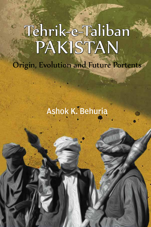# Tehrik-e-Taliban Pakistan Origin, Evolution and Future Portents

Ashok K. Behuria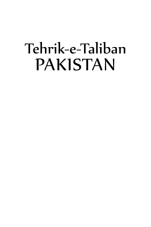# Tehrik-e-Taliban **PAKISTAN**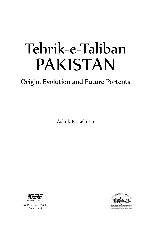# Tehrik-e-Taliban **PAKISTAN**

## Origin, Evolution and Future Portents

Ashok K. Behuria



KW Publishers Pvt Ltd New Delhi

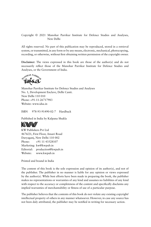#### Copyright © 2021 Manohar Parrikar Institute for Defence Studies and Analyses, New Delhi

All rights reserved. No part of this publication may be reproduced, stored in a retrieval system, or transmitted, in any form or by any means, electronic, mechanical, photocopying, recording, or otherwise, without first obtaining written permission of the copyright owner.

**Disclaimer:** The views expressed in this book are those of the author(s) and do not necessarily reflect those of the Manohar Parrikar Institute for Defence Studies and Analyses, or the Government of India.



Manohar Parrikar Institute for Defence Studies and Analyses No. 1, Development Enclave, Delhi Cantt. New Delhi 110 010 Phone: +91-11-26717983 Website: www.idsa.in

ISBN 978-93-91490-02-7 Hardback

Published in India by Kalpana Shukla



KW Publishers Pvt Ltd 4676/21, First Floor, Ansari Road Daryaganj, New Delhi 110 002 Phone: +91 11 43528107 Marketing: kw@kwpub.in Editorial: production@kwpub.in Website: www.kwpub.in

Printed and bound in India

The content of this book is the sole expression and opinion of its author(s), and not of the publisher. The publisher in no manner is liable for any opinion or views expressed by the author(s). While best efforts have been made in preparing the book, the publisher makes no representations or warranties of any kind and assumes no liabilities of any kind with respect to the accuracy or completeness of the content and specifically disclaims any implied warranties of merchantability or fitness of use of a particular purpose.

The publisher believes that the contents of this book do not violate any existing copyright/ intellectual property of others in any manner whatsoever. However, in case any source has not been duly attributed, the publisher may be notified in writing for necessary action.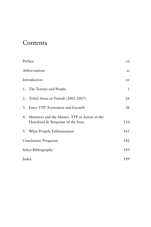## Contents

| Preface               |                                                                                       | vii          |
|-----------------------|---------------------------------------------------------------------------------------|--------------|
| Abbreviations         |                                                                                       | xi           |
| Introduction          |                                                                                       | XV           |
|                       | 1. The Terrain and People                                                             | $\mathbf{1}$ |
|                       | 2. Tribal Areas in Tumult (2001-2007)                                                 | 26           |
|                       | 3. Enter TTP: Formation and Growth                                                    | 56           |
|                       | 4. Monsters and the Master: TTP in Action in the<br>Heartland & Response of the State | 110          |
|                       | 5. What Propels Talibanisation                                                        | 161          |
| Conclusion: Prognosis |                                                                                       | 182          |
| Select Bibliography   |                                                                                       | 193          |
| Index                 |                                                                                       | 199          |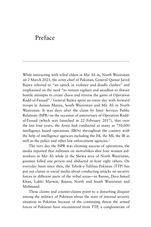## Preface

While interacting with tribal elders in Mir Ali in, North Waziristan on 2 March 2021, the army chief of Pakistan, General Qamar Javed Bajwa referred to "an uptick in violence and deadly clashes" and emphasised on the need "to remain vigilant and steadfast to thwart hostile attempts to create chaos and reverse the gains of Operation Radd-ul-Fasaad".1 General Bajwa spent an entire day with forward troops in Asman Manza, South Waziristan and Mir Ali in North Waziristan. It was days after the claim by Inter Services Public Relations (ISPR) on the occasion of anniversary of Operation Raddul-Fassad (which was launched in 22 February 2017), that over the last four years, the Army had conducted as many as 750,000 intelligence based operations (IBOs) throughout the country with the help of intelligence agencies including the ISI, the MI, the IB as well as the police and other law enforcement agencies.<sup>2</sup>

The very day the ISPR was claiming success of operations, the media reported that militants on motorbikes shot four women aidworkers in Mir Ali while in the Shewa area of North Waziristan, gunmen killed one person and abducted at least eight others. On everyday basis since then, the Tehrik-e-Taliban Pakistan (TTP) has put out claims in social media about conducting attacks on security forces in different parts of the tribal areas—in Bannu, Dera Ismail Khan, Lakki Marwat, Bajaur, North and South Waziristan and Mohmand.

These claims and counter-claims point to a disturbing disquiet among the military of Pakistan about the state of internal security situation in Pakistan because of the continuing threat the armed forces of Pakistan have encountered from TTP, a conglomerate of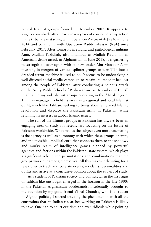radical Islamist groups formed in December 2007. It appears to stage a come-back after nearly seven years of concerted army action in the tribal areas starting with Operation Zarb-e-Azb (ZeA) in June 2014 and continuing with Operation Radd-ul-Fassad (RuF) since February 2017. After losing its firebrand and pathological militant Amir, Mullah Fazlullah, also infamous as Mullah Radio, in an American drone attack in Afghanistan in June 2018, it is gathering its strength all over again with its new leader Abu Mansoor Asim investing in mergers of various splinter groups to turn TTP into a dreaded terror machine it used to be. It seems to be undertaking a well-directed social-media campaign to regain its image it has lost among the people of Pakistan, after conducting a heinous attack on the Army Public School of Peshawar on 16 December 2016. All in all, amid myriad Islamist groups operating in the Af-Pak region, TTP has managed to hold its sway as a regional and local Islamist outfit, much like Taliban, seeking to bring about an armed Islamic revolution and displace the Pakistani army in Pakistan, while retaining its interest in global Islamic issues.

The run of the Islamist groups in Pakistan has always been an engaging area of study for researchers focussing on the future of Pakistan worldwide. What makes the subject even more fascinating is the agency as well as autonomy with which these groups operate, and the invisible umbilical cord that connects them to the shadowy and murky realm of intelligence games planned by powerful agencies and factions within the Pakistani state system, which plays a significant role in the permutations and combinations that the groups work out among themselves. All this makes it daunting for a researcher to track and corelate events, incidents, personalities and outfits and arrive at a conclusive opinion about the subject of study.

As a student of Pakistani society and politics, when the first signs of Taliban-like onslaught emerged in the horizon in the late 1990s in the Pakistan-Afghanistan borderlands, incidentally brought to my attention by my good friend Vishal Chandra, who is a student of Afghan politics, I started tracking the phenomenon with all the constraints that an Indian researcher working on Pakistan is likely to have. One had to court criticism and even ridicule while pointing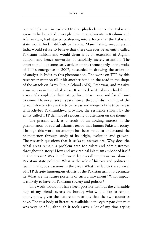out politely even in early 2002 that jihadi elements that Pakistani agencies had enabled, through their entanglements in Kashmir and Afghanistan, had started coalescing into a force that the Pakistani state would find it difficult to handle. Many Pakistan-watchers in India would refuse to believe that there can ever be an entity called Pakistani Taliban and would deem it as an extension of Afghan Taliban and hence unworthy of scholarly merely attention. The effort to pull out some early articles on the theme partly, in the wake of TTP's emergence in 2007, succeeded in drawing the attention of analyst in India to this phenomenon. The work on TTP by this researcher went on till it hit another bend on the road in the shape of the attack on Army Public School (APS), Peshawar, and massive army action in the tribal areas. It seemed as if Pakistan had found a way of completely eliminating this menace once and for all time to come. However, seven years hence, through dismantling of the terror infrastructure in the tribal areas and merger of the tribal areas with Khyber Pakhtunkhwa province, the resilience shown by the entity called TTP demanded refocusing of attention on the theme.

The present work is a result of an abiding interest in the phenomenon of radical Islamist terror that haunts Pakistan today. Through this work, an attempt has been made to understand the phenomenon through study of its origin, evolution and growth. The research questions that it seeks to answer are: Why does the tribal areas remain a problem area for rulers and administrators throughout history? How and why radical Islamism embedded itself in the terrain? Was it influenced by overall emphasis on Islam in Pakistani state politics? What is the role of history and politics in fuelling religious passions in the area? What has led to the survival of TTP despite humongous efforts of the Pakistan army to decimate it? What are the future portents of such a movement? What impact it is likely to have on Pakistani society and politics?

This work would not have been possible without the charitable help of my friends across the border, who would like to remain anonymous, given the nature of relations that the two countries have. The vast body of literature available in the cyberspace/internet was very helpful, although it took away a lot of my time trying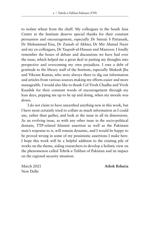to isolate wheat from the chaff. My colleagues in the South Asia Centre at the Institute deserve special thanks for their constant persuasion and encouragement, especially Dr Smruti S Pattanaik, Dr Muhammad Eisa, Dr Zainab ul Akhter, Dr Mir Ahmad Nazir and my ex-colleagues, Dr Yaqoob-ul-Hassan and Manzoor. I fondly remember the hours of debate and discussions we have had over the issue, which helped me a great deal in putting my thoughts into perspective and overcoming my own prejudices. I owe a debt of gratitude to the library staff of the Institute, especially Mukesh Jha and Vikrant Kumar, who were always there to dig out information and articles from various sources making my efforts easier and more manageable. I would also like to thank Col Vivek Chadha and Vivek Kaushik for their constant words of encouragement through my lean days, pepping me up to be up and doing, when my morale was down.

I do not claim to have unearthed anything new in this work, but I have most certainly tried to collate as much information as I could use, rather than gather, and look at the issue in all its dimensions. As an evolving issue, as with any other issue in the socio-political domain, TTP-related Islamist assertion as well as the Pakistani state's response to it, will remain dynamic, and I would be happy to be proved wrong in some of my pessimistic assertions I make here. I hope this work will be a helpful addition to the existing pile of works on the theme, aiding researchers to develop a holistic view on the phenomenon called Tehrik-e-Taliban of Pakistan and its impact on the regional security situation.

New Delhi

March 2021 **Ashok Behuria**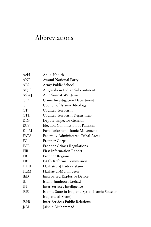## Abbreviations

| AeH         | Ahl-e-Hadith                                      |
|-------------|---------------------------------------------------|
| <b>ANP</b>  | Awami National Party                              |
| APS         | Army Public School                                |
| <b>AQIS</b> | Al Qaeda in Indian Subcontinent                   |
| <b>ASWJ</b> | Ahle Sunnat Wal Jamat                             |
| <b>CID</b>  | Crime Investigation Department                    |
| CII         | Council of Islamic Ideology                       |
| <b>CT</b>   | <b>Counter Terrorism</b>                          |
| <b>CTD</b>  | Counter Terrorism Department                      |
| DIG         | Deputy Inspector General                          |
| ECP         | Election Commission of Pakistan                   |
| ETIM        | East Turkestan Islamic Movement                   |
| <b>FATA</b> | Federally Administered Tribal Areas               |
| FC          | <b>Frontier Corps</b>                             |
| <b>FCR</b>  | <b>Frontier Crimes Regulations</b>                |
| <b>FIR</b>  | <b>First Information Report</b>                   |
| FR          | <b>Frontier Regions</b>                           |
| <b>FRC</b>  | <b>FATA Reforms Commission</b>                    |
| HUJI        | Harkat-ul-Jihad-al-Islami                         |
| HuM         | Harkat-ul-Mujahideen                              |
| <b>IED</b>  | <b>Improvised Explosive Device</b>                |
| IJI         | Islami Jumhoori Ittehad                           |
| <b>ISI</b>  | Inter-Services Intelligence                       |
| <b>ISIS</b> | Islamic State in Iraq and Syria (Islamic State of |
|             | Iraq and al-Sham)                                 |
| <b>ISPR</b> | <b>Inter Services Public Relations</b>            |
| JeM         | Jaish-e-Muhammad                                  |
|             |                                                   |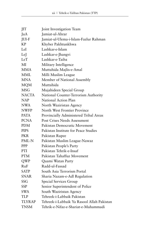| JIT           | Joint Investigation Team                   |
|---------------|--------------------------------------------|
| JuA           | Jamiat-ul-Ahrar                            |
| JUI-F         | Jamiat-ul-Ulema-i-Islam-Fazlur Rahman      |
| КP            | Khyber Pakhtunkhwa                         |
| LeI           | Lashkar-e-Islam                            |
| LeJ           | Lashkar-e-Jhangvi                          |
| LeT           | Lashkar-e-Taiba                            |
| MI            | Military Intelligence                      |
| <b>MMA</b>    | Muttahida Majlis-e-Amal                    |
| <b>MML</b>    | Milli Muslim League                        |
| <b>MNA</b>    | Member of National Assembly                |
| <b>MQM</b>    | Muttahida                                  |
| <b>MSG</b>    | Mujahideen Special Group                   |
| <b>NACTA</b>  | National Counter-Terrorism Authority       |
| NAP           | National Action Plan                       |
| <b>NWA</b>    | North Waziristan Agency                    |
| <b>NWFP</b>   | North West Frontier Province               |
| <b>PATA</b>   | Provincially Administered Tribal Areas     |
| <b>PCNA</b>   | <b>Post Crises Needs Assessment</b>        |
| PDM           | Pakistan Democratic Movement               |
| <b>PIPS</b>   | Pakistan Institute for Peace Studies       |
| PKR.          | Pakistan Rupee                             |
| PML-N         | Pakistan Muslim League-Nawaz               |
| PPP           | Pakistan People's Party                    |
| PTI           | Pakistan Tehrik-e-Insaf                    |
| <b>PTM</b>    | Pakistan Tahaffuz Movement                 |
| QWP           | Quami Watan Party                          |
| RuF           | Radd-ul-Fassad                             |
| <b>SATP</b>   | South Asia Terrorism Portal                |
| <b>SNAR</b>   | Sharia Nazam-e-Adl Regulation              |
| SSG           | Special Services Group                     |
| <b>SSP</b>    | Senior Superintendent of Police            |
| SWA           | South Waziristan Agency                    |
| <b>TLP</b>    | Tehreek-i-Labbaik Pakistan                 |
| <b>TLYRAP</b> | Tehreek-i-Labbaik Ya Rasool Allah Pakistan |
| <b>TNSM</b>   | Tehrik-e-Nifaz-e-Shariat-e-Muhammadi       |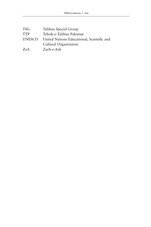| TSG           | Taliban Special Group                      |
|---------------|--------------------------------------------|
| <b>TTP</b>    | Tehrik-e-Taliban Pakistan                  |
| <b>UNESCO</b> | United Nations Educational, Scientific and |
|               | Cultural Organization                      |
| ZeA           | Zarb-e-Azb                                 |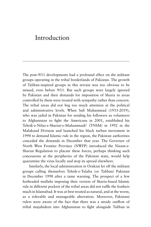## Introduction

The post-9/11 developments had a profound effect on the militant groups operating in the tribal borderlands of Pakistan. The growth of Taliban-inspired groups in this terrain was too obvious to be missed, even before 9/11. But such groups were largely ignored by Pakistan and their demands for imposition of Sharia in areas controlled by them were treated with sympathy rather than concern. The tribal areas did not beg too much attention at the political and administrative levels. When Sufi Muhammad (1933-2019), who was jailed in Pakistan for sending his followers as volunteers to Afghanistan to fight the Americans in 2001, established his Tehrik-e-Nifaz-e-Shariat-e-Muhammadi3 (TNSM) in 1992 in the Malakand Division and launched his black turban movement in 1994 to demand Islamic rule in the region, the Pakistan authorities conceded the demands in December that year. The Governor of North West Frontier Province (NWFP) introduced the Nizam-e-Shariat Regulation to placate these forces, perhaps thinking such concessions at the peripheries of the Pakistan state, would help quarantine the virus locally and stop its spread elsewhere.

Similarly, the local administration in Orakzai let off the militant groups calling themselves Tehrik-e-Tulaba (or Taliban) Pakistan in December 1998 after a tame warning. The prospect of a few hotheaded mullahs imposing their version of Sharia-based Islamic rule in different pockets of the tribal areas did not ruffle the feathers much in Islamabad. It was at best treated as natural, and at the worst, as a tolerable and manageable aberration. Moreover, Pakistani rulers were aware of the fact that there was a steady outflow of tribal mujahideen into Afghanistan to fight alongside Taliban in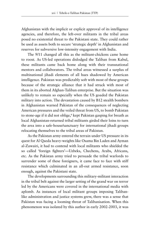Afghanistan with the implicit or explicit approval of its intelligence agencies, and therefore, the left-over militants in the tribal areas posed no existential threat to the Pakistani state. They could rather be used as assets both to secure 'strategic depth' in Afghanistan and reserves for subversive low-intensity engagement with India.

The 9/11 changed all this as the militant-chickens came home to roost. As US-led operations dislodged the Taliban from Kabul, these militants came back home along with their transnational mentors and collaborators. The tribal areas witnessed a surplus of multinational jihadi elements of all hues shadowed by American intelligence. Pakistan was predictably soft with most of these groups because of the strategic alliance that it had struck with most of them in its aborted Afghan-Taliban enterprise. But the situation was unlikely to remain so especially when the US goaded the Pakistan military into action. The devastation caused by B12 stealth bombers in Afghanistan warned Pakistan of the consequences of neglecting American pressures and the veiled threat from US, to bomb Pakistan to stone-age if it did not oblige,<sup>4</sup> kept Pakistan gasping for breath as local Afghanistan-returned tribal militants girded their loins to turn the area into a safe-house/sanctuary for international jihadi groups relocating themselves to the tribal areas of Pakistan.

As the Pakistan army entered the terrain under US pressure in its quest for Al Qaeda heavy-weights like Osama Bin Laden and Ayman al-Zawairi, it had to contend with local militants who shielded the so called 'foreign fighters'—Uzbeks, Chechens, Arabs, Africans, etc. As the Pakistan army tried to persuade the tribal warlords to surrender some of these foreigners, it came face to face with stiff resistance which culminated in an all-out armed resistance, soon enough, against the Pakistani state.

The developments surrounding this military-militant interaction in the tribal belt against the larger setting of the grand war on terror led by the Americans were covered in the international media with aplomb. As instances of local militant groups imposing Talibanlike administration and justice systems grew, there was a sense that Pakistan was facing a looming threat of Talibanisation. When this phenomenon was isolated by this author in early 2002-2003, it was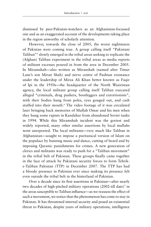dismissed by peer-Pakistan-watchers as an Afghanistan-focussed one and as an exaggerated account of the developments taking place in the region unworthy of scholarly attention.

However, towards the close of 2005, the worst nightmares of Pakistan were coming true. A group calling itself "Pakistani Taliban"5 slowly emerged in the tribal areas seeking to replicate the (Afghan) Taliban experiment in the tribal areas as media reports of militant excesses poured in from the area in December 2005. In Miramshah—also written as Miranshah (named after Timur Lane's son Miran Shah) and nerve centre of Pashtun resistance under the leadership of Mirza Ali Khan better known as Faqir of Ipi in the 1950s—the headquarter of the North Waziristan agency, the local militant group calling itself Taliban executed alleged "criminals, drug pushers, bootleggers and extortionists", with their bodies hung from poles, eyes gouged out, and cash stuffed into their mouth.<sup>6</sup> The video footage of it was circulated later bringing back memories of Mullah Omar and his men when they hung some rapists in Kandahar from abandoned Soviet tanks in 1994. While this Miramshah incident was the goriest and widely reported, many other similar assertions by local mullahs went unreported. The local militants—very much like Taliban in Afghanistan—sought to impose a puritanical version of Islam on the populace by banning music and dance, cutting of beard and by imposing Quranic punishments for crimes. A new generation of clerics and militants was ready to push for a "Taliban movement" in the tribal belt of Pakistan. These groups finally came together in the face of attack by Pakistani security forces to form Tehrike-Taliban Pakistan (TTP) in December 2007. The TTP has had a bloody presence in Pakistan ever since making its presence felt even outside the tribal belt in the hinterland of Pakistan.

Over a decade since its first assertions in Pakistan—after nearly two decades of high-pitched military operations (2002-till date)<sup>7</sup> in the areas susceptible to Taliban influence—as we reassess the effect of such a movement, we notice that the phenomenon has come to stay in Pakistan. It has threatened internal security and posed an existential threat to Pakistan, despite years of military operations, intelligence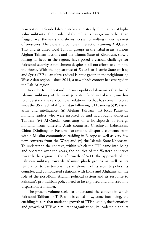penetration, US-aided drone strikes and steady elimination of highvalue militants. The resolve of the militants has grown rather than flagged over the years and shows no sign of wilting under heaviest of pressures. The close and complex interactions among Al-Qaeda, TTP and its allied local Taliban groups in the tribal areas, various Afghan Taliban factions and the Islamic State of Khorasan, slowly raising its head in the region, have posed a critical challenge for Pakistani security establishment despite its all-out efforts to eliminate the threat. With the appearance of *Da'esh* or Islamic State of Iraq and Syria (ISIS)—an ultra-radical Islamic group in the neighbouring West Asian region—since 2014, a new jihadi context has emerged in the Pak-Af region.

In order to understand the socio-political dynamics that fueled Islamist militancy of the most persistent kind in Pakistan, one has to understand the very complex relationship that has come into play since the US attack of Afghanistan following 9/11, among (i) Pakistan army and intelligence; (ii) Afghan Taliban; (iii) local Pakistani militant leaders who were inspired by and had fought alongside Taliban; (iv) Al-Qaeda—consisting of a hotchpotch of foreign militants from different Arab countries, Chechnya, Uzbekistan, China (Xinjiang or Eastern Turkestan), diasporic elements from within Muslim communities residing in Europe as well as very few new converts from the West; and (v) the Islamic State-Khorasan. To understand the context, within which the TTP came into being and operated over the years, the policies of the Western countries towards the region in the aftermath of 9/11, the approach of the Pakistan military towards Islamist jihadi groups as well as its temptation to use terrorism as an element of its security policy, its complex and complicated relations with India and Afghanistan, the role of the post-Bonn Afghan political system and its response to Pakistan's pro-Taliban policy need to be explored and analysed in a dispassionate manner.

The present volume seeks to understand the context in which Pakistani Taliban or TTP, as it is called now, came into being, the enabling factors that made the growth of TTP possible, the formation and growth of TTP as a militant organisation, its leadership and its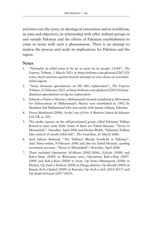activities over the years, its ideological orientation and its worldview, its aims and objectives, its relationship with other militant groups in and outside Pakistan and the efforts of Pakistani establishment to come to terms with such a phenomenon. There is an attempt to analyse the process and study its implications for Pakistan and the region.

### **Notes**

- 1. "Normalcy in tribal areas to be set in stone by its people: COAS", *The Express Tribune*, 3 March 2021 at https://tribune.com.pk/story/2287152/ army-chief-cautions-against-hostile-attempt-to-sow-chaos-in-erstwhiletribal-regions
- 2. "Army dismisses speculations on DG ISI's replacement", *The Express Tribune*, 23 February 2021 at https://tribune.com.pk/story/2285521/armydismisses-speculations-on-dg-isis-replacement
- 3. Tehreek-e-Nafaz-e-Shariat-e-Mohammadi (loosely translated as Movement for Enforcement of Muhammad's Sharia) was established in 1992 by Maulana Sufi Muhammad who was earlier with Jamat-i-Islami, Pakistan.
- 4. Pervez Musharraf (2006). *In the Line of Fire: A Memoir*, Simon & Schuster Ltd, UK, p. 201.
- 5. The media reports on the self-proclaimed group called Pakistani Taliban flowed in since early 2006. Some of them are Zahid Hussain, "Terror in Miramshah", *Newsline*, April 2006 and Declan Walsh, "Pakistani Taliban take control of unruly tribal belt", *The Guardian*, 21 March 2006.
- 6. Syed Saleem Shahzad, "The Taliban's Bloody Foothold in Pakistan", *Asia Times* online, 8 February 2006 and also see Zahid Hussain, quoting eyewitness account, "Terror in Miramshah", *Newsline*, April 2006.
- 7. These included Operations *Al-Mizan* (2002-2006), *Zalzala* (2008) and *Rah-e-Nijat* (2009) in Waziristan area, *Operations Rah-e-Haq* (2007- 2009) and *Rah-e-Rast* (2009) in Swat, *Op Sirat-i-Mustaqeem* (2008) in Khyber, *Op Zarb-e-Kaleem* (2008) in Hangu district, *Op Sherdil* (2009) in Bajaur, *Koh-e-Sufaid* (2009) in Kurram, *Op Zarb-e-Azb* (2014-2017) and *Op Radd-ul-Fasad* (2017-2019).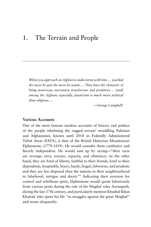## 1. The Terrain and People

*When you approach an Afghan to make terms with him … you find the more he gets the more he wants…. They have the character of being avaricious, mercenary, treacherous, and predatory* … *[and] among the Afghans especially, fanaticism is much more political than religious….*

*—*George Campbell1

#### **Various Accounts**

One of the most famous modern accounts of history and politics of the people inhabiting the rugged terrain<sup>2</sup> straddling Pakistan and Afghanistan, known until 2018 as Federally Administered Tribal Areas (FATA), is that of the British Historian Mountstuart Elphinstone (1779-1859). He would consider them combative and fiercely independent. He would sum up by saying—"their vices are revenge, envy, avarice, rapacity, and obstinacy; on the other hand, they are fond of liberty, faithful to their friends, kind to their dependents, hospitable, brave, hardy, frugal, laborious, and prudent; and they are less disposed than the nations in their neighbourhood to falsehood, intrigue and deceit."3 Indicating their aversion for control and rebellious spirit, Elphinstone would quote laboriously from various poets during the rule of the Mughal ruler Aurangzeb, during the late 17th century, and particularly mention Khushal Khan Khattak who spent his life "in struggles against the great Moghul" and wrote eloquently: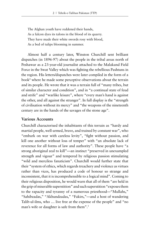The Afghan youth have reddened their hands, As a falcon dyes its talons in the blood of its quarry. They have made their white swords rosy with blood, As a bed of tulips blooming in summer.

Almost half a century later, Winston Churchill sent brilliant dispatches (in 1896-97) about the people in the tribal areas north of Peshawar as a 23-year-old journalist attached to the Malakand Field Force in the Swat Valley which was fighting the rebellious Pashtuns in the region. His letters/dispatches were later compiled in the form of a book4 where he made some perceptive observations about the terrain and its people. He wrote that it was a terrain full of "many tribes, but of similar character and condition", and in "a continual state of feud and strife" and "warlike leisure", where "every man's hand is against the other, and all against the stranger". In full display is the "strength of civilisation without its mercy" and "the weapons of the nineteenth century are in the hands of the savages of the stone age".

#### **Various Accounts**

Churchill characterised the inhabitants of this terrain as "hardy and martial people, well-armed, brave, and trained by constant war", who "embark on war with careless levity", "fight without passion, and kill one another without loss of temper" with "an absolute lack of reverence for all forms of law and authority". These people have "a strong aboriginal zeal to kill"—an instinct "preserved in unexampled strength and vigour" and tempered by religious passion stimulating "wild and merciless fanaticism". Churchill would further state that their "system of ethics, which regards treachery and violence as virtues rather than vices, has produced a code of honour so strange and inconsistent, that it is incomprehensible to a logical mind". Coming to their religious disposition, he would warn that all of them "are held in the grip of miserable superstition" and such superstition "exposes them to the rapacity and tyranny of a numerous priesthood—"Mullahs," "Sahibzadas," "Akhundzadas," "Fakirs,"—and a host of wandering Talib-ul-ilms, who … live free at the expense of the people" and "no man's wife or daughter is safe from them".<sup>5</sup>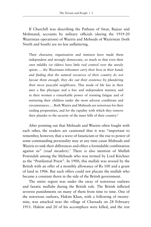If Churchill was describing the Pathans of Swat, Bajaur and Mohmand, accounts by military officials (during the 1919-20 Waziristan operations) of Waziris and Mehsuds of Waziristan (both North and South) are no less unflattering.

Their character, organization and instincts have made them independent and strongly democratic, so much so that even their own *mlaliks* (or elders) have little real control over the unruly spirits … *the Waziristan tribesmen carry their lives in their hands and finding that the natural resources of their country do not favour them enough, they eke out their existence by plundering their more peaceful neighbours.* This mode of life has in their men a fine physique and a free and independent manner, and in their women a remarkable power of resisting fatigue and of nurturing their children under the most adverse conditions and circumstances…. Both Wazirs and Mahsuds are notorious for their raiding propensities, and for the rapidity with which they remove their plunder to the security of the inner hills of their country.6

After pointing out that Mehsuds and Waziris often fought with each other, the readers are cautioned that it was "important to remember, however, that a wave of fanaticism or the rise to power of some commanding personality may at any time cause Mahsuds and Waziris to sink their differences and effect a formidable combination against us" (*read invaders*).7 There is also mention of Mullah Powindah among the Mehsuds who was termed by Lord Kitchner as the "Pestilential Priest". In 1900, this mullah was wooed by the British with an offer of a monthly allowance of Rs 100 and a grant of land in 1906. But such offers could not placate the mullah who became a constant thorn in the side of the British government.

The entire region was under the sway of notorious outlaws and fanatic mullahs during the British rule. The British inflicted severest punishments on many of them from time to time. One of the notorious outlaws, Hakim Khan, with a following of twentynine, was attacked near the village of Charsada on 28 February 1911. Hakim and 20 of his accomplices were killed, and the rest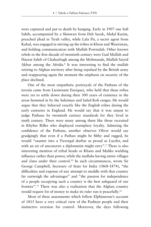were captured and put to death by hanging. Early in 1907 one Sufi Sahib, accompanied by a Shinwari from Deh Sarak, Abdul Karim, preached jihad in Tirah valley, while Lala Pir, a secret agent from Kabul, was engaged in stirring up the tribes in Khost and Waziristan, and holding communication with Mullah Powindah. Other known rebels in the first decade of twentieth century were Gud Mullah and Hazrat Sahib of Chaharbagh among the Mohmands, Mullah Saiyid Akbar among the Afridis.<sup>8</sup> It was interesting to find the mullah retiring to Afghan territory after being repulsed by the British army and reappearing again the moment the emphasis on security of the place declined.

One of the most empathetic portrayals of the Pathans of the terrain came from Lieutenant Enriquez, who held that these tribes were yet to settle down during their 300 years of existence in the areas hemmed in by the Suleiman and Safed Koh ranges. He would argue that they behaved exactly like the English tribes during the early centuries in England. He would say that it was unjust to judge Pathans by twentieth century standards for they lived in tenth century. There were many among them like those recruited in Khyber Rifles who displayed exemplary loyalty. Admiring the confidence of the Pathans, another observer Oliver would say grudgingly that even if a Pathan might be filthy and ragged, he would "saunter into a Viceregal durbar as proud as Lucifer, and with an air of unconcern a diplomatist might envy".<sup>9</sup> There is also interesting mention of tribal heads or Khans and Maliks wielding influence rather than power, while the mullahs having entire villages and clans under their control.10 In such circumstances, wrote Sir George Campbell, Secretary of State for India (1868-1874), "the difficulties and expense of any attempt to meddle with that country far outweigh the advantages" and "the passion for independence of a people occupying such a country is the best safeguard of our frontier".11 There was also a realisation that the Afghan country would require lot of money to make its ruler run it peacefully.<sup>12</sup>

Most of these assessments which follow Elphinstone's account of 1815 have a very critical view of the Pashtun people and their instinctive aversion for control. Moreover, the days following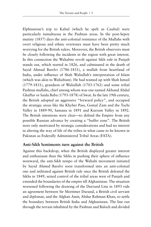Elphinstone's trip to Kabul (which he spelt as Caubul) were particularly tumultuous in the Pashtun areas. In the post-Sepoy mutiny (1857) days the anti-colonial resistance of the Mullahs with overt religious and ethnic overtones must have been pretty much worrying for the British rulers. Moreover, the British observers must be closely following the incidents in the region with great interest. In this connection the Wahabite revolt against Sikh rule in Punjab stands out, which started in 1826, and culminated in the death of Sayid Ahmad Barelvi (1786-1831), a mullah from heartland of India, under influence of Shah Waliullah's interpretation of Islam (which was akin to Wahabism). He had teamed up with Shah Ismail (1779-1831), grandson of Waliullah (1703-1762) and some tribal Pashtun mullahs, chief among whom was one named Akhund Abdul Ghaffur or Saidu Baba (1793-1878) of Swat. In the late 19th century, the British adopted an aggressive "forward policy", and occupied the strategic areas like the Khyber Pass, Gomal Zam and the Tochi Valley in 1889-90, Samana in 1891 and Kurram Valley in 1892. The British intentions were clear—to defend the Empire from any possible Russian advance by creating a "buffer zone". The British were only motivated by strategic considerations and had no interest in altering the way of life of the tribes in what came to be known in Pakistan as Federally Administered Tribal Areas (FATA).

## **Anti-Sikh Sentiments turn against the British**

Against this backdrop, when the British displayed greater interest and enthusiasm than the Sikhs in pushing their sphere of influence westward, the anti-Sikh tempo of the Wahabi movement initiated by Sayid Ahmed Barelvi soon transformed into an anti-colonial one and militated against British rule once the British defeated the Sikhs in 1849, seized control of the tribal areas west of Punjab and extended the boundaries of the empire till Afghanistan. The situation worsened following the drawing of the Durrand Line in 1893 vide an agreement between Sir Mortimer Durand, a British civil servant and diplomat, and the Afghan Amir, Abdur Rahman Khan, to settle the boundary between British India and Afghanistan. The line ran through the terrain inhabited by the Pashtun and Baloch and divided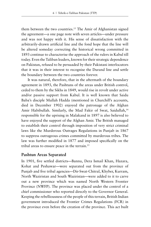them between the two countries.<sup>13</sup> The Amir of Afghanistan signed the agreement—a one page note with seven articles—under pressure and was not happy with it. His sense of dissatisfaction with the arbitrarily-drawn artificial line and the fond hope that the line will be altered someday correcting the historical wrong committed in 1893 continue to characterise the approach of the rulers in Kabul till today. Even the Taliban leaders, known for their strategic dependence on Pakistan, refused to be persuaded by their Pakistani interlocutors that it was in their interest to recognise the Durand line and settle the boundary between the two countries forever.

It was natural, therefore, that in the aftermath of the boundary agreement in 1893, the Pashtuns of the areas under British control, ceded to them by the Sikhs in 1849, would rise in revolt under active and/or passive support from Kabul. It is well known that Saidu Baba's disciple Mullah Hadda (mentioned in Churchill's accounts, died in December 1902) enjoyed the patronage of the Afghan Amir Habibullah. Similarly, the Mad Fakir of Swat, Saidullah,<sup>14</sup> responsible for the uprising in Malakand in 1897 is also believed to have enjoyed the support of the Afghan Amir. The British managed to establish their control through imposition of very strict criminal laws like the Murderous Outrages Regulations in Punjab in 1867 to suppress outrageous crimes committed by murderous tribes. The law was further modified in 1877 and imposed specifically on the tribal areas to ensure peace in the terrain.15

## **Pashtun Areas Separated**

In 1901, five settled districts—Bannu, Dera Ismail Khan, Hazara, Kohat and Peshawar—were separated out from the province of Punjab and five tribal agencies—Dir-Swat-Chitral, Khyber, Kurram, North Waziristan and South Waziristan—were added to it to carve out a new province which was named North Western Frontier Province (NWFP). The province was placed under the control of a chief commissioner who reported directly to the Governor General. Keeping the rebelliousness of the people of this terrain, British Indian government introduced the Frontier Crimes Regulations (FCR) in the province even before the creation of the province. This act built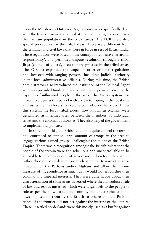upon the Murderous Outrages Regulations earlier specifically dealt with the frontier areas and aimed at maintaining tight control over the Pashtun population in the tribal areas. The FCR prescribed special procedures for the tribal areas. These were different from the criminal and civil laws that were in force in rest of British India. These regulations were based on the concept of 'collective territorial responsibility', and permitted dispute resolution through a tribal Jirga (council of elders), a customary practice in the tribal areas. The FCR act expanded the scope of earlier criminal regulations and invested wide-ranging powers, including judicial authority in the local administrative officials. During this time, the British administrators also introduced the institution of the Political Agent who was provided funds and vested with wide powers to secure the loyalties of influential people in the area. The Maliki system was introduced during this period with a view to roping in the local elite and using them as levers to exercise control over the tribes. Under this system, the local tribal elders (now known as Maliks) were designated as intermediaries between the members of individual tribes and the colonial authorities. They also helped the government to implement its policies.<sup>16</sup>

In spite of all this, the British could not quite control the terrain and continued to station large amount of troops in the area to engage various armed groups challenging the might of the British Empire. There was a recognition amongst the British rulers that the people of the terrain were too rebellious and uncontrollable to be amenable to modern system of governance. Therefore, they would rather choose not to devote too much attention towards the areas inhabited by the Pathans and/or Afghans and allow them some measure of independence as much as it would not jeopardise their colonial and imperial interests. They were quite happy about their characterisation of some areas as settled where they introduced rule of law and rest as unsettled which were largely left to the people to rule as per their own traditional norms, but under strict criminal laws imposed on them by the British to ensure that the Pashtun tribes of the frontier did not act against the interest of the empire. These unsettled borderlands were this mostly used as a buffer against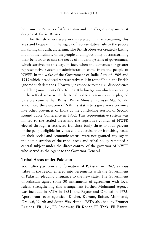both unruly Pathans of Afghanistan and the allegedly expansionist designs of Tsarist Russia.

The British rulers were not interested in mainstreaming this area and bequeathing the legacy of representative rule to the people inhabiting this difficult terrain. The British observers created a lasting myth of invincibility of the people and impossibility of transforming their behaviour to suit the needs of modern systems of governance, which survives to this day. In fact, when the demands for greater representative system of administration came from the people of NWFP, in the wake of the Government of India Acts of 1909 and 1919 which introduced representative rule in rest of India, the British ignored such demands. However, in response to the civil disobedience (red Shirt) movement of the Khudai Khidmatgars—which was raging in the settled areas while the tribal political agencies were plagued by violence—the then British Prime Minister Ramsay MacDonald announced the elevation of NWFP's status to a governor's province like other provinces of India at the concluding session of Second Round Table Conference in 1932. This representative system was limited to the settled areas and the legislative council of NWFP, elected through a restricted franchise (only three to four percent of the people eligible for votes could exercise their franchise, based on their social and economic status) were not granted any say in the administration of the tribal areas and tribal policy remained a central subject under the direct control of the governor of NWFP who served as the Agent to the Governor-General.

### **Tribal Areas under Pakistan**

Soon after partition and formation of Pakistan in 1947, various tribes in the region entered into agreements with the Government of Pakistan pledging allegiance to the new state. The Government of Pakistan signed some 30 instruments of agreement with local rulers, strengthening this arrangement further. Mohmand Agency was included in FATA in 1951, and Bajaur and Orakzai in 1973. Apart from seven agencies—Khyber, Kurram, Bajaur, Mohmand, Orakzai, North and South Waziristan—FATA also had six Frontier Regions (FR), i.e., FR Peshawar, FR Kohat, FR Tank, FR Banuu,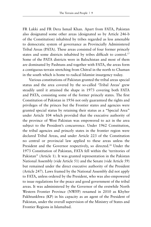FR Lakki and FR Dera Ismail Khan. Apart from FATA, Pakistan also designated some other areas (designated so by Article 246-b of the Constitution) inhabited by tribes regarded as less amenable to democratic system of governance as Provincially Administered Tribal Areas (PATA). These areas consisted of four former princely states and some districts inhabited by tribes difficult to control.<sup>17</sup> Some of the PATA districts were in Balochistan and most of them are dominated by Pashtuns and together with FATA, the areas form a contiguous terrain stretching from Chitral in the north to Chaman in the south which is home to radical Islamist insurgency today.

Various constitutions of Pakistan granted the tribal areas special status and the area covered by the so-called 'Tribal Areas' grew steadily until it attained the shape in 1973 covering both FATA and PATA, consisting some of the former princely states. The first Constitution of Pakistan in 1956 not only guaranteed the rights and privileges of the princes but the Frontier states and agencies were granted special status by retaining their status as a "Special Area" under Article 104 which provided that the executive authority of the province of West Pakistan was empowered to act in the area subject to the President's concurrence. Under 1962 Constitution, the tribal agencies and princely states in the frontier region were declared Tribal Areas, and under Article 223 of the Constitution no central or provincial law applied to these areas unless the President and the Governor respectively, so directed.<sup>18</sup> Under the 1973 Constitution of Pakistan, FATA fell within the 'territories of Pakistan" (Article 1). It was granted representation in the Pakistan National Assembly (vide Article 51) and the Senate (vide Article 59) but remained under the direct executive authority of the President (Article 247). Laws framed by the National Assembly did not apply to FATA, unless ordered by the President, who was also empowered to issue regulations for the peace and good government of the tribal areas. It was administered by the Governor of the erstwhile North Western Frontier Province (NWFP) renamed in 2010 as Khyber Pakhtunkhwa (KP) in his capacity as an agent of the President of Pakistan, under the overall supervision of the Ministry of States and Frontier Regions in Islamabad.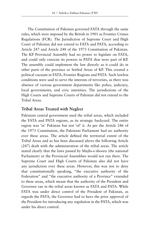The Constitution of Pakistan governed FATA through the same rules, which were imposed by the British in 1901 as Frontier Crimes Regulations (FCR). The Jurisdiction of Supreme Court and High Court of Pakistan did not extend to FATA and PATA, according to Article 247 and Article 248 of the 1973 Constitution of Pakistan. The KP Provincial Assembly had no power to legislate on FATA, and could only exercise its powers in PATA that were part of KP. The assembly could implement the law directly as it could do in other parts of the province or Settled Areas of KP. This created a political vacuum in FATA, Frontier Regions and PATA. Such lawless conditions were said to serve the interests of terrorists, as there was absence of various government departments like police, judiciary, local governments, and civic amenities. The jurisdictions of the High Courts and Supreme Courts of Pakistan did not extend to the Tribal Areas.

## **Tribal Areas Treated with Neglect**

Pakistani central government used the tribal areas, which included the FATA and PATA regions, as its strategic backyard. The entire region was 'in' Pakistan but not 'of' it. As per the Article 246 of the 1973 Constitution, the Pakistani Parliament had no authority over these areas. The article defined the territorial extent of the Tribal Areas and as has been discussed above the following Article (247) dealt with the administration of the tribal areas. The article stated clearly that the laws passed by Majlis-e-shoora (the national Parliament) or the Provincial Assemblies would not run there. The Supreme Court and High Courts of Pakistan also did not have any jurisdiction over these areas. However, this was not to deny that constitutionally speaking, "the executive authority of the Federation" and "the executive authority of a Province" extended to these areas, which meant that the authority of the President and Governor ran in the tribal areas known as FATA and PATA. While FATA was under direct control of the President of Pakistan, as regards the PATA, the Governor had to have the prior approval of the President for introducing any regulation in the PATA, which was under his direct control.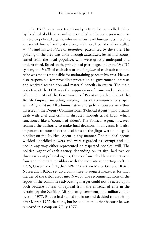The FATA area was traditionally left to be controlled either by local tribal elders or ambitious mullahs. The state presence was limited to political agents, who were low level bureaucrats, holding a parallel line of authority along with local collaborators called *maliks* and *lungi-holders* or *lungidars,* patronised by the state. The policing of the area was done through *khasadars*, levies and scouts, raised from the local populace, who were grossly underpaid and undertrained. Based on the principle of patronage, under the '*Maliki*' system, the *Malik* of each clan or the *lungidar* of each sub-clan and tribe was made responsible for maintaining peace in his area. He was also responsible for providing protection to government interests and received recognition and material benefits in return. The main objective of the FCR was the suppression of crime and protection of the interests of the Government of Pakistan (earlier that of the British Empire); including keeping lines of communications open with Afghanistan. All administrative and judicial powers were thus invested in the Deputy Commissioner (Political Agent), who usually dealt with civil and criminal disputes through tribal Jirga, which functioned like a 'council of elders'. The Political Agent, however, retained the authority to make final decisions in all cases. It is also important to note that the decisions of the Jirga were not legally binding on the Political Agent in any manner. The political agents wielded unbridled powers and were regarded as corrupt and did not in any way either represented or respected peoples' will. The political agent of each agency, depending on its size, had two or three assistant political agents, three or four tehsildars and between four and nine naib tehsildars with the requisite supporting staff. In 1976, Governor of KP, then NWFP, the then Major General (Retd.) Naseerullah Babar set up a committee to suggest measures for final merger of the tribal areas into NWFP. The recommendations of the report of the committee advocating merger could not be acted upon both because of fear of reprisal from the entrenched elite in the terrain (by the Zulfikar Ali Bhutto government) and military takeover in 1977. Bhutto had stalled the issue and decided to take it up after March 1977 elections, but he could not do that because he was removed in a coup on 5 July 1977.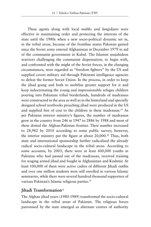These agents along with local *maliks* and *lungidaars* were effective in maintaining order and protecting the interests of the state until the 1980s when a new socio-political dynamic set in, in the tribal areas, because of the frontline status Pakistan gained since the Soviet army entered Afghanistan in December 1979 in aid of the communist government in Kabul. The Islamist mujahideen warriors challenging the communist dispensation, to begin with, and confronted with the might of the Soviet forces, in the changing circumstances, were regarded as "freedom fighters" by the US and supplied covert military aid through Pakistani intelligence agencies to defeat the former Soviet Union. In the process, in order to keep the jihad going and both to mobilise greater support for it and keep indoctrinating the young and impressionable refugee children pouring into Pakistani tribal borderlands, hundreds of madrassas were constructed in the area as well as in the hinterland and specially designed school textbooks preaching jihad were produced in the US and supplied free of cost to the children in these madrassas.19 As per Pakistan interior ministry's figures, the number of madrassas grew in the country from 246 in 1947 to 2886 by 1988 and most of these dotted the Afghan-Pakistan frontier. Their number increased to 28,982 by 2010 according to some public survey; however, the interior ministry put the figure at about 20,000.<sup>20</sup> Thus, both state and international sponsorship further radicalised the already radical socio-cultural landscape in the tribal areas. According to some accounts, by 2003, there were at least 600,000 youths in Pakistan who had passed out of the madrassas, received training for waging armed jihad and fought in Afghanistan and Kashmir. At least 100,000 of them were active cadres of different Jihadi outfits and over one million students were still enrolled in various Islamic seminaries, while there were several hundred thousand supporters of various Pakistan's Islamic religious parties.<sup>21</sup>

## **Jihadi Transformation**<sup>22</sup>

The Afghan jihad years (1980-1989) transformed the socio-cultural landscape in the tribal areas of Pakistan. The religious forces patronised by the state emerged as alternate centres of authority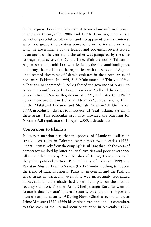in the region. Local mullahs gained tremendous informal power in the area through the 1980s and 1990s. However, there was a period of peaceful cohabitation and no apparent clash of interest when one group (the existing power-elite in the terrain, working with the governments at the federal and provincial levels) served as an agent of the centre and the other was pampered by the state to wage jihad across the Durand Line. With the rise of Taliban in Afghanistan in the mid-1990s, midwifed by the Pakistani intelligence and army, the mullahs of the region fed with the success of Afghan jihad started dreaming of Islamic emirates in their own areas, if not entire Pakistan. In 1994, Sufi Muhammad of Tehrik-e-Nifaze-Shariat-e-Muhammadi (TNSM) forced the governor of NWFP to concede his outfit's rule by Islamic sharia in Malkand division with Nifaz-i-Nizam-i-Sharia Regulation of 1994, and later the NWFP government promulgated Shariah Nizam-i-Adl Regulations, 1999, in the Malakand Division and Shariah Nizam-i-Adl Ordinance, 1999, in Kohistan district to introduce [a] "real" Islamic system in these areas. This particular ordinance provided the blueprint for Nizam-e-Adl regulation of 13 April 2009, a decade later.<sup>23</sup>

## **Concessions to Islamists**

It deserves mention here that the process of Islamic radicalisation struck deep roots in Pakistan over almost two decades (1978- 1999)— tentatively from the coup by Zia-ul-Haq through the years of democracy marked by bitter political rivalries and poor governance till yet another coup by Pervez Musharraf. During these years, both the prime political parties—Peoples' Party of Pakistan (PPP) and Pakistan Muslim League-Nawaz (PML-N)—did nothing to reverse the trend of radicalisation in Pakistan in general and the Pashtun tribal areas in particular, even if it was increasingly recognized in Pakistan that the jihadis had a serious impact on the internal security situation. The then Army Chief Jehangir Karamat went on to admit that Pakistan's internal security was 'the most important facet of national security'.<sup>24</sup> During Nawaz Sharif's second tenure as Prime Minister (1997-1999) his cabinet even appointed a committee to take stock of the internal security situation in November 1997,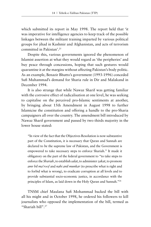which submitted its report in May 1998. The report held that 'it was imperative for intelligence agencies to keep track of the possible linkages between the militant training imparted by various political groups for jihad in Kashmir and Afghanistan, and acts of terrorism committed in Pakistan'.25

Despite this, various governments ignored the phenomenon of Islamist assertion at what they would regard as 'the peripheries' and buy peace through concessions, hoping that such gestures would quarantine it at the margins without affecting Pakistan's body politic. As an example, Benazir Bhutto's government (1993-1996) conceded Sufi Muhammad's demand for Sharia rule in Dir and Malakand in December 1994.

It is also strange that while Nawaz Sharif was getting familiar with the corrosive effect of radicalisation at one level, he was seeking to capitalise on the perceived pro-Islamic sentiments at another, by bringing about 15th Amendment in August 1998 to further Islamicise the constitution and offering a handle to the pro-Sharia campaigners all over the country. The amendment bill introduced by Nawaz Sharif government and passed by two thirds majority in the lower house stated:

"In view of the fact that the Objectives Resolution is now substantive part of the Constitution, it is necessary that Quran and Sunnah are declared to be the supreme law of Pakistan, and the Government is empowered to take necessary steps to enforce Shariah." It made it obligatory on the part of the federal government to "to take steps to enforce the *Shariah*, to establish *salat*, to administer *zakat*, to promote *amr bil ma'roof* and *nahi anil munkar* (to prescribe what is right and to forbid what is wrong), to eradicate corruption at all levels and to provide substantial socio-economic justice, in accordance with the principles of Islam, as laid down in the Holy Quran and Sunnah."26

TNSM chief Maulana Sufi Mohammad backed the bill with all his might and in October 1998, he ordered his followers to kill journalists who opposed the implementation of the bill, termed as "Shariah bill".27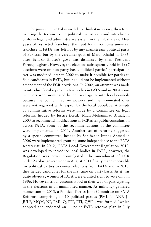The power elite in Pakistan did not think it necessary, therefore, to bring the terrain to the political mainstream and introduce a uniform legal and administrative system in the tribal areas. After years of restricted franchise, the need for introducing universal franchise in FATA was felt not by any mainstream political party of Pakistan but by the caretaker govt of Meraj Khalid in 1996, after Benazir Bhutto's govt was dismissed by then President Farooq Leghari. However, the elections subsequently held in 1997 elections were on non-party basis. Political parties' participation Act was modified later in 2002 to make it possible for parties to field candidates in FATA, but it could not be implemented without amendment of the FCR provisions. In 2002, an attempt was made to introduce local representative bodies in FATA and in 2004 some members were nominated by political agents into local councils because the council had no powers and the nominated ones were not regarded with respect by the local populace. Attempts at administrative reforms were made by a Committee on legal reforms, headed by Justice (Retd.) Mian Mohammad Ajmal, in 2005 to recommend modifications in FCR after public consultation across FATA. Some of the recommendations of the committee were implemented in 2011. Another set of reforms suggested by a special committee, headed by Sahibzada Imtiaz Ahmad in 2006 were implemented granting some independence to the FATA secretariat. In 2012, 'FATA Local Government Regulation 2012' was developed to introduce local bodies in FATA, however, the Regulation was never promulgated. The amendment of FCR under Zardari government in August 2011 finally made it possible for political parties to contest elections from FATA and in 2013, they fielded candidates for the first time on party basis. As it was quite obvious, women of FATA were granted right to vote only in 1996. However, tribal customs stood in their way of participating in the elections in an uninhibited manner. As militancy gathered momentum in 2013, a Political Parties Joint Committee on FATA Reforms, comprising of 10 political parties (PML-N, ANP, JI, JUI-F, MQM, NP, PML-Q, PPP, PTI, QWP), was formed "which adopted and endorsed an 11-point FATA reforms plan in July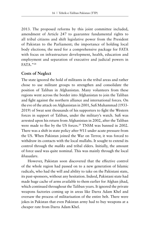2013. The proposed reforms by this joint committee included, amendment of Article 247 to guarantee fundamental rights to all tribal citizens and shift legislative power from the President of Pakistan to the Parliament; the importance of holding local body elections; the need for a comprehensive package for FATA with focus on infrastructure development, health, education and employment and separation of executive and judicial powers in FATA."28

#### **Costs of Neglect**

The state ignored the hold of militants in the tribal areas and rather chose to use militant groups to strengthen and consolidate the position of Taliban in Afghanistan. Many volunteers from these regions went across the border into Afghanistan to join the Taliban and fight against the northern alliance and international forces. On the eve of the attack on Afghanistan in 2001, Sufi Muhammad (1933- 2019) of Swat sent thousands of his supporters to fight the Western forces in support of Taliban, under the military's watch. Sufi was arrested upon his return from Afghanistan in 2002, after the Taliban were made to flee by the US forces.<sup>29</sup> TNSM was banned in 2002. There was a shift in state policy after 9/11 under acute pressure from the US. When Pakistan joined the War on Terror, it was forced to withdraw its contacts with the local mullahs. It sought to extend its control through the *maliks* and tribal elders. Initially, the amount of force used was quite nominal. This was mainly through the local *khasadars*.

However, Pakistan soon discovered that the effective control of the whole region had passed on to a new generation of Islamic radicals, who had the will and ability to take on the Pakistani state, its past-sponsors, without any hesitation. Indeed, Pakistani state had made huge cache of arms available to them earlier for Afghan jihad, which continued throughout the Taliban years. It ignored the private weapons factories coming up in areas like Darra Adam Khel and oversaw the process of militarisation of the entire belt. There were jokes in Pakistan that even Pakistan army had to buy weapons at a cheaper rate from Darra Adam Khel.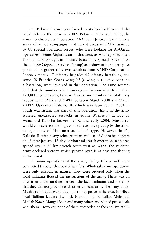The Pakistani army was forced to station itself around the tribal belt by the close of 2002. Between 2002 and 2006, the army conducted its Operation *Al-Mizan* (Justice) leading to a series of armed campaigns in different areas of FATA, assisted by US special operation forces, who were looking for Al-Qaeda operatives fleeing Afghanistan in this area, as was reported later. Pakistan also brought in infantry battalions, Special Force units, the elite SSG (Special Services Group) as a show of its sincerity. As per the data gathered by two scholars from RAND Corporation "approximately 17 infantry brigades 45 infantry battalions, and some 58 Frontier Corps wings"<sup>30</sup> (a wing is roughly equal to a battalion) were involved in this operation. The same sources held that the number of the forces grew to somewhat fewer than 120,000 regular army, Frontier Corps, and Frontier Constabulary troops … in FATA and NWFP between March 2008 and March 2009". Operation Kalosha II, which was launched in 2004 in South Waziristan, was part of this operation. Initially, the army suffered unexpected setbacks in South Waziristan at Baghar, Wana and Kalosha between 2002 and early 2004. Musharraf would characterise the impassioned resistance put up by the tribal insurgents as of "last-man-last-bullet" type. However, in Op Kalosha II, with heavy reinforcement and use of Cobra helicopters and fighter jets and 13-day cordon and search operation in an area spread over a 50 km stretch south-west of Wana, the Pakistan army declared victory, which proved pyrrhic at best and fleeting at the worst.

The main operations of the army, during this period, were conducted through the local *khasadars*. Wholesale army operations were only episodic in nature. They were ordered only when the local militants flouted the instructions of the army. There was an unwritten understanding between the local militants and the army that they will not provoke each other unnecessarily. The army, under Musharraf, made several attempts to buy peace in the area. It bribed local Taliban leaders like Nek Muhammad, Baitullah Mehshud, Mullah Nazir, Mangal Bagh and many others and signed peace deals with them. However, none of them succeeded at the end. By 2006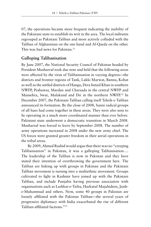07, the operations became more frequent indicating the inability of the Pakistani state to establish its writ in the area. The local militants regrouped as Pakistani Taliban and more actively colluded with the Taliban of Afghanistan on the one hand and Al-Qaeda on the other. This was bad news for Pakistan.31

## **Galloping Talibanisation**

By June 2007, the National Security Council of Pakistan headed by President Musharraf took due note and held that the following areas were affected by the virus of Talibanisation in varying degrees—the districts and frontier regions of Tank, Lakki Marwat, Bannu, Kohat as well as the settled districts of Hangu, Dera Ismail Khan in southern NWFP, Peshawar, Mardan and Charsada in the central NWFP and Mansehra, Swat, Malakand and Dir in the northern NWFP.32 In December 2007, the Pakistani Taliban calling itself Tehrik-e-Taliban announced its formation. By the close of 2008, Sunni radical groups of all hues had come together in these areas. They were also seen to be operating in a much more coordinated manner than ever before. Pakistani state underwent a democratic transition in March 2008. Musharraf was forced to leave by September 2008. The number of army operations increased in 2008 under the new army chief. The US forces were granted greater freedom in their aerial operations in the tribal areas.

By 2009, Ahmed Rashid would argue that there was no "creeping Talibanisation" in Pakistan, it was a galloping Talibanisation…. The leadership of the Taliban is now in Pakistan and they have stated their intention of overthrowing the government here. The Taliban are linking up with groups in Pakistan and the Pakistani Taliban movement is turning into a multiethnic movement. Groups cultivated to fight in Kashmir have joined up with the Pakistani Taliban, and include Punjabis having previous association with organisations such as Lashkar-e-Taiba, Harkatul Mujahideen, Jaishe-Muhammad and others. Now, some 40 groups in Pakistan are loosely affiliated with the Pakistan Taliban—the several years of progressive diplomacy with India exacerbated the rise of different Taliban-affiliated factions."33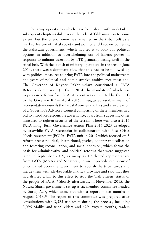The army operations (which have been dealt with in detail in subsequent chapters) did reverse the tide of Talibanisation to some extent, but the phenomenon has remained in the tribal belt as a marked feature of tribal society and politics and kept on bothering the Pakistani government, which has led it to look for political options in addition to overwhelming use of kinetic power in response to militant assertion by TTP, primarily basing itself in the tribal belt. With the launch of military operations in the area in June 2014, there was a dominant view that this had to be followed up with political measures to bring FATA into the political mainstream and years of political and administrative ambivalence must end. The Governor of Khyber Pakhtunkhwa constituted a FATA Reforms Commission (FRC) in 2014, the mandate of which was to propose reforms for FATA. A report was submitted by the FRC to the Governor KP in April 2015. It suggested establishment of representative councils the Tribal Agencies and FRs and also creation of a Governor's Advisory Council comprising of these members in a bid to introduce responsible governance, apart from suggesting other measures to tighten security of the terrain. There was also a 2015 FATA Long Term Governance Action Plan 2015-2025 developed by erstwhile FATA Secretariat in collaboration with Post Crises Needs Assessment (PCNA) FATA unit in 2015 which focused on 5 reform areas: political, institutional, justice, counter radicalisation and fostering reconciliation, and social cohesion, which forms the basis for administrative and political reforms that were suggested later. In September 2015, as many as 19 elected representatives from FATA (MNAs and Senators), in an unprecedented show of unity, called upon the government to abolish the tribal areas and merge them with Khyber Pakhtunkhwa province and said that they had drafted a bill to this effect to stop the 'half citizen' status of the people of FATA.34 Shortly afterwards, in November 2015, the Nawaz Sharif government set up a six-member committee headed by Sartaj Aziz, which came out with a report in ten months in August 2016.35 The report of this committee was prepared after consultations with 3,525 tribesmen during the process, including 3,096 Maliks and tribal elders and 429 lawyers, youths, traders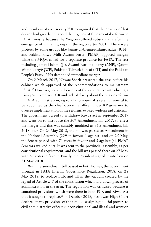and members of civil society.36 It recognised that the "events of last decade had greatly enhanced the urgency of fundamental reforms in FATA" mostly because the "region suffered substantially after the emergence of militant groups in the region after 2001". There were protests by some groups like Jamat-ul-Ulema-i-Islam-Fazlur (JUI-F) and Pakhtunkhwa Milli Awami Party (PMAP) opposed merger, while the MQM called for a separate province for FATA. The rest including Jamat-i-Islami (JI), Awami National Party (ANP), Qaumi Watan Party(QWP), Pakistan Tehreek-i-Insaf (PTI) and the Pakistan People's Party (PPP) demanded immediate merger.

On 2 March 2017, Nawaz Sharif presented the case before his cabinet which approved of the recommendations to mainstream FATA.37 However, certain decisions of the cabinet like introducing a Riwaj Act to replace FCR and lack of clarity about the phased reforms in FATA administration, especially rumours of a serving General to be appointed as the chief operating officer under KP governor to oversee implementation of the reforms, evoked widespread criticism. The government agreed to withdraw Riwaz act in September 2017 and went on to introduce the 30<sup>th</sup> Amendment bill 2017, to effect the merger and this was suitably modified as 31st Amendment bill 2018 later. On 24 May 2018, the bill was passed as Amendment in the National Assembly (229 in favour 1 against) and on 25 May, the Senate passed with 71 votes in favour and 5 against (all PMAP Senators walked out). It was sent to the provincial assembly, as per constitutional requirement, and the bill was passed there on 27 May with 87 votes in favour. Finally, the President signed it into law on 31 May 2018.

With the amendment bill passed in both houses, the government brought in FATA Interim Governance Regulation, 2018, on 28 May 2018, to replace FCR and fill in the vacuum created by the repeal of Article 247 of the constitution which laid down process of administration in the area. The regulation was criticised because it contained provisions which were there in both FCR and Riwaj Act that it sought to replace.38 In October 2018, Peshawar High Court declared many provisions of the act (like assigning judicial powers to civil administrative officers) unconstitutional and illegal and went on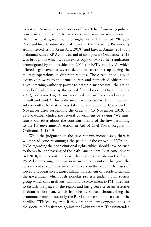to restrain Assistant Commissioner of Bara Tehsil from using judicial power in a civil case.<sup>39</sup> To overcome such issue in administration, the provincial government brought in a bill called "Khyber Pakhtunkhwa Continuation of Laws in the Erstwhile Provincially Administered Tribal Areas Act, 2018" and later in August 2019, an ordinance called KP Actions (in aid of civil power) Ordinance, 2019 was brought in which was an exact copy of two earlier regulations promulgated by the president in 2011 for FATA and PATA, which offered legal cover to several detention centres set up during the military operations in different regions. These regulations assign extensive powers to the armed forces and authorised officers and gives interning authority power to detain a suspect until the action in aid of civil power by the armed forces kicks in. On 17 October 2019, Peshawar High Court scrapped the ordinance and declared in null and void.<sup>40</sup> This ordinance was criticised widely.<sup>41</sup> However, subsequently the matter was taken to the Supreme Court and in November after suspending the order till 15 November 2019, on 21 November chided the federal government by saying "We must satisfy ourselves about the constitutionality of the law pertaining to the KP government's Action in Aid of Civil Power Regulation Ordinance 2019".42

While the judgment on the case remains inconclusive, there is widespread concern amongst the people of the erstwhile FATA and PATA regarding their constitutional rights, which should have accrued to them after the passing of the 25th Amendment (31st Amendment Act 2018) to the constitution which sought to mainstream FATA and PATA by removing the provisions in the constitution that gave the government sweeping powers to intervene in the region. The cases of forced disappearances, target killing, harassment of people criticising the government which fuels popular protests under a civil society group which calls itself Pashtun Tahafuz Movement (PTM) threatens to disturb the peace of the region and has given rise to an assertive Pashtun nationalism, which has already started characterising the pronouncements of not only the PTM followers, but also that of the hardline TTP leaders, even if they are at the two opposite ends of the spectrum of resistance against the Pakistani state. The unintended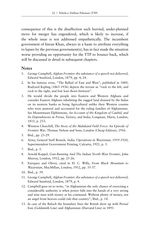consequence of this is the disaffection such hurried, under-planned move for merger has engendered, which is likely to increase, if the whole issue is not addressed empathetically. The incumbent government of Imran Khan, always in a haste to attribute everything to lapses by the previous government(s), has in fact made the situation worse providing an opportunity for the TTP to bounce back, which will be discussed in detail in subsequent chapters.

#### **Notes**

- 1. George Campbell, *Afghan Frontier: the substance of a speech not delivered*, Edward Stanford, London, 1879, pp. 4, 24.
- 2. In his famous verse, "The Ballad of East and West", published in 1889, Rudyard Kipling (1865-1936) depicts the terrain as "rock to the left, and rock to the right, and low lean thorn between".
- 3. He would divide the people into Eastern and Western Afghans and consider Eastern Afghans inhabiting the rugged land drained by the Indus on its western banks as being Agricultural unlike their Western cousins who were pastoral and accounted for the ruling families of Afghanistan. See Mountstuart Elphinstone, *An Account of the Kingdom of Caubul, and Its Dependencies in Persia*, Tartary, and India, Longman, Hurst, London, 1815, p. 253.
- 4. Winston Churchill, *The Story of the Malakand Field Force: An Episode of Frontier War*, Thomas Nelson and Sons, London (Cheap Edition), 1916.
- 5. Ibid., pp. 23-29.
- 6. Army, General Staff Branch, *India, Operations in Waziristan, 1919-1920*, Superintendent Government Printing, Calcutta, 1921, p. 3.
- 7. Ibid., p. 5.
- 8. Arnold Keppel, *Gun-Running And The Indian North-West Frontier*, John Murray, London, 1912, pp. 25-26.
- 9. Enriquez and Oliver, cited in H. C. Willy, *From Black Mountain to Waziristan*, MacMillan, London, 1912, pp. 35-37.
- 10. Ibid., p. 39.
- 11. George Campbell, *Afghan Frontier: the substance of a speech not delivered*, Edward Stanford, London, 1879, p. 4.
- 12. Campbell goes on to write, "in Afghanistan the only chance of exercising a considerable authority is when power falls into the hands of a very strong and wise man with money at his command. Without plenty of money, not an angel from heaven could rule that country", Ibid., p. 14.
- 13. In case of the Baloch the boundary lines the British drew up with Persia/ Iran (Goldsmith Line) and Afghanistan (Durrand Line) in 1893.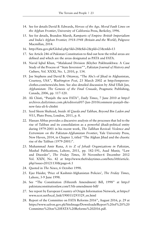- 14. See for details David B. Edwards, *Heroes of the Age, Moral Fault Lines on the Afghan Frontier*, University of California Press, Berkeley, 1996.
- 15. See for details, Brandon Marsh, *Ramparts of Empire: British Imperialism and India's Afghan Frontier, 1918-1948 (Britain and the World)*, Palgrave Macmillan, 2014.
- 16. http://fata.gov.pk/Global.php?iId=28&fid=2&pId=23&mId=13
- 17. See Article 246 of Pakistan Constitution to find out how the tribal areas are defined and which are the areas designated as PATA and FATA.
- 18. Navid Iqbal Khan, "Malakand Division (Khyber Pakhtunkhwa: A Case Study of the Process of "State Inversion"", *Pakistan Journal of History and Culture*, Vol. XXXI, No. 1, 2010, p. 134.
- 19. Joe Stephens and David B. Ottaway, "The Abc's of Jihad in Afghanistan, Courtesy, USA", *Washington Post*, 23 March 2002 at http://emperorsclothes.com/news/abc.htm. See also detailed discussion by Abid Ullah Jan, *Afghanistan: The Genesis of the Final Crusade*, Pragmatic Publishing, Canada, 2006, pp. 117-120.
- 20. Ali Chisti, "Punjab: the new FATA", *Daily Times*, 7 June 2010 at http:// archives.dailytimes.com.pk/editorial/07-Jun-2010/comment-punjab-thenew-fata-ali-k-chishti
- 21. Syed Sleem Shahzad, *Inside Al Qaeda and Taliban, Beyond Bin Laden and 9/11*, Pluto Press, London, 2011, p. 8.
- 22. Hassan Abbas provides a discursive analysis of the processes that led to the rise of Taliban and its consolidation as a powerful jihadi-political entity during 1979-2001 in his recent work, *The Talliban Revival: Violence and Extremism on the Pakistan-Afghanistan Frontier*, Yale University Press, New Haven, 2014, in Chapter 3, titled "The Afghan Jihad and the chaotic rise of the Taliban (1979-2001)".
- 23. Muhammad Amir Rana, *A to Z of Jehadi Organizations in Pakistan*, Mashal Publications, Lahore, 2011, pp. 182-191, Asad Munir, "Law and Disorder", *The Friday Times*, 30 November-6 December 2012 Vol. XXIV, No. 42 at http://www.thefridaytimes.com/beta3/tft/article. php?issue=20121130&page=6.1
- 24. Quoted in *The News*, 6 October 1998.
- 25. Ejaz Haider, 'Price of Kashmir-Afghanistan Policies', *The Friday Times*, Lahore, 3-9 June 1998.
- 26. See "The Constitution (Fifteenth Amendment) Bill, 1998" at http:// pakistanconstitutionlaw.com/15th-amendment-bill/
- 27. See report by European Country of Origin Information Network, at https:// www.ecoi.net/local\_link/190011/293529\_en.html
- 28. Report of the Committee on FATA Reforms 2016", August 2016, p. 29 at https://www.safron.gov.pk/SiteImage/Downloads/Report%20of%20%20 Committee%20on%20FATA%20Reforms%202016.pdf.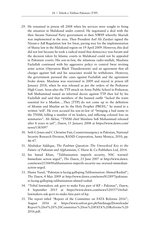- 29. He remained in prison till 2008 when his services were sought to bring the situation in Malakand under control. He negotiated a deal with the then Awami National Party government in then NWFP whereby Shariah was implemented in the area. Then President Asif Ali Zardari signed the Nizam-e-Adl Regulation law for Swat, paving way for the implementation of Sharia law in the Malakand region on 19 April 2009. However, this deal did not last because he took a radical stand that democracy was *haram* and the decision taken by Islamic courts in Malakand could not be appealed in Pakistani courts. His son-in-law, the infamous radio-mullah, Maulana Fazlullah continued with his aggressive policy to control Swat inviting army action (Operation Black Thunderstorm) and an agreement that all charges against Sufi and his associates would be withdrawn. However, the government pursued the cases against Fazlullah and the agreement broke down. Maulana was rearrested in 2009 and stayed in prison till January 2018, when he was released as per the orders of the Peshawar High Court. Soon after the TTP attack on Army Public School in Peshawar, Sufi Muhammad issued an informal decree against TTP then led by his Fazlullah and said that members of the banned outfit "lacked the traits essential for a Muslim….They [TTP] do not come up to the definition of Momin and Muslim set by the Holy Prophet (PBUH)," he stated in a written 'will'. He even accused his son-in-law of "bringing a bad name to the TNSM, killing a number of its leaders, and inflicting colossal loss on seminaries". Ali Akbar, "TNSM chief Maulana Sufi Muhammad released after 8 years in jail", *Dawn*, 15 January 2008 at https://www.dawn.com/ news/1383097
- 30. Seth G Jones and C Christine Fair, Counterinsurgency in Pakistan, National Security Research Division, RAND Corporation, Santa Monica, 2010, pp. 46-47.
- 31. Abubakar Siddique, *The Pashtun Question: The Unresolved Key to the Future of Pakistan and Afghanistan*, C Hurst & Co Publishers Ltd, 2014.
- 32. See Ismail Khan, "Talibanisation imperils security, NSC warned: Immediate action urged", *The Dawn*, 23 June 2007 at http://www.dawn. com/news/253069/talibanisation-imperils-security-nsc-warned-immediateaction-urged.
- 33. Huma Yusuf, "Pakistan is facing galloping Talibanisation: Ahmed Rashid", *The Dawn*, 4 May 2009 at http://www.dawn.com/news/812897/pakistanis-facing-galloping-talibanisation-ahmed-rashid.
- 34. "Tribal lawmakers ask govt to make Fata part of KP Pakistan", *Dawn*, 8 September 2015 at https://www.dawn.com/news/1205571/triballawmakers-ask-govt-to-make-fata-part-of-kp.
- 35. The report titled "Report of the Committee on FATA Reforms 2016", August 2016 at https://www.safron.gov.pk/SiteImage/Downloads/ Report%20of%20%20Committee%20on%20FATA%20Reforms%20 2016.pdf.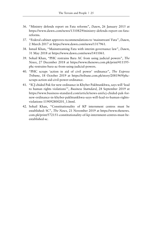- 36. "Ministry defends report on Fata reforms", *Dawn*, 26 January 2015 at https://www.dawn.com/news/1310829/ministry-defends-report-on-fatareforms.
- 37. "Federal cabinet approves recommendations to 'mainstream' Fata", *Dawn*, 2 March 2017 at https://www.dawn.com/news/1317961.
- 38. Ismail Khan, "Mainstreaming Fata with interim governance law", *Dawn*, 31 May 2018 at https://www.dawn.com/news/1411061.
- 39. Sohail Khan, "PHC restrains Bara AC from using judicial powers", *The News*, 27 December 2018 at https://www.thenews.com.pk/print/411195 phc-restrains-bara-ac-from-using-judicial-powers.
- 40. "PHC scraps 'action in aid of civil power' ordinance", *The Express Tribune*, 18 October 2019 at https://tribune.com.pk/story/2081969/phcscraps-action-aid-civil-power-ordinance.
- 41. "ICJ chided Pak for new ordinance in Khyber Pakhtunkhwa, says will 'lead to human rights violations'", *Business Statndard*, 28 September 2019 at https://www.business-standard.com/article/news-ani/icj-chided-pak-fornew-ordinance-in-khyber-pakhtunkhwa-says-will-lead-to-human-rightsviolations-119092800201\_1.html.
- 42. Sohail Khan, "Constitutionality of KP internment centres must be established: SC", *The News,* 21 November 2019 at https://www.thenews. com.pk/print/572151-constitutionality-of-kp-internment-centres-must-beestablished-sc.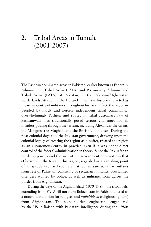# 2. Tribal Areas in Tumult (2001-2007)

The Pashtun dominated areas in Pakistan, earlier known as Federally Administered Tribal Areas (FATA) and Provincially Administered Tribal Areas (PATA) of Pakistan, in the Pakistan-Afghanistan borderlands, straddling the Durand Line, have historically acted as the nerve-centre of militancy throughout history. In fact, the region peopled by hardy and fiercely independent tribal community,<sup>1</sup> overwhelmingly Pashtun and rooted in tribal customary law of Pashtunwali—has traditionally posed serious challenges for all invaders passing through the terrain, including Alexander the Great, the Mongols, the Mughals and the British colonialists. During the post-colonial days too, the Pakistan government, drawing upon the colonial legacy of treating the region as a buffer, treated the region as an autonomous entity in practice, even if it was under direct control of the federal administration in theory. Since the Pak-Afghan border is porous and the writ of the government does not run that effectively in the terrain, this region, regarded as a vanishing point of jurisprudence, has become an attractive sanctuary for outlaws from rest of Pakistan, consisting of sectarian militants, proclaimed offenders wanted by police, as well as militants from across the border from Afghanistan.

During the days of the Afghan Jihad (1979-1989), the tribal belt, extending from FATA till northern Balochistan in Pakistan, acted as a natural destination for refugees and *mujahideen* (religious fighters) from Afghanistan. The socio-political engineering engendered by the US in liaison with Pakistani intelligence during the 1980s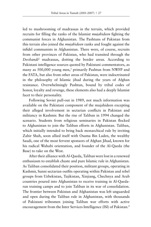led to mushrooming of madrassas in the terrain, which provided recruits for filling the ranks of the Islamist *mujahideen* fighting the communist forces in Afghanistan. The Pashtuns of Pakistan from this terrain also joined the *mujahideen* ranks and fought against the infidel communists in Afghanistan. There were, of course, recruits from other provinces of Pakistan, who had transited through the *Deobandi*<sup>2</sup> madrassas, dotting the border areas. According to Pakistani intelligence sources quoted by Pakistani commentators, as many as 500,000 young men,<sup>3</sup> primarily Pashtun from NWFP and the FATA, but also from other areas of Pakistan, were indoctrinated in the philosophy of Islamic jihad during the years of Afghan resistance. Overwhelmingly Pashtun, bound by tribal codes of honor, loyalty and revenge, these elements also had a deeply Islamist facet to their personality.

Following Soviet pull-out in 1989, not much information was available on the Pakistani component of the mujahideen excepting their alleged involvement in sectarian conflicts in Pakistan and militancy in Kashmir. But the rise of Taliban in 1994 changed the scenario. Students from religious seminaries in Pakistan flocked to Afghanistan to join the Taliban efforts in Afghanistan. Taliban, which initially intended to bring back monarchical rule by inviting Zahir Shah, soon allied itself with Osama Bin Laden, the wealthy Saudi, one of the most fervent sponsors of Afghan Jihad, known for his radical Wahabi orientation, and founder of the Al-Qaeda (the Base) to take on the West.

After their alliance with Al-Qaeda, Taliban were lost in a renewed enthusiasm to establish chaste and pure Islamic rule in Afghanistan. As Taliban consolidated their position, militant groups, operating in Kashmir, Sunni sectarian outfits operating within Pakistan and rebel groups from Uzbekistan, Tajikistan, Xinjiang, Chechnya and Arab countries poured into Afghanistan to receive training in Al-Qaedarun training camps and to join Taliban in its war of consolidation. The frontier between Pakistan and Afghanistan was left unguarded and open during the Taliban rule in Afghanistan, with thousands of Pakistani tribesmen joining Taliban war efforts with active encouragement from the Inter Services Intelligence (ISI) of Pakistan.4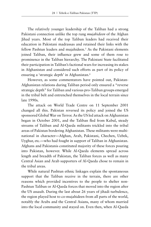The relatively younger leadership of the Taliban had a strong Pakistani connection unlike the top rung *mujahideen* of the Afghan Jihad years. Most of the top Taliban leaders had received their education in Pakistani madrassas and retained their links with the fellow Pashtun leaders and mujahideen.<sup>5</sup> As the Pakistani elements joined Taliban, their influence grew and some of them rose to prominence in the Taliban hierarchy. The Pakistani State facilitated their participation in Taliban's factional wars for increasing its stakes in Afghanistan and considered such efforts as part of its policy of ensuring a 'strategic depth' in Afghanistan.6

However, as some commentators have pointed out, Pakistan-Afghanistan relations during Taliban period only ensured a "reverse strategic depth" for Taliban and various pro-Taliban groups emerged in the tribal belt and entrenched themselves in the local terrain since late 1990s.

The attack on World Trade Centre on 11 September 2001 changed all this. Pakistan reversed its policy and joined the US sponsored Global War on Terror. As the US led attack on Afghanistan began in October 2001, and the Taliban fled from Kabul, steady streams of Taliban and Al-Qaeda militants trickled into the tribal areas of Pakistan bordering Afghanistan. These militants were multinational in character—Afghan, Arab, Pakistani, Chechen, Uzbek, Uyghur, etc.—who had fought in support of Taliban in Afghanistan. Afghans and Pakistanis constituted majority of these forces pouring into Pakistan, however. While Al-Qaeda elements spread across length and breadth of Pakistan, the Taliban forces as well as many Central Asian and Arab supporters of Al-Qaeda chose to remain in the tribal areas.

While natural Pashtun ethnic linkages explain the spontaneous support that the Taliban receive in the terrain, there are other reasons which provided incentives to the people to shelter non-Pashtun Taliban or Al-Qaeda forces that moved into the region after the US assault. During the last about 26 years of jihadi turbulence, the region played host to co-mujahideen from all parts of the world, notably the Arabs and the Central Asians, many of whom married into the local community and stayed on. Even then, when Al-Qaeda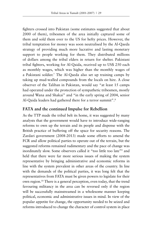fighters crossed into Pakistan (some estimates suggested that about 2000 of them), tribesmen of the area initially captured some of them and sold them over to the US for hefty prices. However, the tribal temptation for money was soon neutralised by the Al-Qaeda strategy of providing much more lucrative and lasting monetary support to people working for them. They distributed millions of dollars among the tribal elders in return for shelter. Pakistani tribal fighters, working for Al-Qaida, received up to US\$ 250 each as monthly wages, which was higher than the monthly wages of a Pakistani soldier.7 The Al-Qaeda also set up training camps by taking up mud-walled compounds from the locals on hire. A close observer of the Taliban in Pakistan, would say "at least 15 camps had operated under the protection of sympathetic tribesmen, mostly around Wana and Shakai" and "in the early spring of 2004, senior Al-Qaida leaders had gathered there for a terror summit".<sup>8</sup>

## **FATA and the continued Impulse for Rebellion**

As the TTP made the tribal belt its home, it was suggested by many analysts that the government would have to introduce wide-ranging reforms to own up the terrain and its people and dispense with the British practice of buffering off the space for security reasons. The Zardari government (2008-2013) made some efforts to amend the FCR and allow political parties to operate out of the terrain, but the suggested reforms remained rudimentary and the pace of change was inordinately slow. Some observers called it "too little too late"9 and held that there were far more serious issues of making the system representative by bringing administrative and economic reforms in line with the system prevalent in other areas of the country. In line with the demands of the political parties, it was long felt that the representatives from FATA must be given powers to legislate for their own region.10 There is a general perception, even today, that the trend favouring militancy in the area can be reversed only if the region will be successfully mainstreamed in a wholesome manner keeping political, economic and administrative issues in mind. In view of the popular appetite for change, the opportunity needed to be seized and reforms introduced to change the character of control system in place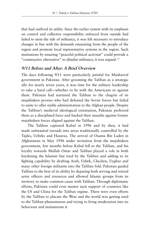that had outlived its utility. Since the earlier system with its emphasis on control and collective responsibility enforced from outside had failed to stem the tide of militancy, it was felt necessary to introduce changes in line with the demands emanating from the people of the region and promote local representative systems in the region. Such institutions by ensuring "peaceful political activism" could provide a "constructive alternative" to jihadist militancy, it was argued. 11

#### **9/11 Before and After: A Brief Overview**

The days following 9/11 were particularly painful for Musharraf government in Pakistan. After grooming the Taliban as a strategic ally for nearly seven years, it was time for the military leadership to take a hard call—whether to be with the Americans or against them. Pakistan had nurtured the Taliban to the chagrin of its mujahideen proxies who had defeated the Soviet forces but failed to unite to offer stable administration to the Afghan people. Despite the Taliban's medieval ideological orientation, Pakistan preferred them as a disciplined force and backed their assaults against former mujahideen forces aligned against the Taliban.

The Taliban captured Kabul in 1996 and by then, it had made substantial inroads into areas traditionally controlled by the Tajiks, Uzbeks and Hazaras. The arrival of Osama Bin Laden in Afghanistan in May 1996 under invitation from the mujahideen government, few months before Kabul fell to the Taliban, and his loyalty towards Mullah Omar and Taliban played a role in both hardening the Islamist line toed by the Taliban and adding to its fighting capability by drafting Arab, Uzbek, Chechen, Uyghur and many other foreign militants into the Taliban fold. Pakistan guided Taliban to the best of its ability by deputing both serving and retired army officers and resources and allowed Islamic groups from its territory to make common cause with Taliban. Through diplomatic efforts, Pakistan could even muster tacit support of countries like the US and China for the Taliban regime. There were even efforts by the Taliban to placate the West and the world was getting used to the Taliban phenomenon and trying to bring moderation into its behaviour and mainstream it.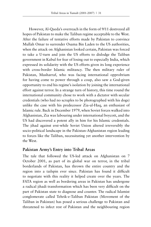However, Al-Qaeda's overreach in the form of 9/11 destroyed all hopes of Pakistan to make the Taliban regime acceptable to the West. After the failure of tentative efforts made by Pakistan to convince Mullah Omar to surrender Osama Bin Laden to the US authorities, when the attack on Afghanistan looked certain, Pakistan was forced to take a U-turn and join the US efforts to dislodge the Taliban government in Kabul for fear of losing out to especially India, which expressed its solidarity with the US efforts given its long experience with cross-border Islamic militancy. The then military ruler of Pakistan, Musharraf, who was facing international opprobrium for having come to power through a coup, also saw a God-given opportunity to end his regime's isolation by joining the international effort against terror. In a strange turn of history, this time round the international community chose to work with a dictator with secular credentials (who had no scruples to be photographed with his dogs) unlike the case with his predecessor Zia-ul-Haq, an enthusiast of Islamic rule. Back in December 1979, when Soviet forces walked into Afghanistan, Zia was labouring under international boycott, and the US had discovered a potent ally in him for his Islamic credentials. The jihad against erst-while Soviet Union altered irreversibly the socio-political landscape in the Pakistan-Afghanistan region leading to forces like the Taliban, necessitating yet another intervention by the West.

#### **Pakistan Army's Entry into Tribal Areas**

The tale that followed the US-led attack on Afghanistan on 7 October 2001, as part of its global war on terror, in the tribal borderlands of Pakistan, has thrown the entire country and the region into a tailspin ever since. Pakistan has found it difficult to negotiate with this reality it helped create over the years. The FATA region as well as bordering areas in Pakistan has undergone a radical jihadi transformation which has been very difficult on the part of Pakistan state to diagnose and counter. The radical Islamist conglomerate called Tehrik-e-Taliban Pakistan (Movement of the Taliban in Pakistan) has posed a serious challenge to Pakistan and threatened to infect rest of Pakistan and the neighbouring region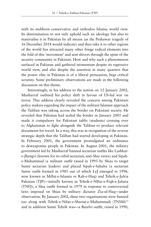with its stubborn conservative and orthodox Islamic world view. Its determination to not only uphold such an ideology but also to materialise it in Pakistan by all means (as the Peshawar tragedy of 16 December 2014 would indicate) and then take it to other regions of the world has attracted many other fringe radical elements into the fold of this 'movement' and sent shivers through the spine of the security community in Pakistan. How and why such a phenomenon surfaced in Pakistan and gathered momentum despite its regressive world view, and also despite the assertion in many quarters that the power elite in Pakistan is of a liberal persuasion, begs critical scrutiny. Some preliminary observations are made in the following discussion on this theme.

Interestingly, in his address to the nation on 12 January 2002, Musharraf outlined his policy shift in favour of US-led war on terror. This address clearly revealed the concern among Pakistani policy makers regarding the impact of the militant Islamist approach the Taliban was taking across the border on Pakistani society. He revealed that Pakistan had sealed the border in January 2001 and made it compulsory for Pakistani *talibs* (students) crossing over to Afghanistan to fight alongside the Taliban to produce relevant documents for travel. In a way, this was in recognition of the reverse strategic depth that the Taliban had started developing in Pakistan. In February 2001, the government promulgated an ordinance to deweaponise people in Pakistan. In August 2001, the military government led by Musharraf banned sectarian outfits like Lashkare-Jhangvi (known for its rabid sectarian, anti-Shia views) and Sipahe-Muhammad (a militant outfit raised in 1993 by Shias to target Sunni sectarian leaders) and placed Sipah-e-Sahaba (a sectarian Sunni outfit formed in 1985 out of which LeJ emerged in 1996, now known as Millat-e-Islamia or Rah-e-Haq) and Tehrik-e-Jafria Pakistan (TJP)—initially known as Tehrik-e-NIfaz-e-Fiqh-e-Jafaria (TNFJ), a Shia outfit formed in 1979 in response to controversial laws imposed on Shias by military dictator Zia-ul-Haq—under observation. By January 2002, these two organisations were banned too along with Tehrik-e-Nifaz-e-Shariat-e-Muhammadi (TNSM)<sup>12</sup> and in addition Sunni Tehrik was—a Barelvi outfit, raised in 1990,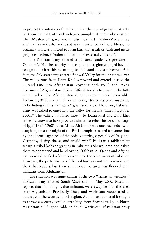to protect the interests of the Barelvis in the face of growing attacks on them by militant Deobandi groups—placed under observation. The Musharraf government also banned Jaish-e-Mohammad and Lashkar-e-Taiba and as it was mentioned in the address, no organization was allowed to form Lashkar, Sipah or Jaish and incite people to violence "either in internal or external contexts".13

The Pakistan army entered tribal areas under US pressure in October 2001. The security landscape of the region changed beyond recognition after this according to Pakistani media observers.<sup>14</sup> In fact, the Pakistan army entered Shawal Valley for the first time ever. The valley runs from Datta Khel westward and extends across the Durand Line into Afghanistan, covering both FATA and Paktia province of Afghanistan. It is a difficult terrain hemmed in by hills on all sides. The Afghan Shawal area is even more intractable. Following 9/11, many high value foreign terrorists were suspected to be hiding in this Pakistan-Afghanistan area. Therefore, Pakistan army was asked to enter into the valley for the first time in October 2001.15 The valley, inhabited mostly by Datta khel and Zaki khel tribes, is known to have provided shelter to rebels historically. Faqir of Ippi (1897-1960) (alias Mirza Ali Khan) was one such rebel who fought against the might of the British empire assisted for some time by intelligence agencies of the Axis countries, especially of Italy and Germany, during the second world war.<sup>16</sup> Pakistan establishment set up a tribal lashkar (group) in Pakistan's Shawal area and asked them to apprehend and hand over all Taliban, Al-Qaeda and Afghan figures who had fled Afghanistan entered the tribal areas of Pakistan. However, the performance of the laskhar was not up to mark, and the tribal leaders lost their shine once the area was flooded with militants from Afghanistan.

The situation was quite similar in the two Waziristan agencies.<sup>17</sup> Pakistan army entered South Waziristan in May 2002 based on reports that many high-value militants were escaping into this area from Afghanistan. Previously, Tochi and Waziristan Scouts used to take care of the security of this region. As soon as it entered it sought to throw a security cordon stretching from Shawal valley in North Waziristan till Angoor Adda in South Waziristan. If Pakistan army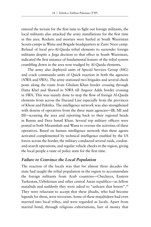entered the terrain for the first time to fight out foreign militants, the local militants also attacked the army installations for the first time in this area. Rockets and mortars were hurled at South Waziristan Scouts camps in Wana and Brigade headquarters at Zaire Noor camp. Refusal of local pro-Al-Qaeda tribal elements to surrender foreign militants despite a Jirga decision to that effect in South Waziristan, indicated the first instance of fundamental feature of the tribal system crumbling down in the area now trudged by Al-Qaeda elements.

The army also deployed units of Special Services Group (SSG) and crack commando units of Quick reaction in both the agencies (NWA and SWA). The army stationed two brigades and several check posts along the route from Ghulam Khan border crossing through Datta Khel and Shawal in NWA till Angoor Adda border crossing in SWA. This was mainly done to stop the flow of foreign Al-Qaeda elements from across the Durand Line especially from the provinces of Khost and Paktika. The intelligence network was also strengthened with dozens of operatives from the three main agencies—IB, MI and ISI—scouring the area and reporting back to their regional heads in Bannu and Dera Ismail Khan. Several top military officers were posted in both Miramshah and Wana to oversee the activities of these operatives. Based on human intelligence network that these agents activated complemented by technical intelligence enabled by the US forces across the border, the military conducted several raids, cordonand-search operations, and regular vehicle checks in the region, giving the local people a taste of police state for the first time.

#### **Failure to Convince the Local Population**

The reaction of the locals was that for almost three decades the state had taught the tribal population in the region to accommodate the foreign militants from Arab countries—Chechnya, Eastern Turkestan, Uzbekistan and other central Asian republics—as fellow mujahids and suddenly they were asked to "unlearn that lesson".18 They were reluctant to accept that these jihadis, who had become legends for them, were terrorists. Some of these mujahideen had even married into local tribes, and were regarded as locals. Apart from marital bond, through religious exhortations, lure of money that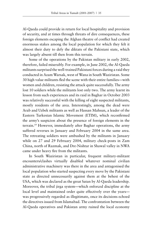Al-Qaeda could provide in return for local hospitality and provision of security, and at times through threats of dire consequences, these foreign elements escaping the Afghan theatre of conflict had created enormous stakes among the local population for which they felt it almost their duty to defy the diktats of the Pakistani state, which was largely absent till then from this terrain.

Some of the operations by the Pakistan military in early 2002, therefore, failed miserably. For example, in June 2002, the Al-Qaeda militants surprised the well-trained Pakistani forces during a raid they conducted in Azam Warsak, west of Wana in South Waziristan. Some 30 high value militants fled the scene with their entire families—with women and children, resisting the attack quite successfully. The army lost 10 soldiers while the militants lost only two. The army learnt its lesson from such experiences and its raid in Baghar in October 2003 was relatively successful with the killing of eight suspected militants, mostly residents of the area. Interestingly, among the dead were Arab and Uzbek militants as well as Hassan Mahsun, a leader of the Eastern Turkestan Islamic Movement (ETIM), which reconfirmed the army's suspicion about the presence of foreign elements in the terrain.19 However, immediately after Baghar operations, the army suffered reverses in January and February 2004 in the same area. The retreating soldiers were ambushed by the militants in January while on 27 and 29 February 2004, military check-posts in Zam China, north of Razmak, and Dre-Nishtar in Shawal valley in NWA came under heavy fire from the militants.

In South Waziristan in particular, frequent military-militant encounters/clashes virtually disabled whatever nominal civilian administrative machinery was there in the area and antagonised the local population who started suspecting every move by the Pakistani state as directed unnecessarily against them at the behest of the USA, which was declared as the great Satan by Al-Qaeda leadership. Moreover, the tribal jirga system—which enforced discipline at the local level and maintained order quite effectively over the years was progressively regarded as illegitimate, once its decisions echoed the directives issued from Islamabad. The confrontation between the Al-Qaeda operatives and Pakistan army ruined the local economy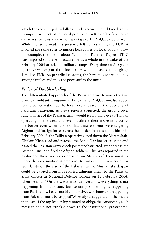which thrived on legal and illegal trade across Durand Line leading to impoverishment of the local population setting off a favourable dynamics for resistance which was tapped by Al-Qaeda quite well. While the army made its presence felt contravening the FCR, it invoked the same rules to impose heavy fines on local population for example, the fine of about 5.4 million Pakistan Rupees (PKR) was imposed on the Ahmadzai tribe as a whole in the wake of the February 2004 attacks on military camps. Every time an Al-Qaeda operative was captured the local tribes would be asked to cough up 1 million PKR. As per tribal customs, the burden is shared equally among families and thus the poor suffers the most.

## **Policy of Double-dealing**

The differentiated approach of the Pakistan army towards the two principal militant groups—the Taliban and Al-Qaeda—also added to the consternation at the local levels regarding the duplicity of Pakistani behaviour. As news reports suggested, the ground level functionaries of the Pakistan army would turn a blind eye to Taliban operating in the area and even facilitate their movement across the border even when it knew that these elements were targeting Afghan and foreign forces across the border. In one such incidents in February 2004,<sup>20</sup> the Taliban operatives sped down the Miramshah-Ghulam Khan road and reached the Bangi Dar border crossing and passed the Pakistan army check posts unobstructed, went across the Durand Line, and fired at Afghan soldiers. This was reported in the media and there was extra-pressure on Musharraf, then smarting under the assassination attempts in December 2003, to account for such laxity on the part of the Pakistan army. Musharraf's despair could be gauged from his reported admonishment to the Pakistan army officers at National Defence College on 12 February 2004, when he said: "On the western border, certainly, everything is not happening from Pakistan, but certainly something is happening from Pakistan…. Let us not bluff ourselves … whatever is happening from Pakistan must be stopped".<sup>21</sup> Analysts suggested in the media that even if the top leadership wanted to oblige the Americans, such message could not "trickle down to the institutional grassroots",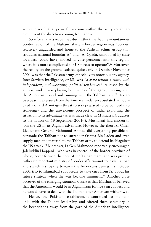with the result that powerful sections within the army sought to circumvent the direction coming from above.

Stratfor analysts recognised during this time that the mountainous border region of the Afghan-Pakistani border region was "porous, relatively unguarded and home to the Pushtun ethnic group that straddles national boundaries" and "Al-Qaeda, unhobbled by state loyalties, [could have] moved its core personnel into this region, where it is more complicated for US forces to operate".<sup>22</sup> Moreover, the reality on the ground isolated quite early in October-November 2001 was that the Pakistan army, especially its notorious spy agency, Inter-Services Intelligence, or ISI, was *"a state within a state, with independent, and worrying, political tendencies*"(italicised by the author) and it was playing both sides of the game, hunting with the American hound and running with the Taliban hare.<sup>23</sup> Due to overbearing pressure from the American side (encapsulated in muchcited Richard Armitage's threat to stay prepared to be bombed into stone-age) and the unwelcome prospect of India exploiting the situation to its advantage (as was made clear in Musharraf's address to the nation on 19 September 2001<sup>24</sup>), Musharraf had chosen to join the US in its Afghan adventure. However, the then ISI Chief, Lieutenant General Mahmood Ahmad did everything possible to persuade the Taliban not to surrender Osama Bin Laden and even supply men and material to the Taliban army to defend itself against the US attack.25 Moreover, Lt Gen Mahmood reportedly encouraged Jalaluddin Haqqani—who was in control of the border province of Khost, never formed the core of the Talban team, and was given a rather unimportant ministry of border affairs—not to leave Taliban and switch his loyalty towards the Americans during his October 2001 trip to Islamabad supposedly to take cues from ISI about his future strategy when the war became imminent.<sup>26</sup> Another close observer of the emerging situation observes that Musharraf believed that the Americans would be in Afghanistan for five years at best and he would have to deal with the Taliban after American withdrawal.

Hence, the Pakistani establishment continued to maintain links with the Taliban leadership and offered them sanctuary in the borderlands away from the gaze of the American intelligence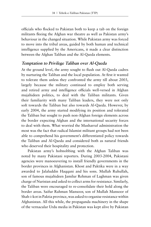officials who flocked to Pakistan both to keep a tab on the foreign militants fleeing the Afghan war theatre as well as Pakistan army's behaviour in the changed situation. While Pakistan army was forced to move into the tribal areas, guided by both human and technical intelligence supplied by the Americans, it made a clear distinction between the Afghan Taliban and the Al-Qaeda elements.

#### **Temptation to Privilege Taliban over Al-Qaeda**

At the ground level, the army sought to flush out Al-Qaeda cadres by nurturing the Taliban and the local population. At first it wanted to tolerate them unless they confronted the army till about 2003, largely because the military continued to employ both serving and retired army and intelligence officials well-versed in Afghan mujahideen politics, to deal with the Taliban militants. Given their familiarity with many Taliban leaders, they were not only soft towards the Taliban but also towards Al-Qaeda. However, by early 2004, the army started modifying its position and tolerated the Taliban but sought to push non-Afghan foreign elements across the border expecting Afghan and the international security forces to deal with them. What worried the Musharraf administration the most was the fact that radical Islamist militant groups had not been able to comprehend his government's differentiated policy towards the Taliban and Al-Qaeda and considered both as natural friends who deserved their hospitality and protection.

Pakistan army's hobnobbing with the Afghan Taliban was noted by many Pakistani reporters. During 2003-2004, Pakistani agencies were manoeuvering to install friendly governments in the border provinces in Afghanistan. Khost and Paktika were in a way awarded to Jalaluddin Haqqani and his sons. Mullah Ruhullah, son of famous mujahideen Jamilur Rehman of Laghman was given charge of Nuristan and asked to collect arms for resistance. Similarly, the Taliban were encouraged to re-consolidate their hold along the border areas. Saifur Rahman Mansoor, son of Mullah Mansoor of Shah-i-kot in Paktia province, was asked to organise resistance within Afghanistan. All this while, the propaganda machinery in the shape of the vernacular Urdu media in Pakistan was kept alive by Pakistan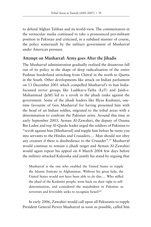to defend Afghan Taliban and its world-view. The commentators in the vernacular media continued to take a pronounced pro-militant position in Pakistan and criticised, in a subdued manner of course, the policy somersault by the military government of Musharraf under American pressure.

#### **Attempt on Musharraf: Army goes After the Jihadis**

The Musharraf administration gradually realised the disastrous fall out of its policy in the shape of deep radicalisation of the entire Pashtun borderland stretching from Chitral in the north to Quetta in the South. Other developments like attack on Indian parliament on 13 December 2001 which compelled Musharraf's to ban Indiafocussed terror groups like Lashkar-e-Taiba (LeT) and Jaish-e-Muhammad (JeM) led to a revolt in the jihadi ranks against the government. Some of the jihadi leaders like Illyas Kashmiri, onetime favourite of Gen Musharraf for having presented him with the head of an Indian soldier, migrated to the tribal areas with a determination to confront the Pakistan army. Around this time in early September 2003, Ayman Al-Zawahiri, the deputy of Osama Bin Laden and top Al-Qaeda leader urged the soldiers of Pakistan to "revolt against him [Musharraf] and topple him before he turns you into servants to the Hindus and Crusaders.… Man should not obey any creature if there is disobedience to the Crusader".27 Musharraf would continue to remain a jihadi target and Ayman Al-Zawahiri would again repeat his appeal on 4 March 2004 few days before the military attacked Kaloosha and justify his stand by arguing that

Musharraf is the one who enabled the United States to topple the Islamic Emirate in Afghanistan. Without his great help, the United States would not have been able to do this…. Who stifled the jihad of the Kashmiri people, went back on their right to selfdetermination, and considered the mujahideen in Palestine as terrorists and feverishly seeks to recognize Israel?28

In early 2006, Zawahiri would call upon all Pakistanis to topple President General Pervez Musharraf as soon as possible, called him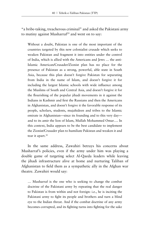"a bribe-taking, treacherous criminal" and asked the Pakistani army to mutiny against Musharraf<sup>29</sup> and went on to say:

Without a doubt, Pakistan is one of the most important of the countries targeted by this new colonialist crusade which seeks to weaken Pakistan and fragment it into entities under the control of India, which is allied with the Americans and Jews … the anti-Islamic American/Crusader/Zionist plan has no place for the presence of Pakistan as a strong, powerful, able state in South Asia, because this plan doesn't forgive Pakistan for separating from India in the name of Islam, and doesn't forgive it for including the largest Islamic schools with wide influence among the Muslims of South and Central Asia, and doesn't forgive it for the flourishing of the popular jihadi movements in it against the Indians in Kashmir and first the Russians and then the Americans in Afghanistan, and doesn't forgive it the favorable response of its people, scholars, students, mujahideen and tribes to the Islamic emirate in Afghanistan—since its founding and to this very day and to its amir the lion of Islam, Mullah Mohammed Omar…. In this context, India appears to be the best candidate to implement the Zionist/Crusader plan to humiliate Pakistan and weaken it and tear it apart.<sup>30</sup>

In the same address, Zawahiri betrays his concerns about Musharraf's policies, even if the army under him was playing a double game of targeting select Al-Qaeda leaders while leaving the jihadi infrastructure alive at home and nurturing Taliban of Afghanistan to field them as a sympathetic ally in the Afghan war theatre. Zawahiri would say:

… Musharraf is the one who is seeking to change the combat doctrine of the Pakistani army by repeating that the real danger to Pakistan is from within and not foreign: i.e., he is inciting the Pakistani army to fight its people and brothers and turn a blind eye to the Indian threat. And if the combat doctrine of any army becomes corrupted, and its fighting turns into fighting for the sake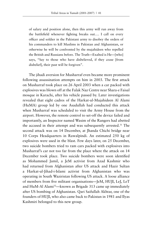of salary and position alone, then this army will run away from the battlefield whenever fighting breaks out…. I call on every officer and soldier in the Pakistani army to disobey the orders of his commanders to kill Muslims in Pakistan and Afghanistan, or otherwise he will be confronted by the mujahideen who repelled the British and Russians before. The Truth—Exalted is He—[who] says, "Say to those who have disbelieved, if they cease [from disbelief], their past will be forgiven".

The jihadi aversion for Musharraf even became more prominent following assassination attempts on him in 2003. The first attack on Musharraf took place on 26 April 2003 when a car packed with explosives was blown off at the Falak Naz Centre near Shara-e Faisal mosque in Karachi, after his vehicle passed by. Later investigations revealed that eight cadres of the Harkat-ul-Mujahideen Al Alami (HuMA) group led by one Asadullah had conducted this attack when Musharraf was scheduled to visit the Army House from the airport. However, the remote control to set-off the device failed and importantly, an Inspector named Wasim of the Rangers had abetted the accused in their attempt and was subsequently arrested.31 The second attack was on 14 December, at Jhanda Chichi bridge near 10 Corps Headquarters in Rawalpindi. An estimated 250 kg of explosives were used in the blast. Few days later, on 25 December, two suicide bombers tried to ram cars packed with explosives into Musharraf's car not too far from the place where the attack on 14 December took place. Two suicide bombers were soon identified as Mohammed Jamil, a JeM activist from Azad Kashmir who had returned from Afghanistan after US attack and Hazir Sultan a Harkat-ul-Jihad-i-Islami activist from Afghanistan who was operating in South Waziristan following US attack. A loose alliance of members from five militant organisations—JeM, HUJI, LeJ, LeT and HuM-Al Alami<sup>32</sup>—known as Brigade 313 came up immediately after US bombing of Afghanistan. Qari Saifullah Akhtar, one of the founders of HUJI, who also came back to Pakistan in 1981 and Ilyas Kashmiri belonged to this new group.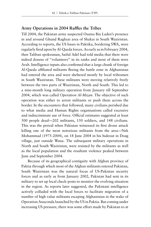## **Army Operations in 2004 Ruffles the Tribes**

Till 2004, the Pakistan army suspected Osama Bin Laden's presence in and around Ghund Raghzai area of Shakai in South Waziristan. According to reports, the US bases in Paktika, bordering SWA, were regularly fired upon by Al-Qaeda forces. As early as in February 2004, then Taliban spokesman, Saiful Adel had told media that there were indeed dozens of "volunteers" in its ranks and most of them were Arab. Intelligence inputs also confirmed that a large chunk of foreign Al-Qaeda affiliated militants fleeing the battle zone in Afghanistan had entered the area and were sheltered mostly by local tribesmen in South Waziristan. These militants were moving relatively freely between the two parts of Waziristan, North and South. This led to a nine-month long military operation from January till September 2004, which was called *Operation Al-Mizan*. The objective of such operation was either to arrest militants or push them across the border. In the encounters that followed, many civilians perished due to what media and Human Rights organisations called excessive and indiscriminate use of force. Official estimates suggested at least 500 people dead—202 militants, 150 soldiers, and 148 civilians. This was the period when Pakistan witnessed its first drone attack killing one of the most notorious militants from the area—Nek Mohammad (1975-2004), on 18 June 2004 in his hideout in Doag village, just outside Wana. The subsequent military operations in North and South Waziristan, were resisted by the militants as well as the local population and the resultant violence peaked between June and September 2004.

Because of its geographical contiguity with Afghan province of Paktia through which most of the Afghan militants entered Pakistan, South Waziristan was the natural focus of US-Pakistan security forces and as early as from January 2002, Pakistan had sent in its military to set up local check-posts to monitor the evolving situation in the region. As reports later suggested, the Pakistani intelligence actively colluded with the local forces to facilitate migration of a number of high value militants escaping Afghanistan in the wake of Operation Anaconda launched by the US in Paktia. But coming under increasing US pressure, there was some effort made by Pakistan to at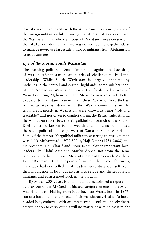least show some solidarity with the Americans by capturing some of the foreign militants while ensuring that it retained its control over the Waziristan. The whole purpose of Pakistani troops-presence in the tribal terrain during that time was not so much to stop the tide as to manage it—to use largescale influx of militants from Afghanistan to its advantage.

#### **Eye of the Storm: South Waziristan**

The evolving politics in South Waziristan against the backdrop of war in Afghanistan posed a critical challenge to Pakistani leadership. While South Waziristan is largely inhabited by Mehsuds in the central and eastern highlands, some sub-branches of the Ahmadzai Waziris dominate the fertile valley west of Wana bordering Afghanistan. The Mehsuds were relatively better exposed to Pakistani system than these Waziris. Nevertheless, Ahmadzai Waziris, dominating the Waziri community in the tribal areas, mostly in Waziristan, were known as being "soft and tractable" and not given to conflict during the British rule. Among the Ahmadzai sub-tribes, the Yargulkhel sub-branch of the Shaikh Khel sub-tribe, known for its wealth and bloodline, dominated the socio-political landscape west of Wana in South Waziristan. Some of the famous Yargulkhel militants asserting themselves then were Nek Muhammad (1975-2004), Haji Omar (1951-2008) and his brothers, Haji Sharif and Noor Islam. Other important local leaders like Abdul Aziz and Maulvi Abbas, not from the same tribe, came to their support. Most of them had links with Maulana Fazlur Rahman's JUI at one point of time, but the turmoil following US attack had compelled JUI-F leadership to distance itself from their indulgence in local adventurism to rescue and shelter foreign militants and earn a good buck in the bargain.

By March 2004, Nek Muhammad had established a reputation as a saviour of the Al-Qaeda-affiliated foreign elements in the South Waziristan area. Hailing from Kalosha, near Wana, born in 1975, son of a local malik and khasdar, Nek was characterised as "a hardheaded boy, endowed with an impenetrable soul and an obstinate determination to carry out his will no matter how mindless it might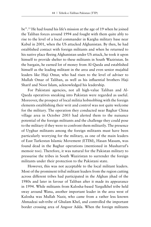be".33 He had found his life's mission at the age of 19 when he joined the Taliban forces around 1994 and fought with them quite ably to rise to the level of a local commander in Kargha military base near Kabul in 2001, when the US attacked Afghanistan. By then, he had established contact with foreign militants and when he returned to his native place fleeing Afghanistan under US attack, he took it upon himself to provide shelter to these militants in South Waziristan. In the bargain, he earned lot of money from Al-Qaeda and established himself as the leading militant in the area and even senior mujahid leaders like Haji Omar, who had risen to the level of adviser to Mullah Omar of Taliban, as well as his influential brothers Haji Sharif and Noor Islam, acknowledged his leadership.

For Pakistani agencies, not all high-value Taliban and Al-Qaeda operatives sneaking into Pakistan were regarded as useful. Moreover, the prospect of local militia hobnobbing with the foreign elements establishing their writ and control was not quite welcome for the military. The operation they conducted near Baghar China village area in October 2003 had alerted them to the nuisance potential of the foreign militants and the challenge they could pose to the military if they were to confront them militarily. The presence of Uyghur militants among the foreign militants must have been particularly worrying for the military, as one of the main leaders of East Turkestan Islamic Movement (ETIM), Hasan Masum, was found dead in the Baghar operations (mentioned in Musharraf's memoir too). Therefore, it was natural for the Pakistan military to pressurise the tribes in South Waziristan to surrender the foreign militants under their protection to the Pakistani state.

However, this was not acceptable to the local militant leaders. Most of the prominent tribal militant leaders from the region cutting across different tribes had participated in the Afghan jihad of the 1980s and later in favour of Taliban after it made its appearance in 1994. While militants from Kalosha-based Yargulkhel tribe held sway around Wana, another important leader in the area west of Kalosha was Mullah Nazir, who came from a rather less known Ahmadzai sub-tribe of Ghulam Khel, and controlled the important border crossing area of Angoor Adda. When the foreign militants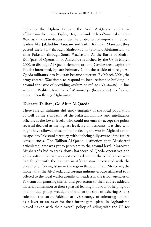including the Afghan Taliban, the Arab Al-Qaeda, and their affiliates—Chechens, Tajiks, Uyghurs and Uzbeks<sup>34</sup>—sneaked into Waziristan area in droves under the protection of important Taliban leaders like Jalaluddin Haqqani and Saifur Rahman Mansoor, they passed inevitably through Shah-i-kot in (Paktia), Afghanistan, to enter Pakistan through South Waziristan. As the Battle of Shah-i-Kot (part of Operation of Anaconda launched by the US in March 2002 to dislodge Al-Qaeda elements around Gardez area, capital of Paktia) intensified, by late February 2004, the trickle of foreign Al-Qaeda militants into Pakistan became a torrent. By March 2004, the army entered Waziristan to respond to local resistance building up around the issue of providing asylum or refuge (*Nanawati*), in line with the Pashtun tradition of *Melmastiya* (hospitality), to foreign mujahideen fleeing Afghanistan.

## **Tolerate Taliban, Go After Al Qaeda**

These foreign militants did enjoy empathy of the local population as well as the sympathy of the Pakistan military and intelligence officials at the lower levels, who could not entirely accept the policy reversal decided at the highest level. By all accounts, it is they who might have allowed these militants fleeing the war in Afghanistan to escape into Pakistani territory, without being fully aware of the future consequences. The Taliban-Al-Qaeda distinction that Musharraf articulated later was yet to percolate to the ground level. Moreover, Musharraf's bid to track down hardcore Al-Qaeda operatives and going soft on Taliban was not received well in the tribal areas, who had fought with the Taliban in Afghanistan intoxicated with the dream of enforcing Islam in the region through jihad. Moreover, the money that the Al-Qaeda and foreign militant groups affiliated to it offered to the local warlords/militant leaders in the tribal agencies of Pakistan for granting shelter and protection to their cadres added a material dimension to their spiritual leaning in favour of helping out like-minded groups wedded to jihad for the sake of ushering Allah's rule into the earth. Pakistan army's strategy of tolerating Taliban as a lever or an asset for their future game plans in Afghanistan played havoc with their overall policy of siding with the US for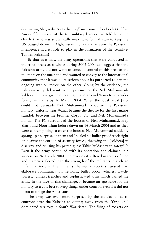decimating Al-Qaeda. As Farhat Taj35 mentions in her book (*Taliban Anti-Taliban*) some of the top military leaders had told her quite clearly that it was strategically important for Pakistan to keep the US bogged down in Afghanistan. Taj says that even the Pakistani intelligence had its role to play in the formation of the Tehrik-e-Taliban Pakistan!

Be that as it may, the army operations that were conducted in the tribal areas as a whole during 2002-2004 do suggest that the Pakistan army did not want to concede control of this area to the militants on the one hand and wanted to convey to the international community that it was quite serious about its purported role in the ongoing war on terror, on the other. Going by the evidence, the Pakistan army did want to put pressure on the Nek Muhammadled local militant group operating in and around Wana to surrender foreign militants by 16 March 2004. When the local tribal Jirga could not persuade Nek Muhammad to oblige the Pakistani military, Kalosha near Wana, became the theatre for the first major standoff between the Frontier Corps (FC) and Nek Mohammad's militia. The FC surrounded the houses of Nek Muhammad, Haji Sharif and Noor Islam before dawn on 16 March 2004 and as they were contemplating to enter the houses, Nek Muhammad suddenly sprang up a surprise on them and "hurled his bullet-proof truck right up against the cordon of security forces, throwing the [soldiers] in disarray and cruising his prized guest Tahir Yuldashev to safety".36 Even if the army continued with its operation and claimed it a success on 26 March 2004, the reverses it suffered in terms of men and materials alerted it to the strength of the militants in such an unfamiliar terrain. The militants, the media reports suggested, had elaborate communication network, bullet proof vehicles, watchtowers, tunnels, trenches and sophisticated arms which baffled the army. In the face of this challenge, it became an ego issue for the military to try its best to keep things under control, even if it did not mean to oblige the Americans.

The army was even more surprised by the attacks it had to confront after the Kalosha encounter, away from the Yargulkhel dominated territory in South Waziristan. The firing of rockets on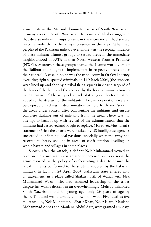army posts in the Mehsud dominated areas of South Waziristan, in many areas in North Waziristan, Kurram and Khyber suggested that diverse militant groups present in the entire terrain had started reacting violently to the army's presence in the area. What had perplexed the Pakistani military even more was the seeping influence of these militant Islamist groups to settled areas in the immediate neighbourhood of FATA in then North western Frontier Province (NWFP). Moreover, these groups shared the Islamic world-view of the Taliban and sought to implement it in respective areas under their control. A case in point was the tribal court in Orakzai agency executing eight suspected criminals on 14 March 2004, (the suspects were lined up and shot by a tribal firing squad) in clear disregard of the laws of the land and the request by the local administration to hand them over.<sup>37</sup> The army's clear lack of strategy and determination added to the strength of the militants. The army operations were at best episodic, lacking in determination to hold forth and 'stay' in the areas under control after confronting the militants and ensure complete flushing out of militants from the area. There was no attempt to back it up with revival of the administration that the militants had destroyed and sought to replace. Moreover, Musharraf's statements<sup>38</sup> that the efforts were backed by US intelligence agencies succeeded in inflaming local passions especially when the army had resorted to heavy shelling in areas of confrontation levelling up whole bazars and villages in some places.

Shortly after the attack, a defiant Nek Muhammad vowed to take on the army with even greater vehemence but very soon the army resorted to the policy of orchestrating a deal to ensure the tribal militants conformed to the strategy adopted by the Pakistan military. In fact, on 24 April 2004, Pakistani state entered into an agreement, in a place called Shakai north of Wana, with Nek Muhammad Wazir—who had assumed leadership of the tribes despite his Waziri descent in an overwhelmingly Mehsud-inhabited South Waziristan and his young age (only 29 years of age by then). This deal was alternately known as 'Wana Five' deal as five militants, i.e., Nek Muhammad, Sharif Khan, Noor Islam, Maulana Mohammad Abbas and Maulana Abdul Aziz, were granted amnesty.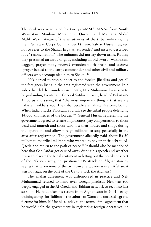The deal was negotiated by two pro-MMA MNAs from South Waziristan, Maulana Merajuddin Qureshi and Maulana Abdul Malik Wazir. Aware of the sensitivities of the tribal militants, the then Peshawar Corps Commander Lt. Gen. Safdar Hussain agreed not to refer to the Shakai Jirga as 'surrender' and instead described it as "reconciliation." The militants did not lay down arms. Rather, they presented an array of gifts, including an old sword, Waziristani daggers, prayer mats, *meswak* (wooden tooth brush) and *tasbeeh* (prayer beads) to the corps commander and other civil and military officers who accompanied him to Shakai.39

Nek agreed to stop support to the foreign jihadists and get all the foreigners living in the area registered with the government. In a video that did the rounds subsequently, Nek Muhammad was seen to be garlanding Lieutenant General Safdar Husain, head of Pakistan's XI corps and saying that "the most important thing is that we are Pakistani soldiers, too. The tribal people are Pakistan's atomic bomb. When India attacks Pakistan, you will see the tribal people defending 14,000 kilometres of the border."40 General Husain representing the government agreed to release all prisoners, pay compensation to those dead and injured; and those who lost their houses and shops during the operation, and allow foreign militants to stay peacefully in the area after registration. The government allegedly paid about Rs 50 million to the tribal militants who wanted to pay up their debt to Al-Qaeda and return to the path of peace.<sup>41</sup> It should also be mentioned here that Gen Safdar got carried away during his speech and whether it was to placate the tribal sentiment or letting out the best-kept secret of the Pakistan army, he questioned US attack on Afghanistan by saying that when none of the twin tower attackers was an Afghan, it was not right on the part of the US to attack the Afghans!

The Shakai agreement was dishonoured in practice and Nek Muhammad refused to hand over foreign jihadists. Nek was too deeply engaged in the Al-Qaeda and Taliban network to recoil so fast so soon. He had, after his return from Afghanistan in 2001, set up training camps for Taliban in the suburb of Wana and amassed a grand fortune for himself. Unable to stick to the terms of the agreement that he would help the government in registering foreign operatives, he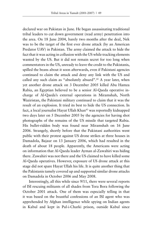declared war on Pakistan in June. He began assassinating traditional tribal leaders to cut down government (read army) penetration into the area. On 18 June 2004, barely two months after the deal, Nek was to be the target of the first ever drone attack (by an American Predator UAV) in Pakistan. The army claimed the attack to hide the fact that it was acting in collusion with the US while tracking elements wanted by the US. But it did not remain secret for too long when commentators in the US, unready to leave the credit to the Pakistanis, spilled the beans about it soon afterwards, even if Pakistani agencies continued to claim the attack and deny any link with the US and called any such claim as "absolutely absurd".<sup>42</sup> A year later, when yet another drone attack on 3 December 2005 killed Abu Hamza Rabia, an Egyptian believed to be a senior Al-Qaeda operative incharge of Al-Qaeda's external operations in Miramshah, North Waziristan, the Pakistani military continued to claim that it was the result of an explosion. It tried its best to hide the US connection. In fact, a local journalist Hayat Ullah Khan<sup>43</sup> was reportedly kidnapped two days later on 5 December 2005 by the agencies for having shot photographs of the remains of the US missile that targeted Rabia. His bullet-ridden body was found near Miramshah on 16 June 2006. Strangely, shortly before that the Pakistani authorities went public with their protest against US drone strikes at three houses in Damadola, Bajaur on 13 January 2006, which had resulted in the death of about 18 people. Apparently, the Americans were acting on information that Al-Qaeda leader Ayman al-Zawahiri was hiding there. Zawahiri was not there and the US claimed to have killed some Al-Qaeda operatives. However, exposure of US drone attack at this stage did not spare Hayat Ullah his life. It is quite another thing that the Pakistanis tamely covered up and supported similar drone attacks on Damadola in October 2006 and May 2008.

Interestingly, all this while since 9/11, there were several reports of ISI rescuing militants of all shades from Tora Bora following the October 2001 attack. One of them was especially telling in that it was based on the boastful confessions of an ISI agent who was apprehended by Afghan intelligence while spying on Indian agents in Kabul and kept in Pul-i-Charki prison, outside Kabul since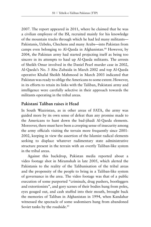2007. The report appeared in 2011, where he claimed that he was a civilian employee of the ISI, recruited mainly for his knowledge of the mountain tracks through which he had led many militants— Pakistanis, Uzbeks, Chechens and many Arabs—into Pakistan from camps even belonging to Al-Qaeda in Afghanistan.<sup>44</sup> However, by 2004, the Pakistan army had started projecting itself as being too sincere in its attempts to haul up Al-Qaeda militants. The arrests of Sheikh Omar involved in the Daniel Pearl murder case in 2002, Al-Qaeda's No. 3 Abu Zubaida in March 2002 and top Al-Qaeda operative Khalid Sheikh Mahmood in March 2003 indicated that Pakistan was ready to oblige the Americans to some extent. However, in its efforts to retain its links with the Taliban, Pakistani army and intelligence were carefully selective in their approach towards the militants operating in the tribal areas.

#### **Pakistani Taliban raises it Head**

In South Waziristan, as in other areas of FATA, the army was guided more by its own sense of defeat than any promise made to the Americans to hunt down the bad-jihadi Al-Qaeda elements. Moreover, there must have been a creeping sense of insecurity among the army officials visiting the terrain more frequently since 2001- 2002, keeping in view the assertion of the Islamist radical elements seeking to displace whatever rudimentary state administrative structure present in the terrain with an overtly Taliban-like system in the tribal areas.

Against this backdrop, Pakistan media reported about a video footage shot in Miramshah in late 2005, which alerted the Pakistanis to the reality of the Talibanisation of the tribal areas and the propensity of the people to bring in a Taliban-like system of governance in the area. The video footage was that of a public execution of some purported "criminals, drug pushers, bootleggers and extortionists", and gory scenes of their bodies hung from poles, eyes gouged out, and cash stuffed into their mouth, brought back the memories of Taliban in Afghanistan in 1994, when Kandahar witnessed the spectacle of some sodomisers hung from abandoned Soviet tanks by the roadside.<sup>45</sup>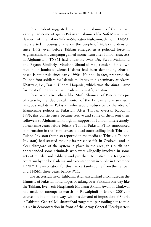This incident suggested that militant Islamism of the Taliban variety had come of age in Pakistan. Islamists like Sufi Muhammad (leader of Tehrik-e-Nifaz-e-Shariat-e-Muhammadi or TNSM) had started imposing Sharia on the people of Malakand division since 1992, even before Taliban emerged as a political force in Afghanistan. His campaign gained momentum after Taliban's success in Afghanistan. TNSM had under its sway Dir, Swat, Malakand and Bajaur. Similarly, Maulana Shami-ul-Haq (leader of his own faction of Jamiat-ul-Ulema-i-Islam) had been demanding Shariabased Islamic rule since early 1990s. He had, in fact, prepared the Taliban foot-soldiers for Islamic militancy in his seminary at Akora Khatttak, i.e., Dar-ul-Uloom Haqania, which was the *alma mater* for most of the top Taliban leadership in Afghanistan.

There were also others like Mufti Shamzai of Binori mosque of Karachi, the ideological mentor of the Taliban and many such religious zealots in Pakistan who would subscribe to the idea of Islamicising politics in Pakistan. After Taliban overran Kabul in 1996, this constituency became restive and some of them sent their followers to Afghanistan to fight in support of Taliban. Interestingly, at least nine years before Tehrik-e-Taliban Pakistan (TTP) announced its formation in the Tribal areas, a local outfit calling itself Tehrik-e-Tulaba Pakistan (but also reported in the media as Tehrik-e-Taliban Pakistan) had started making its presence felt in Orakzai, and in clear disregard of the system in place in the area, this outfit had apprehended some criminals who were allegedly involved in some acts of murder and robbery and put them to justice in a Kangaroo court run by the local ulema and executed them in public in December 1998.46 The inspiration for this had certainly come from the Taliban and TNSM, three years before 9/11.

The successful rise of Taliban in Afghanistan had also infused in the Islamists of Pakistan fond hopes of taking over Pakistan one day like the Taliban. Even Sufi Naqsbandi Maulana Akram Awan of Chakwal had made an attempt to march on Rawalpindi in March 2001, of course not in a militant way, with his demand of imposition of Sharia in Pakistan. General Musharraf had tough time persuading him to stop his sit-in demonstration in front of the Army General Headquarters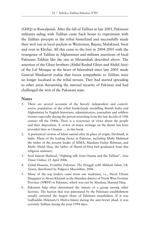(GHQ) in Rawalpindi. After the fall of Taliban in late 2001, Pakistani militants siding with Taliban came back home to experiment with the Taliban precepts in the tribal hinterland and successfully made their writ run in local pockets in Waziristan, Bajaur, Malakand, Swat and even in Khyber. All this came to the fore in 2004-2005 with the resurgence of Taliban in Afghanistan and militant assertions of local Pakistani Taliban like the one in Miramshah described above. The assertion of the Ghazi brothers (Abdul Rashid Ghazi and Abdul Aziz) of the Lal Mosque at the heart of Islamabad since late 2005 made General Musharraf realise that forces sympathetic to Taliban were no longer localised in the tribal terrain. They had started spreading to other areas threatening the internal security of Pakistan and had challenged the writ of the Pakistani state.

#### **Notes**

- 1. There are several accounts of the fiercely independent and controlaverse population of the tribal borderlands straddling British India and Afghanistan by English historians, administrators, journalists and soldiers written especially during the period stretching from the last decade of 19th century till the 1940s. There is a recurrence of views about the people and their disposition. A review of major writings on the theme has been provided later in Chapter … in this book.
- 2. A puritanical version of Islam named after its place of origin, Deoband, in India. Many of the leading clerics in Pakistan, including Mufti Mahmud the father of the present leader of MMA, Maulana Fazlur Rehman, and Mufti Abdul Haq, the father of Shami-ul-Haq had graduated from this religious seminary.
- 3. Syed Saleem Shahzad, "Fighting talk from Osama and the Taliban", *Asia Times Online*, 25 April 2006.
- 4. Zahid Hussain, *Frontline Pakistan: The Struggle with Militant Islam*, I.B. Tauris, distributed by Palgrave Macmillan, 2006.
- 5. Many of the top leaders came from one madrassa, i.e., Darul Uloom Haqqania in Akora Khattak in the Manshra district of North West Frontier Province (NWFP) in Pakistan, which was run by Maulana Shamiul Haq.
- 6. Pakistani help often determined the stature of a group among other factions. The faction that was patronised by the Pakistani establishment usually attracted the largest share of Pakistani mujahideen. If it was Gulbuddin Hekmatyr's Hizb-e-Islami during the anti-Soviet jihad, it was certainly Taliban during the post-1994 days.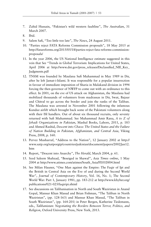- 7. Zahid Hussain, "Pakistan's wild western faultline", *The Australian*, 31 March 2007.
- 8. Ibid.
- 9. Salem Safi, "Too little too late", *The News*, 24 August 2011.
- 10. "Parties reject FATA Reforms Commission proposals", 18 May 2015 at http://fatareforms.org/2015/05/18/parties-reject-fata-reforms-commissionproposals/
- 11. In the year 2006, the US National Intelligence estimate suggested in this vein that See "Trends in Global Terrorism: Implications for United States, April 2006 at http://www.dni.gov/press\_releases/Declassified\_NIE\_Key\_ Judgments.pdf
- 12. TNSM was founded by Maulana Sufi Muhammad in May 1989 in Dir, after he left Jamat-i-Islami. It was responsible for a popular insurrection in favour of immediate imposition of Sharia in Malakand division in 1994 forcing the then governor of NWFP to come out with an ordinance to this effect. In 2001, on the eve of US attack on Afghanistan, the Maulana had mobilized thousands of volunteers from madrassas in Dir, Swat, Bajaur and Chitral to go across the border and join the ranks of the Taliban. The Maulana was arrested in November 2001 following the infamous Kunduz airlift which brought back some of the Pakistani volunteers along with their ISI handlers. Out of about six thousand recruits, only seventy returned with Sufi Muhammad. See Muhammad Amir Rana, *A to Z of Jehadi Organizations in Pakistan*, Mashal Books, Lahore, 2011, p. 183 and Ahmed Rashid, *Descent into Chaos: The United States and the Failure of Nation Building in Pakistan, Afghanistan, and Central Asia*, Viking Press, 2008, p. 160.
- 13. Pervez Musharraf, "Address to the Nation", 12 January 2002 at http:// www.satp.org/satporgtp/countries/pakistan/document/papers/2002Jan12. htm
- 14. Report, "Descent into Anarchy", *The Herald*, March 2004, p. 61.
- 15. Syed Saleem Shahzad, "Beseiged in Shawal", *Asia Times online*, 1 May 2004 at http://www.atimes.com/atimes/South\_Asia/FE01Df04.html
- 16. See Milan Hauner, "One Man against the Empire: The Faqir of Ipi and the British in Central Asia on the Eve of and during the Second World War", *Journal of Contemporary History*, Vol. 16, No. 1; The Second World War: Part 1, January 1981, pp. 183-212 at http://www.khyber.org/ publications/021-025/faqiripi.shtml
- 17. See discussions on Talibanisation in North and South Waziristan in Anand Gopal, Mansur Khan Masud and Brian Fishman, "The Taliban in North Waziristan", (pp. 128-163) and Mansur Khan Masud, "The Taliban in South Waziristan", (pp. 164-201) in Peter Bergen, Katherine Tiedemann, eds., *Talibanistan: Negotiating the Borders Between Terror, Politics, and Religion*, Oxford University Press, New York, 2013.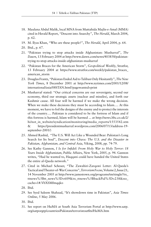- 18. Maulana Abdul Malik, local MNA from Muttahida Majlis-e-Amal (MMA) cited in Herald Report, "Descent into Anarchy", *The Herald*, March 2004, p. 62.
- 19. M. Ilyas Khan, "Who are these people?", *The Herald*, April 2004, p. 64.
- 20. Ibid., p. 67.
- 21. "Pakistan trying to stop attacks inside Afghanistan: Musharraf", *The Dawn*, 13 February 2004 at http://www.dawn.com/news/403858/pakistantrying-to-stop-attacks-inside-afghanistan-musharraf
- 22. "Pakistan Braces for the American Storm", *Geopolitical Weekly*, Stratfor, 13 February 2004 at https://www.stratfor.com/weekly/pakistan\_braces\_ american\_storm
- 23. Douglas Frantz, "Pakistan Ended Aid to Taliban Only Hesitantly", *The New York Times*, 8 December 2001 at http://www.nytimes.com/2001/12/08/ international/asia/08STAN.html?pagewanted=print
- 24. Musharraf stated: "Our critical concerns are our sovereignty, second our economy, third our strategic assets (nuclear and missiles), and forth our Kashmir cause. All four will be harmed if we make the wrong decision. When we make these decisions they must be according to Islam…. At this moment, we have to foil the designs of the enemy and to protect the interests of the country…. Pakistan is considered to be the fortress of Islam and if this fortress is harmed, Islam will be harmed ... at http://news.bbc.co.uk/2/ hi/not\_in\_website/syndication/monitoring/media\_reports/1553542.stm & https://presidentmusharraf.wordpress.com/2006/07/13/address-19 september-2001/)
- 25. Ahmed Rashid, "The U.S. Will Act Like a Wounded Bear: Pakistan's Long Search for Its Soul", *Descent into Chaos: The U.S. and the Disaster in Pakistan, Afghanistan, and Central Asia*, Viking, 2008, pp. 74-79.
- 26. See Kathy Gannon, *I Is for Infidel: From Holy War to Holy Terror: 18 Years Inside Afghanistan*, Public Affairs, New York, 2005, p. 94. Gannon writes, "Had he wanted to, Haqqani could have handed the United States the entire al-Qaeda network."
- 27. Cited in Michael Scheuer, "The Zawahiri-Zarqawi Letter: Al-Qaeda's Tactical and Theater-of-War Concerns", *Terrorism Focus*, Volume 2, Issue 21, 14 November 2005 at http://www.jamestown.org/programs/tm/single/?tx\_ ttnews%5Btt\_news%5D=609&tx\_ttnews%5BbackPid%5D=238&no\_ cache=1#.VbXSMfmqqko
- 28. Ibid.
- 29. See Syed Saleem Shahzad, "It's showdown time in Pakistan", *Asia Times Online*, 5 May 2006.
- 30. Ibid.
- 31. See report on HuMA at South Asia Terrorism Portal at http://www.satp. org/satporgtp/countries/Pakistan/terroristoutfits/HuMA.htm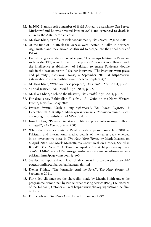- 32. In 2002, Kamran Atif a member of HuM-A tried to assassinate Gen Pervez Musharraf and he was arrested later in 2004 and sentenced to death in 2006 by the Anti-Terrorism court.
- 33. M. Ilyas Khan, "Profile of Nek Mohammad", *The Dawn*, 19 June 2004.
- 34. At the time of US attack the Uzbeks were located in Balkh in northern Afghanistan and they moved southward to escape into the tribal areas of Pakistan.
- 35. Farhat Taj goes to the extent of saying "The groups fighting in Pakistan, such as the TTP, were formed in the post-9/11 context in collusion with the intelligence establishment of Pakistan to ensure Pakistan's double role in the 'war on terror'." See her interview, "The Pashtuns want peace and plurality", Gateway House, 6 September 2013 at https://www. gatewayhouse.in/the-pashtuns-want-peace-and-plurality/
- 36. M. Ilyas Khan, "Who are these people?", *The Herald*, April 2004, p. 62.
- 37. "Tribal Justice", *The Herald*, April 2004, p. 72.
- 38. M. Illyas Khan, "Behind the Bluster", *The Herald*, April 2004, p. 67.
- 39. For details see, Rahimullah Yusufzai, "All Quiet on the North-Western Front", *Newsline*, May 2004.
- 40. Praveen Swami, "Such a long nightmare", *The Indian Express*, 19 December 2014 at http://indianexpress.com/article/opinion/columns/sucha-long-nightmare/#sthash.wLMVoipV.dpuf
- 41. Ismail Khan, "Payment to Wana militants: probe into missing millions initiated", *The Dawn*, 3 May 2005.
- 42. While disparate accounts of Pak-US deals appeared since late 2004 in Pakistani and international media, details of the secret deals emerged in an investigative piece in *The New York Times*, by Mark Mazetti on 6 April 2013. See Mark Mazzetti, "A Secret Deal on Drones, Sealed in Blood", *The New York Times*, 6 April 2013 at http://www.nytimes. com/2013/04/07/world/asia/origins-of-cias-not-so-secret-drone-war-inpakistan.html?pagewanted=all&\_r=0
- 43. See detailed reports about Hayat Ullah Khan at https://www.pbs.org/wgbh/ pages/frontline/taliban/tribal/hayatullah.html
- 44. Dexter Filkins, "The Journalist And the Spies", *The New Yorker*, 19 September 2011.
- 45. For video clippings see the short film made by Martin Smith under the programme "Frontline" by Public Broadcasting Service (PBS), US, "Return of the Taliban", October 2006 at https://www.pbs.org/wgbh/frontline/film/ taliban/
- 46. For details see *The News Line* (Karachi), January 1999.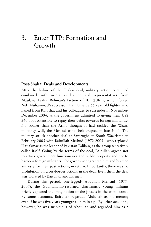# 3. Enter TTP: Formation and Growth

#### **Post-Shakai Deals and Developments**

After the failure of the Shakai deal, military action continued combined with mediation by political representatives from Maulana Fazlur Rehman's faction of JUI (JUI-F), which forced Nek Muhammad's successor, Haji Omar, a 55 year old fighter who hailed from Kalosha, and his colleagues to surrender in November-December 2004, as the government admitted to giving them US\$ 540,000, ostensibly to repay their debts towards foreign militants.<sup>1</sup> No sooner than the Army thought it had tackled the Waziri militancy well, the Mehsud tribal belt erupted in late 2004. The military struck another deal at Sararogha in South Waziristan in February 2005 with Baitullah Meshud (1972-2009), who replaced Haji Omar as the leader of Pakistan Taliban, as the group tentatively called itself. Going by the terms of the deal, Baitullah agreed not to attack government functionaries and public property and not to harbour foreign militants. The government granted him and his men amnesty for their past actions, in return. Importantly, there was no prohibition on cross-border actions in the deal. Even then, the deal was violated by Baitullah and his men.

During this period, one-legged2 Abdullah Mehsud (1977- 2007), the Guantanamo-returned charismatic young militant briefly captured the imagination of the jihadis in the tribal areas. By some accounts, Baitullah regarded Abdullah as his mentor, even if he was five years younger to him in age. By other accounts, however, he was suspicious of Abdullah and regarded him as a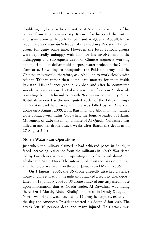double agent, because he did not trust Abdullah's account of his release from Guantanamo Bay. Known for his cruel disposition and association with both Taliban and Al-Qaeda, Abdullah was recognised as the *de facto* leader of the shadowy Pakistani Taliban group for quite some time. However, the local Taliban groups were reportedly unhappy with him for his involvement in the kidnapping and subsequent death of Chinese engineers working at a multi-million-dollar multi-purpose water project in the Gomal Zam area. Unwilling to antagonise the Pakistan army and the Chinese, they would, therefore, ask Abdullah to work closely with Afghan Taliban rather than complicate matters for them inside Pakistan. His influence gradually ebbed and after he committed suicide to evade capture by Pakistani security forces in Zhob while transiting from Helmand to South Waziristan on 24 July 2007, Baitullah emerged as the undisputed leader of the Taliban groups in Pakistan and held sway until he was killed by an American drone on 5 August 2009. Both Baitullah and Abdullah maintained close contact with Tahir Yuldashev, the fugitive leader of Islamic Movement of Uzbekistan, an affiliate of Al-Qaeda. Yuldashev was killed in another drone attack weeks after Baitullah's death in on 27 August 2009.

## **North Waziristan Operations**

Just when the military claimed it had achieved peace in South, it faced increasing resistance from the militants in North Waziristan led by two clerics who were operating out of Miramshah—Abdul Khaliq and Sadiq Noor. The intensity of resistance was quite high and the tug of war went on through January and March 2006.

On 1 January 2006, the US drone allegedly attacked a cleric's house and in retaliation, the militants attacked a security check-post. Later, on 13 January 2006, a US drone attacked one suspected house upon information that Al-Qaeda leader, Al Zawahiri, was hiding there. On 1 March, Abdul Khaliq's madrassa in Dandy Saidgay in North Waziristan, was attacked by 12 army helicopters, exactly on the day the American President started his South Asian visit. The attack left 40 persons dead and many injured. This attack was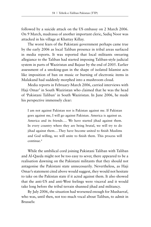followed by a suicide attack on the US embassy on 2 March 2006. On 9 March, madrassa of another important cleric, Sadiq Noor was attacked in his village at Khattay Killay.

The worst fears of the Pakistani government perhaps came true by the early 2006 as local Taliban presence in tribal areas surfaced in media reports. It was reported that local militants swearing allegiance to the Taliban had started imposing Taliban-style judicial system in parts of Waziristan and Bajaur by the end of 2005. Earlier assessment of a smoking-gun in the shape of isolated Islamist acts like imposition of ban on music or burning of electronic items in Malakand had suddenly morphed into a mushroom cloud.

Media reports in February-March 2006, carried interviews with Haji Omar<sup>3</sup> in South Waziristan who claimed that he was the head of 'Pakistani Taliban' in South Waziristan. In June 2006, he made his perspective immensely clear:

I am not against Pakistan nor is Pakistan against me. If Pakistan goes against me, I will go against Pakistan. America is against us. America and its friends…. We have started jihad against them. In every country where they are being brutal, we will try to do jihad against them.…They have become united to finish Muslims and God willing, we will unite to finish them. This process will continue.4

While the umbilical cord joining Pakistani Taliban with Taliban and Al-Qaeda might not be too easy to sever, there appeared to be a realisation dawning on the Pakistani militants that they should not antagonise the Pakistani state unnecessarily. Nevertheless, as Haji Omar's statement cited above would suggest, they would not hesitate to take on the Pakistan state if it acted against them. It also showed that the anti-US and anti-West feelings were visceral and it would take long before the tribal terrain shunned jihad and militancy.

By July 2006, the situation had worsened enough for Musharraf, who was, until then, not too much vocal about Taliban, to admit in Brussels: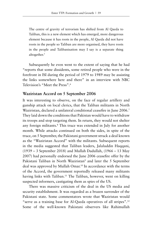The centre of gravity of terrorism has shifted from Al Qaeda to Taliban, this is a new element which has emerged, more dangerous element because it has roots in the people, Al Qaeda did not have roots in the people so Taliban are more organised, they have roots in the people and Talibanisation may I say is a separate thing altogether.<sup>5</sup>

Subsequently he even went to the extent of saying that he had "reports that some dissidents, some retired people who were in the forefront in ISI during the period of 1979 to 1989 may be assisting the links somewhere here and there" in an interview with NBC Television's "Meet the Press".6

## **Waziristan Accord on 5 September 2006**

It was interesting to observe, on the face of regular artillery and gunship attack on local clerics, that the Taliban militants in North Waziristan, declared a unilateral conditional ceasefire in June 2006.7 They laid down the conditions that Pakistan would have to withdraw its troops and stop targeting them. In return, they would not shelter any foreign militants.<sup>8</sup> This truce was extended in July for another month. While attacks continued on both the sides, in spite of the truce, on 5 September, the Pakistani government struck a deal known as the "Waziristan Accord" with the militants. Subsequent reports in the media suggested that Taliban leaders, Jalaluddin Haqqani, (1939 – 3 September 2018) and Mullah Dadullah, (1966 – 13 May 2007) had personally endorsed the June 2006 ceasefire offer by the Pakistani Taliban in North Waziristan<sup>9</sup> and later the 5 September deal was approved by Mullah Omar.<sup>10</sup> In accordance with the terms of the Accord, the government reportedly released many militants having links with Taliban.<sup>11</sup> The Taliban, however, went on killing suspected informers, castigating them as spies of the US.

There was massive criticism of the deal in the US media and security establishment. It was regarded as a brazen surrender of the Pakistani state. Some commentators wrote that Waziristan would "serve as a training base for Al-Qaeda operatives of all stripes".12 Some of the well-known Pakistani observers like Rahimullah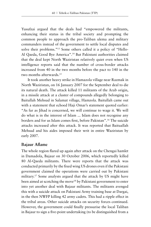Yusufzai argued that the deals had "empowered the militants, enhancing their status in the tribal society and prompting the common people to approach the pro-Taliban ulema and military commanders instead of the government to settle local disputes and solve their problems."13 Some others called it a policy of "Hello-Al Qaeda, Good Bye America".14 But Pakistani authorities claimed that the deal kept North Waziristan relatively quiet even when US intelligence reports said that the number of cross-border attacks increased from 40 in the two months before the pact to 140 in the two months afterwards.15

It took another heavy strike in Hamazola village near Razmak in North Waziristan, on 16 January 2007 for the September deal to die its natural death. The attack killed 11 militants of the Arab origin, in a missile attack at a cluster of compounds allegedly belonging to Baitullah Mehsud in Salamat village, Hamzola. Baitullah came out with a statement that echoed Haji Omar's statement quoted earlier: "As far as Jihad is concerned, we will continue to wage it. We will do what is in the interest of Islam ... Islam does not recognise any borders and for us Islam comes first, before Pakistan".16 The suicide attacks increased after this attack. It was reported that Baituallah Mehsud and his aides imposed their writ in entire Waziristan by early 2007.

#### **Bajaur Aflame**

The whole region flared up again after attack on the Chengai hamlet in Damadola, Bajaur on 30 October 2006, which reportedly killed 80 Al-Qaeda militants. There were reports that the attack was conducted primarily by the fixed wing US drones even if the Pakistani government claimed the operations were carried out by Pakistani military.<sup>17</sup> Some analysts argued that the attack by US might have been aimed at scotching the move<sup>18</sup> by Pakistani government to enter into yet another deal with Bajaur militants. The militants avenged this with a suicide attack on Pakistani Army training base at Dargai, in the then NWFP killing 42 army cadets. This had a ripple effect in the tribal areas. Other suicide attacks on security forces continued. However, the government could finally pressurise the local Taliban in Bajaur to sign a five-point undertaking (to be distinguished from a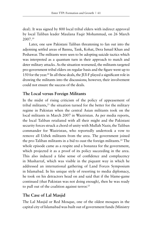deal). It was signed by 800 local tribal elders with indirect approval by local Taliban leader Maulana Faqir Mohammad, on 26 March 2007.19

Later, one saw Pakistani Taliban threatening to fan out into the adjoining settled areas of Bannu, Tank, Kohat, Dera Ismail Khan and Peshawar. The militants were seen to be adopting suicide tactics which was interpreted as a quantum turn in their approach to match and deter military attacks. As the situation worsened, the militants targeted pro-government tribal elders on regular basis and the figure went up to 150 for the year.20 In all these deals, the JUI-F played a significant role in drawing the militants into the discussions; however, their involvement could not ensure the success of the deals.

## **The Local versus Foreign Militants**

In the midst of rising criticism of the policy of appeasement of tribal militants, $^{21}$  the situation turned for the better for the military regime in Pakistan when the central Asian militants took on the local militants in March 2007 in Waziristan. As per media reports, the local Taliban retaliated with all their might and the Pakistani security forces struck a chord of unity with Mullah Nazir, the Taliban commander for Waziristan, who reportedly undertook a vow to remove all Uzbek militants from the area. The government joined the pro-Taliban militants in a bid to oust the foreign militants.22 The whole episode came as a respite and a bonanza for the government, which projected it as a proof of its policy succeeding in the area. This also induced a false sense of confidence and complacency in Musharraf, which was visible in the piquant way in which he addressed an international gathering of Land Forces Symposium in Islamabad. In his unique style of resorting to media diplomacy, he took on his detractors head on and said that if the blame-game continued (that Pakistan was not doing enough), then he was ready to pull out of the coalition against terror.<sup>23</sup>

# **The Case of Lal Masjid**

The Lal Masjid or Red Mosque, one of the oldest mosques in the capital city of Islamabad was built out of government funds (Ministry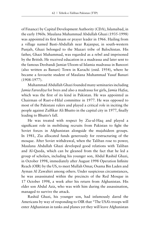of Finance) by Capital Development Authority (CDA), Islamabad, in the early 1960s. Maulana Muhammad Abdullah Ghazi (1935-1998) was appointed its first Imam or prayer leader in 1966. Hailing from a village named Basti-Abdullah near Rajanpur, in south-western Punjab, Ghazi belonged to the Mazari tribe of Balochistan. His father, Ghazi Muhammad, was regarded as a rebel and imprisoned by the British. He received education in a madrassa and later sent to the famous Deobandi Jamiat Uloom-ul Islamia madrassa in Banoori (also written as Banuri) Town in Karachi (estd. 1954), where he became a favourite student of Maulana Muhammad Yusuf Banuri (1908-1977).

Muhammad Abdullah Ghazi founded many seminaries including *Jamia Fareediya* for boys and also a madrassa for girls, *Jamia Hafsa*, which was the first of its kind in Pakistan. He was appointed as Chairman of Ruet-e-Hilal committee in 1977. He was opposed to most of the Pakistani rulers and played a critical role in inciting the people against Zulfikar Ali Bhutto in the capital city in 1977, finally leading to Bhutto's fall.

He was treated with respect by Zia-ul-Haq and played a significant role in mobilising recruits from Pakistan to fight the Soviet forces in Afghanistan alongside the mujahideen groups. In 1981, Zia allocated funds generously for restructuring of the mosque. After Soviet withdrawal, when the Taliban rose to power, Maulana Abdullah Ghazi developed good relations with Taliban and Al-Qaeda, which can be gleaned from the fact that he led a group of scholars, including his younger son, Abdul Rashid Ghazi, in October 1998, immediately after August 1998 Operation Infinite Reach (OIR) by the US, to meet Mullah Omar, Osama Bin Laden and Ayman Al Zawahiri among others. Under suspicious circumstances, he was assassinated within the precincts of the Red Mosque in 17 October 1998, a week after his return from Afghanistan. His elder son Abdul Aziz, who was with him during the assassination, managed to survive the attack.

Rashid Ghazi, his younger son, had infamously dared the Americans by way of responding to OIR that "The USA's troops will enter Afghanistan in tanks and planes yet they will leave Afghanistan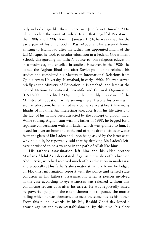only in body bags like their predecessor [the Soviet Union]".<sup>24</sup> His life embodied the spirit of radical Islam that engulfed Pakistan in the 1980s and 1990s. Born in January 1964, he was raised for the early part of his childhood in Basti-Abdullah, his parental home. Shifting to Islamabad after his father was appointed Imam of the Lal Mosque, he took to secular education in a Federal Government School, disregarding his father's advice to join religious education in a madrassa, and excelled in studies. However, in the 1980s, he joined the Afghan Jihad and after Soviet pull-out he rejoined his studies and completed his Masters in International Relations from Qaid-e-Azam University, Islamabad, in early 1990s. He even served briefly at the Ministry of Education in Islamabad, and later at the United Nations Educational, Scientific and Cultural Organisation (UNESCO). He edited "*Diyami*", the monthly magazine of the Ministry of Education, while serving there. Despite his training in secular education, he remained very conservative at heart, like many Jihadis of his time. An interesting anecdote from his life attests to the fact of his having been attracted by the concept of global jihad. While touring Afghanistan with his father in 1998, he begged for a separate conversation with Bin Laden which was granted to him. It lasted for over an hour and at the end of it, he drank left-over water from the glass of Bin Laden and upon being asked by the latter as to why he did it, he reportedly said that by drinking Bin Laden's leftover he wished to be a warrior in the path of Allah like him!

His father's assassination left him and his elder brother Maulana Abdul Aziz devastated. Against the wishes of his brother, Abdul Aziz, who had received much of his education in madrassas and especially at his father's alma mater at Banuri Town, he lodged an FIR (first information report) with the police and sensed state collusion in his father's assassination, when a person involved in the case according to eye-witnesses was released without any convincing reason days after his arrest. He was reportedly asked by powerful people in the establishment not to pursue the matter failing which he was threatened to meet the same fate as his father. From this point onwards, in his life, Rashid Ghazi developed a grouse against the system/establishment. By this time, his elder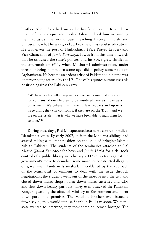brother, Abdul Aziz had succeeded his father as the Khateeb or Imam of the mosque and Rashid Ghazi helped him in running the madrassas. He would begin teaching history, English and philosophy, what he was good at, because of his secular education. He was given the post of Naib-Khatib (Vice Prayer Leader) and Vice Chancellor of *Jamia Fareediya*. It was from this time onwards that he criticised the state's policies and his voice grew shriller in the aftermath of 9/11, when Musharraf administration, under threat of being bombed-to-stone-age, did a policy somersault on Afghanistan. He became an ardent critic of Pakistan joining the war on terror being steered by the US. One of his quotes summarises his position against the Pakistan army:

"We have neither killed anyone nor have we committed any crime for so many of our children to be murdered here each day as a punishment. We believe that if even a few people stand up to a large army, they can confront it if they are on the Truth; and we are on the Truth—that is why we have been able to fight them for so long."<sup>25</sup>

During these days, Red Mosque acted as a nerve centre for radical Islamist activities. By early 2007, in fact, the Maulana siblings had started taking a militant position on the issue of bringing Islamic rule to Pakistan. The students of the seminaries attached to Lal Masjid (*Jamia Fareediya* for boys and *Jamia Hafsa* for girls) took control of a public library in February 2007 in protest against the government's move to demolish some mosques constructed illegally on government lands in Islamabad. Emboldened by the approach of the Musharraf government to deal with the issue through negotiations, the students went out of the mosque into the city and closed down music shops, burnt down music cassettes and CDs and shut down beauty parlours. They even attacked the Pakistani Rangers guarding the office of Ministry of Environment and burnt down part of its premises. The Maulana brothers even issued a fatwa saying they would impose Sharia in Pakistan soon. When the state wanted to intervene, they took some policemen hostage. The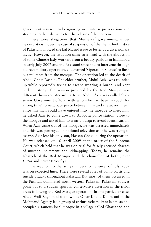government was seen to be ignoring such intense provocations and stooping to their demands for the release of the policemen.

There were allegations that Musharraf government, under heavy criticism over the case of suspension of the then Chief Justice of Pakistan, allowed the Lal Masjid issue to fester as a diversionary tactic. However, the situation came to a head with the abduction of some Chinese lady-workers from a beauty parlour in Islamabad in early July 2007 and the Pakistani state had to intervene through a direct military operation, codenamed 'Operation Silence' to flush out militants from the mosque. The operation led to the death of Abdul Ghazi Rashid. The elder brother, Abdul Aziz, was rounded up while reportedly trying to escape wearing a burqa, and kept under custody. The version provided by the Red Mosque was different, however. According to it, Abdul Aziz was called 'by a senior Government official with whom he had been in touch for a long time' to negotiate peace between him and the government. Since this man could have entered into the mosque to meet him, he asked Aziz to come down to Aabpara police station, close to the mosque and asked him to wear a burqa to avoid identification. When Aziz came out of the mosque, he was arrested immediately and this was portrayed on national television as if he was trying to escape. Aziz lost his only son, Hassan Ghazi, during the operation. He was released on 16 April 2009 at the order of the Supreme Court, which held that he was on trial for falsely accused charges of murder, incitement and kidnapping. Today, he remains the Khateeb of the Red Mosque and the chancellor of both *Jamia Hafsa* and *Jamia Fareediya*.

The reaction to the army's 'Operation Silence' of July 2007 was on expected lines. There were several cases of bomb blasts and suicide attacks throughout Pakistan. But most of them occurred in the Pashtun dominated north western Pakistan. Pakistani sources point out to a sudden spurt in conservative assertion in the tribal areas following the Red Mosque operation. In one particular case, Abdul Wali Raghib, also known as Omar Khalid Khorasani in the Mohmand Agency led a group of enthusiastic militant Islamists and occupied a famous local mosque in a village called Ghaziabad and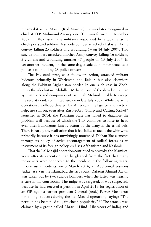renamed it as Lal Masjid (Red Mosque). He was later recognised as chief of TTP, Mohmand Agency, once TTP was formed in December 2007. In Waziristan, the militants responded by attacking army check posts and soldiers. A suicide bomber attacked a Pakistan Army convoy killing 25 soldiers and wounding 54 on 14 July 2007. Two suicide bombers attacked another Army convoy killing 16 soldiers, 5 civilians and wounding another 47 people on 15 July 2007. In yet another incident, on the same day, a suicide bomber attacked a police station killing 28 police officers.

The Pakistani state, as a follow-up action, attacked militant hideouts primarily in Waziristan and Bajaur, but also elsewhere along the Pakistan-Afghanistan border. In one such case in Zhob, in north-Balochistan, Abdullah Mehsud, one of the dreaded Taliban sympathisers and companion of Baitullah Mehsud, unable to escape the security raid, committed suicide in late July 2007. While the army operations, well-coordinated by American intelligence and tactical help, are still on, even after Zarb-e-Azb (Sharp and Cutting Strike)<sup>26</sup> launched in 2014, the Pakistani State has failed to diagnose the problem well because of which the TTP continues to raise its head even after humongous kinetic action by the army in the tribal belt. There is hardly any realisation that it has failed to tackle the whirlwind primarily because it has unwittingly nourished Taliban-like elements through its policy of active encouragement of radical forces as an instrument of its foreign policy vis-à-vis Afghanistan and Kashmir.

That the Lal Masjid operation continued to provoke the Islamists, years after its execution, can be gleaned from the fact that many terror acts were connected to the incident in the following years. In one such incidents, on 3 March 2014, an Additional Sessions Judge (ASJ) in the Islamabad district court, Rafaqat Ahmad Awan, was taken out by two suicide bombers when the latter was hearing a case in his courtroom. The judge was targeted, it was suspected, because he had rejected a petition in April 2013 for registration of an FIR against former president General (retd.) Pervez Musharraf for killing students during the Lal Masjid operation, saying: "The petition has been filed to gain cheap popularity".27 The attacks was claimed by a group called Ahrar-ul Hind (Liberators of India) and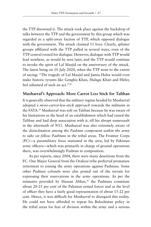the TTP disowned it. The attack took place against the backdrop of talks between the TTP and the government by this group which was regarded as a split-away faction of TTP, which opposed dialogue with the government. The attack claimed 11 lives. Clearly, splinter groups affiliated with the TTP pulled in several ways, even of the TTP-central rooted for dialogue. However, dialogue with TTP would lead nowhere, as would be seen later, and the TTP would continue to invoke the spirit of Lal Masjid on the anniversary of the attack. The latest being on 10 July 2020, when the TTP went to the extent of saying: "The tragedy of Lal Masjid and Jamia Hafsa would even make historic tyrants like Genghis Khan, Hulagu Khan and Hitler, feel ashamed of such an act."28

# **Musharraf's Approach: More Carrot Less Stick for Taliban**

It is generally observed that the military regime headed by Musharraf adopted a *more-carrot-less-stick approach* towards the militants in the FATA.29 Musharraf was soft on Taliban because he was aware of his limitations as the head of an establishment which had raised the Taliban and had deep association with it, till his abrupt somersault in the aftermath of 9/11. Musharraf was also extremely aware of the *disinclination among the Pashtun component within the army to take on fellow Pashtuns* in the tribal areas. The Frontier Corps (FC)—a paramilitary force stationed in the area, led by Pakistan army officers—which was primarily in charge of ground operations there, was overwhelmingly Pashtun in composition.

As per reports, since 2004, there were many desertions from the FC. One Major General from the Orakzai tribe preferred premature retirement to joining the army operations against Pashtuns. Some other Pashtun colonels were also posted out of the terrain for expressing their reservations in the army operations. As per the estimates provided by Hassan Abbas,<sup>30</sup> the Pashtuns constitute about 20-25 per cent of the Pakistan armed forces and at the level of officer they have a fairly good representation of about 15-22 per cent. Hence, it was difficult for Musharraf to disregard this reality. He could not have afforded to repeat his Balochistan policy in the tribal areas for fear of division within the army and a serious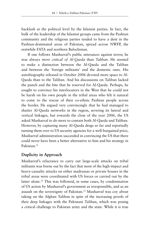backlash at the political level by the Islamist parties. In fact, the bulk of the leadership of the Islamist groups came from the Pashtun community and the religious parties tended to have a dent in the Pashtun-dominated areas of Pakistan, spread across NWFP, the erstwhile FATA and northern Balochistan.

If one follows Musharraf's public utterances against terror, he was always *more critical of Al-Qaeda* than *Taliban*. He seemed to make a distinction between the Al-Qaeda and the Taliban and between the 'foreign militants' and the domestic ones. His autobiography released in October 2006 devoted more space to Al-Qaeda than to the Taliban. And his discussions on Taliban lacked the punch and the bite that he reserved for Al-Qaeda. Perhaps, he sought to convince his interlocutors in the West that he could not be harsh on his own people in the tribal areas who felt it natural to come to the rescue of their co-ethnic Pashtun people across the border. He argued very convincingly that he had managed to shatter Al-Qaeda networks in the region, severing its lateral and vertical linkages, but towards the close of the year 2006, the US asked Musharraf to do more to contain both Al-Qaeda and Taliban. However, by capturing many Al-Qaeda dregs so far and reportedly turning them over to US security agencies for a well-bargained price, Musharraf administration succeeded in convincing the US that there could never have been a better alternative to him and his strategy in Pakistan.31

# **Duplicity in Approach**

Musharraf's reluctance to carry out large-scale attacks on tribal militants was borne out by the fact that most of the high-impact and heavy-casualty attacks on either madrassas or private houses in the tribal areas were coordinated with US forces or carried out by the latter alone.<sup>32</sup> This was followed, in some cases, by condemnation of US action by Musharraf's government as irresponsible, and as an assault on the sovereignty of Pakistan.33 Musharraf was coy about taking on the Afghan Taliban in spite of the increasing proofs of their deep linkages with the Pakistani Taliban, which was posing a critical challenge to Pakistan army and the state. While it is true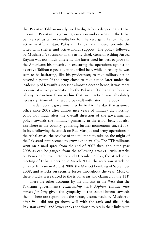that Pakistan Taliban mostly tried to dig its heels deeper in the tribal terrain in Pakistan, its growing assertion and capacity in the tribal belt served as a force-multiplier for the resurgent Taliban forces active in Afghanistan. Pakistani Taliban did indeed provide the latter with shelter and active moral support. The policy followed by Musharraf's successor as the army chief, General Ashfaq Parvez Kayani was not much different. The latter tried his best to prove to the Americans his sincerity in executing the operations against an assertive Taliban especially in the tribal belt, while in reality he was seen to be hesitating, like his predecessor, to take military action beyond a point. If the army chose to take action later under the leadership of Kayani's successor almost a decade hence, it was more because of active provocation by the Pakistani Taliban than because of any conviction from within that such action was absolutely necessary. More of that would be dealt with later in the book.

The democratic government led by Asif Ali Zardari that assumed office since 2008 after almost nice years of military dictatorship, could not much alter the overall direction of the governmental policy towards the militancy primarily in the tribal belt, but also elsewhere in the country, gathering further momentum since 2008. In fact, following the attack on Red Mosque and army operations in the tribal areas, the resolve of the militants to take on the might of the Pakistani state seemed to grow exponentially. The TTP militants went on a mad spree from the end of 2007 throughout the year 2008 as can be gauged from the following attacks—twin attacks on Benazir Bhutto (October and December 2007), the attack on a meeting of tribal elders on 2 March 2008, the sectarian attack on Shias of Kurram in August 2008, the Mariott bombing of September 2008, and attacks on security forces throughout the year. Most of these attacks were traced to the tribal areas and claimed by the TTP.

There are other accounts by the analysts in the West that the Pakistani government's *relationship with Afghan Taliban may persist for long* given the sympathy in the establishment towards them. There are reports that the strategic somersault by Musharraf after 9/11 did not go down well with the rank and file of the Pakistan army<sup>34</sup> and lower ranks continued to retain their links with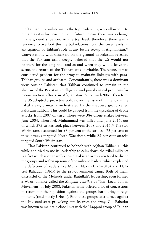the Taliban, not unknown to the top leadership, who allowed it to remain as it is for possible use in future, in case there was a change in the ground situation. At the top level, therefore, there was a tendency to overlook this inertial relationship at the lower levels, in anticipation of Taliban's role in any future set-up in Afghanistan.<sup>35</sup> Conversations with observers on the ground in Pakistan revealed that the Pakistan army deeply believed that the US would not be there for the long haul and as and when they would leave the scene, the return of the Taliban was inevitable. Therefore, it was considered prudent for the army to maintain linkages with para-Taliban groups and affiliates. Concomitantly, there was a dominant view outside Pakistan that Taliban continued to remain in the shadow of the Pakistani intelligence and posed critical problems for reconstruction efforts in Afghanistan. Since mid-2006, therefore, the US adopted a proactive policy over the issue of militancy in the tribal areas, primarily orchestrated by the shadowy group called Pakistani Taliban. This could be gauged from the upscaling of drone attacks from 2007 onward. There were 386 drone strikes between June 2004, when Nek Muhammad was killed and June 2015, out of which 375 strikes took place between 2008 and 2015.36 The two Waziristans accounted for 96 per cent of the strikes—73 per cent of these attacks targeted North Waziristan while 23 per cent attacks targeted South Waziristan.

That Pakistan continued to hobnob with Afghan Taliban all this while and tried to use its leadership to calm down the tribal militants is a fact which is quite well-known. Pakistan army even tried to divide the groups and soften up some of the militant leaders, which explained the defection of leaders like Mullah Nazir (1975-2013) and Hafiz Gul Bahadur (1961-) to the pro-government camp. Both of them, distrustful of the Mehsuds under Baitullah's leadership, even formed a Waziri alliance called the *Muqami Tehrik-e-Taliban* (Local Talban Movement) in July 2008. Pakistan army offered a lot of concessions in return for their position against the groups harbouring foreign militants (read mostly Uzbeks). Both these groups later turned against the Pakistani state provoking attacks from the army. Gul Bahadur was known to maintain close links with the Haqqani group of Taliban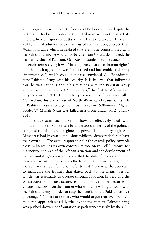and his group was the target of various US drone attacks despite the fact that he had struck a deal with the Pakistan army not to attack its interest. In one major drone attack in the Dattakhel area on 17 March 2011, Gul Bahadur lost one of his trusted commanders, Sherbet Khan Wazir, following which he realised that even if he compromised with the Pakistan army, he would not be safe from US attacks. Indeed, the then army chief of Pakistan, Gen Kayani condemned the attack in no uncertain terms saying it was "in complete violation of human rights" and that such aggression was "unjustified and intolerable under any circumstances", which could not have convinced Gul Bahadur to trust Pakistan Army with his security. It is believed that following this, he was cautious about his relations with the Pakistan Army and subsequent to the  $2014$  operations,<sup>37</sup> he fled to Afghanistan, only to return in 2018-19 reportedly to base himself in a place called "Gurwek—a historic village of North Waziristan because of its role in Pashtuns' resistance against British forces in 1930s—near Afghan border".38 Mullah Nazir was killed in a drone attack on 2 January 2013.

The Pakistani vacillation on how to effectively deal with militants in the tribal belt can be understood in terms of the political compulsions of different regimes in power. The military regime of Musharraf had its own compulsions while the democratic forces have their own too. The army responsible for the overall policy towards these militants has its own constraints too. Steve Coll,<sup>39</sup> known for his incisive analysis of the Afghan situation and the development of Taliban and Al-Qaeda would argue that the state of Pakistan does not have a clear-cut policy vis-à-vis the tribal belt. He would argue that the authorities have found it useful to just "to renew the approach to managing the frontier that dated back to the British period, which was essentially to operate through cooption, bribery and the construction of infrastructure, to find political intermediaries in villages and towns on the frontier who would be willing to work with the Pakistan army in order to reap the benefits of the Pakistan army's patronage."40 There are others who would argue that even before a moderate approach was duly tried by the government, Pakistan army was pushed down a confrontationist path unnecessarily by the US.<sup>41</sup>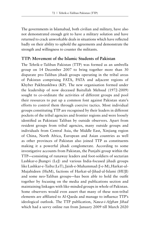The governments in Islamabad, both civilian and military, have also not demonstrated enough grit to have a military solution and have returned to crack unworkable deals in situations which have reflected badly on their ability to uphold the agreements and demonstrate the strength and willingness to counter the militants.

## **TTP: Movement of the Islamic Students of Pakistan**

The Tehrik-e-Taliban Pakistan (TTP) was formed as an umbrella group on 14 December 2007 to bring together more than 30 disparate pro-Taliban jihadi groups operating in the tribal areas of Pakistan comprising FATA, PATA and adjacent regions of Khyber Pakhtunkhwa (KP). The new organisation formed under the leadership of now deceased Baitullah Mehsud (1972-2009) sought to co-ordinate the activities of different groups and pool their resources to put up a common font against Pakistan state's efforts to control them through coercive tactics. Most individual groups constituting TTP are recognised by their leaders in different pockets of the tribal agencies and frontier regions and were loosely identified as Pakistani Taliban by outside observers. Apart from resident groups from tribal agencies, many outside groups and individuals from Central Asia, the Middle East, Xinjiang region of China, North Africa, European and Asian countries as well as other provinces of Pakistan also joined TTP as constituents making it a powerful jihadi conglomerate. According to some investigative accounts from Pakistan, the Punjabi group within the TTP—consisting of runaway leaders and foot-soldiers of sectarian Lashkar-e-Jhangvi (LeJ) and various India-focused jihadi groups like Lashkar-e-Taiba (LeT), Jaish-e-Muhammad (J-e-M), Harkat-ul-Mujahideen (HuM), factions of Harkat-ul-Jihad-al-Islami (HUJI) and some neo-Taliban groups—has been able to hold the outfit together by focusing on the media and publications section and maintaining linkages with like-minded groups in whole of Pakistan. Some observers would even assert that many of these non-tribal elements are affiliated to Al-Qaeda and manage to influence TTP's ideological outlook. The TTP publication, *Nawa-i-Afghan Jihad* which had a savvy online run from January 2009 till March 2020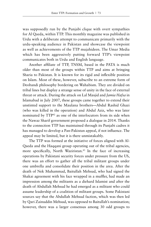was supposedly run by the Punjabi clique with overt sympathies for Al Qaeda, within TTP. This monthly magazine was published in Urdu with a deliberate attempt to communicate primarily with the urdu-speaking audience in Pakistan and showcase the viewpoint as well as achievements of the TTP mujahideen. The Umar Media which has been aggressively putting forward TTP's viewpoint communicates both in Urdu and English language.

Another affiliate of TTP, TNSM, based in the PATA is much older than most of the groups within TTP and aims at bringing Sharia to Pakistan. It is known for its rigid and inflexible position on Islam. Most of these, however, subscribe to an extreme form of Deobandi philosophy bordering on Wahabism. They are divided on tribal lines but display a strange sense of unity in the face of external threat or attack. During the attack on Lal Masjid and *Jamia Hafsa* in Islamabad in July 2007, these groups came together to extend their unstinted support to the Maulana brothers—Abdul Rashid Ghazi (who was killed in the operation) and Abdul Aziz, who was later nominated by TTP<sup>42</sup> as one of the interlocutors from its side when the Nawaz Sharif government proposed a dialogue in 2014. Thanks to the connection TTP has maintained through its Punjabi cadres it has managed to develop a Pan-Pakistan appeal, if not influence. The appeal may be limited, but it is there unmistakably.

The TTP was formed at the initiative of forces aligned with Al-Qaeda and the Haqqani group operating out of the tribal agencies, more specifically, North Waziristan.<sup>43</sup> In the face of increasing operations by Pakistani security forces under pressure from the US, there was an effort to gather all the tribal militant groups under one umbrella and consolidate their position in the area. After the death of Nek Muhammad, Baitullah Mehsud, who had signed the Shakai agreement with his face wrapped in a muffler, had made an impression among the militants as a diehard Islamist and after the death of Abdullah Mehsud he had emerged as a militant who could assume leadership of a coalition of militant groups. Some Pakistani sources say that the Abdullah Mehsud faction, which was then led by Qari Zainuddin Mehsud, was opposed to Baitullah's nomination; however, there was a larger consensus among 30 odd groups to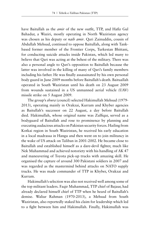have Baitullah as the *amir* of the new outfit, TTP, and Hafiz Gul Bahadur, a Waziri, mostly operating in North Waziristan agency was chosen as his deputy or *naib amir*. Qari Zainuddin, cousin of Abdullah Mehsud, continued to oppose Baitullah, along with Tankbased former member of the Frontier Corps, Turkestan Bhittani, for conducting suicide attacks inside Pakistan, which led many to believe that Qari was acting at the behest of the military. There was also a personal angle to Qari's opposition to Baitullah because the latter was involved in the killing of many of Qari's family members including his father. He was finally assassinated by his own personal body guard in June 2009 months before Baitullah's death. Baituallah operated in South Waziristan until his death on 23 August 2009 from wounds sustained in a US unmanned aerial vehicle (UAV) missile strike on 5 August 2009.

The group's *shura* (council) selected Hakimullah Mehsud (1979- 2013), operating mainly in Orakzai, Kurram and Khyber agencies as Baitullah's successor on 22 August, a day before Baitullah died. Hakimullah, whose original name was Zulfiqar, served as a bodyguard of Baitullah and rose to prominence by planning and executing audacious attacks on Pakistan security forces. Hailing from Kotkai region in South Waziristan, he received his early education in a local madrassa in Hangu and then went on to join militancy in the wake of US attack on Taliban in 2001-2002. He became close to Baitullah and established himself as a dare-devil fighter, much like Nek Muhammad and achieved notoriety with his handling of AK 47 and maneuvering of Toyota pick-up trucks with amazing skill. He organised the capture of around 300 Pakistani soldiers in 2007 and was regarded as the mastermind behind attacks on NATO supply trucks. He was made commander of TTP in Khyber, Orakzai and Kurram.

Hakimullah's selection was also not received well among some of the top militant leaders. Faqir Muhammad, TTP chief of Bajaur, had already declared himself chief of TTP when he heard of Baitullah's demise. Waliur Rahman (1970-2013), a Mehsud from South Waziristan, also reportedly staked his claim for leadership which led to a fight between him and Hakimullah. Finally, Hakimullah was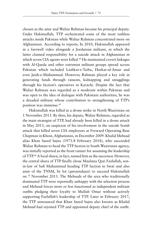chosen as the amir and Waliur Rehman became his principal deputy. Under Hakimullah, TTP orchestrated some of the most ruthless attacks inside Pakistan while Waliur Rahman concentrated more on Afghanistan. According to reports, In 2010, Hakimullah appeared in a farewell video alongside a Jordanian militant, in which the latter claimed responsibility for a suicide attack in Afghanistan in which seven CIA agents were killed.<sup>44</sup> He maintained covert linkages with Al-Qaeda and other extremist militant groups spread across Pakistan which included Lashkar-e-Taiba, Harkat-ul-Ansar and even Jaish-e-Muhammad. However, Rahman played a key role in generating funds through ransom, kidnapping and smugglings through his faction's operatives in Karachi. Despite the fact that Waliur Rahman was regarded as a moderate within Pakistan and was open to the idea of dialogue with Pakistani authorities, he was a dreaded militant whose contribution to strengthening of TTP's position was immense.45

Hakimullah was killed in a drone strike in North Waziristan on 1 November 2013. By then, his deputy, Waliur Rehman, regarded as the main strategist of TTP, had already been killed in a drone attack in May 2013, on suspicion of his involvement in the suicide bomb attack that killed seven CIA employees at Forward Operating Base Chapman in Khost, Afghanistan, in December 2009. Khalid Mehsud alias Khan Saeed Sajna (1973-8 February 2018), who succeeded Waliur Rahman to head the TTP faction in South Waziristan agency, was initially reported as the front runner for assuming the leadership of TTP.46 A local shura, in fact, named him as the successor. However, the central shura of TTP finally chose Maulana Qazi Fazlullah, sonin-law of Sufi Muhammad heading TTP faction in Swat and also amir of the TNSM, by lot (*qurayndaazi*) to succeed Hakimullah on 7 November 2013. The Mehsuds of the area who traditionally dominated TTP were reportedly unhappy with the selection process and Mehsud forces more or less functioned as independent militant outfits pledging their loyalty to Mullah Omar without actively supporting Fazlullah's leadership of TTP. Later in February 2017, the TTP announced that Khan Saeed Sajna also known as Khalid Mehsud had rejoined TTP and appointed deputy chief of the outfit.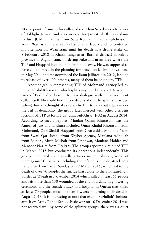At one point of time in his college days, Khan Saeed was a follower of Tablighi Jamaat and also worked for Jamiat ul Ulema-e-Islam-Fazlur (JUI-F). Hailing from Sara Rogha in Ladha subdivision, South Waziristan, he served as Fazlullah's deputy and concentrated his attention on Waziristan, until his death in a drone strike on 8 February 2018 in Kharh Tangi area (Barmal district) in Paktia province of Afghanistan, bordering Pakistan, in an area where the TTP and Haqqani faction of Taliban hold sway. He was supposed to have collaborated in the planning for attack on Mehran naval base in May 2011 and masterminded the Banu jailbreak in 2012, leading to release of over 400 inmates, many of them belonging to TTP.

Another group representing TTP of Mohmand agency led by Omar Khalid Khorasani which split away in February 2014 over the issue of Fazlullah's decision to have dialogue with the government called itself Ahrar-ul-Hind (more details about the split is provided below). Initially thought of as a ploy by TTP to carry out attack under the veil of deniability, the group later merged with other dissident factions of TTP to form TTP Jamiat-ul-Ahrar (JuA) in August 2014. According to media reports, Maulan Qasim Khurasani was the Ameer of JuA and its shura included Omar Khalid Khorasani from Mohmand, Qari Shakil Haqqani from Charsadda, Maulana Yasin from Swat, Qari Ismail from Khyber Agency, Maulana Adbullah from Bajaur , Mufti Misbah from Peshawar, Maulana Haider and Mansoor Nazim from Orakzai. The group reportedly rejoined TTP in March 2015 but conducted its operations independently. This group conducted some deadly attacks inside Pakistan, some of them against Christians, including the infamous suicide attack in a Lahore park on Easter Sunday on 27 March 2016, which led to the death of over 70 people, the suicide blast close to the Pakistan-India border at Wagah in November 2014 which killed at least 55 people and left more than 150 wounded at the end of a daily flag-lowering ceremony, and the suicide attack in a hospital in Quetta that killed at least 70 people, most of them lawyers mourning their dead in August 2016. It is interesting to note that even if Fazlullah's heinous attack on Army Public School Peshawar on 16 December 2014 was not received well by some of the splinter groups, there was a quiet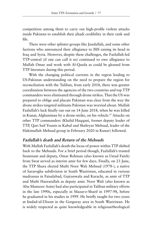competition among them to carry out high-profile violent attacks inside Pakistan to establish their jihadi credibility in their rank and file.

There were other splinter groups like Jundullah, and some other factions who announced their allegiance to ISIS raising its head in Iraq and Syria. However, despite these challenges, the Fazlullah-led TTP-central (if one can call it so) continued to owe allegiance to Mullah Omar and work with Al-Qaeda as could be gleaned from TTP literature during this period.

With the changing political currents in the region leading to US-Pakistan understanding on the need to prepare the region for reconciliation with the Taliban, from early 2018, there was greater coordination between the agencies of the two countries and top TTP commanders were eliminated through drone strikes. That the US was prepared to oblige and placate Pakistan was clear from the way the drone strikes targeted militants Pakistan was worried about. Mullah Fazlullah's luck finally ran out on 14 June 2018, when he was killed in Kunar, Afghanistan by a drone-strike, on his vehicle.47 Attacks on other TTP commanders (Khalid Haqqani, former deputy leader of TTP, Qari Saif Younis in Kabul and Shahryar Mehsud, leader of the Hakimullah Mehsud group in February 2020 in Kunar) followed.

### **Fazlullah's death and Return of the Mehsuds**

With Mullah Fazlullah's death the locus of power within TTP shifted back to the Mehsuds. For a brief period though, Fazlullah's trusted lieutenant and deputy, Omar Rehman (also known as Ustad Fateh) from Swat served as interim amir for few days. Finally, on 23 June, the TTP Shura elected Mufti Noor Wali Mehsud (1978-), a native of Sararogha subdivision in South Waziristan, educated in various madrassas in Faisalabad, Gujranwala and Karachi, as amir of TTP and Mufti Hazratullah as deputy amir. Noor Wali (also known as Abu Mansoor Asim) had also participated in Taliban military efforts in the late 1990s, especially in Mazar-e-Sharif in 1997-98, before he graduated in his studies in 1999. He briefly taught for two years at Imdad-ul-Uloom in the Gorgoray area in South Waziristan. He is widely respected as quite knowledgeable in religious/theological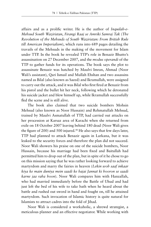affairs and as a prolific writer. He is the author of *Inquilab-e-Mehsud South Waziristan*, *Firangi Raaj se Amriki Samraj Tak* (*The Revolution of the Mehsuds of South Waziristan: From British Rule till American Imperialism*), which runs into 689 pages detailing the travails of the Mehsuds in the making of the movement for Islam under TTP. In the book he revealed TTP's role in Benazir Bhutto's assassination on 27 December 2007, and the *modus operandi* of the TTP to gather funds for its operations. The book says the plot to assassinate Benazir was hatched by Maulvi Imran, Ahmad (Noor Wali's assistant), Qari Ismail and Mullah Ehshan and two assassins named as Bilal (also known as Saeed) and Ikramullah, were assigned to carry out the attack, and it was Bilal who first fired at Benazir from his pistol and the bullet hit her neck, following which he detonated his suicide jacket and blew himself up, while Ikramullah successfully fled the scene and is still alive.

The book also claimed that two suicide bombers Mohsin Mehsud (also known as Noor Hussain) and Rehmatullah Mehsud, trained by Maulvi Asmatullah of TTP, had carried out attacks on her procession at Karsaz area of Karachi when she returned from exile on 18 October 2007 leaving behind 180 dead (Noor Wali gives the figure of 200) and 500 injured.<sup>48</sup> He also says that few days later, TTP had planned to attack Benazir again in Larkana, but it was leaked to the security forces and therefore the plan did not succeed. Noor Wali showers his praise on one of the suicide bombers, Noor Hussain, because his marriage had been fixed and Baitullah had permitted him to drop out of the plan, but in spite of it he chose to go on this mission saying that he was rather looking forward to achieve martyrdom and marry the fairies in heaven (*Lekin woh saaf inkaar kiya ke main duniya mein saadi ke bajai Jannat ki hooron se saadi karne jaa raha hoon*). Noor Wali compares him with Hanzallah, who had married immediately before the Battle of Uhud and had just left the bed of his wife to take bath when he heard about the battle and rushed out sword in hand and fought on, till he attained martyrdom. Such invocation of Islamic history is quite natural for Islamists to attract cadres into the fold of Jihad.

Noor Wali is considered a workaholic, a shrewd strategist, a meticulous planner and an effective negotiator. While working with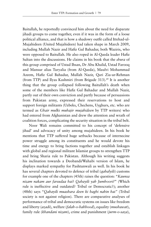Baitullah, he reportedly convinced him about the need for disparate jihadi groups to come together, even if it was in the form of a loose political alliance, and that is how a shadowy outfit called Ittehad-ul-Mujahideen (United Mujahideen) had taken shape in March 2009, including Mullah Nazir and Hafiz Gul Bahadur, both Waziris, who were opposed to Baitullah. He also roped in Al-Qaeda leader Hafiz Sultan into the discussions. He claims in his book that the *shura* of this group comprised of Ustad Ihsan, Dr Abu Khalid, Ustad Farooq and Mansur alias Turyalia (from Al-Qaeda), Maulvi Mohammad Azeem, Hafiz Gul Bahadur, Mullah Nazir, Qari Zia-ur-Rehman (from TTP) and Ilyas Kashmiri (from Brigade 313).49 It is another thing that the group collapsed following Baitullah's death when some of the members like Hafiz Gul Bahadur and Mullah Nazir, partly out of their own conviction and partly because of persuasions from Pakistan army, expressed their reservations to host and support foreign militants (Uzbeks, Chechens, Uyghurs, etc. who are termed as *Ghair mulki muhajir mujahideen* by TTP writers) who had entered from Afghanistan and drew the attention and wrath of coalition forces, complicating the security situation in the tribal belt.

Noor Wali remains committed to his concept of 'defensive jihad' and advocacy of unity among mujahideen. In his book he mentions that TTP suffered huge setbacks because of internecine power struggle among its constituents and he would devote his time and energy to bring factions together and establish linkages with global and regional militant Islamist groups to strengthen TTP and bring Sharia rule to Pakistan. Although his writing suggests his inclination towards a Deobandi/Wahabi version of Islam, he displays marked sympathy for Pashtunwali as well. In his book he has several chapters devoted to defence of tribal (*qabalyili*) customs for example one of the chapters (45th) raises the question: "*Kaunsa nizam nakam aur farsudaa hai*? *Qabayili yah Jumhoori?*" (Which rule is ineffective and outdated? Tribal or Democratic?); another (48th) says "*Qabayili muashara deen ki baghi nahin hai"* (Tribal society is not against religion). There are comparative analyses of performance of tribal and democratic systems on issues like freedom and liberty (*azadi*), welfare (*falah-o-bahbood*), equality (*mushawat*), family rule (*khandani nizam*), crime and punishment (*jurm-o-saza*),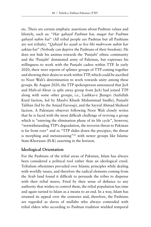etc. There are certain emphatic assertions about Pashtun values and lifestyle, such as: "*Har qabayil Pashtun hai, magar har Pashtun qabayil nahin hai*" (All tribal people are Pashtun but all Pashtuns are not tribals); "*Qabayil ko azadi se koi bhi mahroom nahin kar saktaa hai*" (Nobody can deprive the Pashtuns of their freedom). He does not hide his animus towards the 'Punjabi' ethnic community and the 'Punjabi' dominated army of Pakistan, but expresses his willingness to work with the Punjabi cadres within TTP. In early 2020, there were reports of splinter groups of TTP coming together and showing their desire to work within TTP, which could be ascribed to Noor Wali's determination to work towards unity among these groups. By August 2020, the TTP spokesperson announced that JuA and Hizb-ul-Ahrar (a split away group from JuA) had joined TTP along with some other groups, i.e., Lashkar-e Jhangvi (Saifullah Kurd faction, led by Maulvi Khush Muhammad Sindhi), Punjabi Taliban (led by the Amjad Farooqi), and the Sayyid Ahmad Shaheed faction. A Pakistani observer following Noor Wali closely writes that he is faced with the most difficult challenge of reviving a group which is "entering the elimination phase of its life cycle", however, "notwithstanding TTP's degradation, the terrorist threat to Pakistan is far from over" and as "TTP slides down the precipice, the threat is morphing and metastasizing"50 with newer groups like Islamic State-Khorasan (IS-K) asserting in the horizon.

## **Ideological Orientation**

For the Pashtuns of the tribal areas of Pakistan, Islam has always been considered a political tool rather than an ideological creed. Tribalism oftentimes prevailed over Islamic principles while dealing with worldly issues, and therefore the radical elements coming from the Arab land found it difficult to persuade the tribes to dispense with their tribal mores. Fired by their sense of defiance to any authority that wishes to control them, the tribal population has time and again turned to Islam as a means to an end. In a way, Islam has retained its appeal over the centuries and, therefore, the Pashtuns are regarded as slaves of mullahs who always contended with tribal elders who according to Pashtun tradition wielded temporal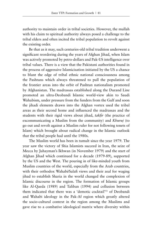authority to maintain order in tribal societies. However, the mullah with his claim to spiritual authority always posed a challenge to the tribal elders and often incited the tribal population to revolt against the existing order.

Be that as it may, such centuries-old tribal tradition underwent a significant reordering during the years of Afghan Jihad, when Islam was actively promoted by petro-dollars and Pak-US intelligence over tribal values. There is a view that the Pakistani authorities found in the process of aggressive Islamicisation initiated by the US a chance to blunt the edge of tribal ethnic national consciousness among the Pashtuns which always threatened to pull the population of the frontier areas into the orbit of Pashtun nationalism promoted by Afghanistan. The madrassas established along the Durand Line promoted an ultra-Deobandi Islamic world-view akin to Saudi Wahabism, under pressure from the funders from the Gulf and soon the jihadi elements drawn into the Afghan vortex used the tribal areas as their second home and influenced the madrassas and the students with their rigid views about jihad, *takfir* (the practice of excommunicating a Muslim from the community) and *Khuruj* (to go out and revolt against a Muslim ruler for not following tenets of Islam) which brought about radical change in the Islamic outlook that the tribal people had until the 1980s.

The Muslim world has been in tumult since the year 1979. The year saw the victory of Shia Islamists succeed in Iran, the seize of Mecca by Juhayman's Ikhwan (in November 1979) and the start of Afghan Jihad which continued for a decade (1979-89), supported by the US and the West. The pouring in of like-minded youth from Muslim countries of the world, especially from the Arab countries, with their orthodox Wahabi/Salafi views and their zeal for waging jihad to establish Sharia in the world changed the complexion of Islamic discourse in the region. The formation of Islamic groups like Al-Qaeda (1989) and Taliban (1994) and collusion between them indicated that there was a 'demotic cocktail'51 of Deobandi and Wahabi ideology in the Pak-Af region which greatly altered the socio-cultural context in the region among the Muslims and gave rise to a combative ideological matrix where diversity within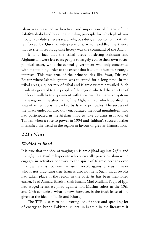Islam was regarded as heretical and imposition of Sharia of the Salafi/Wahabi kind became the ruling principle for which jihad was though absolutely necessary, a religious duty, an obligation to Allah, reinforced by Quranic interpretations, which peddled the theory that to rise in revolt against heresy was the command of the Allah.

It is a fact that the tribal areas bordering Pakistan and Afghanistan were left to its people to largely evolve their own sociopolitical order, while the central government was only concerned with maintaining order to the extent that it did not hurt its strategic interests. This was true of the principalities like Swat, Dir and Bajaur where Islamic system was tolerated for a long time. In the tribal areas, a queer mix of tribal and Islamic system prevailed. Such insularity granted to the people of the region whetted the appetite of the local mullahs to experiment with their own Taliban-like systems in the region in the aftermath of the Afghan jihad, which glorified the idea of armed uprising backed by Islamic principles. The success of the jihadi endeavor also duly encouraged the local mujahideen who had participated in the Afghan jihad to take up arms in favour of Taliban when it rose to power in 1994 and Taliban's success further intensified the trend in the region in favour of greater Islamisation.

## **TTP's Views**

## **Wedded to Jihad**

It is true that the idea of waging an Islamic jihad against *kafirs* and *munafiqin* (a Muslim hypocrite who outwardly practices Islam while engages in activities contrary to the spirit of Islamic perhaps even unknowingly) is not new. To rise in revolt against a Muslim ruler who is not practicing true Islam is also not new. Such jihadi revolts had taken place in the region in the past. As has been mentioned earlier, Syed Ahmad Barelvi, Shah Ismail, Mad Mullah, Faqir of Ippi had waged relentless jihad against non-Muslim rulers in the 19th and 20th centuries. What is new, however, is the fresh lease of life given to the idea of Takfir and Khuruj.

The TTP is seen to be devoting lot of space and spending lot of energy to brand Pakistani rulers un-Islamic in the literature it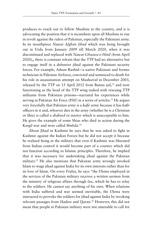produces to reach out to fellow Muslims in the country, and it is advocating the position that it is incumbent upon all Muslims to rise in revolt against the rulers of Pakistan, especially the Pakistani army. In its mouthpiece *Nawai Afghan Jihad* which was being brought out in Urdu from January 2009 till March 2020, when it was discontinued and replaced with *Nawai-Ghazwa-e-Hind* (from April 2020),, there is constant refrain that the TTP had no alternative but to engage itself in a defensive jihad against the Pakistani security forces. For example, Adnan Rashid—a native Pakistani and former technician in Pakistan Airforce, convicted and sentenced to death for his role in assassination attempt on Musharraf in December 2003, released by the TTP on 15 April 2012 from Bannu jail,<sup>52</sup> and now functioning as the head of the TTP wing tasked with rescuing TTP militants from Pakistani prisons—narrated his experiences while serving in Pakistan Air Force (PAF) in a series of articles.<sup>53</sup> He argues very forcefully that Pakistan army is a *kafir* army because it has *kafir* officers in it and, whoever dies in the army (whether he is a Christian or Shia) is called a *shaheed* or martyr which is unacceptable to him. He gives the example of some Shias who died in action during the Kargil war and were called *Shuhda*. 54

About Jihad in Kashmir he says that he was asked to fight in Kashmir against the Indian Forces but he did not accept it because he realised being in the military that even if Kashmir was liberated from Indian control it would become part of a country which did not function according to Islamic principles. Therefore, he implied that it was necessary for undertaking jihad against the Pakistan military.55 He also mentions that Pakistan army wrongly invoked Islam to wage jihad against India for its own interests rather than for its love of Islam. On every Friday, he says "the Ulema employed in the services of the Pakistan military receives a written sermon from the ministry of religious affairs through fax, which he has to relay to the soldiers. He cannot say anything of his own. When relations with India suffered and war seemed inevitable, the Ulema were instructed to provoke the soldiers for jihad against India by invoking relevant passages from *Hadees* and Quran.<sup>56</sup> However, this did not mean that people in Pakistan military were not amenable to call for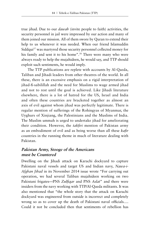true jihad. Due to our *dawah* (invite people to faith) activities, the security personnel in jail were impressed by our action and many of them joined our mission. All of them swore by Quran to extend their help to us whenever it was needed. When our friend Islamuddin Siddqui<sup>57</sup> was martyred those security personnel collected money for his family and sent it to his home".<sup>58</sup> There were many who were always ready to help the mujahideen, he would say, and TTP should exploit such sentiments, he would imply.

The TTP publications are replete with accounts by Al-Qaeda, Taliban and Jihadi leaders from other theatres of the world. In all these, there is an excessive emphasis on a rigid interpretation of jihad-fi-sabilillah and the need for Muslims to wage armed jihad and not to rest until the goal is achieved. Like Jihadi literature elsewhere, there is a lot of hatred for the US, Israel and India and often these countries are bracketed together as almost an axis of evil against whom jihad was perfectly legitimate. There is regular mention of sufferings of the Rohingyas of Myanmar, the Uyghurs of Xinjiang, the Palestinians and the Muslims of India. The Muslim ummah is urged to undertake jihad for ameliorating their condition. However, the *takfiri* mention of Pakistan army as an embodiment of evil and as being worse than all these *kafir* countries in the running theme in much of literature dealing with Pakistan.

# **Pakistan Army, Stooge of the Americans must be Countered**

Dwelling on the Jihadi attack on Karachi dockyard to capture Pakistani naval vessels and target US and Indian navy, *Nawa-i-Afghan Jihad* in its November 2014 issue wrote "For carrying out operation, we had several Taliban mujahideen working on two Pakistani frigates—PNS *Zulfiqar* and PNS *Aslat*" and there were insiders from the navy working with TTP/Al-Qaeda militants. It was also mentioned that "the whole story that the attack on Karachi dockyard was engineered from outside is incorrect and completely wrong so as to cover up the death of Pakistani naval officials…. Could it not be concluded then that sentiments of rebellion has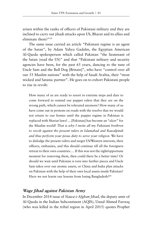arisen within the ranks of officers of Pakistani military and they are inclined to carry out jihadi attacks upon US, Bharat and its allies and eliminate them?"59

The same issue carried an article "Pakistani regime is an agent of the Satan", by Adam Yahya Gadahn, the Egyptian American Al-Qaeda spokesperson which called Pakistan "the lieutenant of the Satan (read the US)" and that "Pakistani military and security agencies have been, for the past 65 years, dancing to the tune of Uncle Sam and the Bull Dog [Britain]", who have "control over all our 55 Muslim nations" with the help of Saudi Arabia, their "most wicked and Satanic partner". He goes on to exhort Pakistani people to rise in revolt:

How many of us are ready to resort to extreme steps and dare to come forward to remind our puppet rulers that they are on the wrong path, which cannot be tolerated anymore? How many of us have come out in protests on roads with the resolve that we would not return to our homes until the puppet regime in Pakistan is replaced with Shariat laws! ... [Pakistan] has become an "ulcer" for the Muslim world! *That is why I invite all my Pakistani brethren to revolt against the present rulers in Islamabad and Rawalpindi and thus perform your pious duty to serve your religion*. We have to dislodge the present rulers and target US/Western interests, their officers, embassies, and this should continue till all the foreigners retreat to their own countries…. If this was not the right/opportune moment for removing them, then could there be a better time? Or should we wait until Pakistan is torn into further pieces and Uncle Sam takes over our atomic assets, or China and India plan attacks on Pakistan with the help of their own local assets inside Pakistan? Have we not learnt our lessons from losing Bangladesh?<sup>60</sup>

#### **Wage Jihad against Pakistan Army**

In December 2014 issue of *Nawa-i-Afghan Jihad,* the deputy amir of Al-Qaeda in the Indian Subcontinent (AQIS), Ustad Ahmed Farooq (who was killed in the tribal region in April 2015) quotes Prophet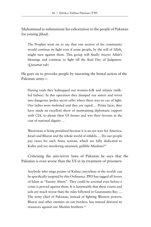Muhammad to substantiate his exhortation to the people of Pakistan for joining Jihad:

The Prophet went on to say that one section of his community would continue its fight even if some people, by the will of Allah, might turn against them. This group will finally receive Allah's blessings and continue to fight till the final Day of Judgment. (*Qayamat tak*)

He goes on to provoke people by narrating the brutal action of the Pakistan army—

During raids they kidnapped our women-folk and infants (milkfed babies). In this operation they dumped our sisters and wives into dungeons (police secret cells) where there was no ray of light. Our ladies were molested and they are raped…. Prima facie, they have made an excellent show of maintaining diplomatic rapport with CIA, to please their US bosses and win their favours at the cost of national dignity …

Waziristan is being penalized because it is an eye-sore for America, Israel and Bharat and the whole world of infidels.… Do our people pay taxes for such Army actions, which are fully dedicated to Kafirs and are murdering unarmed, gullible Muslims?61

Criticising the anti-terror laws of Pakistan he says that the Pakistan is even worse than the US in its treatment of prisoners:

Anybody who sings praises of Kalma (anywhere in the world) can be specifically targeted by this Ordinance. PPO has tagged all lovers of Islam as "Enemy Aliens". They could be arrested even before a crime is proved against them. It is lamentable that these courts and jails are much worse than the rules followed in Guatanamo Bay…. The army chief of Pakistan, instead of fighting Western powers, Bharat and other enemies on our borders, has instead directed its resources against our Muslim brethren.<sup>62</sup>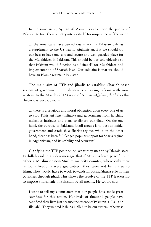In the same issue, Ayman Al Zawahiri calls upon the people of Pakistan to turn their country into a citadel for mujahideen of the world.

… the Americans have carried out attacks in Pakistan only as a supplement to the US war in Afghanistan. But we should try our best to have one safe and secure and well-guarded place for the Mujahideen in Pakistan. This should be our sole objective so that Pakistan would function as a "citadel" for Mujahideen and implementation of Shariah laws. Our sole aim is that we should have an Islamic regime in Pakistan.

The main aim of TTP and jihadis to establish Shariah-based system of government in Pakistan is a lasting refrain with most writers. In the March (2015) issue of *Nawa-i-Afghan Jihad* also this rhetoric is very obvious:

… there is a religious and moral obligation upon every one of us to stop Pakistani *fauj* (military) and government from hatching malicious intrigues and plans to disturb our jihad! On the one hand, the purpose of Pakistani jihadi groups is to oust an infidel government and establish a Shariat regime, while on the other hand, there has been full-fledged popular support for Sharia regime in Afghanistan, and its stability and security!<sup>63</sup>

Clarifying the TTP position on what they meant by Islamic state, Fazlullah said in a video message that if Muslims lived peacefully in either a Muslim or non-Muslim majority country, where only their religious freedoms were guaranteed, they were not being true to Islam. They would have to work towards imposing Sharia rule in their countries through jihad. This shows the resolve of the TTP leadership to impose Sharia rule in Pakistan by all means. He would say:

I want to tell my countrymen that our people have made great sacrifices for this nation. Hundreds of thousand people have sacrificed their lives just because the essence of Pakistan is "La ila ha Illallah". They wanted la ila ha illallah to be our system, otherwise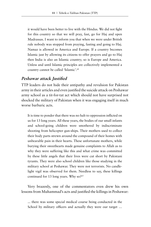it would have been better to live with the Hindus. We did not fight for this country so that we will pray, fast, go for Haj and open Madrassas. I want to inform you that when we were under British rule nobody was stopped from praying, fasting and going to Haj. Namaz is allowed in America and Europe. If a country becomes Islamic just by allowing its citizens to offer prayers and go to Haj then India is also an Islamic country; so is Europe and America. Unless and until Islamic principles are collectively implemented a country cannot be called 'Islamic'.64

## **Peshawar attack Justified**

TTP leaders do not hide their antipathy and revulsion for Pakistan army in their articles and even justified the suicide attack on Peshawar army school as a tit-for-tat act which should not have surprised not shocked the military of Pakistan when it was engaging itself in much worse barbaric acts.

It is time to ponder that there was no halt to oppression inflicted on us for 13 long years. All these years, the bodies of our small infants and school-going children were smothered by indiscriminate shooting from helicopter gun-ships. Their mothers used to collect their body parts strewn around the compound of their homes with unbearable pain in their hearts. These unfortunate mothers, while burying their sweethearts made genuine complaints to Allah as to why they were suffering like this and what crime was committed by these little angels that their lives were cut short by Pakistani tyrants. They were also school children like those studying in the military school at Peshawar. They were not terrorists. No candlelight vigil was observed for them. Needless to say, these killings continued for 13 long years. Why so?<sup>65</sup>

Very brazenly, one of the commentators even drew his own lessons from Muhammad's acts and justified the killings in Peshawar:

... there was some special medical course being conducted in the School by military officers and actually they were our target ...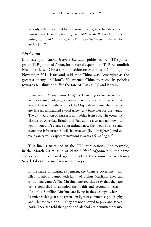we only killed those children of army officers, who had developed moustaches. *From the point of view of Shariah, this is akin to the killings of Banū Quray*ẓ*ah, which is quite legitimate*. (italicized by author) ... <sup>66</sup>

## **On China**

In a sister publication *Ihaya-e-Khilafat*, published by TTP splinter group TTP-Jamat-ul-Ahrar, former spokesperson of TTP, Ehsanullah Ehsan, criticised China for its position on Muslims in Xinjiang in its November 2014 issue and said that China was "emerging as the greatest enemy of Islam". He warned China to revise its policies towards Muslims or suffer the fate of Russia, US and Britain:

… we warn (*tanbiya karte hain*) the Chinese government to shed its anti-Islamic policies; otherwise, days are not far off when they would have to face the wrath of the Mujahideen. Remember that we are like an unsheathed sword (*shamser-e-beniyam*) for the tyrant. The disintegration of Russia is not hidden from you. The economic distress of America, Britain and Pakistan is also not unknown to you. If you don't change your attitude now then your business and economic infrastructure will be attacked [by our fighters] and all your vanity will evaporate (*tumahra gumaan tak na hoga*).67

This line is sustained in the TTP publications. For example, in the March 2019 issue of *Nawai Jihad Afghanistan*, the same concerns were expressed again. This time the commentator, Usama Saeed, takes the issue forward and says:

In the name of fighting extremism, the Chinese government has filled its labour camps with lakhs of Uighur Muslims. They call it 'training camps'. The Muslims interred there say that they are being compelled to abandon their faith and become atheists…. [About] 1.5 million Muslims are living in these camps, where ... Islamic teachings are interpreted in light of communist philosophy and Chinese tradition…. They are not allowed to pray and served pork. They are told that pork and alcohol are permitted because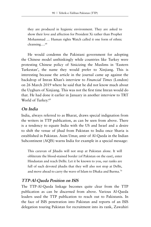they are produced in hygienic environment. They are asked to show their love and affection for President Xi rather than Prophet Mohammad … Human rights Watch called it one form of ethnic cleansing....<sup>68</sup>

He would condemn the Pakistani government for adopting the Chinese model unthinkingly while countries like Turkey were protesting Chinese policy of Sinicizing the Muslims in 'Eastern Turkestan', the name they would prefer to Xinjiang. This is interesting because the article in the journal came up against the backdrop of Imran Khan's interview to *Financial Times* (London) on 26 March 2019 where he said that he did not know much about the Uyghurs of Xinjiang. This was not the first time Imran would do that. He had done it earlier in January in another interview to TRT World of Turkey.69

## **On India**

India, always referred to as Bharat, draws special indignation from the writers in TTP publication, as can be seen from above. There is a tendency to equate India with the US and Israel and a desire to shift the venue of jihad from Pakistan to India once Sharia is established in Pakistan. Asim Umar, amir of Al-Qaeda in the Indian Subcontinent (AQIS) warns India for example in a special message:

This caravan of Jihadis will not stop at Pakistan alone. It will obliterate the blood-stained border (of Pakistan on the east), enter Hindustan and reach Delhi. Let it be known to you, our ranks are full of such devoted jihadis that they will also not stop at Delhi, and move ahead to carry the wave of Islam to Dhaka and Burma.<sup>70</sup>

## **TTP-Al-Qaeda Position on ISIS**

The TTP-Al-Qaeda linkage becomes quite clear from the TTP publication as can be discerned from above. Various Al-Qaeda leaders used the TTP publication to reach out to Pakistanis. In the face of ISIS penetration into Pakistan and reports of an ISIS delegation touring Pakistan for recruitment into its rank, Zawahiri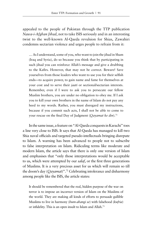appealed to the people of Pakistan through the TTP publication *Nawa-i-Afghan Jihad*, not to take ISIS seriously and in an interesting twist to the well-known Al-Qaeda revulsion for Shias, Zawahiri condemns sectarian violence and urges people to refrain from it:

… As I understand, some of you, who want to join the jihad in Sham (Iraq and Syria), do so because you think that by participating in such jihad you can reinforce Allah's message and give a drubbing to the Kafirs. However, that may not be correct. Beware! Save yourselves from those leaders who want to use you for their selfish ends—to acquire power, to gain name and fame for themselves at your cost and to serve their *jaati* or sectional/sectarian interests. Remember, even if I were to ask you to persecute our fellow Muslim brothers, you are under no obligation to obey me. If I ask you to kill your own brothers in the name of Islam do not pay any heed to my words. Rather, you must disregard my instructions, because if you commit such acts, I shall not be able to come to your rescue on the final Day of Judgment (*Qayamat ke din*).71

In the same issue, a feature on "Al-Qaeda conquests in Karachi" toes a line very close to ISIS. It says that Al-Qaeda has managed to kill two Shia naval officials and targeted pseudo-intellectuals bringing disrepute to Islam. A warning has been advanced to people not to subscribe to false interpretation on Islam. Ridiculing terms like moderate and modern Islam, the article says that there is only one version of Islam and emphasises that "only those interpretations would be acceptable to us, which were attempted by our *salaf*, or the first three generations of Muslims. It is a very precious asset for us which will remain so till the doom's day (*Qayamat*)".72 Celebrating intolerance and disharmony among people like the ISIS, the article states:

It should be remembered that the real, hidden purpose of the war on terror is to impose an incorrect version of Islam on the Muslims of the world. They are making all kinds of efforts to persuade gullible Muslims to live in harmony (*hum-ahangi se*) with falsehood (*kufria*) or infidelity. This is an open insult to Islam and Allah.73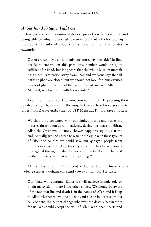## **Avoid Jihad Fatigue, Fight on**

In few instances, the commentators express their frustration at not being able to whip up enough passion for jihad which shows up in the depleting ranks of jihadi outfits. One commentator writes for example:

Out of crores of Muslims, if only one crore, nay one lakh Muslims decide to embark on this path, this number would be quite sufficient for jihad, but it appears that the whole Muslim ummah has turned its attention away from jihad and everyone says that all paths to jihad are closed. But we should not look for lame excuses to avoid jihad. If we tread the path of jihad and win Allah, the Merciful, will favour us with his rewards.<sup>74</sup>

Even then, there is a determination to fight on. Expressing their resolve to fight back even if the mujahideen suffered reverses due to Operation Zarb-e-Azb, chief of TTP Mehsud, Khalid Saeed writes:

We should be contented with our limited means and suffer the miseries thrust upon us with patience, during this phase of Hijrat. Allah the Great would surely shower happiness upon us at the end. Actually, we had agreed to resume dialogue with these tyrants of falsehood so that we could save our qabayali people from the excesses committed by these tyrants…. It has been wrongly propagated through media that we are now tired and exhausted by their excesses and that we are repenting.<sup>75</sup>

Mullah Fazlullah in his recent video posted in Umar Media website strikes a defiant tone and vows to fight on. He says:

Our Jihad will continue. Either we will achieve Islamic rule or attain martyrdom; there is no other choice. We should be aware of the fact that life and death is in the hands of Allah and it is up to Allah whether we will be killed by missile or by disease or in a car accident. We cannot change whatever the destiny has in store for us. We should accept the will of Allah with open hearts and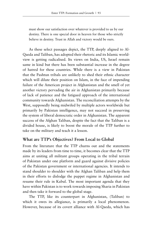must show our satisfaction over whatever is provided to us by our destiny. There is one special door in heaven for those who strictly believe in destiny. Trust in Allah and victory would be ours.

As these select passages depict, the TTP, deeply aligned to Al-Qaeda and Taliban, has adopted their rhetoric and its Islamic worldview is getting radicalised. Its views on India, US, Israel remain same in kind but there has been substantial increase in the degree of hatred for these countries. While there is a view in Pakistan that the Pashtun tribals are unlikely to shed their ethnic character which will dilute their position on Islam, in the face of impending failure of the American project in Afghanistan and the smell of yet another victory pervading the air in Afghanistan primarily because of lack of patience and the fatigued approach of the international community towards Afghanistan. The reconciliation attempts by the West, supposedly being midwifed by multiple actors worldwide but primarily by Pakistan intelligence, may not succeed in preserving the system of liberal democratic order in Afghanistan. The apparent success of the Afghan Taliban, despite the fact that the Taliban is a divided house, is likely to boost the morale of the TTP further to take on the military and teach it a lesson.

## **What are TTP's Objectives? From Local to Global**

From the literature that the TTP churns out and the statements made by its leaders from time to time, it becomes clear that the TTP aims at uniting all militant groups operating in the tribal terrain of Pakistan under one platform and guard against divisive policies of the Pakistan government or international agencies. It intends to stand shoulder to shoulder with the Afghan Taliban and help them in their efforts to dislodge the puppet regime in Afghanistan and resume their rule in Kabul. The most important agenda that they have within Pakistan is to work towards imposing Sharia in Pakistan and then take it forward to the global stage.

The TTP, like its counterpart in Afghanistan, (Taliban) to which it owes its allegiance, is primarily a local phenomenon. However, because of its covert alliance with Al-Qaeda, which has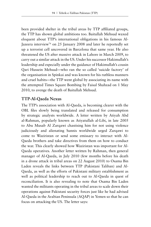been provided shelter in the tribal areas by TTP affiliated groups, the TTP has shown global ambitions too. Baitullah Mehsud waxed eloquent about TTP's international obligations in his famous Al-Jazeera interview<sup>76</sup> on 25 January 2008 and later he reportedly set up a terrorist cell uncovered in Barcelona that same year. He also threatened the US after massive attack in Lahore in March 2009, to carry out a similar attack in the US. Under his successor Hakimullah's leadership and especially under the guidance of Hakimullah's cousin Qari Hussein Mehsud—who ran the so called 'suicide factory' of the organisation in Spinkai and was known for his ruthless manners and cruel habits—the TTP went global by associating its name with the attempted Times Square Bombing by Faisal Shahzad on 1 May 2010, to avenge the death of Baitullah Mehsud.

## **TTP-Al-Qaeda Nexus**

The TTP's association with Al-Qaeda, is becoming clearer with the OBL files slowly being translated and released for consumption by strategic analysts worldwide. A letter written by Atiyah Abd al-Rahman, popularly known as Atiyatullah al-Libi, in late 2005 to Abu Musab Al Zarqawi chastising him for not using violence judiciously and alienating Sunnis worldwide urged Zarqawi to come to Waziristan or send some emissary to interact with Al-Qaeda brothers and take directives from them on how to conduct the war. This clearly showed how Waziristan was important for Al-Qaeda operatives. Another letter written by Rahman, then general manager of Al-Qaeda, in July 2010 (few months before his death in a drone attack in tribal areas on 22 August 2010) to Osama Bin Laden reveals the links between TTP (Pakistani Taliban) and Al-Qaeda, as well as the efforts of Pakistani military establishment as well as political leadership to reach out to Al-Qaeda in quest of reconciliation. It is also revealing to note that Osama Bin Laden wanted the militants operating in the tribal areas to scale down their operations against Pakistani security forces just like he had advised Al-Qaeda in the Arabian Peninsula (AQAP) in Yemen so that he can focus on attacking the US. The letter says: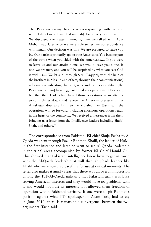The Pakistani enemy has been corresponding with us and with Tahreek-i-Taliban (Hakimullah) for a very short time…. We discussed the matter internally, then we talked with Abu-Muhammad later once we were able to resume correspondence with him…. Our decision was this: We are prepared to leave you be. Our battle is primarily against the Americans. You became part of the battle when you sided with the Americans…. If you were to leave us and our affairs alone, we would leave you alone. If not, we are men, and you will be surprised by what you see; God is with us…. We let slip (through Siraj Haqqani, with the help of the brothers in Mas'ud and others; through their communications) information indicating that al Qaeda and Tahreek-i-Taliban [the Pakistani Taliban] have big, earth shaking operations in Pakistan, but that their leaders had halted those operations in an attempt to calm things down and relieve the American pressure…. But if Pakistan does any harm to the Mujahidin in Waziristan, the operations will go forward, including enormous operations ready in the heart of the country…. We received a messenger from them bringing us a letter from the Intelligence leaders including Shuja' Shah, and others.77

The correspondence from Pakistani ISI chief Shuja Pasha to Al Qaeda was sent through Fazlur Rahman Khalil, the leader of HuM, in the first instance and later he went to see Al-Qaeda leadership in the tribal areas accompanied by former ISI Chief Hamid Gul. This showed that Pakistani intelligence knew how to get in touch with the Al-Qaeda leadership at will through jihadi leaders like Khalil who were nurtured carefully for use at critical moments. The letter also makes it amply clear that there was an overall impression among the TTP-Al-Qaeda militants that Pakistani army was busy serving American interests and they would have no problems with it and would not hurt its interests if it allowed them freedom of operation within Pakistani territory. If one were to pit Rahman's position against what TTP spokesperson Azam Tariq had to say in June 2010, there is remarkable convergence between the two arguments. Tariq said: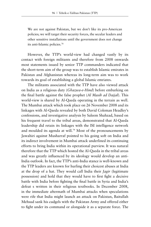We are not against Pakistan, but we don't like its pro-American policies; we will target their security forces, the secular leaders and other sensitive installations until the government does not change its anti-Islamic policies.78

However, the TTP's world-view had changed vastly by its contact with foreign militants and therefore from 2008 onwards most statements issued by senior TTP commanders indicated that the short-term aim of the group was to establish Islamic emirates in Pakistan and Afghanistan whereas its long-term aim was to work towards its goal of establishing a global Islamic emriates.

The militants associated with the TTP have also viewed attack on India as a religious duty (*Ghazwa-e-Hind*) before embarking on the final battle against the false prophet (*Al Masih ad Dajjal*). This world-view is shared by Al-Qaeda operating in the terrain as well. The Mumbai attack which took place on 26 November 2008 and its linkages with Al-Qaeda revealed by both David Coleman Headley's confessions, and investigative analysis by Saleem Shahzad, based on his frequent travel to the tribal areas, demonstrated that Al-Qaeda leadership did retain its linkages with the ISI intelligence network and moulded its agenda at will.<sup>79</sup> Most of the pronouncements by Jawahiri against Musharraf pointed to his going soft on India and its indirect involvement in Mumbai attack underlined its continuing efforts to bring India within its operational purview. It was natural therefore that the TTP which hosted the Al-Qaeda in the tribal areas and was greatly influenced by its ideology would develop an anti-India outlook. In fact, the TTP's anti-India stance is well-known and the TTP leaders are known for hurling their choicest abuses at India at the drop of a hat. They would call India their *Jagir* (legitimate possession) and hold that they would have to first fight a decisive battle with India before fighting the final battle in Syria and India's defeat s written in their religious textbooks. In December 2008, in the immediate aftermath of Mumbai attacks when speculations were rife that India might launch an attack on Pakistan, Baitullah Mehsud sank his cudgels with the Pakistan Army and offered either to fight under its command or alongside it as a separate force. The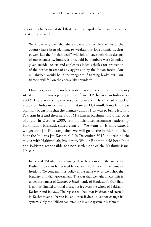report in *The News* stated that Baitullah spoke from an undisclosed location and said:

We know very well that the visible and invisible enemies of the country have been planning to weaken this lone Islamic nuclear power. But the "mujahideen" will foil all such nefarious designs of our enemies … hundreds of would-be bombers were Monday given suicide jackets and explosives-laden vehicles for protection of the border in case of any aggression by the Indian forces. Our mujahideen would be in the vanguard if fighting broke out. Our fighters will fall on the enemy like thunder.<sup>80</sup>

However, despite such emotive responses in an emergency situation, there was a perceptible shift in TTP rhetoric on India since 2009. There was a greater resolve to overrun Islamabad ahead of attack on India in normal circumstances. Hakimullah made it clear on many occasions that the primary aim of TTP was to bring Islam to Pakistan first and then help out Muslims in Kashmir and other parts of India. In October 2009, few months after assuming leadership, Hakimullah Mehsud, stated clearly: "We want an Islamic state. If we get that [in Pakistan], then we will go to the borders and help fight the Indians [in Kashmir]." In December 2012, addressing the media with Hakimullah, his deputy Waliur Rahman held both India and Pakistan responsible for non-settlement of the Kashmir issue. He said:

India and Pakistan are running their businesses in the name of Kashmir. Pakistan has played havoc with Kashmiris in the name of freedom. We condemn this policy in the same way as we abhor the brutality of Indian government. The war that we fight in Kashmir is under the banner of *Ghazwa-e-Hind* (battle of Hindustan). Our jihad is not just limited to tribal areas, but it covers the whole of Pakistan, Kashmir and India…. The registered jihad that Pakistan had started in Kashmir can't liberate it—and even if does, it cannot change its system. Only the Taliban can establish Islamic system in Kashmir.<sup>81</sup>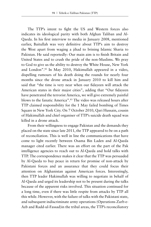The TTP's intent to fight the US and Western forces also indicates its ideological parity with both Afghan Taliban and Al-Qaeda. In his first interview to media in January 2008, mentioned earlier, Baitullah was very definitive about TTP's aim to destroy the West apart from waging a jihad to brining Islamic Sharia to Pakistan. He said reportedly: Our main aim is to finish Britain and United States and to crush the pride of the non-Muslims. We pray to God to give us the ability to destroy the White House, New York and London".82 In May 2010, Hakimullah appeared in a video, dispelling rumours of his death doing the rounds for nearly four months since the drone attack in January 2010 to kill him and said that "the time is very near when our fidayeen will attack the American states in their major cities", adding that "Our fidayeen have penetrated the terrorist America, we will give extremely painful blows to the fanatic America".83 The video was released hours after TTP claimed responsibility for the 1 May failed bombing of Times Square in New York City. On 7 October 2010, Qari Hussain, cousin of Hakimullah and chief organiser of TTP's suicide death squad was killed in a drone attack.

From their willingness to engage Pakistan and the demands they placed on the state since late 2011, the TTP appeared to be on a path of reconciliation. This is well in line the communications that have come to light recently between Osama Bin Laden and Al-Qaeda manager cited earlier. There was an effort on the part of the Pak intelligence agencies to reach out to Al-Qaeda and hold talks with TTP. The correspondence makes it clear that the TTP was persuaded by Al-Qaeda to buy peace in return for promise of non-attack by Pakistani forces and an assurance that they could focus their attention on Afghanistan against American forces. Interestingly, then TTP leader Hakimullah was willing to negotiate in behalf of Al-Qaeda and urged its leadership not to be present during the talks because of the apparent risks involved. This situation continued for a long time, even if there was little respite from attacks by TTP all this while. However, with the failure of talks with the Pakistani state, and subsequent indiscriminate army operations (Operations Zarb-e-Azb and Radd-ul-Fassad)in the tribal areas, the TTP's reconciliatory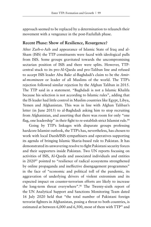approach seemed to be replaced by a determination to relaunch their movement with a vengeance in the post-Fazlullah phase.

### **Recent Phase: Show of Resilience, Resurgence?**

After Zarb-e-Azb and appearance of Islamic State of Iraq and al-Sham (ISIS) the TTP constituents were faced with ideological pulls from ISIS. Some groups gravitated towards the uncompromising sectarian position of ISIS and there were splits. However, TTPcentral stuck to its pro-Al-Qaeda and pro-Taliban line and refused to accept ISIS leader Abu Bakr al-Baghdadi's claim to be the *Amirul-momineen* or leader of all Muslims of the world. The TTP's rejection followed similar rejection by the Afghan Taliban in 2015. The TTP said in a statement. "Baghdadi is not a Islamic Khalifa because his selection is not according to Islamic rules", adding that the IS leader had little control in Muslim countries like Egypt, Libya, Yemen and Afghanistan. This was in line with Afghan Taliban's letter (in June 2015) to al-Baghdadi asking him to stop recruiting from Afghanistan, and asserting that there was room for only "one flag, one leadership" in their fight to re-establish strict Islamist rule.<sup>84</sup>

Going by TTP's linkages with disparate groups professing hardcore Islamist outlook, the TTP's has, nevertheless, has chosen to work with local Daesh/ISIS sympathisers and operatives supporting its agenda of bringing Islamic Sharia-based rule to Pakistan. It has demonstrated its unwavering resolve to fight Pakistani security forces and their supporters inside Pakistan. Two UN reports focusing on activities of ISIS, Al-Qaeda and associated individuals and entities in 202085 pointed to "resilience of radical ecosystems strengthened by online propaganda and ineffective disengagement programmes" in the face of "economic and political toll of the pandemic, its aggravation of underlying drivers of violent extremism and its expected impact on counter-terrorism efforts are likely to increase the long-term threat everywhere".86 The Twenty-sixth report of the UN Analytical Support and Sanctions Monitoring Team dated 16 July 2020 held that "the total number of Pakistani foreign terrorist fighters in Afghanistan, posing a threat to both countries, is estimated at between 6,000 and 6,500, most of them with TTP" and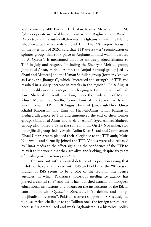approximately 500 Eastern Turkestan Islamic Movement (ETIM) fighters operate in Badakhshan, primarily in Raghistan and Warduj Districts, and this outfit collaborates in Afghanistan with the Islamic Jihad Group, Lashkar-e-Islam and TTP. The 27th report focusing on the later half of 2020, said that TTP oversaw a "reunification of splinter groups that took place in Afghanistan and was moderated by Al-Qaeda". It mentioned that five entities pledged alliance to TTP in July and August, "including the Shehryar Mehsud group, Jamaat-ul-Ahrar, Hizb-ul-Ahrar, the Amjad Farooqi group [led by Shani and Muneeb] and the Usman Saifullah group (formerly known as Lashkar-e-Jhangvi)", which "increased the strength of TTP and resulted in a sharp increase in attacks in the region". On 8 August 2020, Lashkar-e-Jhangvi's group belonging to Emir Usman Saifullah Kurd Shaheed, currently working under the leadership of Maulvi Khush Muhammad Sindhi, former Emir of Harkat-e-Jihad Islami, Sindh, joined TTP. On 18 August, Emir of Jamaat-ul-Ahrar Omar Khalid Khorasani and Emir of Hizb-ul-Ahrar Omar Khurasani pledged allegiance to TTP and announced the end of their former groups (Jamaat-ul-Ahrar and Hizb-ul-Ahrar). Syed Ahmad Shaheed Group also joined TTP in the same month. On 27 November, two other Jihadi groups led by Molvi Aalim Khan Ustad and Commander Ghazi Umar Azaam pledged their allegiance to the TTP amir, Mufti Noorwali, and formally joined the TTP. Videos were also released by Umar media to the effect signaling the confidence of the TTP to relay it to the world that they are alive and kicking, despite six years of crushing army action post-ZeA.

TTP came out with a spirited defence of its position saying that it did not have any linkage with ISIS and held that the "Khorasan branch of ISIS seems to be a plot of the regional intelligence agencies, in which Pakistan's notorious intelligence agency has played a central role" and the it has launched attacks on mosques, educational institutions and bazars on the instructions of the ISI, in coordination with *Operation Zarb-e-Azb* "to defame and malign the jihadist movement". Pakistan's covert support to ISIS is designed to pose critical challenge to the Taliban once the foreign forces leave because "A destabilized and weak Afghanistan is a historical policy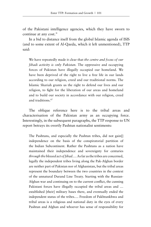of the Pakistani intelligence agencies, which they have sworn to continue at any cost."

In a bid to distance itself from the global Islamic agenda of ISIS (and to some extent of Al-Qaeda, which it left unmentioned), TTP said:

We have repeatedly made it clear that *the centre and focus of our Jihadi activity is only Pakistan.* The oppressive and occupying forces of Pakistan have illegally occupied our homeland. We have been deprived of the right to live a free life in our lands according to our religion, creed and our traditional norms. The Islamic Shariah grants us the right to defend our lives and our religion, to fight for the liberation of our areas and homeland and to build our society in accordance with our religion, creed and traditions.87

The oblique reference here is to the tribal areas and characterisation of the Pakistan army as an occupying force. Interestingly, in the subsequent paragraphs, the TTP response to UN report betrays its overtly Pashtun nationalist sentiments:

The Pashtuns, and especially the Pashtun tribes, did not gain[] independence on the basis of the conspiratorial partition of the Indian Subcontinent. Rather the Pashtuns as a nation have maintained their independence and sovereignty for centuries *through the blessed act of Jihad…*. As far as the tribes are concerned, legally the independent tribes living along the Pak-Afghan border are neither part of Pakistan nor of Afghanistan, but the tribal areas represent the boundary between the two countries in the context of the unnatural Durand Line Treaty. Starting with the Russian-Afghan war and continuing on to the current conflict, the cunning Pakistani forces have illegally occupied the tribal areas and … established [their] military bases there, and eventually ended the independent status of the tribes…. Freedom of Pakhtunkhwa and tribal areas is a religious and national duty in the eyes of every Pashtun and Afghan and whoever has sense of responsibility for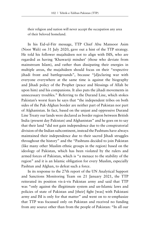their religion and nation will never accept the occupation any area of their beloved homeland.

In his Eid-ul-Fitr message, TTP Chief Abu Mansoor Asim (Noor Wali) on 31 July 2020, gave out a hint of the TTP strategy. He told his follower mujahideen not to align with ISIS, who are regarded as having 'Khawariji mindset' (those who deviate from mainstream Islam), and rather than dissipating their energies in multiple areas, the mujahideen should focus on their "respective jihadi front and battlegrounds", because "[d]eclaring war with everyone everywhere at the same time is against the biography and Jihadi policy of the Prophet (peace and blessings of Allah be upon him) and his companions. It also puts the jihadi movements in unnecessary troubles." Referring to the Durand Line, which stokes Pakistan's worst fears he says that "the independent tribes on both sides of the Pak-Afghan border are neither part of Pakistan nor part of Afghanistan. In fact, based on the unjust and oppressive Durand Line Treaty our lands were declared as border region between British India (present day Pakistan) and Afghanistan" and he goes on to say that their land "did not gain independence due to the conspiratorial division of the Indian subcontinent, instead the Pashtuns have always maintained their independence due to their sacred Jihadi struggles throughout the history" and the "Pashtuns decided to join Pakistan (like many other Muslim ethnic groups in the region) based on the ideology of Pakistan, which has been violated by the rulers and armed forces of Pakistan, which is "a menace to the stability of the region" and it is an Islamic obligation for every Muslim, especially Pashtun and Afghan, to defeat such a force.

In its response to the 27th report of the UN Analytical Support and Sanctions Monitoring Team on 21 January 2021, the TTP reiterated its position vis-à-vis Pakistan army and said that TTP was "only against the illegitimate system and un-Islamic laws and policies of state of Pakistan and [their] fight [was] with Pakistani army and ISI is only for that matter" and went on to re-emphasize that TTP was focussed only on Pakistan and received no funding from any source other than from the people of Pakistan: "In all our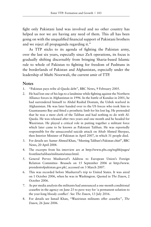fight only Pakistani land was involved and no other country has helped us nor we are having any need of them. This all has been going on with the unqualified financial support of Pakistani brothers and we reject all propaganda regarding it."

As TTP sticks to its agenda of fighting the Pakistan army, over the last six years, especially since ZeA operations, its focus is gradually shifting discernably from bringing Sharia-based Islamic rule to whole of Pakistan to fighting for freedom of Pashtuns in the borderlands of Pakistan and Afghanistan, especially under the leadership of Mufti Noorwali, the current amir of TTP.

#### **Notes**

- 1. "Pakistan pays tribe al-Qaeda debt", BBC News, 9 February 2005.
- 2. He had lost one of his legs to a landmine while fighting against the Northern Alliance forces in Afghanistan in 1996. In the battle of Kunduz in 2001, he had surrendered himself to Abdul Rashid Dostum, the Uzbek warlord in Afghanistan. He was later handed over to the US forces who took him to Guantanamo Bay and fitted a prosthetic limb for his lost leg. He pretended that he was a mere clerk of the Taliban and had nothing to do with Al-Qaeda. He was released after two years and one month and he headed for Waziristan. He played a critical role in putting together a militant force which later came to be known as Pakistani Taliban. He was reportedly responsible for the unsuccessful suicide attack on Aftab Ahmed Sherpao, then Interior Minister of Pakistan in April 2007, in which 31 people died.
- 3. For details see Aamer Ahmed Khan, "Meeting Taliban's Pakistan chief", BBC News, 20 April 2004.
- 4. The excerpts from his interview are at http://www.pbs.org/wgbh/pages/ frontline/taliban/militants/omar.html.
- 5. General Pervez Musharraf's Address to European Union's Foreign Relation Committee- Brussels on 15 September 2006 at http://www. presidentofpakistan.gov.pk/, accessed on 3 March 2007.
- 6. This was recorded before Musharraf's trip to United States. It was aired on 1 October 2006, when he was in Washington. Quoted in *The Dawn*, 2 October 2006.
- 7. As per media analysis the militants had announced a one-month conditional ceasefire in the agency on June 25 to pave way for 'a permanent solution to the year-long bloody conflict'. See *The Dawn*, 13 July 2016.
- 8. For details see Ismail Khan, "Waziristan militants offer ceasefire", *The Dawn*, 26 June 2006.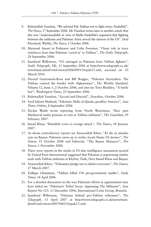- 9. Rahimullah Yusufzai, "We advised Pak Taliban not to fight army: Dadullah", *The News*, 17 September 2006. Mr Yusufzai writes later in another article that this was "understandable in view of Mulla Dadullah's argument that fighting between the militants and Pakistan Army served the interest of the US". Deal Piecemeal, Weekly, *The News*, 1 October 2006.
- 10. Massoud Ansari in Peshawar and Colin Freeman, "Omar role in truce reinforces fears that Pakistan 'caved in' to Taliban", *The Daily Telegraph*, 24 September 2006.
- 11. Isambard Wilkinson, "US outraged as Pakistan frees Taliban fighters", *Daily Telegraph*, UK, 15 September 2006 at http://www.telegraph.co.uk/ news/main.jhtml?xml=/news/2006/09/15/wpak15.xml, accessed on 23 March 2016.
- 12. Daveed Gartenstein-Ross and Bill Roggio, "Pakistan Surrenders: The Taliban control the border with Afghanistan", *The Weekly Standard*, Volume 12, Issue 3, 2 October 2006, and also see Tony Blankley, "A battle lost", *Washington Times*, 23 September 2006.
- 13. Rahimullah Yusufzai, "Accord and Discord", *Newsline*, October 2006.
- 14. Syed Saleem Shahzad, "Pakistan: Hello al-Qaeda, goodbye America", *Asia Times Online*, 8 September 2006.
- 15. Declan Walsh wrote reporting from North Waziristan, "Rice puts Musharraf under pressure to rein in Taliban militants", *The Guardian*, 19 February 2007.
- 16. Ismail Khan, "Baitullah vows to avenge attack", *The Dawn*, 18 January 2007.
- 17. As about contradictory reports see Anwarullah Khan, "82 die as missiles rain on Bajaur: Pakistan owns up to strike; locals blame US drones", *The Dawn*, 31 October 2006 and Editorial, "The Bajaur Massacre", *The Dawn*, 1 November 2006.
- 18. There were reports in the media in US that intelligence assessment quoted by United Press International suggested that Pakistan is negotiating similar seals with Taliban militants in Khyber, Tank, Dera Ismail Khan and Bajaur.
- 19. Anwarullah Khan, "Tribesmen pledge not to shelter terrorists", *The Dawn*, 27 March 2007.
- 20. Zulfiqar Ghumman, "Taliban killed 150 pro-government maliks", *Daily Times*, 18 April 2006.
- 21. For a detailed discussion on the way Pakistani efforts at appeasement may have failed see "Pakistan's Tribal Areas: Appeasing The Militants", Asia Report No 125, 11 December 2006, International Crisis Group, Brussels.
- 22. Isambard Wilkinson, "Pakistan behind pro-Taliban tribesmen", *The Telegraph*, 13 April 2007 at http://www.telegraph.co.uk/news/main. jhtml?xml=/news/2007/04/13/wpak13.xml.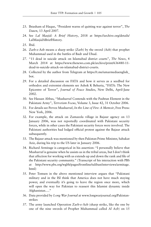- 23. Ihtasham ul Haque, "President warns of quitting war against terror", *The Dawn*, 13 April 2007.
- 24. See *Lal Masjid: A Brief History*, 2018 at https://archive.org/details/ LalMasjidABriefHistory.
- 25. Ibid.
- 26. Zarb-e-Azb means a sharp strike (Zarb) by the sword (Azb) that prophet Muhammad used in the battles of Badr and Uhud.
- 27. "11 dead in suicide attack on Islamabad district courts", *The News*, 4 March 2014 at https://www.thenews.com.pk/archive/print/636480-11 dead-in-suicide-attack-on-islamabad-district-courts.
- 28. Collected by the author from Telegram at https://t.me/umarmediaenglish\_ bot.
- 29. For a detailed discussion on FATA and how it serves as a seedbed for orthodox and extremist elements see Ashok K Behuria, "FATA: The New Epicentre of Terror", *Journal of Peace Studies*, New Delhi, April-June 2002.
- 30. See Hassan Abbas, "Musharraf Contends with the Pashtun Element in the Pakistani Army", *Terrorism Focus*, Volume 3, Issue 42, 31 October 2006.
- 31. For details see Pervez Musharraf, *In the Line of Fire: A Memoir*, Free Press: New York, 2006.
- 32. For example, the attack on Zamazola village in Bajaur agency on 13 January 2006, was not reportedly coordinated with Pakistani security forces, while in other cases the Pakistani security forces were involved. The Pakistani authorities had lodged official protest against the Bajaur attack subsequently.
- 33. The Bajaur attack was mentioned by then Pakistan Prime Minister, Sahukat Aziz, during his trip to the US later in January 2006.
- 34. Richard Armitage is categorical in his assertion: "I personally believe that Musharraf is genuine when he assists us in the tribal areas, but I don't think that affection for working with us extends up and down the rank and file of the Pakistani security community." (Transcript of his interaction with PBS at http://www.pbs.org/wgbh/pages/frontline/taliban/interviews/armitage. html)
- 35. Peter Tomsen in the above mentioned interview argues that "Pakistani military and in the ISI think that America does not have much staying power, and eventually it's going to leave the region once more, which will open the way for Pakistan to reassert this Islamist dynamic inside Afghanistan…."
- 36. Data provided by *Long War Journal* at www.longwarjournal.org/Pakistanstrikes
- 37. The army launched Operation Zarb-e-Azb (sharp strike, like the one by one of the nine swords of Prophet Muhammad called *Al Azb*) on 15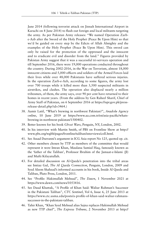June 2014 (following terrorist attack on Jinnah International Airport in Karachi on 8 June 2014) to flush out foreign and local militants targeting the army. As per Pakistan Army releases: "We named Operation Zarbe-Azb after the Sword of the Holy Prophet (Peace Be Upon Him) so that we'd be guided on every step by the Edicts of Allah Almighty and the examples of the Holy Prophet (Peace Be Upon Him). This sword can only be raised for the protection of the oppressed and the innocent and to eradicate evil and disorder from the land." Figures provided by Pakistan Army suggest that it was a successful tri-services operation and till September 2016, there were 19,000 operations conducted throughout the country. During 2002-2016, in the War on Terrorism, almost 18,000 innocent citizens and 5,000 officers and soldiers of the Armed Forces laid their lives while over 48,000 Pakistanis have suffered serious injuries. In the operation Zarb-e-Azb, according to some figures, the army lost over 700 troops while it killed more than 3,500 suspected militants in airstrikes, and clashes. The operation also displaced nearly a million tribesmen, of them, the army says, over 90 per cent have returned to their homes in recent years. (From the address by Gen Raheel Sharif, Chief of Army Staff of Pakistan, on 6 September 2016 at https://ispr.gov.pk/pressrelease-detail.php?id=3464.)

- 38. Aamir Latif, "What's brewing in northwest Pakistan?", *Anadolu Agency online*, 10 June 2019 at https://www.aa.com.tr/en/asia-pacific/whatsbrewing-in-northwest-pakistan/1500402.
- 39. Better known for his book *Ghost Wars*, Penguin, NY, London, 2002.
- 40. In his interview with Martin Smith, of PBS on Frontline Show at http:// www.pbs.org/wgbh/pages/frontline/taliban/interviews/coll.html.
- 41. See Assad Durranni's argument in ICG Asia report No 125, quoted op. cit.
- 42. Other members chosen by TTP as members of the committee that would represent it were Imran Khan, Maulana Samiul Haq, famously known as the 'father of the Taliban', Professor Ibrahim of the Jamaat-e-Islami (JI) and Mufti Kifayatullah.
- 43. For detailed discussion on Al-Qaeda's penetration into the tribal areas see Imtiaz Gul, *The Al Qaeda Connection*, Penguin, London, 2009 and Syed Aleem Shahzad's informed accounts in his book, Inside Al Qaeda and Taliban, Pluto Press, London, 2011.
- 44. See "Profile: Hakimullah Mehsud", *The Dawn*, 1 November 2021 at https://www.dawn.com/news/1053416.
- 45. See Daud Khattak, "A Profile of Khan Said: Waliur Rahman's Successor in the Pakistani Taliban", *CTC Sentinel*, Vol 6, Issue 6, 25 June 2013 at https://www.ctc.usma.edu/posts/a-profile-of-khan-said-waliur-rahmanssuccessor-in-the-pakistani-taliban.
- 46. Tahir Khan, "Khan Syed Mehsud alias Sajna replaces Hakimullah Mehsud as new TTP chief", *The Express Tribune*, 2 November 2013 at http://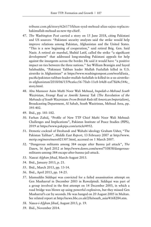tribune.com.pk/story/626173/khan-syed-mehsud-alias-sajna-replaceshakimullah-mehsud-as-new-ttp-chief/.

- 47. *The Washington Post* carried a story on 15 June 2018, citing Pakistani and US sources: "Pakistani security analysts said the strike would help improve relations among Pakistan, Afghanistan and the United States. "This is a new beginning of cooperation," said retired Brig. Gen. Said Nazir. A retired air marshal, Shahid Latif, called the strike "a significant development" that addressed long-standing Pakistani appeals for help against the insurgents across the border. He said it would have "a positive impact on ties between the three nations." See William Branigin and Sayed Salahuddin, "Pakistani Taliban leader Mullah Fazlullah killed in U.S. airstrike in Afghanistan" at https://www.washingtonpost.com/world/asia\_ pacific/pakistan-taliban-leader-mullah-fazlullah-is-killed-in-a-us-airstrikein-afghanistan/2018/06/15/9ea6cc56-70ab-11e8-b4d8-eaf78d4c544c\_ story.html.
- 48. Abu Mansoor Asim Mufti Noor Wali Mehsud, *Inquilab-e-Mehsud South Waziristan*, *Firangi Raaj se Amriki Samraj Tak* (*The Revolution of the Mehsuds of South Waziristan: From British Rule till American Imperialism*), Broadcasting Department, Al Sahab, South Waziristan, Mehsud Area, pp. 395-402.
- 49. Ibid., pp. 181-182.
- 50. Farhan Zahid, "Profile of New TTP Chief Mufti Noor Wali Mehsud: Challenges and Implications", Pakistan Institute of Peace Studies (PIPS), 2019 at https://www.pakpips.com/article/4952.
- 51. Demotic cocktail of Deobandi and Wahabi ideology Graham Usher, "The Pakistan Taliban", *Middle East Report*, 13 February 2007 at http://www. merip.org/mero/mero021307.html, accessed on 1 March 2007.
- 52. "Dangerous militants among 384 escape after Bannu jail attack", *The Dawn*, 16 April 2012 at http://www.dawn.com/news/710858/dangerousmilitants-among-384-escape-after-bannu-jail-attack.
- 53. *Nawai Afghan Jihad,* March-August 2013.
- 54. Ibid., January 2013, p. 21.
- 55. Ibid., March 2013, pp. 13-14.
- 56. Ibid., April 2013, pp. 14-25.
- 57. Islamuddin Siddiqui was convicted for a failed assassination attempt on Gen Musharraf in December 2003 in Rawalpindi. Siddiqui was part of a group involved in the first attempt on 14 December 2003, in which a road bridge was blown up using powerful explosives, but they missed Gen Musharraf's car by seconds. He was hanged on 20 August 2005 in Multan. See related report at http://news.bbc.co.uk/2/hi/south\_asia/4168284.stm.
- 58. *Nawa-i-Afghan Jihad*, August 2013, p. 19.
- 59. Ibid., November 2014.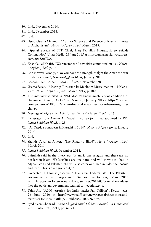- 60. Ibid., November 2014.
- 61. Ibid., December 2014.
- 62. Ibid.
- 63. Ustad Osama Mehmud, "Call for Support and Defence of Islamic Emirate of Afghanistan", *Nawa-i-Afghan Jihad*, March 2015.
- 64. "Special Speech of TTP Chief, Haq Fazlullah Khurasani, to Suicide Commandos" Umar Media, 23 June 2015 at https://umarmedia.wordpress. com/2015/06/23/.
- 65. Kashif ali al Khairi, "We remember all atrocities committed on us", *Nawai-Afghan Jihad*, p. 18.
- 66. Rab Nawaz Farooqi, "Do you have the strength to fight the American war inside Pakistan?", *Nawa-i-Afghan Jihad*, January 2015.
- 67. Ehshan-ullah-Ehshan, *Ihaya-e-Khilafat*, November 2014.
- 68. Usama Saeed, "Mashriqi Turkestan ke Mazloom Mussalmanon ki Halat-e-Zar", *Nawai-Afghan-i-Jihad*, March 2019, p. 100.
- 69. The interview is cited in "PM 'doesn't know much' about condition of Uighurs in China", *The Express Tribune*, 8 January 2019 at https://tribune. com.pk/story/1883992/1-pm-doesnt-know-much-condition-uighurschina/.
- 70. Message of AQIS chief Asim Umar, *Nawa-i-Afghan Jihad*, p. 26.
- 71. "Message from Ayman Al Zawahiri not to join jihad spawned by IS", *Nawa-i-Afghan Jihad*, p. 28.
- 72. "Al-Qaeda's conquests in Karachi in 2014", *Nawa-i-Afghan Jihad*, January 2015.
- 73. Ibid.
- 74. Shaikh Yusuf al Ameer, "The Road to Jihad", *Nawa-i-Afghan Jihad*, March 2015.
- 75. *Nawa-i-Afghan Jihad*, December 2014.
- 76. Baitullah said in the interview: "Islam is one religion and there are no borders in Islam. We Muslims are one hand and will carry out jihad in Afghanistan and Pakistan. We will also carry out jihad in Palestine, Bosnia and Iraq. This is a religious duty."
- 77. Excerpted in Thomas Joscelyn, "Osama bin Laden's Files: The Pakistani government wanted to negotiate.", *The Long War Journal*, 9 March 2015 at http://www.longwarjournal.org/archives/2015/03/osama-bin-ladensfiles-the-pakistani-government-wanted-to-negotiate.php.
- 78. Tahir Ali, "3,000 terrorists for India battle: Pak Taliban", Rediff news, 26 June 2010 at http://www.rediff.com/news/special/three-thousandterrorists-for-india-battle-pak-taliban/20100726.htm.
- 79. Syed Sleem Shahzad, *Inside Al Qaeda and Taliban, Beyond Bin Laden and 9/11,* Pluto Press, 2011, pp. 67-71.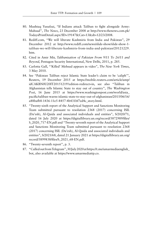- 80. Mushtaq Yusufzai, "If Indians attack Taliban to fight alongside Army: Mahsud", *The News*, 23 December 2008 at http://www.thenews.com.pk/ TodaysPrintDetail.aspx?ID=19147&Cat=13&dt=12/23/2008.
- 81. Rediff.com, "We will liberate Kashmiris from India and Pakistan", 29 December 2012 at http://www.rediff.com/news/slide-show/slide-show-1 taliban-we-will-liberate-kashmiris-from-india-and-pakistan/20121229. htm.
- 82. Cited in Amir Mir, *Talibanisation of Pakistan From 9/11 To 26/11 and Beyond*, Pentagon Security International, New Delhi, 2011, p. 285.
- 83. Carlotta Gall, "'Killed' Mehsud appears in video", *The New York Times*, 3 May 2010.
- 84. See "Pakistan Taliban reject Islamic State leader's claim to be 'caliph'", Reuters, 19 December 2015 at https://mobile.reuters.com/article/amp/ idCAKBN0U20IT20151219?edition-redirect=in, see also "Taliban in Afghanistan tells Islamic State to stay out of country", *The Washington Post*, 16 June 2015 at https://www.washingtonpost.com/world/asia\_ pacific/taliban-warns-islamic-state-to-stay-out-of-afghanistan/2015/06/16/ a88bafb8-1436-11e5-8457-4b431bf7ed4c\_story.html.
- 85. "Twenty-sixth report of the Analytical Support and Sanctions Monitoring Team submitted pursuant to resolution 2368 (2017) concerning ISIL (Da'esh), Al-Qaida and associated individuals and entities", S/2020/71, dated 16 July 2020 at https://digitallibrary.un.org/record/3872989/files/ S\_2020\_717-EN.pdf and "Twenty-seventh report of the Analytical Support and Sanctions Monitoring Team submitted pursuant to resolution 2368 (2017) concerning ISIL (Da'esh), Al-Qaida and associated individuals and entities", S/2021/68, dated 21 January 2021 at https://digitallibrary.un.org/ record/3899838/files/S\_2021\_68-EN.pdf.
- 86. "Twenty-seventh report", p. 3.
- 87. "Culled out from Telegram", 30 July 2020 at https://t.me/umarmediaenglish\_ bot, also available at https://www.umarmediattp.co.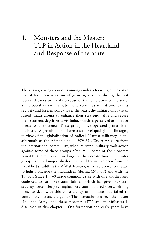# 4. Monsters and the Master: TTP in Action in the Heartland and Response of the State

There is a growing consensus among analysts focusing on Pakistan that it has been a victim of growing violence during the last several decades primarily because of the temptation of the state, and especially its military, to use terrorism as an instrument of its security and foreign policy. Over the years, the military of Pakistan raised jihadi groups to enhance their strategic value and secure their strategic depth vis-à-vis India, which is perceived as a major threat to its existence. These groups have operated primarily in India and Afghanistan but have also developed global linkages, in view of the globalisation of radical Islamist militancy in the aftermath of the Afghan jihad (1979-89). Under pressure from the international community, when Pakistani military took action against some of these groups after 9/11, some of the monsters raised by the military turned against their creator/master. Splinter groups from all major jihadi outfits and the mujahideen from the tribal belt straddling the Af-Pak frontier, who had been encouraged to fight alongside the mujahideen (during 1979-89) and with the Taliban (since 19940 made common cause with one another and coalesced to form Pakistani Taliban, which has given Pakistan security forces sleepless nights. Pakistan has used overwhelming force to deal with this constituency of militants but failed to contain the menace altogether. The interaction between the master (Pakistan Army) and these monsters (TTP and its affiliates) is discussed in this chapter. TTP's formation and early years have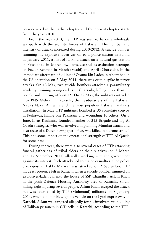been covered in the earlier chapter and the present chapter starts from the year 2010.

From the year 2010, the TTP was seen to be on a wholesale war-path with the security forces of Pakistan. The number and intensity of attacks increased during 2010-2012. A suicide bomber ramming his explosive-laden car on to a police station in Bannu in January 2011, a first-of its kind attack on a natural gas station in Faisalabad in March, two unsuccessful assassination attempts on Fazlur Rehman in March (Swabi) and April (Charsada). In the immediate aftermath of killing of Osama Bin Laden in Abottabad in the US operation on 2 May 2011, there was even a spike in terror attacks. On 13 May, two suicide bombers attacked a paramilitary academy, training young cadets in Charsada, killing more than 80 people and injuring at least 15. On 22 May, the militants intruded into PNS Mehran in Karachi, the headquarters of the Pakistan Navy's Naval Air wing and the most populous Pakistani military installation. In May TTP militants bombed a US consulate convoy in Peshawar, killing one Pakistani and wounding 10 others. On 3 June, Illyas Kashmiri, founder member of 313 Brigade and top Al Qaeda strategist, who was involved in planning Mumbai attack and also recce of a Dutch newspaper office, was killed in a drone strike.<sup>1</sup> This had some impact on the operational strength of TTP-Al Qaeda for some time.

During the year, there were also several cases of TTP attacking funeral gatherings of tribal elders or their relatives (on 2 March and 15 September 2011) allegedly working with the government against its interest. Such attacks led to major casualties. One police check-post in Lakki Marwat was attacked on 2 September. TTP made its presence felt in Karachi when a suicide bomber rammed an explosives-laden car into the house of SSP Chaudhry Aslam Khan in the posh Defence Housing Authority area of Karachi, Sindh, killing eight injuring several people. Aslam Khan escaped the attack but was later killed by TTP (Mohmand) militants on 8 January 2014, when a bomb blew up his vehicle on the Lyari expressway in Karachi. Aslam was targeted allegedly for his involvement in killing of Taliban prisoners in CID cells in Karachi, according to the TTP-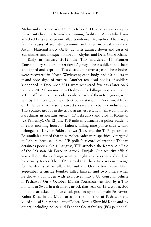Mohmand spokesperson. On 2 October 2011, a police van carrying 32 recruits heading towards a training facility in Abbottabad was attacked by a remote-controlled bomb near Mansehra. There were familiar cases of security personnel ambushed in tribal areas and Awami National Party (ANP) activists gunned down and cases of Sufi shrines and mosque bombed in Khyber and Dera Ghazi Khan.

Early in January 2012, the TTP murdered 15 Frontier Constabulary soldiers in Orakzai Agency. These soldiers had been kidnapped and kept in TTP's custody for over a year. These bodies were recovered in North Waziristan; each body had 40 bullets in it and bore signs of torture. Another ten dead bodies of soldiers kidnapped in December 2011 were recovered few days later on 9 January 2012 from northern Orakzai. The killings were claimed by a TTP affiliate. Four suicide bombers, two of them foreigners, were sent by TTP to attack the district police station in Dera Ismail Khan on 19 January. Some sectarian attacks were also being conducted by TTP splinter groups in the tribal areas, especially in Shia-dominated Parachinar in Kurram agency (17 February) and also in Kohistan (28 February). On 12 July, TTP militants attacked a police academy in early morning hours in Lahore, killing nine police cadets, who belonged to Khyber Pakhtunkhwa (KP), and the TTP spokesman Ehsanullah claimed that these police cadet were specifically targeted in Lahore because of the KP police's record of treating Taliban detainees poorly. On 16 August, TTP attacked the Kamra Air Base of the Pakistan Air Force in Attock, Punjab. One security official was killed in the exchange while all eight attackers were shot dead by security forces. The TTP claimed that the attack was in revenge for the deaths of Baitullah Mehsud and Osama bin Laden. On 3 September, a suicide bomber killed himself and two others when he drove a car laden with explosives into a US consular vehicle in Peshawar. On 9 October, Malala Yousafzai was shot by a TTP militant in Swat. In a dramatic attack that year on 15 October, 300 militants attacked a police check-post set up on the main Peshawar-Kohat Road in the Matni area on the outskirts of Peshawar and killed a local Superintendent of Police (Rural) Khurshid Khan and six others, including police and Frontier Constabulary (FC) personnel.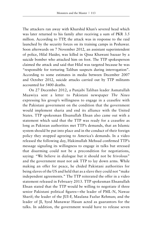The attackers ran away with Khurshid Khan's severed head which was later returned to his family after receiving a sum of PKR 3.5 million. According to TTP, the attack was in response to the raid launched by the security forces on its training camps in Peshawar. Soon afterwards on 7 November 2012, an assistant superintendent of police, Hilal Haider, was killed in Qissa Khawani bazaar by a suicide bomber who attacked him on foot. The TTP spokesperson claimed the attack and said that Hilal was targeted because he was "responsible for torturing Taliban suspects during interrogation". According to some estimates in media between December 2007 and October 2012, suicide attacks carried out by TTP militants accounted for 5400 deaths.

On 27 December 2012, a Punjabi Taliban leader Asmatullah Muawiya sent a letter to Pakistani newspaper *The News* expressing his group's willingness to engage in a ceasefire with the Pakistani government on the condition that the government would implement sharia and end its alliance with the United States. TTP spokesman Ehsanullah Ehsan also came out with a statement which said that the TTP was ready for a ceasefire as long as Pakistan authorities met TTP's demands, that an Islamic system should be put into place and in the conduct of their foreign policy they stopped agreeing to America's demands. In a video released the following day, Hakimullah Mehsud confirmed TTP's message signaling its willingness to engage in talks but stressed that disarming could not be a precondition for negotiations, saying: "We believe in dialogue but it should not be frivolous" and the government must not ask TTP to lay down arms. While making an offer for peace, he chided Pakistani authorities for being slaves of the US and held that as a slave they could not "make independent agreements." The TTP reiterated the offer in a video statement released in February 2013. TTP spokesman Ehsanullah Ehsan stated that the TTP would be willing to negotiate if three senior Pakistani political figures—the leader of PML-N, Nawaz Sharif; the leader of the JUI-F, Maulana Fazlur Rehman; and the leader of JI, Syed Munawar Hasan acted as guarantors for the talks. In addition, the government would have to release seven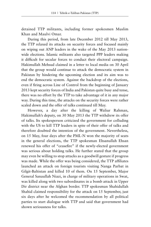detained TTP militants, including former spokesmen Muslim Khan and Maulvi Omar.

During this period, from late December 2012 till May 2013, the TTP relaxed its attacks on security forces and focused mainly on wiping out ANP leaders in the wake of the May 2013 nationwide elections. Islamic militants also targeted PPP leaders making it difficult for secular forces to conduct their electoral campaign. Hakimullah Mehsud claimed in a letter to local media on 30 April that the group would continue to attack the democratic system in Pakistan by hindering the upcoming election and its aim was to end the democratic system. Against the backdrop of the elections, even if firing across Line of Control from the beginning of January 2013 kept security forces of India and Pakistan quite busy and tense, there was no effort by the TTP to take advantage of it in any major way. During this time, the attacks on the security forces were rather scaled down and the offer of talks continued till May.

However, a day after the killing of Waliur Rahman, Hakimullah's deputy, on 30 May 2013 the TTP withdrew its offer of talks. Its spokesperson criticized the government for colluding with the US to kill TTP leaders in spite of their offer of talks and therefore doubted the intention of the government. Nevertheless, on 15 May, four days after the PML-N won the majority of seats in the general elections, the TTP spokesman Ehsanullah Ehsan renewed his offer of "ceasefire" if the newly-elected government was serious about holding talks. He further stated that the group may even be willing to stop attacks as a goodwill gesture if progress was made. While the offer was being considered, the TTP affiliates launched an attack on foreign tourists visiting Nanga Parbat in Gilgit-Baltistan and killed 10 of them. On 15 September, Major General Sanaullah Niazi, in charge of military operations in Swat, was killed along with two subordinates in a bomb attack in Upper Dir district near the Afghan border. TTP spokesman Shahidullah Shahid claimed responsibility for the attack on 15 September, just six days after he welcomed the recommendation by all political parties to start dialogue with TTP and said that government had shown seriousness for talks.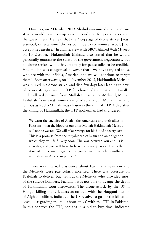However, on 2 October 2013, Shahid announced that the drone strikes would have to stop as a precondition for peace talks with the government. He held that the "stoppage of drone strikes [was] essential, otherwise—if drones continue to strike—we [would] not accept the ceasefire." In an interview with BBC's Ahmed Wali Mujeeb on 10 October,<sup>2</sup> Hakimullah Mehsud also stated that he would personally guarantee the safety of the government negotiators, but all drone strikes would have to stop for peace talks to be credible. Hakimullah was categorical however that "We have targeted those who are with the infidels, America, and we will continue to target them". Soon afterwards, on 1 November 2013, Hakimullah Mehsud was injured in a drone strike, and died few days later leading to days of power struggle within TTP for choice of the next amir. Finally, under alleged pressure from Mullah Omar, a non-Mehsud, Mullah Fazlullah from Swat, son-in-law of Maulana Sufi Muhammad and famous as Radio Mullah, was chosen as the amir of TTP. A day after the killing of Hakimullah, the TTP spokesman had thundered:

We warn the enemies of Allah—the Americans and their allies in Pakistan—that the blood of our amir Mullah Hakimullah Mehsud will not be wasted. We will take revenge for his blood at every cost. This is a promise from the mujahideen of Islam and an obligation which they will fulfil very soon. The war between you and us is a rivalry, and you will have to bear the consequences. This is the start of our crusade against the government, which is nothing more than an American puppet.<sup>3</sup>

There was internal dissidence about Fazlullah's selection and the Mehsuds were particularly incensed. There was pressure on Fazlullah to deliver, but without the Mehsuds who provided most of the suicide bombers, Fazlullah was not able to avenge the death of Hakimullah soon afterwards. The drone attack by the US in Hangu, killing many leaders associated with the Haqqani faction of Afghan Taliban, indicated the US resolve to go for the kill at all costs, disregarding the talk about 'talks' with the TTP in Pakistan. In this context, the TTP, perhaps in a bid to buy time, indicated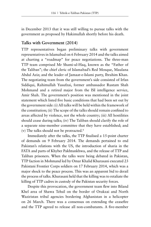in December 2013 that it was still willing to pursue talks with the government as proposed by Hakimullah shortly before his death.

### **Talks with Government (2014)**

TTP representatives began preliminary talks with government representatives in Islamabad on 6 February 2014 and the talks aimed at charting a "roadmap" for peace negotiations. The three-man TTP team comprised Mr Shami-ul-Haq, known as the "Father of the Taliban"; the chief cleric of Islamabad's Red Mosque, Maulana Abdul Aziz; and the leader of Jamaat-e-Islami party, Ibrahim Khan. The negotiating team from the government's side consisted of Irfan Siddiqui, Rahimullah Yusufzai, former ambassador Rustam Shah Mohmand and a retired major from the ISI intelligence service, Amir Shah. The government's position was mentioned in the joint statement which listed five basic conditions that had been set out by the government side: (i) All talks will be held within the framework of the constitution; (ii) The scope of the talks should remain confined to areas affected by violence, not the whole country; (iii) All hostilities should cease during talks; (iv) The Taliban should clarify the role of a separate nine-member committee that they have established; and (v) The talks should not be protracted.4

Immediately after the talks, the TTP finalised a 15-point charter of demands on 9 February 2014. The demands pertained to end Pakistan's relations with the US, the introduction of sharia in the FATA and parts of Khyber Pakhtunkhwa, and the release of TTP and Taliban prisoners. When the talks were being debated in Pakistan, TTP faction in Mohmand led by Omar Khalid Khurasani executed 23 Pakistani Frontier Corps soldiers on 17 February 2014, which was a major shock to the peace process. This was an apparent bid to derail the process of talks. Khurasani held that the killing was to retaliate the killing of TTP cadres in custody of the Pakistan security forces.

Despite this provocation, the government team flew into Biland Khel area of Shawa Tehsil on the border of Orakzai and North Waziristan tribal agencies bordering Afghanistan in a helicopter on 26 March. There was a consensus on extending the ceasefire and the TTP agreed to release all non-combatants. A five-member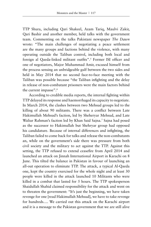TTP Shura, including Qari Shakeel, Azam Tariq, Maulvi Zakir, Qari Bashir and another member, held talks with the government team. Commenting on the talks Pakistani newspaper *The Dawn* wrote: "The main challenges of negotiating a peace settlement are the many groups and factions behind the violence, with many operating outside the Taliban control, including both local and foreign al Qaeda-linked militant outfits".<sup>5</sup> Former ISI officer and one of negotiators, Major Muhammad Amir, excused himself from the process sensing an unbridgeable gulf between the two sides and held in May 2014 that no second face-to-face meeting with the Taliban was possible because "the Taliban infighting and the delay in release of non-combatant prisoners were the main factors behind the current impasse".<sup>6</sup>

According to credible media reports, the internal fighting within TTP delayed its response and haemorrhaged its capacity to negotiate. In March 2014, the clashes between two Mehsud groups led to the killing of about 90 militants. There was a conflict between Late Hakimullah Mehsud's faction, led by Sheheryar Mehsud, and Late Waliur Rahman's faction led by Khan Said Sajna.7 Sajna had posed as the successor to Hakimullah but Shehryar group had opposed his candidature. Because of internal differences and infighting, the Taliban failed to come back for talks and release the non-combatants an, while on the government's side there was pressure from both civil society and the military to act against the TTP. Against this setting, the TTP refused to extend ceasefire from April 2014 and launched an attack on Jinnah International Airport in Karachi on 8 June. This tilted the balance in Pakistan in favour of launching an all-out operation to eliminate TTP. The attack, a typical Al-Qaeda one, kept the country exercised for the whole night and at least 30 people were killed in the attack launched 10 Militants who were killed in a combat that lasted for 5 hours. The TTP spokesperson Shaidullah Shahid claimed responsibility for the attack and went on to threaten the government: "It's just the beginning, we have taken revenge for one [read Hakimullah Mehsud], we have to take revenge for hundreds…. We carried out this attack on the Karachi airport and it is a message to the Pakistan government that we are still alive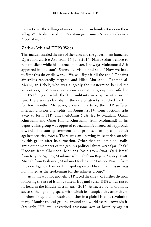to react over the killings of innocent people in bomb attacks on their villages". He dismissed the Pakistani government's peace talks as a "tool of war".8

### **Zarb-e-Azb and TTP's Woes**

This incident sealed the fate of the talks and the government launched Operation Zarb-e-Azb from 15 June 2014. Nawaz Sharif chose to remain silent while his defence minister, Khawaja Muhammad Asif appeared in Pakistan's *Dunya* Television and said, "Now we have to fight this do or die war…. We will fight it till the end." The first air-strikes reportedly targeted and killed Abu Abdul Rehman al-Maani, an Uzbek, who was allegedly the mastermind behind the airport siege.<sup>9</sup> Military operations against the group intensified in the FATA region while the TTP militants were apparently on the run. There was a clear dip in the rate of attacks launched by TTP for few months. Moreover, around this time, the TTP suffered internal division and splits. In August 2014, some factions split away to form TTP Jamaat-ul-Ahrar (JuA) led by Maulana Qasim Khurasani and Omer Khalid Khurasani (from Mohmand) as his deputy. This group was opposed to Fazlullah's alleged soft approach towards Pakistan government and promised to upscale attack against security forces. There was an upswing in sectarian attacks by this group after its formation. Other than the amir and naibamir, other members of the group's political shura were Qari Shakil Haqqani from Charsada, Maulana Yasin from Swat, Qari Ismail from Khyber Agency, Maulana Adbullah from Bajaur Agency, Mufti Misbah from Peshawar, Maulana Haider and Mansoor Nazim from Orakzai Agency. Former TTP spokesperson Ehsanullah Ehsan, was nominated as the spokesman for the splinter group.10

As if this was not enough, TTP faced the threat of further division following the rise of Islamic State in Iraq and Syria (ISIS) which raised its head in the Middle East in early 2014. Attracted by its dramatic success, the lightning speed with which its occupied city after city in northern Iraq, and its resolve to usher in a global Islamic revolution many Islamist radical groups around the world veered towards it. Strangely, ISIS' well-advertised gruesome acts of brutality against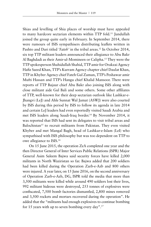Shias and levelling of Shia places of worship must have appealed to many hardcore sectarian elements within TTP fold.<sup>11</sup> Jundullah joined the group quite early in February. In September 2014, there were rumours of ISIS sympathisers distributing leaflets written in Pashto and Dari titled 'Fateh' in the tribal areas.<sup>12</sup> In October 2014, six top TTP militant leaders announced their allegiance to Abu Bakr Al Baghdadi as their Amir-ul-Momineen or Calipha.13 They were the TTP spokesperson Shahidullah Shahid, TTP amir for Orakzai Agency Hafiz Saeed Khan, TTP's Kurram Agency chapter chief Daulat Khan, TTP in Khyber Agency chief Fateh Gul Zaman, TTP's Peshawar amir Mufti Hassan and TTP's Hangu chief Khalid Mansoor. There were reports of TTP Bajaur chief Abu Bakr also joining ISIS along with close militant aide Gul Bali and some others. Some other affiliates of TTP, well-known for their deep sectarian outlook like Lashkar-e-Jhangvi (LeJ) and Ahle Sunnat Wal Jamat (ASWJ) were also courted by ISIS during this period by ISIS to follow its agenda in late 2014 and certain LeJ leaders had even reportedly visited Saudi Arabia and met ISIS leaders along Saudi-Iraq border.14 By November 2014, it was reported that ISIS had sent its delegates to visit tribal areas and Balochistan<sup>15</sup> to recruit militants from Pakistan. They even visited Khyber and met Mangal Bagh, head of Lashkar-e-Islam (LeI) who sympathised with ISIS philosophy but was too dependent on TTP to owe allegiance to ISIS.16

On 15 June 2015, the operation ZeA completed one year and the then Director General of Inter Services Public Relations (ISPR) Major General Asim Saleem Bajwa said security forces have killed 2,000 militants in North Waziristan so far. Bajwa added that 200 soldiers had been killed during the Operation Zarb-e-Azb and 800 others were injured. A year later, on 15 June 2016, on the second anniversary of Operation Zarb-e-Azb, DG, ISPR told the media that more than 3,500 militants were killed while around 490 soldiers lost their lives, 992 militant hideous were destroyed, 253 tonnes of explosives were confiscated, 7,500 bomb factories dismantled, 2,800 mines removed and 3,500 rockets and mortars recovered during the operation". He added that the "militants had enough explosives to continue bombing for 15 years with up to seven bombing every day".17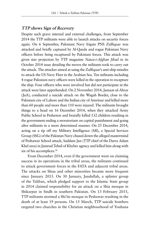## **TTP shows Sign of Recovery**

Despite such grave internal and external challenges, from September 2014 the TTP militants were able to launch attacks on security forces again. On 6 September, Pakistani Navy frigate PNS Zulfiquar was attacked and briefly captured by Al-Qaeda and rogue Pakistani Navy officers before being recaptured by Pakistani forces. This attack was given star projection by TTP magazine *Nawa-i-Afghan Jihad* in its October 2014 issue detailing the moves the militants took to carry out the attack. The attacker aimed at using the Zulfiquar's anti-ship missiles to attack the US Navy Fleet in the Arabian Sea. Ten militants including 4 rogue Pakistani navy officers were killed in the operation to recapture the ship. Four officers who were involved but did not participate in the attack were later apprehended. On 2 November 2014, Jamaat-ul-Ahrar (JuA), conducted a suicide attack on the Wagah Border, close to the Pakistani city of Lahore and the Indian city of Amritsar and killed more than 60 people and more than 110 were injured. The militants brought things to a head on 16 December 2014, when they attacked Army Public School in Peshawar and brutally killed 132 children resulting in the government ending a moratorium on capital punishment and going after militants in a more determined manner. On 25 December 2014, acting on a tip off my Military Intelligence (MI), a Special Services Group (SSG) of the Pakistan Navy chased down the alleged mastermind of Peshawar School attack, Saddam Jan (TTP chief of the Darra Adam Khel area) in Jamrud Tehsil of Khyber agency and killed him along with six of his accomplices.<sup>18</sup>

From December 2014, even if the government went on claiming success in its operations in the tribal areas, the militants continued to attack government forces in the FATA and adjacent tribal areas. The attacks on Shias and other minorities became more frequent since January 2015. On 30 January, Jundullah, a splinter group of the Taliban, which pledged support to the Islamic State group in 2014 claimed responsibility for an attack on a Shia mosque in Shikarpur in Sindh in southern Pakistan. On 13 February 2015, TTP militants stormed a Shi'ite mosque in Peshawar resulting in the death of at least 19 persons. On 15 March, TTP suicide bombers targeted two churches in the Christian neighbourhood of Youhana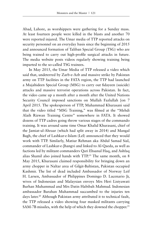Abad, Lahore, as worshippers were gathering for a Sunday mass. At least fourteen people were killed in the blasts and another 70 were reported injured. The Umar media of TTP reported attacks on security personnel on an everyday basis since the beginning of 2015 and announced formation of Taliban Special Group (TSG) who are being trained to carry out high-profile surgical attacks in future. The media website posts videos regularly showing training being imparted to the so-called TSG trainees.

In May 2015, the Umar Media of TTP released a video which said that, undeterred by Zarb-e-Azb and massive strike by Pakistan army on TTP facilities in the FATA region, the TTP had launched a Mujahideen Special Group (MSG) to carry out fidayeen (suicide) attacks and massive terrorist operations across Pakistan. In fact, the video came up a month after a month after the United Nations Security Council imposed sanctions on Mullah Fazlullah [on 7 April 2015. The spokesperson of TTP, Muhammad Khurasani said that the video titled "MSG Training," was filmed at the "Mehdi Alaih Rizwan Training Centre" somewhere in FATA. It showed dozens of TTP cadres going throw various stages of the commando training. It was around same time Omar Khalid Khurasani, chief of the Jamiat-ul-Ahraar (which had split away in 2014) and Mangal Bagh, the chief of Lashkar-e-Islam (LeI) announced that they would work with TTP. Similarly, Matiur Rehman aka Abdul Samad Sial, commander of Lashkar-e-Jhangvi and linked to Al-Qaeda, as well as factions led by militant commanders Qari Ehsanul Haq, and Ashfaq alias Shamil also joined hands with TTP.19 The same month, on 8 May 2015, Khurasani claimed responsibility for bringing down an army chopper in Naltar area of Gilgit-Baltistan, Pakistan occupied Kashmir. The list of dead included Ambassador of Norway Leif H. Larsen, Ambassador of Philippines Domingo D. Lucenario Jr, wives of Indonesian and Malaysian envoys Mrs Heri Listyawati Burhan Muhammad and Mrs Datin Habibah Mahmud. Indonesian ambassador Burahan Muhammad succumbed to the injuries ten days later.<sup>20</sup> Although Pakistan army attributed it to technical fault, the TTP released a video showing four masked militants carrying SAM-7B missiles, with the help of which they downed the chopper.<sup>21</sup>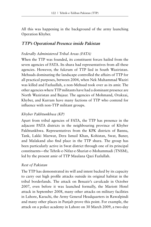All this was happening in the background of the army launching Operation Khyber.

## **TTP's Operational Presence inside Pakistan**

### *Federally Administered Tribal Areas (FATA)*

When the TTP was founded, its constituent forces hailed from the seven agencies of FATA. Its shura had representatives from all these agencies. However, the fulcrum of TTP lied in South Waziristan. Mehsuds dominating the landscape controlled the affairs of TTP for all practical purposes, between 2004, when Nek Muhammad Waziri was killed and Fazluallah, a non-Mehsud took over as its amir. The other agencies where TTP militants have had a dominant presence are North Waziristan and Bajaur. The agencies of Mohmand, Orakzai, Khyber, and Kurram have many factions of TTP who contend for influence with non-TTP militant groups.

## *Khyber Pakhtunkhwa (KP)*

Apart from tribal agencies of FATA, the TTP has presence in the adjacent PATA districts in the neighbouring province of Khyber Pakhtunkhwa. Representatives from the KPK districts of Bannu, Tank, Lakki Marwat, Dera Ismail Khan, Kohistan, Swat, Buner, and Malakand also find place in the TTP shura. The group has been particularly active in Swat district through one of its principal constituents—the Tehrik-e-Nifaz-e-Shariat-e-Mohammadi (TNSM), led by the present amir of TTP Maulana Qazi Fazlullah.

### *Rest of Pakistan*

The TTP has demonstrated its will and intent backed by its capacity to carry out high profile attacks outside its original habitat in the tribal borderlands. The attack on Benazir's cavalcade in October 2007, even before it was launched formally, the Mariott Hotel attack in September 2008, many other attacks on military facilities in Lahore, Karachi, the Army General Headquarters in Rawalpindi and many other places in Punjab prove this point. For example, the attack on a police academy in Lahore on 30 March 2009, a two-day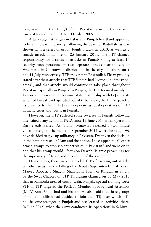long assault on the (GHQ) of the Pakistani army in the garrison town of Rawalpindi on 10-11 October 2009.

Attacks against targets in Pakistan's Punjab heartland appeared to be an increasing priority following the death of Baitullah, as was shown with a series of urban bomb attacks in 2010, as well as a suicide attack in Lahore on 25 January 2011. The TTP claimed responsibility for a series of attacks in Punjab killing at least 17 security force personnel in two separate attacks near the city of Wazirabad in Gujranwala district and in the city of Lahore on 9 and 11 July, respectively. TTP spokesman Ehsanullah Ehsan proudly stated after these attacks that TTP fighters had "come out of the tribal areas", and that attacks would continue to take place throughout Pakistan, especially in Punjab. In Punjab, the TTP focused mainly on Lahore and Rawalpindi. Because of its relationship with LeJ activists who fled Punjab and operated out of tribal areas, the TTP expanded its presence to Jhang. LeJ cadres operate as local operatives of TTP in many cities and towns in Punjab.

However, the TTP suffered some reverses in Punjab following intensified army action in FATA since 15 June 2014 when operation Zarb-e-Azb started. Asmatullah Muawiya released a two-minute video message to the media in September 2014 where he said, "We have decided to give up militancy in Pakistan. I've taken the decision in the best interests of Islam and the nation. I also appeal to all other armed groups to stop violent activities in Pakistan" and went on to add that his group would "focus on Dawah (Islamic preaching) for the supremacy of Islam and protection of the system".22

Nevertheless, there were claims by TTP of carrying out attacks on other areas like the killing of a Deputy Superintendent of Police, Majeed Abbasi, a Shia, in Shah Latif Town of Karachi in Sindh, by the Swat Chapter of TTP. Khurasani claimed on 30 May 2015 that in Kamonki area of Gujranwala, Punjab, special training force STF of TTP targeted the PML-N Member of Provincial Assembly (MPA) Rana Shamshad and his son. He also said that three groups of Punjabi Taliban had decided to join the TTP, after which TTP had become stronger in Punjab and accelerated its activities there. In June 2015, when the army conducted its operations in Sahiwal,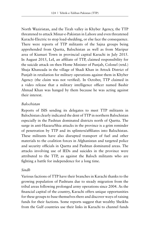North Waziristan, and the Tirah valley in Khyber Agency, the TTP threatened to attack Minar-e-Pakistan in Lahore and even threatened Karachi-Electric to stop load-shedding, or else face the consequence. There were reports of TTP militants of the Sajna groups being apprehended from Quetta, Balochistan as well as from Maripur area of Kiamari Town in provincial capital Karachi in July 2015. In August 2015, LeI, an affiliate of TTP, claimed responsibility for the suicide attack on then Home Minister of Punjab, Colonel (retd.) Shuja Khanzada in the village of Shadi Khan in Attock District of Punjab in retaliation for military operations against them in Khyber Agency (the claim was not verified). In October, TTP claimed in a video release that a military intelligence officer named Bashir Ahmad Khan was hanged by them because he was acting against their interest.

#### *Balochistan*

Reports of ISIS sending its delegates to meet TTP militants in Balochistan clearly indicated the dent of TTP in northern Balochistan especially in the Pashtun dominated districts north of Quetta. The surge in anti-Hazara/Shia attacks in the province is a grim reminder of penetration by TTP and its splinters/affiliates into Balochistan. These militants have also disrupted transport of fuel and other materials to the coalition forces in Afghanistan and targeted police and security officials in Quetta and Pashtun dominated areas. The attacks involving use of IEDs and suicides in the province were attributed to the TTP, as against the Baloch militants who are fighting a battle for independence for a long time.

#### *Sindh*

Various factions of TTP have their branches in Karachi thanks to the growing population of Pashtuns due to steady migration from the tribal areas following prolonged army operations since 2004. As the financial capital of the country, Karachi offers unique opportunities for these groups to base themselves there and discover ways of raising funds for their factions. Some reports suggest that wealthy Sheikhs from the Gulf countries use their links in Karachi to channel funds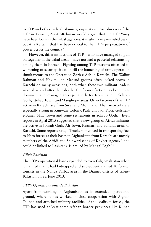to TTP and other radical Islamic groups. As a close observer of the TTP in Karachi, Zia-Ur-Rehman would argue, that the TTP "may have been born in the tribal agencies, it might have even ruled Swat, but it is Karachi that has been crucial to the TTP's perpetuation of power across the country".

However, different factions of TTP—who have managed to pull on together in the tribal areas—have not had a peaceful relationship among them in Karachi. Fighting among TTP factions often led to worsening of security situation till the launching of army operation simultaneous to the Operation Zarb-e-Azb in Karachi. The Waliur Rahman and Hakimullah Mehsud groups often locked horns in Karachi on many occasions, both when these two militant leaders were alive and after their death. The former faction has been quite dominant and managed to expel the latter from Landhi, Sohrab Goth, Ittehad Town, and Manghopir areas. Other factions of the TTP active in Karachi are from Swat and Mohmand. Their networks are especially strong in Kunwari Colony, Pashtunabad, Pipri, Gulshene-Buner, SITE Town and some settlements in Sohrab Goth.23 Even reports in April 2015 suggested that a new group of Afridi militants are active in Sohrab Goth, Ali Town, Keamari and Banaras areas of Karachi. Some reports said, "Truckers involved in transporting fuel to Nato forces at their bases in Afghanistan from Karachi are mostly members of the Afridi and Shinwari clans of Khyber Agency" and could be linked to Lashkar-e-Islam led by Mangal Bagh.24

#### *Gilgit-Baltistan*

The TTP's operational base expanded to even Gilgit-Baltistan when it claimed that it had kidnapped and subsequently killed 10 foreign tourists in the Nanga Parbat area in the Diamer district of Gilgit-Baltistan on 22 June 2013.

### *TTP's Operations outside Pakistan*

Apart from working in Afghanistan as its extended operational ground, where it has worked in close cooperation with Afghan Taliban and attacked military facilities of the coalition forces, the TTP has used at least some Afghan border provinces like Kunar,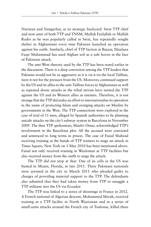Nuristan and Nangarhar, as its strategic backyard. Swat TTP chief and now amir of both TTP and TNSM, Mullah Fazlullah or Mullah Radio as he was popularly called in Swat, has repeatedly sought shelter in Afghanistan every time Pakistan launched an operation against his outfit. Similarly, chief of TTP faction in Bajaur, Maulana Faqir Muhammad has used Afghan soil as a safe haven in the face of Pakistani attack.

The anti-West rhetoric used by the TTP has been noted earlier in the discussion. There is a deep conviction among the TTP leaders that Pakistan would not be as aggressive as it is vis-à-vis the local Taliban, were it not for the pressure from the US. Moreover, continued support by the US and its allies to the anti-Taliban forces in Afghanistan as well as repeated drone attacks in the tribal terrain have turned the TTP against the US and its Western allies as enemies. Therefore, it is not strange that the TTP did make an effort to internationalise its operation in the name of protecting Islam and avenging attacks on Muslim by governments in the West. The TTP connections were explored in the case of trial of 11 men, alleged by Spanish authorities to be planning suicide attacks on the city's subway system in Barcelona in November 2009. The then TTP spokesman, Maulvi Omar, acknowledged TTP's involvement in the Barcelona plot. All the accused were convicted and sentenced to long terms in prison. The case of Faisal Shahzad receiving training at the hands of TTP trainers to stage an attack in Times Square, New York on 1 May 2010 has been mentioned above. Faisal not only received training in Waziristan at TTP facilities but also received money from the outfit to stage the attack.

The TTP did not stop at that. One of its cells in the US was busted in Miami, Florida, in late 2011. Three Pakistani nationals were arrested in the city in March 2011 who pleaded guilty to charges of providing material support to the TTP. The defendants also admitted that they had taken money from TTP to smuggle a TTP militant into the US via Ecuador.

The TTP was linked to a series of shootings in France in 2012. A French national of Algerian descent, Mohammed Merah, received training at a TTP facility in North Waziristan and in a series of small-arms attacks around the French city of Toulouse, killed three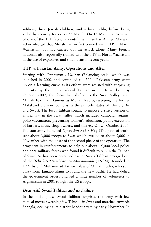soldiers, three Jewish children, and a local rabbi, before being killed by security forces on 22 March. On 15 March, spokesman of one of the TTP factions identifying himself as Ahmed Marwat, acknowledged that Merah had in fact trained with TTP in North Waziristan, but had carried out the attack alone. Many French nationals also reportedly trained with the TTP in North Waziristan in the use of explosives and small-arms in recent years.

## **TTP vs Pakistan Army: Operations and After**

Starting with *Operation Al-Mizan* (Balancing scale) which was launched in 2002 and continued till 2006, Pakistan army went up on a learning curve as its efforts were resisted with surprising intensity by the militants/local Taliban in the tribal belt. By October 2007, the focus had shifted to the Swat Valley, with Mullah Fazlullah, famous as Mullah Radio, sweeping the former Malakand division (comprising the princely states of Chitral, Dir and Swat). The local Taliban sought to impose a strict version of Sharia law in the Swat valley which included campaign against polio-vaccination, preventing women's education, public execution of barbers, music-shop owners, and thieves. On 24 October 2007, Pakistan army launched *Operation Rah-e-Haq* (The path of truth) sent about 3,000 troops to Swat which swelled to about 5,000 in November with the onset of the second phase of the operation. The army sent in reinforcements to help out about 15,000 local police and para-military forces who found it difficult to rein in the Taliban of Swat. As has been described earlier Swati Taliban emerged out of the *Tehrik-Nifaz-e-Shariat-e-Muhammadi* (TNSM), founded in 1992 by Sufi Muhammad, father-in-law of Mullah Radio, who split away from Jamat-i-Islami to found the new outfit. He had defied the government orders and led a large number of volunteers to Afghanistan in 2001 to fight the US troops.

## **Deal with Swati Taliban and its Failure**

In the initial phase, Swati Taliban surprised the army with few tactical moves sweeping few Tehshils in Swat and marched towards Shangla, occupying its district headquarters by early November. In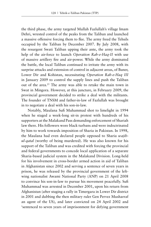the third phase, the army targeted Mullah Fazlullah's village Imam Dehri, wrested control of the peaks from the Taliban and launched a massive offensive forcing them to flee. The army freed the Tehsils occupied by the Taliban by December 2007. By July 2008, with the resurgent Swati Taliban upping their ante, the army took the help of the air-force to launch *Operation Rah-e-Haq-II* with use of massive artillery fire and air-power. While the army dominated the battle, the local Taliban continued to irritate the army with its surprise attacks and extension of control in adjacent areas, of Buner, Lower Dir and Kohistan, necessitating *Operation Rah-e-Haq III* in January 2009 to control the supply lines and push the Taliban out of the area.25 The army was able to retake the main town in Swat in Mingora. However, at this juncture, in February 2009, the provincial government decided to strike a deal with the militants. The founder of TNSM and father-in-law of Fazlullah was brought in to negotiate a deal with his son-in-law.

Notably, Maulana Sufi Muhammad shot to limelight in 1994 when he staged a week-long sit-in protest with hundreds of his supporters at the Malakand Pass demanding enforcement of Shariah law there. His followers wore black turbans and were indoctrinated by him to work towards imposition of Sharia in Pakistan. In 1998, the Maulana had even declared people opposed to Sharia *wajibul-qatal* (worthy of being murdered). He was also known for his support of the Taliban and was credited with forcing the provincial and federal governments to concede local application of a separate Sharia-based judicial system in the Malakand Division. Long-held for his involvement in cross-border armed action in aid of Taliban in Afghanistan since 2002 and serving a sentence of seven years in prison, he was released by the provincial government of the leftwing nationalist Awami National Party (ANP) on 21 April 2008 to convince his son-in-law to pursue his movement peacefully. Sufi Muhammad was arrested in December 2001, upon his return from Afghanistan (after staging a rally in Timergara in Lower Dir district in 2001 and dubbing the then military ruler Gen Pervez Musharraf an agent of the US), and later convicted on 24 April 2002 and 'sentenced to seven years of imprisonment for defying government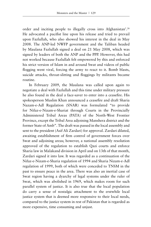order and inciting people to illegally cross into Afghanistan'.26 He advocated a pacifist line upon his release and tried to prevail upon Fazlullah, who also showed his interest in the deal in May 2008. The ANP-led NWFP government and the Taliban headed by Maulana Fazlullah signed a deal on 21 May 2008, which was signed by leaders of both the ANP and the PPP. However, this had not worked because Fazlullah felt empowered by this and enforced his strict version of Islam in and around Swat and videos of public flogging went viral, forcing the army to react to it. Bomb blasts, suicide attacks, throat-slitting and floggings by militants became routine.

In February 2009, the Maulana was called upon again to negotiate a deal with Fazlullah and this time under military pressure he also found in the deal a face-saver to enter into a ceasefire. His spokesperson Muslim Khan announced a ceasefire and draft Sharia Nazam-e-Adl Regulation (SNAR) was formulated "to provide for Nifaz-e-Nizam-e-Shariat through Courts in the Provincially Administered Tribal Areas (PATA) of the North-West Frontier Province, except the Tribal Area adjoining Manshera district and the former State of Amb". The draft was passed in the local assembly and sent to the president (Asif Ali Zardari) for approval. Zardari dilated, awaiting establishment of firm control of government forces over Swat and adjoining areas; however, a national assembly resolution approved of the regulation to establish Qazi courts and enforce Sharia law in Malakand division in April and on 13th of that month, Zardari signed it into law. It was regarded as a continuation of the Nifaz-e-Nizam-e-Sharia regulation of 1994 and Sharia Nizam-e-Adl regulation of 1999, both of which were conceded to TNSM in the past to ensure peace in the area. There was also an inertial case of Swat region having a dyarchy of legal systems under the ruler of Swat, which was abolished in 1969, which makes room for such parallel system of justice. It is also true that the local population do carry a sense of nostalgic attachment to the erstwhile local justice system that is deemed more responsive to their local needs, compared to the justice system in rest of Pakistan that is regarded as more expensive, time consuming and unjust.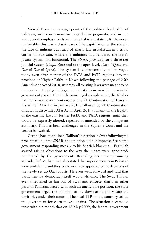Viewed from the vantage point of the political leadership of Pakistan, such concessions are regarded as pragmatic and in line with overall emphasis on Islam in the Pakistani statecraft. However, undeniably, this was a classic case of the capitulation of the state in the face of militant advocacy of Sharia law in Pakistan in a tribal corner of Pakistan, where the militants had rendered the state's justice system non-functional. The SNAR provided for a three-tier judicial system (*Ilaqa, Zilla* and at the apex level, *Dar-ul-Qaza* and *Dar-ul Dar-ul Qaza*). The system is controversially still in vogue today even after merger of the FATA and PATA regions into the province of Khyber Pakhtun Khwa following the passage of 25th Amendment Act of 2018, whereby all existing laws were meant to be inoperative. Keeping the legal complications in view, the provincial government passed Due to the same legal complication, the Khyber Pakhtunkhwa government enacted the KP Continuation of Laws in Erstwhile PATA Act in January 2019, followed by KP Continuation of Laws in Erstwhile FATA Act in April 2019 to maintain the legality of the existing laws in former FATA and PATA regions, until they would be expressly altered, repealed or amended by the competent authority. This has been challenged in the Supreme Court and the verdict is awaited.

Getting back to the local Taliban's assertion in Swat following the proclamation of the SNAR, the situation did not improve. Seeing the government responding meekly to his Shariah blackmail, Fazlullah started raising objections to the way the judges were appointed/ nominated by the government. Revealing his uncompromising attitude, Sufi Muhammad also stated that superior courts in Pakistan were un-Islamic and they could not hear appeals against decisions of the newly set up Qazi courts. He even went forward and said that parliamentary democracy itself was un-Islamic. The Swat Taliban even threatened to fan out of Swat and enforce Sharia in other parts of Pakistan. Faced with such an unenviable position, the state government urged the militants to lay down arms and vacate the territories under their control. The local TTP, on the contrary, asked the government forces to move out first. The situation became so tense within a month that on 18 May 2009, the federal government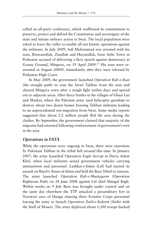called an all-party conference, which reaffirmed its commitment to preserve, protect and defend the Constitution and sovereignty of the state and initiate military action in Swat. The local population were asked to leave the valley to enable all-out kinetic operations against the militants. In July 2009, Sufi Muhammad was arrested with his sons, Rizwanullah, Ziaullah and Hayatullah, from Sethi Town in Peshawar accused of delivering a fiery speech against democracy at Grassy Ground, Mingora, on 19 April 2009.27 His sons were rearrested in August 20009, immediately after they were released by Peshawar High Court.

In May 2009, the government launched *Operation Rah-e-Rast* (the straight path) to oust the Swati Taliban from the area and cleared Mingora town after a tough fight within days and spread out to adjacent areas. After fierce battles in the villages of Ghazi Gai and Shatkai, where the Pakistan army used helicopter gunships to destroy about two dozen homes housing Taliban militants leading to an unprecedented out-migration from Swat. Some media reports suggested that about 2.2 million people fled the area during the clashes. By September, the government claimed that majority of the migrants had returned following reinforcement of government's writ in the area.

# **Operations in FATA**

While the operations were ongoing in Swat, there were assertions by Pakistani Taliban in the tribal belt around this time. In January 2007, the army launched *Operation Eagle Swoop* in Darra Adam Khel, when local militants seized government vehicles carrying ammunition and personnel. Lashkar-e-Islam (LeI) had started its assault on Barelvi Ansar-ul-Islam and held the Bara Tehsil to ransom. The army launched *Operation Rah-e-Mustaqeem* (Operation Righteous Path) on 28 June 2008 against LeI chief Mangal Bagh. Within weeks on 9 July Bara was brought under control and on the same day elsewhere the TTP attacked a paramilitary fort in Torawari area of Hangu injuring three Frontier Corps personnel forcing the army to launch *Operation Zarb-e-Kaleem* (Strike with the Staff of Moses). The army deployed about 1,500 troops backed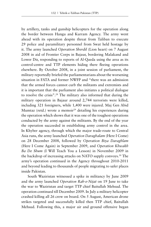by artillery, tanks and gunship helicopters for the operation along the border between Hangu and Kurram Agency. The army went ahead with its operation despite threat from Taliban to execute 29 police and paramilitary personnel from Swat held hostage by it. The army launched *Operation Sherdil* (Lion heart) on 7 August 2008 in aid of Frontier Corps in Bajaur, bordering Malakand and Lower Dir, responding to reports of Al-Qaeda using the area as its control-centre and TTP elements hiding there fleeing operations elsewhere. By October 2008, in a joint session of parliament, the military reportedly briefed the parliamentarians about the worsening situation in FATA and former NWFP and "there was an admission that the armed forces cannot curb the militants and extremists and it is important that the parliament also initiates a political dialogue to resolve the crisis".28 The military also informed that during the military operation in Bajaur around 2,744 terrorists were killed, including 321 foreigners, while 1,400 were injured. Maj Gen Abid Mumtaz (retd.) wrote a memoir<sup>29</sup> detailing his experiences during the operation which shows that it was one of the toughest operations conducted by the army against the militants. By the end of the year the operation succeeded in establishing army control in the area. In Khyber agency, through which the major trade-route to Central Asia runs, the army launched *Operation Daraghalam* (Here I Come) on 28 December 2008, followed by *Operation Biya Daraghlam* (Here I Come Again) in September 2009, and *Operation Khwakh Ba De Shum* (I Will Teach You a Lesson) in November 2009 in the backdrop of increasing attacks on NATO supply convoys.<sup>30</sup> The army's operation continued in the Agency throughout 2010-2011 and beyond leading to thousands of people migrating to safer places inside Pakistan.

South Waziristan witnessed a spike in militancy by June 2009 and the army launched *Operation Rah-e-Nijat* on 19 June to take the war to Waziristan and target TTP chief Baitullah Mehsud. The operation continued till December 2009. In July a military helicopter crashed killing all 26 crew on board. On 5 August, American drone strikes targeted and successfully killed then TTP chief, Baitullah Mehsud. Following this, a major air and ground offensive began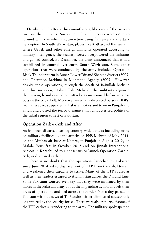in October 2009 after a three-month-long blockade of the area to tire out the militants. Suspected militant hideouts were razed to ground with overwhelming air-action using fighter-jets and attack helicopters. In South Waziristan, places like Kotkai and Kaniguram, where Uzbek and other foreign militants operated according to military intelligence, the security forces overpowered the militants and gained control. By December, the army announced that it had established its control over entire South Waziristan. Some other operations that were conducted by the army included Operation Black Thunderstorm in Buner, Lower Dir and Shangla district (2009) and Operation Brekhna in Mohmand Agency (2009). However, despite these operations, through the death of Baitullah Mehsud and his successor, Hakimullah Mehsud, the militants regained their strength and carried out attacks as mentioned before in areas outside the tribal belt. Moreover, internally displaced persons (IDPs) from these areas appeared in Pakistani cities and town in Punjab and Sindh and carried the terror dynamics that characterised politics of the tribal region to rest of Pakistan.

## **Operation Zarb-e-Azb and After**

As has been discussed earlier, country-wide attacks including many on military facilities like the attacks on PNS Mehran of May 2011, on the Minhas air base at Kamra, in Punjab in August 2012, on Malala Yousufzai in October 2012 and on Jinnah International Airport in Karachi led to a consensus to launch Operation Zarb-e-Azb, as discussed earlier.

There is no doubt that the operations launched by Pakistan since June 2014 led to displacement of TTP from the tribal terrain and weakened their capacity to strike. Many of the TTP cadres as well as their leaders escaped to Afghanistan across the Durand Line. Some Pakistani sources even say that they were informed by their moles in the Pakistan army about the impending action and left their areas of operations and fled across the border. Not a day passed in Pakistan without news of TTP cadres either eliminated successfully or captured by the security forces. There were also reports of some of the TTP cadres surrendering to the army. The military spokesperson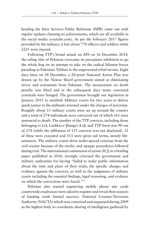heading the Inter Services Public Relations (ISPR) came out with regular updates claiming its achievements, which are all available in the social media (youtube.com). As per the February 2017 figures provided by the military, it lost about 770 officers and soldiers while 2225 were injured.

Following TTP's brutal attack on APS on 16 December 2014, the ruling elite of Pakistan overcame its precipitate inhibition to go the whole hog on its attempt to take on the radical Islamist forces parading as Pakistani Taliban in the ungoverned tribal terrain. Eight days later, on 24 December, a 20-point National Action Plan was drawn up by the Nawaz Sharif government aimed at eliminating terror and extremism from Pakistan. The moratorium on death penalty was lifted and in the subsequent days many convicted criminals were hanged. The government brought out legislation in January 2015 to establish Military courts for two years to deliver quick justice to the militants arrested under the charges of terrorism. Roughly about 11 military courts were set up around the country and a total of 274 individuals were convicted out of which 161 were sentenced to death. The number of the TTP convicts, including those belonging to LeI, Lashkar-e-Jhangvi (LeJ) and TTP-Swat was 98 out of 274 (while the affiliation of 115 convicts was not disclosed). 12 of these were executed and 113 were given jail terms, mostly lifesentences. The military courts drew wider-spread criticism from the civil society because of the murky and opaque procedures followed during trial. The international commission of jurists (ICJ) in a briefing paper published in 2016, strongly criticised the government and military authorities for having "failed to make public information about the time and place of their trials; the specific charges and evidence against the convicts; as well as the judgments of military courts including the essential findings, legal reasoning, and evidence on which the convictions were based."31

Pakistan also started registering mobile phone sim cards countywide; madrassas were asked to register and reveal their sources of funding (with limited success). National Counter-Terrorism Authority (NACTA) which was conceived and organised during 2009 as the highest body to coordinate sharing of intelligence gathered by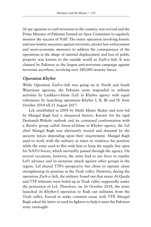26 spy agencies to curb terrorism in the country, was revived and the Prime Minister of Pakistan formed an Apex Committee to regularly monitor the success of NAP. The entire operation involving kinetic and non-kinetic measures against terrorists, stricter law-enforcement and socio-economic measures to address the consequences of the operations in the shape of internal displacement and loss of public property was known to the outside world as Zarb-e-Azb. It was claimed by Pakistan as the largest anti-terrorism campaign against terrorism anywhere, involving over 180,000 security forces.

### **Operation Khyber**

While Operation Zarb-e-Azb was going on in North and South Waziristan agencies, the Pakistan army responded to militant activities by Lashkar-e-Islam (LeI) in Khyber agency with equal vehemence by launching operations Khyber I, II, III and IV from October 2014 till 21 August 2017.

LeI, established in 2004 by Mufti Munir Shakir and now led by Mangal Bagh had a chequered history. Known for his rigid Deobandi-Wahabi outlook and its continued confrontation with a Barelvi group called Ansar-ul-Islam in Khyber agency, the LeI chief Mangal Bagh was alternately wooed and shunned by the security forces depending upon their requirement. Mangal Bagh used to work with the military at times to reinforce his position while the army used to flirt with him to keep the supply line open for NATO forces, which inevitably passed through the agency. On several occasions, however, the army had to use force to repulse LeI's advance and its sectarian attack against other groups in the region. LeI shared TTP's perspective but chose to operate alone strengthening its position in the Tirah valley. However, during the operation Zarb-e-Azb, the military found out that many Al-Qaeda and TTP militants were holed up in Tirah valley supposedly under the protection of LeI. Therefore, on 16 October 2014, the army launched its Khyber-I operation to flush out militants from the Tirah valley. Forced to make common cause with TTP, Mangal Bagh asked the latter to send its fighters to help it meet the Pakistan army onslaught.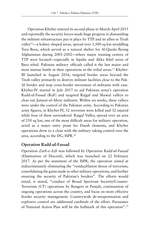Operation Khyber entered its second phase in March-April 2015 and reportedly the security forces made huge progress in dismantling the militant infrastructure put in place by TTP and its allies in Tirah valley<sup>32</sup>—a kidney shaped areas, spread over 1,500 sq km straddling Tora Bora, which served as a natural shelter for Al-Qaeda fleeing Afghanistan during 2001-2002—where major training centres of TTP were located—especially in Sipaha and Akka Khel areas of Bara tehsil. Pakistan military officials called it the last major and most intense battle in their operations in the tribal areas.<sup>33</sup> Khyber-III launched in August 2016, targeted border areas beyond the Tirah valley primarily to destroy militant facilities close to the Pak-Af border and stop cross-border movement of militants with ease. Khyber-IV started in July 2017 to aid Pakistan army's operation Radd-ul-Fsssad (RuF) and targeted Rajgal and Shawal valleys to clear out Jamaat-ul-Ahrar militants. Within six weeks, these valleys were under the control of the Pakistan army. According to Pakistan army figures, in Khyber-IV, 52 terrorists were killed and 32 injured while four of them surrendered. Rajgal Valley, spread over an area of 250 sq km, one of the most difficult areas for military operation, acted as a major entry point for Daesh elements, and Khyber operations drew to a close with the military taking control over the area, according to the DG, ISPR.34

### **Operation Radd-ul-Fassad**

Operation *Zarb-e-Azb* was followed by Operation *Radd-ul-Fassad* (Elimination of Discord), which was launched on 22 February 2017. As per the statement of the ISPR, the operation aimed at indiscriminately eliminating the "residual/latent threat of terrorism, consolidating the gains made in other military operations, and further ensuring the security of Pakistan's borders". The efforts would entail, it stated, "conduct of Broad Spectrum Security/Counter-Terrorism (CT) operations by Rangers in Punjab, continuation of ongoing operations across the country, and focus on more effective border security management. Countrywide de-weaponisation and explosive control are additional cardinals of the effort. Pursuance of National Action Plan will be the hallmark of this operation".35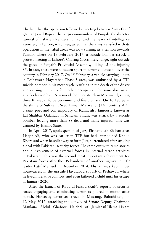The fact that the operation followed a meeting between Army Chief Qamar Javed Bajwa, the corps commanders of Punjab, the director general of Pakistan Rangers Punjab, and the heads of intelligence agencies, in Lahore, which suggested that the army, satisfied with its operations in the tribal areas was now turning its attention towards Punjab, where on 13 February 2017, a suicide bomber struck a protest meeting at Lahore's Charing Cross interchange, right outside the gates of Punjab's Provincial Assembly, killing 13 and injuring 85. In fact, there were a sudden spurt in terror violence all over the country in February 2017. On 15 February, a vehicle carrying judges in Peshawar's Hayatabad Phase-5 area, was ambushed by a TTP suicide bomber in his motorcycle resulting in the death of the driver and causing injury to four other occupants. The same day, in an attack claimed by JuA, a suicide bomber struck in Mohmand, killing three Khasadar force personnel and five civilians. On 16 February, the shrine of Sufi saint Syed Usman Marwandi (13th century AD), a saint poet and contemporary of Rumi, also famously known as Lal Shahbaz Qalandar in Sehwan, Sindh, was struck by a suicide bomber, leaving more than 88 dead and many injured. This was claimed by Islamic State.

In April 2017, spokesperson of JuA, Ehshanullah Ehshan alias Liaqat Ali, who was earlier in TTP but had later joined Khalid Khorasani when he split away to form JuA, surrendered after striking a deal with Pakistani security forces. He came out with tame stories about involvement of external forces in internal terror activities in Pakistan. This was the second most important achievement for Pakistani forces after the US handover of another high-value TTP leader Latif Mehsud in December 2014. Ehshan was kept under house-arrest in the upscale Hayatabad suburb of Peshawar, where he lived in relative comfort, and even fathered a child until his escape in January 2020.

After the launch of Radd-ul-Fassad (RuF), reports of security forces engaging and eliminating terrorists poured in month after month. However, terrorists struck in Mastung, Balochistan, on 12 May 2017, attacking the convoy of Senate Deputy Chairman Maulana Abdul Ghafoor Haideri of Jamiat-ul-Ulema-i-Islam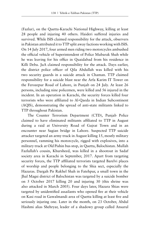(Fazlur), on the Quetta-Karachi National Highway, killing at least 28 people and injuring 40 others. Haideri suffered injuries and survived. While ISIS claimed responsibility for the attack, observers in Pakistan attributed it to TTP split away factions working with ISIS. On 14 July 2017, four armed men riding two motorcycles ambushed the official vehicle of Superintendent of Police Mubarak Shah while he was leaving for his office in Quaidabad from his residence in Killi Deba. JuA claimed responsibility for the attack. Days earlier, the district police officer of Qila Abdullah was killed with his two security guards in a suicide attack in Chaman. TTP claimed responsibility for a suicide blast near the Arfa Karim IT Tower on the Ferozepur Road of Lahore, in Punjab on 24 July. At least 26 persons, including nine policemen, were killed and 56 injured in the incident. In an operation in Karachi, the security forces killed four terrorists who were affiliated to Al-Qaeda in Indian Subcontinent (AQIS), demonstrating the spread of anti-state militants linked to TTP throughout Pakistan.

The Counter Terrorism Department (CTD), Punjab Police claimed to have eliminated militants affiliated to TTP in August during a raid at University Road of Gujrat Town and in an encounter near Sagian bridge in Lahore. Suspected TTP suicide attacker targeted an army truck in August killing 15, mostly military personnel, ramming his motorcycle, rigged with explosives, into a military truck at Old Pishin bus stop, in Quetta, Balochistan. Mullah Fazlullah's cousin, Khursheed, was killed in a shootout in Sadaf society area in Karachi in September, 2017. Apart from targeting security forces, the TTP affiliated terrorists targeted Barelvi places of worship and people belonging to the Shia sect, especially the Hazaras. Dargah Pir Rakhel Shah in Fatehpur, a small town in the Jhal Magsi district of Balochistan was targeted by a suicide bomber on 5 October 2017 killing 20 and injuring 30 (this shrine was also attacked in March 2005). Four days later, Hazara Shias were targeted by unidentified assailants who opened fire at their vehicle on Kasi road in Gawalmandi area of Quetta killing at least five and seriously injuring one. Later in the month, on 23 October, Abdul Hashmi alias Shehryar, leader of a shadowy group called Ansarul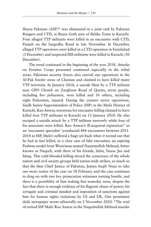Sharia Pakistan (ASP)<sup>36</sup> was eliminated in a joint raid by Pakistan Rangers and CTD, in Raees Goth area of Baldia Town in Karachi. Four alleged TTP militants were killed in an encounter with CTD, Punjab on the Sargodha Road in late November. In December, alleged TTP operatives were killed in a CTD operation in Fasialabad (3 December) and suspected ISIS militants were killed in Karachi (30 December).

The trend continued in the beginning of the year 2018. Attacks on Frontier Corps personnel continued especially in the tribal areas. Pakistani security forces also carried out operations in the Af-Pak border areas of Chaman and claimed to have killed many TTP terrorists. In January 2018, a suicide blast by a TTP militant near GPO Chowk on Zarghoon Road of Quetta, seven people, including five policemen, were killed and 16 others, including eight Policemen, injured. During the counter terror operations, Sindh Senior Superintendent of Police (SSP) in the Malir District of Karachi, Rao Anwar, notorious for encounter killing claimed to have killed four TTP militants in Karachi on 13 January 2018. He also escaped a suicide attack by a TTP militant narrowly while four of his associates were killed. Rao Anwar's ill-acquired reputation<sup>37</sup> as an 'encounter specialist' (conducted 444 encounters between 2011- 2018 as SSP, Malir) suffered a huge set-back when it turned out that he had in fact killed, in a clear case of fake encounter, an aspiring Pashtun model from Waziristan named Naseemullah Mehsud, better known as Naqeeb, with three of his friends, Sabir, Nazar Jan and Ishaq. This cold-blooded killing stirred the conscience of the whole nation and civil society groups held nation-wide strikes, so much so that the then Chief Justice of Pakistan, Justice Saqib Nisar to take *suo moto* notice of the case on 18 February and the case continues to drag on with two key prosecution witnesses turning hostile, and there is a possibility of him waking free someday soon, despite the fact that there is enough evidence of his flagrant abuse of power, his arrogant and criminal mindset and imposition of sanctions against him for human rights violations by US and UK. One prominent daily newspaper wrote editorially on 2 November 2020: "The trial of retired SSP Malir Rao Anwar in the Naqeebullah Mehsud murder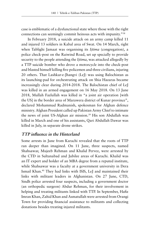case is emblematic of a dysfunctional state where those with the right connections can seemingly commit heinous acts with impunity."38

In February 2018, a suicide attack on an army camp killed 11 and injured 13 soldiers in Kabal area of Swat. On 14 March, right when Tablighi Jamaat was organising its *Ijtima* (congregation), a police check-post on the Raiwind Road, set up specially to provide security to the people attending the *Ijtima*, was attacked allegedly by a TTP suicide bomber who drove a motorcycle into the check-post and blasted himself killing five policemen and three civilians, injuring 20 others. That Lashkar-e-Jhangvi (LeJ) was using Balochistan as its launching-pad for orchestrating attack on Shia Hazaras became increasingly clear during 2014-2018. The Balochistan chief of LeJ was killed in an armed engagement on 16 May 2018. On 13 June 2018, Mullah Fazlullah was killed in "a joint air operation [with the US] in the border area of Marawera district of Kunar province", declared Mohammad Radmanish, spokesman for Afghan defence ministry. Afghan President called up Pakistan Army Chief to intimate the news of joint US-Afghan air mission.<sup>39</sup> His son Abdullah was killed in March and one of his assistants, Qari Abdullah Dawar was killed in July, in separate drone strikes.

## **TTP influence in the Hinterland**

Some arrests in June from Karachi revealed that the roots of TTP ran deeper than imagined. On 11 June, three suspects, named Shahsawar, Mujeeb Rehman and Khalid Pervez, were arrested by the CTD in Sultanabad and Jubilee areas of Karachi. Khalid was an IT expert and holder of an MBA degree from a reputed institute, while Shahsawar was a faculty at a government university in Dera Ismail Khan.40 They had links with ISIS, LeJ and maintained their links with militant leaders in Afghanistan. On 27 June, CTD, Sindh police arrested four suspects, including a government doctor (an orthopedic surgeon) Abdur Rehman, for their involvement in helping and treating militants linked with TTP. In September, Hafiz Imran Khan, Zahid Khan and Asmatullah were arrested from Orangi Town for providing financial assistance to militants and collecting donations besides treating injured militants.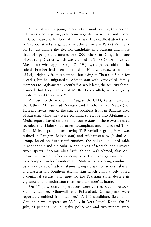With Pakistan slipping into election mode during this period, TTP was seen targeting politicians regarded as secular and liberal in Balochistan and Khyber Pakhtunkhwa. The deadliest attack since APS school attacks targetted a Balochistan Awami Party (BAP) rally on 13 July killing the election candidate Sirja Raisani and more than 149 people and injured over 200 others, in Dringarh village of Mastung District, which was claimed by TTP's Ghazi Force Lal Masjid in a whatsapp message. On 19 July, the police said that the suicide bomber had been identified as Hafeez Nawaz, a member of LeI, originally from Abottabad but living in Thatta in Sindh for decades, but had migrated to Afghanistan with some of his family members to Afghanistan recently.<sup>41</sup> A week later, the security forces claimed that they had killed Mufti Hidayatullah, who allegedly masterminded this attack.42

Almost month later, on 11 August, the CTD, Karachi arrested the father (Muhammad Nawaz) and brother (Haq Nawaz) of Hafeez Nawaz, one of the suicide bombers from in Banaras area of Karachi, while they were planning to escape into Afghanistan. Media reports based on the initial confessions of these two arrested revealed that Hafeez had other accomplices and had joined TTP-Daud Mehsud group after leaving TTP-Fazlullah group.<sup>43</sup> He was trained in Panjgur (Balochistan) and Afghanistan by Jaishul Adl group. Based on further information, the police conducted raids in Manghopir and old Subzi Mandi areas of Karachi and arrested two suspects—Sheeraz, alias Saifullah and Wali Ahmed, alias Abu Ubaid, who were Hafeez's accomplices. The investigations pointed to a complex web of random anti-State activities being conducted by a wide array of radical Islamist groups dispersed across Pakistan and Eastern and Southern Afghanistan which cumulatively posed a continual security challenge for the Pakistani state, despite its vigilance and its inclination to at least 'do more' at home.

On 17 July, search operations were carried out in Attock, Sialkot, Lahore, Mianwali and Faisalabad. 24 suspects were reportedly nabbed from Lahore.<sup>44</sup> A PTI candidate, Ikramullah Gandapur, was targeted on 22 July in Dera Ismaili Khan. On 25 July, 31 persons, including five policemen and two minors, were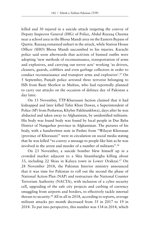killed and 30 injured in a suicide attack targeting the convoy of Deputy Inspector General (DIG) of Police, Abdul Razzaq Cheema near a school area in the Bhosa Mandi area on the Eastern Bypass of Quetta. Razaaq remained unhurt in the attack, while Station House Officer (SHO) Bhosa Mandi succumbed to his injuries. Karachi police said soon afterwards that activists of banned outfits were adopting 'new methods of reconnaissance, transportation of arms and explosives, and carrying out terror acts' working 'as drivers, cleaners, guards, cobblers and even garbage collectors in order to conduct reconnaissance and transport arms and explosives'.45 On 5 September, Punjab police arrested three terrorist belonging to ISIS from Basti Shorkot in Multan, who had reportedly planned to carry out attacks on the occasion of defence day of Pakistan a day later.

On 13 November, TTP-Khurasani faction claimed that it had kidnapped and later killed Tahir Khan Dawar, a Superintendent of Police (SP) from Peshawar, Khyber Pakhtunkhwa), days after he was abducted and taken away to Afghanistan, by unidentified militants. His body was found body was found by local people in Dur Baba District of Nangarhar province in Afghanistan. The pictures of his body, with a handwritten note in Pashto from "Wilayat Khorasan (province of Khorasan)" were in circulation on social media stating that he was killed "to convey a message to people like him as he was involved in the arrest and murder of a number of militants".46

On 23 November, a suicide bomber blew himself up in a crowded market adjacent to a Shia Imambargha killing about 33, including 22 Shias in Kalaya town in Lower Orakzai.47 On 28 November 2018, the Pakistan Interior ministry announced that it was time for Pakistan to roll out the second the phase of National Action Plan (NAP) and restructure the National Counter Terrorism Authority (NACTA), with inclusion of a cyber security cell, upgrading of the safe city projects and curbing of currency smuggling from airports and borders, to effectively tackle internal threats to security.<sup>48</sup> All in all in 2018, according to reports, average militant attacks per month decreased from 35 in 2017 to 19 in 2018. To put into perspective, this number was 134 in 2014, which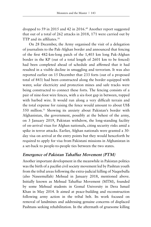dropped to 59 in 2015 and 42 in 2016.<sup>49</sup> Another report suggested that out of a total of 262 attacks in 2018, 171 were carried out by TTP and its affiliates.50

On 28 December, the Army organised the visit of a delegation of journalists to the Pak-Afghan border and announced that fencing of the first 482-km-long patch of the 1,403 km long Pak-Afghan border in the KP (out of a total length of 2601 km to be fenced) had been completed ahead of schedule and affirmed that it had resulted in a visible decline in smuggling and terrorism. It was also reported earlier on 15 December that 233 forts (out of a proposed total of 843) had been constructed along the border equipped with water, solar electricity and protection mines and safe tracks were being constructed to connect these forts. The fencing consists of a pair of nine-foot wire fences, with a six-foot gap in between, topped with barbed wire. It would run along a very difficult terrain and the total expense for raising the fence would amount to about US\$ 550 million.<sup>51</sup> Showing its anxiety about Pakistan's border with Afghanistan, the government, possibly at the behest of the army, on 3 January 2019, Pakistan withdrew, the long-standing facility of on-arrival visas for Afghan nationals, citing security risks amid a spike in terror attacks. Earlier, Afghan nationals were granted a 30 day visa on arrival at the entry points but they would henceforth be required to apply for visa from Pakistani missions in Afghanistan in a set-back to people-to-people ties between the two states.

## **Emergence of Pakistan Tahaffuz Movement (PTM)**

Another important development in the meanwhile in Pakistan politics was the birth of a pacifist civil society movement led by Pashtun youth from the tribal areas following the extra-judicial killing of Naqeebulla (also Naseemullah) Mehsud in January 2018, mentioned above. Initially known as Mehsud Tahaffuz Movement (MTM), founded by some Mehsud students in Gomal University in Dera Ismail Khan in May 2014. It aimed at peace-building and reconstruction following army action in the tribal belt. Its work focused on removal of landmines and addressing genuine concerns of displaced Pashtuns seeking rehabilitation. In the aftermath of gruesome killing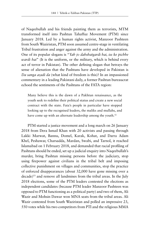of Naqeebullah and his friends painting them as terrorists, MTM transformed itself into Pashtun Tahaffuz Movement (PTM) since January 2018. Led by a human rights activist, Manzoor Pashteen from South Waziristan, PTM soon assumed centre-stage in ventilating Tribal frustration and anger against the army and the administration. One of its popular slogans is "*Yah jo dahshatgardi hai, iss ke pichhe wardi hai*" (It is the uniform, or the military, which is behind every act of terror in Pakistan). The other defining slogan that betrays the sense of alienation that the Pashtuns have developed in Pakistan is *Da sanga azadi da* (what kind of freedom is this)? In an impassioned commentary in a leading Pakistani daily, a former Pashtun bureaucrat echoed the sentiments of the Pashtuns of the FATA region:

Many believe this is the dawn of a Pakhtun renaissance, as the youth seek to redefine their political status and create a new social contract with the state. Fata's people in particular have stopped looking up to the recognised leaders, the maliks and mullahs, and have come up with an alternate leadership among the youth.<sup>52</sup>

PTM started a justice movement and a long march on 26 January 2018 from Dera Ismail Khan with 20 activists and passing through Lakki Marwat, Bannu, Domel, Karak, Kohat, and Darra Adam Khel, Peshawar, Charsadda, Mardan, Swabi, and Tarnol, it reached Islamabad on 1 February 2018, and demanded that racial profiling of Pashtuns should be ended, set up a judicial enquiry into Naqeebullah's murder, bring Pashtun missing persons before the judiciary, stop using firepower against civilians in the tribal belt and imposing collective punishment on villages and communities, stop the practice of enforced disappearances (about 32,000 have gone missing over a decade)<sup>53</sup> and remove all landmines from the tribal areas. In the July 2018 elections, some of the PTM leaders contested the elections as independent candidates (because PTM leader Manzoor Pashteen was opposed to PTM functioning as a political party) and two of them, Ali Wazir and Mohsin Dawar won MNA seats from the tribal areas. Ali Wazir contested from South Waziristan and polled an impressive 23, 550 votes while his two competitors from PTI and the religious MMA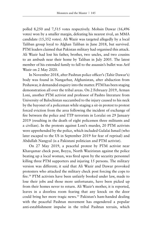polled 8,250 and 7,515 votes respectively. Mohsin Dawar (16,496 votes) won by a smaller margin, defeating his nearest rival, an MMA candidate (15,352 votes). Ali Wazir was targeted allegedly by a local Taliban group loyal to Afghan Taliban in June 2018, but survived. PTM leaders claimed that Pakistan military had organised this attack. Ali Wazir had lost his father, brother, two uncles, and two cousins to an ambush near their home by Taliban in July 2005. The latest member of his extended family to fall to the assassin's bullet was Arif Wazir on 2 May 2020.

In November 2018, after Pashtun police officer's (Tahir Dawar's) body was found in Nangarhar, Afghanistan, after abduction from Peshawar, it demanded enquiry into the matter. PTM has been staging demonstration all over the tribal areas. On 2 February 2019, Arman Loni, another PTM activist and professor of Pashto literature from University of Balochistan succumbed to the injury caused to his neck by the bayonet of a policeman while staging a sit-in protest to protest forced eviction from the area following the incident of exchange of fire between the police and TTP terrorists in Loralai on 29 January 2019 (resulting in the death of eight policemen three militants and a civilian). In the protests against Loni's murder, 20 PTM activists were apprehended by the police, which included Gulalai Ismail (who later escaped to the US in September 2019 for fear of reprisal) and Abdullah Nangyal (is a Pakistani politician and PTM activist).

On 27 May 2019, a peaceful protest by PTM activist near Kharqamar check post, Boyya, North Waziristan against the police beating up a local woman, was fired upon by the security personnel killing three PTM supporters and injuring 15 persons. The military version was different; it said that Ali Wazir and Dawar provoked protesters who attacked the military check post forcing the cops to fire.<sup>54</sup> PTM activists have been unfairly booked under law, made to lose their jobs and those more unfortunate, have been picked up from their homes never to return. Ali Wazir's mother, it is reported, leaves in a doorless room fearing that any knock on the door could bring her more tragic news.<sup>55</sup> Pakistan's ham-handed dealing with the peaceful Pashtun movement has engendered a popular anti-establishment impulse in the tribal Pashtun terrain, which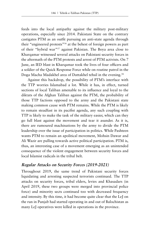feeds into the local antipathy against the military post-military operations, especially since 2014. Pakistani State on the contrary castigates PTM as an outfit pursuing an anti-state agenda through their "engineered protests"56 at the behest of foreign powers as part of their "hybrid war"57 against Pakistan. The Boya area close to Kharqamar witnessed several attacks on Pakistani security forces in the aftermath of the PTM protests and arrest of PTM activists. On 7 June, an IED blast in Kharqamar took the lives of four officers and a soldier of the Quick Response Force while on routine patrol in the Doga Macha Madakhel area of Dattakhel tehsil in the evening.<sup>58</sup>

Against this backdrop, the possibility of PTM's interface with the TTP worries Islamabad a lot. While it has, in effect, turned sections of local Taliban amenable to its influence and loyal to the diktats of the Afghan Taliban against the PTM, the probability of those TTP factions opposed to the army and the Pakistani state making common cause with PTM remains. While the PTM is likely to remain steadfast in its pacifist agenda, any such coupling with TTP is likely to make the task of the military easier, which can they go full blast against the movement and tear it asunder. As it is, there are rumoured machinations by the army to divide the PTM leadership over the issue of participation in politics. While Pashteen wants PTM to remain an apolitical movement, Mohsin Dawar and Ali Wazir are pulling towards active political participation. PTM is, thus, an interesting case of a movement emerging as an unintended consequence of the violent engagement between security forces and local Islamist radicals in the tribal belt.

### **Regular Attacks on Security Forces (2019-2021)**

Throughout 2019, the same trend of Pakistani security forces liquidating and arresting suspected terrorists continued. The TTP attacks on security forces, tribal elders, levies and Khasadars (in April 2019, these two groups were merged into provincial police force) and minority sects continued too with decreased frequency and intensity. By this time, it had become quite clear that the LeJ on the run in Punjab had started operating in and out of Balochistan as many LeJ operatives were killed in operations in the province.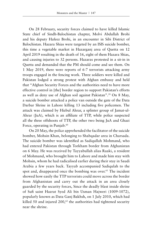On 28 February, security forces claimed to have killed Islamic State chief of Sindh-Balochistan chapter, Molvi Abdullah Brohi and his deputy Hafeez Brohi, in an encounter in Sibi District of Balochistan. Hazara Shias were targeted by an ISIS suicide bomber, this time a vegetable market in Hazarganj area of Quetta on 12 April 2019 resulting in the death of 16, eight of them Hazara Shias, and causing injuries to 32 persons. Hazaras protested in a sit-in in Quetta and demanded that the PM should come and see them. On 1 May 2019, there were reports of 6-7 terrorists attacking army troops engaged in the fencing work. Three soldiers were killed and Pakistan lodged a strong protest with Afghan embassy and held that "Afghan Security Forces and the authorities need to have more effective control in [the] border region to support Pakistan's efforts as well as deny use of Afghan soil against Pakistan".59 On 8 May, a suicide bomber attacked a police van outside the gate of the Data Darbar Shrine in Lahore killing 13 including five policemen. The attack was claimed by Hizbul Ahrar, a splinter group of Jamat-ul-Ahrar (JuA), which is an affiliate of TTP, while police suspected all the three offshoots of TTP, the other two being JuA and Ghazi Force, operating in Punjab.<sup>60</sup>

On 20 May, the police apprehended the facilitator of the suicide bomber, Mohsin Khan, belonging to Shabqadar area in Charsada. The suicide bomber was identified as Sadiqullah Mohmand, who had entered Pakistan through Torkham border from Afghanistan on 6 May. He was received by Tayyabullah alias Raaki, a resident of Mohmand, who brought him to Lahore and made him stay with Mohsin, whom he had radicalised earlier during their stay in Saudi Arabia a few years back. Tayyab accompanied Sadiqulah to the spot and, disappeared once the bombing was over.<sup>61</sup> The incident showed how easily the TTP terrorists could move across the border from Afghanistan and carry out the attack in an area closely guarded by the security forces, Since the deadly blast inside shrine of Sufi saint Hazrat Syed Ali bin Usman Hajweri (1009-1072), popularly known as Data Ganj Bakhsh, on 1 July 2010, which had killed 50 and injured  $200$ ,<sup>62</sup> the authorities had tightened security near the shrine.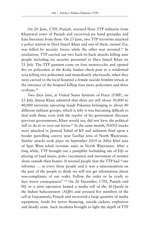On 20 June, CTD, Punjab, arrested three TTP militants from Khanewal town of Punjab and recovered six hand grenades and hate literature from them. On 23 June, two TTP terrorists attacked a police station in Dera Ismail Khan and one of them, named Zia, was killed by security forces while the other was arrested.<sup>63</sup> In retaliation, TTP carried out two back-to-back attacks killing nine people including six security personnel in Dera Ismail Khan on 21 July. The TTP gunmen came on four motorcycles and opened fire on policemen at the Kotla Saidan check-post in a residential area killing two policemen and immediately afterwards, when they were carried to the local hospital a female suicide bomber struck at the entrance of the hospital killing four more policemen and three civilians.64

Two days later, at United States Institute of Peace (USIP), on 23 July, Imran Khan admitted that there are still about 30,000 to 40,000 terrorists operating inside Pakistan belonging to about 40 different militant groups, which is why it was becoming difficult to deal with them, even with the resolve of his government (because previous governments, Khan would say, did not have the political will to do it) to root out terror.<sup>65</sup> In the same month, NATO trucks were attacked in Jamrud Tehsil of KP and militants fired upon a border patrolling convoy near Gurbaz area of North Waziristan. Similar attacks took place on September 2019 in Abba Khel area of Spin Wam tehsil (revenue unit) in North Waziristan. After a long while, TTP brought out a pamphlet forbidding use of DJs or playing of loud music, polio vaccination and movement of women alone outside their homes. It warned people that the TTP had "one informer … in every three people and it was a misconception on the part of the people to think we will not get information about non-compliance of our order. Follow the order or be ready to face worst consequences".<sup>66</sup> On 26 December, CTD, Punjab and ISI, in a joint operation busted a media cell of the Al-Qaeda in the Indian Subcontinent (AQIS) and arrested five members of the cell in Gujranwala, Punjab and recovered a large quantity of media equipment, funds for terror financing, suicide jackets, explosives and deadly arms. Such incidents brought to light the depth of TTP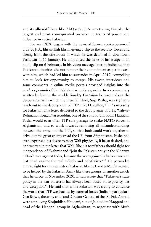and its allies/affiliates like Al-Qaeda, JuA penetrating Punjab, the largest and most consequential province in terms of power and influence in entire Pakistan.

The year 2020 began with the news of former spokesperson of TTP & JuA, Ehsanullah Ehsan giving a slip to the security forces and fleeing from the safe house in which he was detained in downtown Peshawar in 11 January. He announced the news of his escape in an audio clip on 6 February. In his video message later he indicated that Pakistan authorities did not honour their commitment as per the deal with him, which had led him to surrender in April 2017, compelling him to look for opportunity to escape. His tweet, interviews and some comments in online media portals provided insights into the *modus operandi* of the Pakistani security agencies. In a commentary written by him in the weekly *Sunday Guardian* he wrote about the desperation with which the then ISI Chief, Suja Pasha, was trying to reach out to the deputy amir of TTP in 2011, calling TTP 'a necessity for Pakistan'. In a letter delivered to the deputy amir of TTP, Wali-ur-Rehman, through Naseeruddin, one of the sons of Jalaluddin Haqqani, Pasha would even offer TTP safe passage to strike NATO forces in Afghanistan, and to work towards removing all misunderstandings between the army and the TTP, so that both could work together to drive out the great enemy (read the US) from Afghanistan. Pasha had even expressed his desire to meet Wali physically, if he so desired, and had written in the letter that Wali, like his forefathers should fight for independence of Kashmir and "join the Pakistan army in the 'Ghazwa e Hind' war against India, because the war against India is a true and just jihad against the real infidels and polytheists."<sup>67</sup> He persuaded TTP to fight for the interests of Pakistan like LeT and JeM, if it wanted to be helped by the Pakistan Army like these groups. In another article that he wrote in November 2020, Ehsan wrote that "Pakistan's state policy in the war on terror has always been based on hypocrisy, lies and deception". He said that while Pakistan was trying to convince the world that TTP was backed by external forces (India in particular), Gen Bajwa, the army chief and Director General of the ISI, Faiz Ahmad were employing Sirajuddian Haqqani, son of Jalaluddin Haqqani and head of the Haqqani group in Afghanistan, to negotiate with Mufti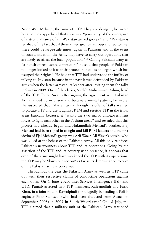Noor Wali Mehsud, the amir of TTP. They are doing it, he wrote because they apprehend that there is a "possibility of the emergence of a strong alliance of anti-Pakistan armed groups" and "Pakistan is terrified of the fact that if these armed groups regroup and reorganise, there could be large-scale unrest again in Pakistan and in the event of such a situation, the Army may have to carry out operations that are likely to affect the local population."68 Calling Pakistan army as "a bunch of real estate contractors" he said that people of Pakistan no longer looked at it as their protectors but "as an organ which has usurped their rights". He held that TTP had understood the futility of talking to Pakistan because in the past it was defrauded by Pakistan army when the latter arrested its leaders after inviting them for talks in Swat in 2009. One of the clerics, Shiekh Muhammad Rahim, head of the TTP Shura, Swat, after signing the agreement with Pakistan Army landed up in prison and became a mental patient, he wrote. He suspected that Pakistan army through its offer of talks wanted to placate TTP and use it against PTM and resettle TTP in the tribal areas basically because, it "wants the two major anti-government forces to fight each other in the Pashtun areas" and revealed that this project had already begun and Hakimullah Mehsud's brother, Ejaj Mehsud had been roped in to fight and kill PTM leaders and the first victim of Ejaj Mehsud's group was Arif Wazir, Ali Wazir's cousin, who was killed at the behest of the Pakistan Army. All this only reinforce Pakistan's nervousness about TTP and its operations. Going by the assertion of the TTP and its country-wide presence, it appears that even of the army might have weakened the TTP with its operations, the TTP may be 'down but not out' as far as its determination to take on the Pakistan army is concerned.

Throughout the year the Pakistan Army as well as TTP came out with their respective claims of conducting operations against each other. On 1 June 2020, Inter-Services Intelligence (ISI) and CTD, Punjab arrested two TTP members, Kaleemullah and Farid Khan, in a joint raid in Rawalpindi for allegedly beheading a Polish engineer Piotr Stanczak (who had been abducted from Attock in September 2008) in 2009 in South Waziristan.<sup>69</sup> On 18 July, the TTP claimed that a military unit of the Pakistan Army stationed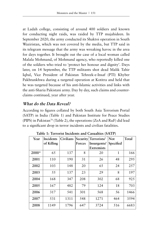at Ladah college, consisting of around 400 soldiers and known for conducting night raids, was raided by TTP mujahideen. In September 2020, the army conducted its Shaktoi operation in South Waziristan, which was not covered by the media, but TTP said in its telegram message that the army was wreaking havoc in the area for days together. It brought out the case of a local woman called Malala Mohmand, of Mohmand agency, who reportedly killed one of the soldiers who tried to 'protect her honour and dignity'. Days later, on 14 September, the TTP militants shot dead Malik Tahir Iqbal, Vice President of Pakistan Tehreek-e-Insaf (PTI) Khyber Pakhtunkhwa during a targeted operation at Kotitra and held that he was targeted because of his anti-Islamic activities and links with the anti-Sharia Pakistani army. Day by day, such claims and counterclaims continued, year after year.

# **What do the Data Reveal?**

According to figures collated by both South Asia Terrorism Portal (SATP) in India (Table 1) and Pakistan Institute for Peace Studies (PIPS) in Pakistan<sup>70</sup> (Table 2), the operations (ZeA and RuF) did lead to a significant drop in terror incidents and civilian fatalities.

| Year  | Incidents  | <b>Civilians</b> |        | Security Terrorists/ | <b>Not</b> | Total |
|-------|------------|------------------|--------|----------------------|------------|-------|
|       | of Killing |                  | Forces | Insurgents/          | Specified  |       |
|       |            |                  |        | Extremists           |            |       |
| 2000* | 65         | 137              | 8      | 20                   | 1          | 166   |
| 2001  | 110        | 190              | 31     | 26                   | 48         | 295   |
| 2002  | 103        | 148              | 20     | 65                   | 24         | 257   |
| 2003  | 55         | 137              | 23     | 29                   | 8          | 197   |
| 2004  | 168        | 347              | 208    | 302                  | 68         | 925   |
| 2005  | 167        | 482              | 79     | 124                  | 18         | 703   |
| 2006  | 317        | 541              | 301    | 568                  | 56         | 1466  |
| 2007  | 531        | 1311             | 548    | 1271                 | 464        | 3594  |
| 2008  | 1149       | 1796             | 647    | 3724                 | 516        | 6683  |

**Table 1: Terrorist Incidents and Casualties (SATP)**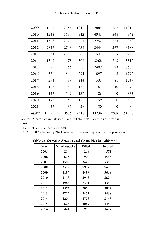| 2009    | 1665  | 2154  | 1012 | 7884  | 267      | 11317 |
|---------|-------|-------|------|-------|----------|-------|
| 2010    | 1246  | 1537  | 512  | 4945  | 348      | 7342  |
| 2011    | 1573  | 2371  | 674  | 2752  | 253      | 6050  |
| 2012    | 2347  | 2743  | 734  | 2444  | 267      | 6188  |
| 2013    | 2034  | 2713  | 665  | 1541  | 375      | 5294  |
| 2014    | 1569  | 1478  | 508  | 3268  | 263      | 5517  |
| 2015    | 950   | 866   | 339  | 2407  | 73       | 3685  |
| 2016    | 526   | 541   | 291  | 897   | 68       | 1797  |
| 2017    | 294   | 439   | 216  | 533   | 81       | 1269  |
| 2018    | 162   | 363   | 158  | 161   | 10       | 692   |
| 2019    | 136   | 142   | 137  | 86    | $\Omega$ | 365   |
| 2020    | 193   | 169   | 178  | 159   | $\theta$ | 506   |
| 2021    | 37    | 31    | 29   | 30    | $\theta$ | 90    |
| Total** | 15397 | 20636 | 7318 | 33236 | 3208     | 64398 |

Source: "Terrorism in Pakistan—Yearly Fatalities", South Asia Terrorism Portal71

Notes: \*Data since 6 March 2000.

\*\* Data till 18 February 2021, sourced from news reports and are provisional.

**Table 2: Terrorist Attacks and Casualties in Pakistan\***

| Year | No of Attacks | Killed | Injured |
|------|---------------|--------|---------|
| 2005 | 254           | 216    | 571     |
| 2006 | 675           | 907    | 1543    |
| 2007 | 1503          | 3448   | 5353    |
| 2008 | 2577          | 7997   | 9670    |
| 2009 | 1137          | 1439   | 3616    |
| 2010 | 2113          | 2913   | 5824    |
| 2011 | 1966          | 2391   | 4389    |
| 2012 | 1577          | 2050   | 3822    |
| 2013 | 1717          | 2451   | 5438    |
| 2014 | 1206          | 1723   | 3143    |
| 2015 | 625           | 1069   | 1443    |
| 2016 | 441           | 908    | 1627    |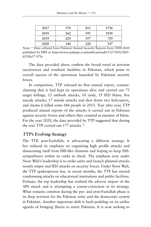| 2017 | 370 | 815 | 1736 |
|------|-----|-----|------|
| 2018 | 262 | 595 | 1030 |
| 2019 | 229 | 357 | 729  |
| 2020 | 146 | 220 | 547  |

Note: \* Data collated from Pakistan Annual Security Reports from 2008-2020 published by PIPS at https://www.pakpips.com/publications#1512730923805 d52fde57-07fa

The data provided above confirm the broad trend in terrorist occurrences and resultant fatalities in Pakistan, which point to overall success of the operations launched by Pakistani security forces.

In comparison, TTP released its first annual report, counterclaiming that it had kept its operations alive and carried out 73 target killings, 12 ambush attacks, 10 raids, 19 IED blasts, five suicide attacks, 17 missile attacks and shot down two helicopters, and claims it killed some 686 people in 2015. Year after year, TTP produced annual reports of the attacks it carried out in Pakistan against security forces and others they counted as enemies of Islam. For the year 2020, the data provided by TTP suggested that during the year TTP carried out 177 attacks.<sup>72</sup>

### **TTP's Evolving Strategy**

The TTP, post-Fazlullah, is advocating a different strategy. It has reduced its emphasis on organising high profile attacks and dissociating itself from ISIS-like elements and hoping to keep ISISsympathisers within its ranks in check. The emphasis now under Noor Wali's leadership is to strike unity and launch planned attacks mostly sniper and IED attacks on security forces. Under Noor Wali, the TTP spokesperson has, in recent months, the TTP has started condemning attacks on educational institutions and public facilities. Perhaps, the top leadership has realised the adverse impact of the APS attack and is attempting a course-correction in its strategy. What remains common during the pre- and post-Fazlullah phase is its deep aversion for the Pakistan army and the democratic system in Pakistan. Another important shift is back-pedaling on its earlier agenda of bringing Sharia to entire Pakistan. It is now seeking to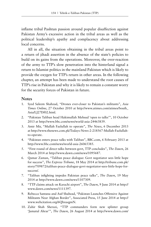inflame tribal Pashtun passion around popular disaffection against Pakistan Army's excessive action in the tribal areas as well as the political leadership's apathy and complacency about addressing local concerns.

All in all, the situation obtaining in the tribal areas point to a return of jihadi assertion in the absence of the state's policies to build on its gains from the operations. Moreover, the over-reaction of the army to TTP's slow penetration into the hinterland signal a return to Islamist politics in the mainland Pakistan which is likely to provide the oxygen for TTP's return in other areas. In the following chapter, an attempt has been made to understand the root causes of TTP's rise in Pakistan and why it is likely to remain a constant worry for the security forces of Pakistan in future.

#### **Notes**

- 1. Syed Saleem Shahzad, "Drones ever-closer to Pakistan's militants", *Asia Times Online*, 27 October 2010 at http://www.atimes.com/atimes/South\_ Asia/LJ27Df02.html.
- 2. "Pakistan Taliban head Hakimullah Mehsud 'open to talks'", 10 October 2013 at http://www.bbc.com/news/world-asia-24463839.
- 3. Amir Mir, "Mullah Fazlullah to operate", *The News*, 6 December 2013 at http://www.thenews.com.pk/Todays-News-2-218567-Mullah-Fazlullahto-operate.
- 4. "Pakistan enters peace talks with Taliban", BBC.com, 6 February 2013 at http://www.bbc.com/news/world-asia-26065385.
- 5. "First round of direct talks between govt, TTP concludes", *The Dawn*, 26 March 2014 at http://www.dawn.com/news/1095687.
- 6. Qamar Zaman, "Taliban peace dialogue: Govt negotiator sees little hope for success", *The Express Tribune*, 18 May 2014 at http://tribune.com.pk/ story/709872/taliban-peace-dialogue-govt-negotiator-sees-little-hope-forsuccess/.
- 7. "Taliban infighting impedes Pakistan peace talks", *The Dawn*, 19 May 2014 at http://www.dawn.com/news/1107309.
- 8. "TTP claims attack on Karachi airport", *The Dawn*, 9 June 2014 at http:// www.dawn.com/news/1111397.
- 9. Rebecca Santana and Asif Shahzad, "Pakistan Launches Offensive Against Militants Near Afghan Border", Associated Press, 15 June 2014 at http:// www.webcitation.org/6QhxuqpnN.
- 10. Zahir Shah Sherazi, "TTP commanders form new splinter group 'Jamatul Ahrar'", *The Dawn*, 26 August 2014 at http://www.dawn.com/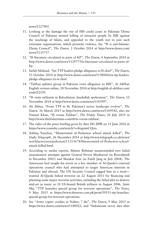news/1127905.

- 11. Looking at the damage the rise of ISIS could cause in Pakistan Ulema Council of Pakistan termed killing of innocent people by ISIS against the teachings of Islam, and appealed to the youth not to join such extremist organisations, which promote violence. See "IS is anti-Islamic: Ulema Council", *The Dawn*, 2 October 2014 at http://www.dawn.com/ news/1135717.
- 12. "IS literature circulated in parts of KP", *The Dawn*, 4 September 2014 at http://www.dawn.com/news/1129775/is-literature-circulated-in-parts-ofkp.
- 13. Sailab Mahsud, "Six TTP leaders pledge allegiance to IS chief", *The Dawn*, 15 October 2014 at http://www.dawn.com/news/1138042/six-ttp-leaderspledge-allegiance-to-is-chief.
- 14. "Taliban splinter group in Pakistan vows allegiance to ISIS", *Al Akhbar* English version online, 18 November 2014 at http://english.al-akhbar.com/ node/22530.
- 15. "IS visits militants in Balochistan: Jundullah spokesman", *The Dawn*, 12 November 2014 at http://www.dawn.com/news/1143997.
- 16. Ali Akbar, "From TTP to IS: Pakistan's terror landscape evolves", *The Dawn,* 16 March 2015 at http://www.dawn.com/news/1169542, also see Naimat Khan, "IS versus Taliban", *The Friday Times*, 10 July 2015 at http://www.thefridaytimes.com/tft/is-versus-taliban/.
- 17. The video of the press briefing given by then DG ISPR on 15 June 2016 at https://www.youtube.com/watch?v=fivgmmCQrrs.
- 18. Ashfaq Yusufzai, "Mastermind of Peshawar school attack killed", *The Daily Telegraph*, 26 December 2014 at http://www.telegraph.co.uk/news/ worldnews/asia/pakistan/11313678/Mastermind-of-Peshawar-schoolattack-killed.html.
- 19. According to media reports, Matiur Rehman masterminded two failed assassination attempts against General Pervez Musharraf (in Rawalpindi in December 2003) and Shaukat Aziz (in Fateh Jang in July 2004). The Americans had sought his arrest as a key member of Al-Qaeda's external operations council who had attempted to target American interests in Pakistan and abroad. The UN Security Council tagged him as a most wanted Al-Qaeda linked terrorist on 22 August 2011 for financing and planning some major terrorist activities, including the failed plot to destroy mid-air as many as 10 US-bound British jetliners in August 2006. Amir Mir, "TTP launches special group for terrorist operations", *The News*, 9 May 2015 at https://www.thenews.com.pk/print/39531-ttp-launchesspecial-group-for-terrorist-operations.
- 20. See "Army copter crashes in Naltar; 7 die", *The Dawn*, 9 May 2015 at https://www.dawn.com/news/1180922, and "Indonesian envoy dies after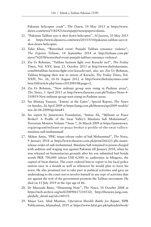Pakistan helicopter crash", *The Dawn*, 19 May 2015 at https://www. dawn.com/news/1182921/newspaper/newspaper/column.

- 21. "Pakistan Taliban says it shot down helicopter", *Al Jazeera*, 10 May 2015 https://www.aljazeera.com/news/2015/5/10/pakistan-taliban-says-itshot-down-helicopter.
- 22. Tahir Khan, "Watershed event: Punjabi Taliban renounce violence", *The Express Tribune*, 14 September 2014 at http://tribune.com.pk/ story/762038/watershed-event-punjabi-taliban-renounce-violence/.
- 23. Zia Ur Rehman, "Taliban factions fight over Karachi turf", *The Friday Times*, Vol. XXV, Issue 25, October 2013 at http://www.thefridaytimes. com/tft/taliban-factions-fight-over-karachi-turf, also see Zia Ur Rehman, Taliban bringing their war to streets of Karachi, *The Friday Times*, Vol. XXIV, No. 26, 10-16 August 2012 at http://www.thefridaytimes.com/ beta3/tft/article.php?issue=20120810&page=2.
- 24. Zia Ur Rehman, "New militant group seen rising in Pashtun areas", *The News*, 5 April 2015 at http://www.thenews.com.pk/Todays-News-4- 310819-New-militant-group-seen-rising-in-Pashtun-areas.
- 25. See Mustaq Yusuzai, "Enemy at the Gates", Special Report, *The News on Sunday*, 26 April 2009 at https://jang.com.pk/thenews/apr2009-weekly/ nos-26-04-2009/spr.htm#3.
- 26. See report by Jamestown Foundation, "Imtiaz Ali, "Militant or Peace Broker? A Profile of the Swat Valley's Maulana Sufi Muhammad", Terrorism Monitor Volume 7 Issue 7, 26 March 2009 at https://jamestown. org/program/militant-or-peace-broker-a-profile-of-the-swat-valleysmaulana-sufi-muhammad/.
- 27. Akhtar Amin, "PHC issues release order of Sufi Mohammad", *The News*, 9 January 2018 at https://www.thenews.com.pk/print/266125-phc-issuesrelease-order-of-sufi-mohammad. Maulana Sufi remained in prison charged with sedition and waging war against Pakistan till January 2018, when he was released on humanitarian grounds after his son submitted bail bonds worth PKR 700,000 (about US\$ 6,300) to authorities in Mingora, the capital of Swat district. The court ordered him to report to his local police station once in a month as well as whenever he would plan to leave his town. He also promised not to take part in political activities and gave an undertaking to the court not to involve himself in any type of activities that are against the writ of the government promote the Taliban movement. He died on 11 July 2019 at the ripe age of 86.
- 28. Dr Masooda Bano, "Dissenting Note", *The News*, 10 October 2008 at https://web.archive.org/web/20090617210532/; http://thenews.jang.com. pk/daily\_detail.asp?id=140151.
- 29. Major Gen. Abid Mumtaz, *Operation Sherdil: Battle for Bajaur*, ISPR Publications, Islamabad, 2019 at https://www.hilal.gov.pk/uploads/ebook/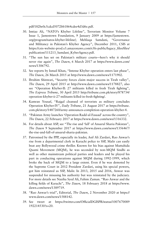pdf/182be0c5cdcd5072bb1864cdee4d3d6e.pdf.

- 30. Imtiaz Ali, "NATO's Khyber Lifeline", Terrorism Monitor Volume 7 Issue 1, Jamestown Foundation, 9 January 2009 at https://jamestown. org/program/natos-khyber-lifeline/; Mehlaqa Samdani, "Governance and Militancy in Pakistan's Khyber Agency", December 2011, CSIS at https://csis-website-prod.s3.amazonaws.com/s3fs-public/legacy\_files/files/ publication/111213\_Samdani\_KyberAgency.pdf.
- 31. "The sun has set on Pakistan's military courts—here's why it should never rise again", *The Dawn*, 6 March 2017 at https://www.dawn.com/ news/1306792.
- 32. See reports by Ismail Khan, "Intense Khyber operation enters last phase", *The Dawn*, 26 March 2015 at http://www.dawn.com/news/1171902.
- 33. Ibrahim Shinwari, "Security forces claim major success in Tirah valley", *The Dawn*, 29 April 2015 at http://www.dawn.com/news/1178827, also see "Operation Khyber-II: 27 militants killed in fresh Tirah fighting", *The Express Tribune*, 30 April 2015 http://tribune.com.pk/story/878734/ operation-khyber-ii-27-militants-killed-in-fresh-fighting/.
- 34. Kamran Yousaf, "Rajgal cleansed of terrorists as military concludes Operation Khyber-IV", *Daily Tribune*, 21 August 2017 at https://tribune. com.pk/story/1487260/army-announces-completion-operation-khyber-4.
- 35. "Pakistan Army launches 'Operation Radd-ul-Fasaad' across the country", *The Dawn*, 22 February 2017 at https://www.dawn.com/news/1316332.
- 36. For details about ASP, see "The rise and 'fall' of Ansarul Sharia Pakistan", *The Dawn* 9 September 2017 at https://www.dawn.com/news/1356467/ the-rise-and-fall-of-ansarul-sharia-pakistan.
- 37. Patronised by the PPP, especially its leader, Asif Ali Zardari, Rao Anwar's rise from a departmental clerk in Karachi police to SSP, Malir can easily beat any Bollywood crime thriller. Known for his bias against Muttahida Quami Movement (MQM), he was seconded by non-MQM Sindhi as well as other mainstream political parties and leaders and he played his part in conducting operations against MQM during 1992-1999, which broke the back of MQM to a large extent. Even if he was demoted by the Supreme Court in 2012 President Zardari, using his special powers, got him reinstated as SSP, Malir. In 2013, 2015 and 2016, Anwar was suspended for misusing his authority but was reinstated by the judiciary. For more details see Naziha Syed Ali, Fahim Zaman. "Rao Anwar and the killing fields of Karachi", *The Dawn*, 18 February 2018 at https://www. dawn.com/news/1389719.
- 38. "Rao Anwar's trial", Editorial, *The Dawn*, 2 November 2020 at https:// www.dawn.com/news/1588142.
- 39. See tweet at https://twitter.com/OfficialDGISPR/status/1007670089 192214530?s=20.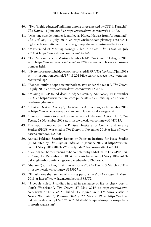- 40. "Two 'highly educated' militants among three arrested by CTD in Karachi", *The Dawn*, 11 June 2018 at https://www.dawn.com/news/1413472.
- 41. "Mastung suicide bomber identified as Hafeez Nawaz from Abbottabad", *The Tribune*, 19 July 2018 at https://tribune.com.pk/story/1761755/1 high-level-committee-informed-progress-peshawar-mastung-attack-cases.
- 42. "Mastermind of Mastung carnage killed in Kalat", *The Dawn*, 21 July 2018 at https://www.dawn.com/news/1421460.
- 43. "Two 'accomplices' of Mastung bomber held", *The Dawn*, 11 August 2018 at https://www.dawn.com/news/1426207/two-accomplices-of-mastungbomber-held.
- 44. "Five terror suspects held, weapons recovered: ISPR", *The Nation*, 17 July 2018 at https://nation.com.pk/17-Jul-2018/five-terror-suspects-held-weaponsrecovered-ispr.
- 45. "Banned outfits adopt new methods to stay under the radar", *The Dawn*, 28 July 2018 at https://www.dawn.com/news/1423121.
- 46. "Missing KP SP found dead in Afghanistan?", *The News*, 14 November 2018 at https://www.thenews.com.pk/print/393533-missing-kp-sp-founddead-in-afghanistan.
- 47. "Blast in Orakzai Agency", *The Newsweek*, Pakistan, 28 November 2018 at https://www.newsweekpakistan.com/blast-in-orakzai-agency/.
- 48. "Interior ministry to unveil a new version of National Action Plan", *The Dawn*, 28 November 2018 at https://www.dawn.com/news/1448119.
- 49. The report compiled by the Pakistan Institute for Conflict and Security Studies (PICSS) was cited in *The Dawn*, 1 November 2019 at https://www. dawn.com/news/1380001.
- 50. Annual Pakistan Security Report by Pakistan Institute for Peace Studies (PIPS), cited by *The Express Tribune* , 6 January 2019 at https://tribune. com.pk/story/1882804/1-595-martyred-262-terrorist-attacks-2018.
- 51. "Pak-Afghan border fencing to be completed by end of 2019: DG ISPR", *The Tribune,* 15 December 2018 at https://tribune.com.pk/story/1867668/1 pak-afghan-border-fencing-completed-end-2019-dg-ispr.
- 52. Ghulam Qadir Khan, "Pakhtun resistance", *The Dawn*, 3 March 2018 at https://www.dawn.com/news/1399271.
- 53. "Tribulations the families of missing persons face", *The Dawn*, 7 March 2018 at https://www.dawn.com/news/1393572.
- 54. "3 people killed, 5 soldiers injured in exchange of fire at check post in North Waziristan", *The Dawn*, 27 May 2019 at https://www.dawn. com/news/1484709 & "3 killed, 15 injured in 'PTM-Army clash' in North Waziristan", *Pakistan Today,* 27 May 2019 at https://archive. pakistantoday.com.pk/2019/05/26/3-killed-15-injured-in-ptm-army-clashin-north-waziristan/.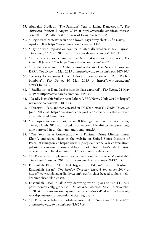- 55. Abubakar Siddiqui, "The Pashtuns' Year of Living Dangerously", *The American Interest* 3 August 2019 at https://www.the-american-interest. com/2019/03/08/the-pashtuns-year-of-living-dangerously/.
- 56. "'Engineered protests' won't be allowed, says army chief", *The Dawn*, 13 April 2018 at https://www.dawn.com/news/1401345.
- 57. "'Hybrid war' imposed on country to internally weaken it, says Bajwa", *The Dawn,* 15 April 2018 at https://www.dawn.com/news/1401747.
- 58. "Three officers, soldier martyred in North Waziristan IED attack", *The Dawn*, 8 June 2019 at https://www.dawn.com/news/1486779.
- 59. "3 soldiers martyred in Afghan cross-border attack in North Waziristan: ISPR", *The Dawn*, 1 May 2019 at https://www.dawn.com/news/1479605.
- 60. "Security forces arrest 4 from Lahore in connection with Data Darbar bombing", *The Dawn*, 10 May 2019 at https://www.dawn.com/ news/1481431.
- 61. "'Facilitator' of Data Darbar suicide blast captured", *The Dawn*, 21 May 2019 at https://www.dawn.com/news/1483551.
- 62. "Deadly blasts hit Sufi shrine in Lahore", BBC News, 2 July 2010 at https:// www.bbc.com/news/10483453.
- 63. "Terrorist killed, another arrested in DI Khan attack", *Daily Times*, 24 June 2019 at https://dailytimes.com.pk/417373/terrorist-killed-anotherarrested-in-di-khan-attack/.
- 64. "Six cops among nine martyred in DI Khan gun and bomb attack", *Daily Times*, 22 July 2019 at https://dailytimes.com.pk/434680/six-cops-amongnine-martyred-in-di-khan-gun-and-bomb-attack/.
- 65. "One Year In: A Conversation with Pakistani Prime Minister Imran Khan", embedded video at the website of United States Institute of Peace, Washington at https://www.usip.org/events/one-year-conversationpakistani-prime-minister-imran-khan (look for Khan's deliberation especially from 36.54 minutes to 37.05 minutes in the video).
- 66. "TTP warns against playing music, women going out alone in Miramshah", *The Dawn*, 1 August 2019 at https://www.dawn.com/news/1497395.
- 67. Ehsanullah Ehsan, "ISI chief begged for Taliban's help in Kashmir: Ehsanullah Ehsan", *The Sunday Guardian Live*, 6 September 2019 at https://www.sundayguardianlive.com/news/isi-chief-begged-talibans-helpkashmir-ehsanullah-ehsan.
- 68. Ehsanullah Ehsan, "Pak Army deceiving world, plans to use TTP as a pawn domestically, globally", *The Sunday Guardian Live*, 28 November 2020 at https://www.sundayguardianlive.com/world/pak-army-deceivingworld-plans-use-ttp-pawn-domestically-globally.
- 69. "TTP men who beheaded Polish engineer held", *The Dawn*, 11 June 2020 at https://www.dawn.com/news/1562716.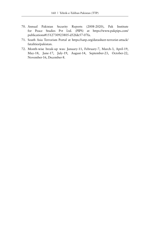- 70. Annual Pakistan Security Reports (2008-2020), Pak Institute for Peace Studies Pvt Ltd. (PIPS) at https://www.pakpips.com/ publications#1512730923805-d52fde57-07fa.
- 71. South Asia Terrorism Portal at https://satp.org/datasheet-terrorist-attack/ fatalities/pakistan.
- 72. Month-wise break-up was: January-11, February-7, March-3, April-19, May-18, June-17, July-19, August-14, September-23, October-22, November-16, December-8.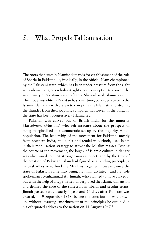## 5. What Propels Talibanisation

The roots that sustain Islamist demands for establishment of the rule of Sharia in Pakistan lie, ironically, in the official Islam championed by the Pakistani state, which has been under pressure from the right wing ulema (religious scholars) right since its inception to convert the western-style Pakistani statecraft to a Sharia-based Islamic system. The modernist elite in Pakistan has, over time, conceded space to the Islamist demands with a view to co-opting the Islamists and stealing the thunder from their populist campaign. However, in the bargain, the state has been progressively Islamicised.

Pakistan was carved out of British India for the minority *Mussalmans* (Muslims) who felt insecure about the prospect of being marginalised in a democratic set up by the majority Hindu population. The leadership of the movement for Pakistan, mostly from northern India, and elitist and feudal in outlook, used Islam in their mobilisation strategy to attract the Muslim masses. During the course of the movement, the bogey of Islamic-culture-in-danger was also raised to elicit stronger mass support, and by the time of the creation of Pakistan, Islam had figured as a binding principle, a natural adhesive to bind the Muslims together. However, once the state of Pakistan came into being, its main architect, and its 'sole spokesman', Muhammad Ali Jinnah, who claimed to have carved it out with the help of a type-writer, underplayed the Islamic dimension and defined the core of the statecraft in liberal and secular terms. Jinnah passed away exactly 1 year and 24 days after Pakistan was created, on 9 September 1948, before the constitution was drawn up, without ensuring enshrinement of the principles he outlined in his oft-quoted address to the nation on 11 August 1947.<sup>1</sup>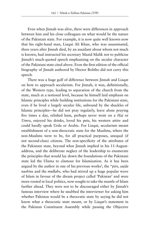Even when Jinnah was alive, there were differences in approach between him and his close colleagues on what would be the nature of the Pakistani state. For example, it is now quite well known now that his right-hand man, Liaqat Ali Khan, who was assassinated, three years after Jinnah died, by an assailant about whom not much is known, had instructed his secretary Mazid Malik not to publicise Jinnah's much-quoted speech emphasising on the secular character of the Pakistani state cited above. Even the first edition of the official biography of Jinnah authored by Hector Bolitho did not carry this speech.

There was a huge gulf of difference between Jinnah and Liaqat on how to approach secularism. For Jinnah, it was, definitionally, of the Western type, leading to separation of the church from the state, much at a notional level, because he himself laid emphasis on Islamic principles while building institutions for the Pakistani state, even if he lived a largely secular life, unbound by the shackles of Islamic principles—he did not pray regularly, leave alone praying five times a day, relished ham, perhaps never went on a *Haj* or *Umra*, enjoyed his drinks, loved his pets, his western attire and could hardly speak Urdu or Arabic. For Liaqat, secularism meant establishment of a non-theocratic state for the Muslims, where the non-Muslims were to be, for all practical purposes, unequal (if not second-class) citizens. The non-specificity of the attributes of the Pakistani state, beyond what Jinnah implied in his 11-Augustaddress, and the deliberate neglect of the leadership to enumerate the principles that would lay down the foundations of the Pakistani state led the Ulama to clamour for Islamisation. As it has been argued by the author in one of his previous works<sup>2</sup>, the "*pirs, sajda nashins* and the *mullahs*, who had stirred up a huge popular wave of Islam in favour of the dream project called 'Pakistan' and were more rooted in local politics, now sought to take the mantle of Islam further ahead. They were not to be discouraged either by Jinnah's famous interview where he snubbed the interviewer for asking him whether Pakistan would be a theocratic state by saying he did not know what a theocratic state meant, or by Liaqat's statement in the Pakistan Constituent Assembly while passing the Objective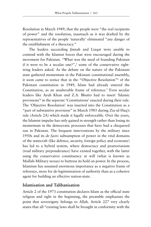Resolution in March 1949, that the people were "the real recipients of power" and the resolution, inasmuch as it was drafted by the representatives of the people 'naturally' eliminated "any danger of the establishment of a theocracy."

The leaders succeeding Jinnah and Liaqat were unable to contend with the Islamist forces that were encouraged during the movement for Pakistan. "What was the need of founding Pakistan if it were to be a secular one?",<sup>3</sup> some of the conservative rightwing leaders asked. As the debate on the nature of the Pakistani state gathered momentum in the Pakistani constitutional assembly, it soon came to notice that in the "Objective Resolution"4 of the Pakistani constitution in 1949, Islam had already entered the Constitution, as an unalterable frame of reference.<sup>5</sup> Even secular leaders like Ayub Khan and Z.A. Bhutto had to insert 'Islamic provisions'6 in the separate 'Constitutions' enacted during their rule. The 'Objective Resolution' was inserted into the Constitution as a "part of substantive provision" in March 1985 during Zia-ul-Haq's rule (Article 2A) which made it legally enforceable. Over the years, the Islamist impulse has only gained in strength rather than losing its momentum in the democratic processes that have had a chequered run in Pakistan. The frequent interventions by the military since 1950s and its *de facto* subsumption of power in the vital domains of the statecraft (like defence, security, foreign policy and economy) has led to a hybrid system, where democracy and praetorianism (read military preponderance) have existed together, with the latter using the conservative constituency at will (what is known as Mullah-Military nexus) to buttress its hold on power. In the process, Islamism has assumed enormous importance as a negative frame of reference, more for de-legitimisiation of authority than as a cohesive agent for building an effective nation-state.

## **Islamisation and Talibanisation**

Article 2 of the 1973 constitution declares Islam as the official state religion and right in the beginning, the preamble emphasises the point that sovereignty belongs to Allah. Article 227 very clearly states that all "existing laws shall be brought in conformity with the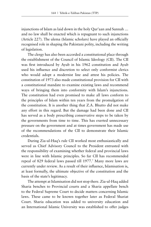injunctions of Islam as laid down in the holy Qur'aan and Sunnah … and no law shall be enacted which is repugnant to such injunctions (Article 227). The ulema (Islamic scholars) have played an officially recognised role in shaping the Pakistani polity, including the writing of legislation.

The clergy has also been accorded a constitutional place through the establishment of the Council of Islamic Ideology (CII). The CII was first introduced by Ayub in his 1962 constitution and Ayub used his influence and discretion to select only conformist clerics who would adopt a modernist line and attest his policies. The constitution of 1973 also made constitutional provision for CII with a constitutional mandate to examine existing laws and recommend ways of bringing them into conformity with Islam's injunctions. The constitution had even promised to make all laws conform to the principles of Islam within ten years from the promulgation of the constitution. It is another thing that Z.A. Bhutto did not make any effort in this regard. But the damage had been done and CII has served as a body prescribing conservative steps to be taken by the governments from time to time. This has exerted unnecessary pressure on the government and at times government has made use of the recommendations of the CII to demonstrate their Islamic credentials.

During Zia-ul-Haq's rule CII worked most enthusiastically and served as Chief Advisory Council to the President entrusted with the responsibility of examining whether federal and provincial laws were in line with Islamic principles. So far CII has recommended repeal of 829 federal laws passed till 1977.7 Many more laws are currently under review. As a result of their influence, Islamisation is, at least formally, the ultimate objective of the constitution and the basis of the state's legitimacy.

The attempt at Islamisation did not stop there. Zia-ul-Haq added Sharia benches to Provincial courts and a Sharia appellate bench to the Federal Supreme Court to decide matters concerning Islamic laws. These came to be known together later as Federal Shariat Court. Sharia education was added to university education and an International Islamic University was established to offer judges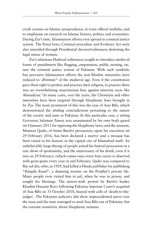crash courses on Islamic jurisprudence, to train official mullahs, and to emphasise on research on Islamic history, politics and economics. During Zia's time, Islamisation efforts even spread to criminal justice system. The Penal laws, Criminal procedure and Evidence Act were also amended through Presidential decrees/ordinances demoting the legal status of women.

Zia's infamous Hudood ordinances sought to introduce medieval forms of punishment like flogging, amputation, public stoning, etc. into the criminal justice system of Pakistan. With such symbolic but pervasive Islamisation efforts the non-Muslim minorities were reduced to '*dhimmis*'<sup>8</sup> of the medieval age. Even if the constitution gave them right to profess and practice their religion, in practice there was an overwhelming majoritarian bias against minority sects like Ahmadiyas.<sup>9</sup> In many cases, over the years, the Christians and other minorities have been targeted through blasphemy laws brought in by Zia. The most prominent of this was the case of Asia Bibi, which demonstrated the abiding contradictions pertaining to the nature of the society and state in Pakistan. In this particular case, a sitting Governor, Salaman Taseer, was assassinated by his own body guard on 4 January 2011 for opposing the blasphemy laws, and the assassin, Mumtaz Qadri, of Sunni Barelvi persuasion, upon his execution on 29 February 2016, has been declared a martyr and a mosque has been raised in his honour in the capital city of Islamabad itself. An unbelievably large throng of people joined his funeral procession in a rare show of spontaneity, and the anniversary of his death, even if it was on 29 February, (which comes once every four years) is observed with great gusto every year in end February. Qadri was compared to Ilm-ud-din, who, in 1929, had killed a Hindu publisher for publishing "*Rangila Rasul*", a damning treatise on the Prophet's private life. Many people even visited him in jail, when he was in prison, and sought his blessings. The nation-wide protest by Barelvi leader, Khadim Hussain Rizvi following Pakistan Supreme Court's acquittal of Asia Bibi on 31 October 2018, buzzed with calls of 'death-to-thejudges'. The Pakistani judiciary did show unprecedented nerve over the issue and the state managed to send Asia Bibi out of Pakistan, but the extreme sensitivity about blasphemy remains.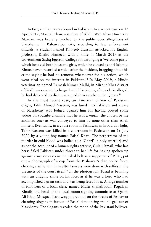In fact, similar cases abound in Pakistan. In a recent case on 13 April 2017, Mashal Khan, a student of Abdul Wali Khan University Mardan, was brutally lynched by the public over allegations of blasphemy. In Bahawalpur city, according to law enforcement officials, a student named Khateeb Hussain attacked his English professor, Khalid Hameed, with a knife in March 2019 at the Government Sadiq Egerton College for arranging a 'welcome party' which involved both boys and girls, which he viewed as anti-Islamic. Khateeb even recorded a video after the incident, bragging about his crime saying he had no remorse whatsoever for his action, which went viral on the internet in Pakistan.10 In May 2019, a Hindu veterinarian named Ramesh Kumar Malhi, in Mirpur Khas district of Sindh, was arrested, charged with blasphemy, after a cleric alleged, he had delivered medicine wrapped in verses from the Quran.<sup>11</sup>

In the most recent case, an American citizen of Pakistani origin, Tahir Ahmad Naseem, was lured into Pakistan and a case of blasphemy was lodged against him for having posted some videos on youtube claiming that he was a *masih* (the chosen or the anointed one) as was conveyed to him by none other than Allah himself. Eventually, in a court room in Peshawar, in broad day light, Tahir Naseem was killed in a courtroom in Peshawar, on 29 July 2020 by a young boy named Faisal Khan. The perpetrator of the murder-in-cold-blood was hailed as a 'Ghazi' (a holy warrior) and as per the account of a human rights activist, Gulali Ismail, who has herself fled Pakistan under threat to her life for having spoken up against army excesses in the tribal belt as a supporter of PTM, put out a photograph of a cop from the Peshawar's elite police force, clicking a selfie with him after lawyers were done with selfies in the precincts of the court itself.12 In the photograph, Fasial is beaming with an undying smile on his face, as if he was a hero who had accomplished a great task and was being feted for it. A large number of followers of a local cleric named Mufti Shahabuddin Popalzai, Khatib and head of the local moon-sighting committee at Qasim Ali Khan Mosque, Peshawar, poured out on the streets of Peshawar chanting slogans in favour of Fasial denouncing the alleged act of blasphemy. The slogans revealed the mood of the Pakistani believer: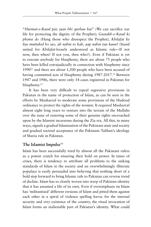"*Hurmat-e-Rasul par, jaan bhi qurban hai*" (We can sacrifice our life for protecting the dignity of the Prophet); *Gustakh-e-Rasul ki phansi do* (Hang those who disrespect the Prophet)*, Khilafat ke liye muttahid ho jao, ab nahin to kab, aap nahin tau kaun?* (Stand united for *Khilafat*-loosely understood as Islamic rule—If not now, then when? If not you, then who?). Even if Pakistan is yet to execute anybody for blasphemy, there are about 75 people who have been killed extrajudicially in connection with blasphemy since 199013 and there are about 1,500 people who have been accused of having committed acts of blasphemy during 1987-2017.<sup>14</sup> Between 1947 and 1986, there were only 14 cases registered in Pakistan for blasphemy.15

It has been very difficult to repeal regressive provisions in Pakistan in the name of protection of Islam, as can be seen in the efforts by Musharraf to moderate some provisions of the Hudood ordinance to protect the rights of the women. It required Musharraf almost eight long years to venture into the terrain of the Mullahs over the issue of restoring some of their genuine rights encroached upon by the Islamist incursions during the Zia era. All this, in many ways, signals a gradual Islamisation of the Pakistani state and society and gradual societal acceptance of the Pakistani Taliban's ideology of Sharia rule in Pakistan.

## **The Islamist Impulse**<sup>16</sup>

Islam has been successfully tried by almost all the Pakistani rulers as a potent crutch for ensuring their hold on power. In times of crises, there is tendency to attribute all problems to the sinking standards of Islam in the society and an overwhelmingly illiterate populace is easily persuaded into believing that nothing short of a bold step forward to bring Islamic rule to Pakistan can reverse trend of decline. Islam has so closely woven into warp of Pakistan identity that it has assumed a life of its own. Even if overemphasis on Islam has 'militantised' different versions of Islam and pitted them against each other in a spiral of violence spelling havoc for the internal security and very existence of the country, the ritual invocation of Islam forms an inalienable part of Pakistan's identity. What could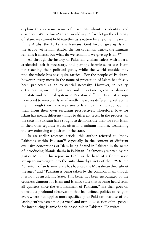explain this extreme sense of insecurity about its identity and existence? Waheed-uz-Zaman, would say: "If we let go the ideology of Islam, we cannot hold together as a nation by any other means…. If the Arabs, the Turks, the Iranians, God forbid, give up Islam, the Arabs yet remain Arabs, the Turks remain Turks, the Iranians remains Iranians, but what do we remain if we give up Islam?"17

All through the history of Pakistan, civilian rulers with liberal credentials felt it necessary, and perhaps harmless, to use Islam for reaching their political goals, while the world outside may find the whole business quite farcical. For the people of Pakistan, however, every move in the name of protection of Islam has falsely been projected as an existential necessity. However, in reality, extrapolating on the legitimacy and importance given to Islam on the state and political system in Pakistan, different Islamist groups have tried to interpret Islam-friendly measures differently, refracting them through their narrow prisms of Islamic thinking, approaching them from their own sectarian perspectives. Therefore, love for Islam has meant different things to different sects. In the process, all the sects in Pakistan have sought to demonstrate their love for Islam in their own separate ways, often in a militant manner, weakening the law-enforcing capacities of the state.

In an earlier research article, this author referred to 'many Pakistans within Pakistan'18 especially in the context of different exclusive conceptions of Islam being floated in Pakistan in the name of introducing Islamic sharia in Pakistan. As famously written by the Justice Munir in his report in 1953, as the head of a Commission set up to investigate into the anti-Ahmadiya riots of the 1950s, the "phantom of an Islamic State has haunted the Mussalman throughout the ages" and "Pakistan is being taken by the common man, though it is not, as an Islamic State. This belief has been encouraged by the ceaseless clamour for Islam and Islamic State that is being heard from all quarters since the establishment of Pakistan." He then goes on to make a profound observation that has defined politics of religion everywhere but applies more specifically to Pakistan because of the lasting enthusiasm among a vocal and orthodox section of the people for introducing Islamic Sharia based rule in Pakistan. He writes: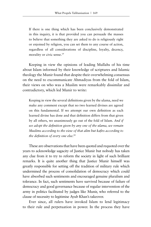If there is one thing which has been conclusively demonstrated in this inquiry, it is that provided you can persuade the masses to believe that something they are asked to do is religiously right or enjoined by religion, you can set them to any course of action, regardless of all considerations of discipline, loyalty, decency, morality or civic sense.<sup>19</sup>

Keeping in view the opinions of leading Mullahs of his time about Islam informed by their knowledge of scriptures and Islamic theology the Munir found that despite their overwhelming consensus on the need to excommunicate Ahmadiyas from the fold of Islam, their views on who was a Muslim were remarkably dissimilar and contradictory, which led Munir to write:

Keeping in view the several definitions given by the ulama, need we make any comment except that no two learned divines are agreed on this fundamental. If we attempt our own definition as each learned divine has done and that definition differs from that given by all others, we unanimously go out of the fold of Islam. *And if we adopt the definition given by any one of the ulama, we remain Muslims according to the view of that alim but kafirs according to the definition of every one else.*<sup>20</sup>

These are observations that have been quoted and requoted over the years to acknowledge sagacity of Justice Munir but nobody has taken any clue from it to try to reform the society in light of such brilliant remarks. It is quite another thing that Justice Munir himself was greatly responsible for setting off the tradition of military rule which undermined the process of consolidation of democracy which could have absorbed such sentiments and encouraged genuine pluralism and tolerance. In fact, such sentiments have survived because of failure of democracy and good governance because of regular intervention of the army in politics facilitated by judges like Munir, who referred to the clause of necessity to legitimise Ayub Khan's takeover.

Ever since, all rulers have invoked Islam to lend legitimacy to their rule and perpetuation in power. In the process they have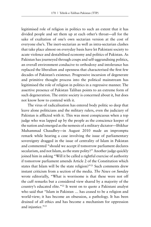legitimised role of religion in politics to such an extent that it has divided people and set them up at each other's throat—all for the sake of exaltation of one's own sectarian version at the cost of everyone else's. The inert-sectarian as well as intra-sectarian clashes that take place almost on everyday basis have let Pakistani society to acute violence and destabilised economy and politics of Pakistan. As Pakistan has journeyed through coups and self-aggrandising politics, an overall environment conducive to orthodoxy and intolerance has replaced the liberalism and openness that characterised the first few decades of Pakistan's existence. Progressive incursion of degenerate and primitive thought process into the political mainstream has legitimised the role of religion in politics in a regressive manner. The assertive presence of Pakistan Taliban points to an extreme form of such degeneration. The entire society is concerned about it, but does not know how to contend with it.

The virus of radicalisation has entered body politic so deep that leave alone politicians and the military rulers, even the judiciary of Pakistan is afflicted with it. This was most conspicuous when a top judge who was lapped up by the people as the conscience keeper of the nation and emerged as the nemesis of a military dictator—Iftikhar Muhammad Chaudhry—in August 2010 made an impromptu remark while hearing a case involving the issue of parliamentary sovereignty dragged in the issue of centrality of Islam in Pakistan and commented "should we accept if tomorrow parliament declares secularism, and not Islam, as the state polity?" Another judge quickly joined him in asking "Will it be called a rightful exercise of authority if tomorrow parliament amends Article 2 of the Constitution which states that Islam will be the state religion?"<sup>21</sup> Such comments drew instant criticism from a section of the media. *The News on Sunday* wrote editorially, "What is worrisome is that these were not off the cuff remarks but a considered view shared by a majority of the country's educated elite."22 It went on to quote a Pakistani analyst who said that "Islam in Pakistan … has ceased to be a religion and world-view; it has become an obsession, a pathology. It has been drained of all ethics and has become a mechanism for oppression and injustice."<sup>23</sup>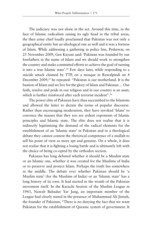The judiciary was not alone in the act. Around this time, in the face of Islamic radicalism raising its ugly head in the tribal areas, the then army chief loudly proclaimed that Pakistan was not only a geographical entity but an ideological one as well and it was a fortress of Islam. While addressing a gathering in police line, Peshawar, on 25 November 2009, Gen Kayani said: 'Pakistan was founded by our forefathers in the name of Islam and we should work to strengthen the country and make committed efforts to achieve the goal of turning it into a true Islamic state'.<sup>24</sup> Few days later, while responding to a suicide attack claimed by TTP, on a mosque in Rawalpindi on 4 December 2009,<sup>25</sup> he repeated: "Pakistan is our motherland. It is the bastion of Islam and we live for the glory of Islam and Pakistan ... Our faith, resolve and pride in our religion and in our country is an asset, which is further reinforced after each terrorist incident".<sup>26</sup>

The power elite of Pakistan have thus succumbed to the Islamists and allowed the latter to dictate the terms of popular discourse. Rather than encouraging moderation, they have invoked 'Islam' to convince the masses that they too are ardent exponents of Islamic principles and Islamic state. The elite does not realise that it is indirectly legitimising the demand of the radical elements for the establishment of an 'Islamic state' in Pakistan and in a theological debate they cannot contest the rhetorical competence of a mullah to sell his point of view as more apt and genuine. On a whole, it does not realise that it is fighting a losing battle and is ultimately left with the choice of being co-opted by the orthodox section.

Pakistan has long debated whether it should be a Muslim state or an Islamic one, whether it was created for the Muslims of India or to preserve and protect Islam. Perhaps the truth lies somewhere in the middle. The debate over whether Pakistan should be 'a Muslim state' (for the Muslims of India) or an 'Islamic state' has a long history of its own. It had started in the womb of the Pakistan movement itself. In the Karachi Session of the Muslim League in 1943, Nawab Bahadur Yar Jang, an important member of the League had clearly stated in the presence of Muhammad Ali Jinnah, the founder of Pakistan, "There is no denying the fact that we want Pakistan for the establishment of Quranic system of government. It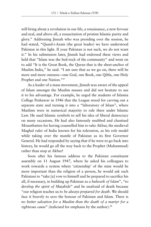will bring about a revolution in our life, a renaissance, a new fervour and zeal, and above all, a resuscitation of pristine Islamic purity and glory." Addressing Jinnah who was presiding over the session, he had stated, "Quaid-i-Azam (the great leader) we have understood Pakistan in this light. If your Pakistan is not such, we do not want it." In his submission later, Jinnah had endorsed these views and held that "Islam was the bed-rock of the community" and went on to add "It is the Great Book, the Quran that is the sheet-anchor of Muslim India," he said. "I am sure that as we go on, there will be more and more oneness—one God, one Book, one Qibla, one Holy Prophet and one Nation."27

As a leader of a mass movement, Jinnah was aware of the appeal of Islam amongst the Muslim masses and did not hesitate to use it to his advantage. For example, he urged the students of Islamia College Peshawar in 1946 that the League stood for carving out a separate state and turning it into a "laboratory of Islam", where Muslims were in numerical majority to rule there under Islamic Law. He used Islamic symbols to sell his idea of liberal democracy on many occasions. He had also famously snubbed and chastised Mountbatten for having counselled him to take Akbar, the medieval Mughal ruler of India known for his toleration, as his role model while taking over the mantle of Pakistan as its first Governor General. He had responded by saying that if he were to go back into history, he would go all the way back to the Prophet (Muhammad) rather than stop at Akbar!

Soon after his famous address to the Pakistan constituent assembly on 11 August 1947, where he asked his colleagues to work towards a system where 'citizenship' of the state would be more important than the religion of a person, he would ask each Pakistani to "take [a] vow to himself and be prepared to sacrifice his all, if necessary, in building up Pakistan as *a bulwark of Islam*", "to develop *the spirit of Mujahids*" and be unafraid of death because "our religion teaches us *to be always prepared for death*. We should face it bravely to save the honour of Pakistan and Islam. There is *no better salvation for a Muslim than the death of a martyr for a righteous cause*" (italicised for emphasis by the author).<sup>28</sup>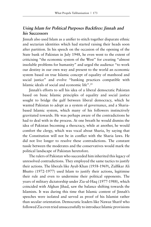## **Using Islam for Political Purposes Backfires: Jinnah and his Successors**

Jinnah also used Islam as a unifier to stitch together disparate ethnic and sectarian identities which had started raising their heads soon after partition. In his speech on the occasion of the opening of the State bank of Pakistan in July 1948, he even went to the extent of criticising "the economic system of the West" for creating "almost insoluble problems for humanity" and urged the audience "to work our destiny in our own way and present to the world an economic system based on true Islamic concept of equality of manhood and social justice" and evolve "banking practices compatible with Islamic ideals of social and economic life".29

Jinnah's efforts to sell his idea of a liberal democratic Pakistan based on basic Islamic principles of equality and social justice sought to bridge the gulf between liberal democracy, which he wanted Pakistan to adopt as a system of governance, and a Shariabased Islamic system, which many of his followers instinctively gravitated towards. He was perhaps aware of the contradictions he had to deal with in the process. At one breath he would dismiss the idea of Pakistan becoming a theocracy, while at another, he would comfort the clergy, which was vocal about Sharia, by saying that the Constitution will not be in conflict with the Sharia laws. He did not live longer to resolve these contradictions. The constant tussle between the moderates and the conservatives would mark the political landscape of Pakistan heretofore.

The rulers of Pakistan who succeeded him inherited this legacy of unresolved contradictions. They employed the same tactics to justify their actions. The liberals like Ayub Khan (1958-1969), Zulfikar Ali Bhutto (1972-1977) used Islam to justify their actions, legitimise their rule and even to undermine their political opponents. The years of military dictatorship under Zia-ul-Haq (1977-1988), which coincided with Afghan Jihad, saw the balance shifting towards the Islamists. It was during this time that Islamic content of Jinnah's speeches were isolated and served as proof of his Islamist rather than secular orientation. Democratic leaders like Nawaz Sharif who followed Zia even tried unsuccessfully to introduce Islamic provisions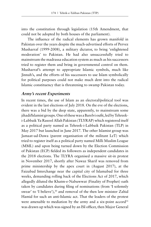into the constitution through legislation (15th Amendment, that could not be adopted by both houses of the parliament).

The influence of the radical elements has grown manifold in Pakistan over the years despite the much-advertised efforts of Pervez Musharraf (1999-2008), a military dictator, to bring 'enlightened moderation' to Pakistan. He had also unsuccessfully tried to mainstream the madrassa education system as much as his successors tried to register them and bring in governmental control on them. Musharraf's attempt to appropriate Islamic symbols, much like Jinnah's, and the efforts of his successors to use Islam symbolically for political purposes could not make much dent into the radical Islamic constituency that is threatening to swamp Pakistan today.

## **Army's recent Experiments**

In recent times, the use of Islam as an electoral/political tool was evident in the last elections of July 2018. On the eve of the elections, there was a bid by the deep state, apparently, to mainstream some jihadi/Islamist groups. One of these was a Barelvi oufit, led by Tehreeki-Labbaik Ya Rasool Allah Pakistan (TLYRAP) which registered itself as a political party named as Tehreek-i-Labbaik Pakistan (TLP) in May 2017 but launched in June 2017. The other Islamist group was Jamaat-ud-Dawa (parent organisation of the militant LeT) which tried to register itself as a political party named Milli Muslim League (MML) and upon being turned down by the Election Commission of Pakistan (ECP) fielded its followers as independent candidates in the 2018 elections. The TLYRA organised a massive sit-in protest in November 2017, shortly after Nawaz Sharif was removed from prime ministership by the apex court in (August 2017), at the Faizabad Interchange near the capital city of Islamabad for three weeks, demanding rolling back of the Elections Act of 2017, which allegedly diluted the Khatm-e-Nabuwwat (Finality of Prophet) oath taken by candidates during filing of nominations (from 'I solemnly swear' to 'I believe'),<sup>30</sup> and removal of the then law minister Zahid Hamid for such an anti-Islamic act. That the leaders of the protest were amenable to mediation by the army and a six-point accord<sup>31</sup> was drawn up which was signed by an ISI officer, then Major General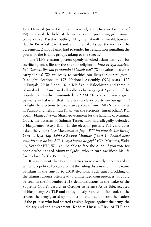Faiz Hameed (now Lieutenant General, and Director General of ISI) indicated the hold of the army on the protesting groups—all conservative Barelvi outfits, TLP, Tehrik-e-Khatm-e-Nabuwwat (led by Pir Afzal Qadri) and Sunni Tehrik. As per the terms of the agreement, Zahid Hamid had to tender his resignation signalling the power of the Islamic groups taking to the streets.<sup>32</sup>

The TLP's election posters openly invoked Islam with call for sacrificing one's life for the sake of religion—"*Vote ki kya haisiyat hai, Deen ke liye tau gardanain bhi hazir hai*" (What value does votes carry for us? We are ready to sacrifice our lives for our religion). It fought elections in 175 National Assembly (NA) seats—122 in Punjab, 29 in Sindh, 16 in KP, five in Balochistan and three in Islamabad. TLP surprised all pollsters by bagging 4.2 per cent of the popular votes which amounted to 2.234,316 votes. It was argued by many in Pakistan that there was a clever bid to encourage TLP to fight the elections to wean away votes from PML-N candidates in Punjab and help Imran Khan win the elections. Imran Khan's PTI openly blamed Nawaz Sharif government for the hanging of Mumtaz Qadri, the assassin of Salman Taseer, who had allegedly defended a blasphemer (Asiya Bibi). In the election posters, PTI candidates asked the voters: "*Ae Musalmanon Jago, PTI ko vote de kar Insaaf karo … Kya Aap Ashiq-e-Rasool Mumtaz Qadri ko Phansi dene wale ko vote de kar Allh ko kya jawab dogey?*" (Oh, Muslims, Wake up, Vote for PTI; Will you be able to face the Allah, if you vote for people who hanged Mumtaz Qadri, who in turn sacrificed his life for his love for the Prophet?).

It was evident that Islamic parties were covertly encouraged to whip up a political bogey against the ruling dispensation in the name of Islam in the run-up to 2018 elections. Such quiet prodding of the Islamist groups often lead to unintended consequences, as could be seen in the November 2018 demonstrations in the wake of the Supreme Court's verdict in October to release Asiya Bibi, accused of blasphemy. As TLP and other, mostly Barelvi outfits took to the streets, the army geared up into action and had to arrest the leaders of the protest who had started raising slogans against the army, the judiciary and the government. Khadim Hussain Rizvi of TLP and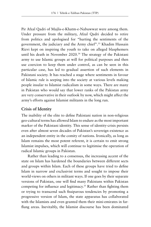Pir Afzal Qadri of Majlis-e-Khatm-e-Nabuwwat were among them. Under pressure from the military, Afzal Qadri decided to retire from politics and apologised for "hurting the sentiments of the government, the judiciary and the Army chief".33 Khadim Hussain Rizvi kept on inspiring the youth to take on alleged blasphemers until his death in November 2020.<sup>34</sup> The strategy of the Pakistani army to use Islamic groups at will for political purposes and then use coercion to keep them under control, as can be seen in this particular case, has led to gradual assertion of such elements in Pakistani society. It has reached a stage where sentiments in favour of Islamic rule is seeping into the society at various levels making people insular to Islamist radicalism in some ways. There are many in Pakistan who would say that lower ranks of the Pakistan army are very conservative in their outlook by now, which might affect the army's efforts against Islamist militants in the long run.

## **Crisis of Identity**

The inability of the elite to define Pakistani nation in non-religious geo-cultural terms has allowed Islam to endure as the most important marker of the Pakistani identity. This sense of identity-crisis persists even after almost seven decades of Pakistan's sovereign existence as an independent entity in the comity of nations. Ironically, as long as Islam remains the most potent referent, it is certain to emit strong Islamist impulses, which will continue to legitimise the operation of radical Islamic groups in Pakistan.

Rather than leading to a consensus, the increasing accent of the state on Islam has hardened the boundaries between different sects and groups within Islam. Each of these groups have tried to define Islam in narrow and exclusivist terms and sought to impose their world-views on others in militant ways. If one goes by their separate versions of Pakistan, one will find many Pakistans within Pakistan competing for influence and legitimacy.35 Rather than fighting them or trying to transcend such fissiparous tendencies by promoting a progressive version of Islam, the state apparatus has collaborated with the Islamists and even granted them their mini-emirates in farflung areas. Inevitably, the Islamist discourse has been dominated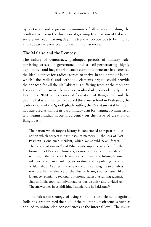by sectarian and regressive *maulanas* of all shades, pushing the resultant vector in the direction of growing Islamisation of Pakistani society with each passing day. The trend is too obvious to be ignored and appears irreversible in present circumstances.

## **The Malaise and the Remedy**

The failure of democracy, prolonged periods of military rule, persisting crises of governance and a self-perpetuating highly exploitative and inegalitarian socio-economic structure have created the ideal context for radical forces to thrive in the name of Islam, which—the radical and orthodox elements argue—could provide the panacea for all the ills Pakistan is suffering from at the moment. For example, in an article in a vernacular daily, coincidentally on 16 December 2014, anniversary of formation of Bangladesh and the day the Pakistani Taliban attacked the army school in Peshawar, the leader of one of the 'good' jihadi outfits, the Pakistani establishment has nurtured as almost its paramilitary arm for waging asymmetrical war against India, wrote indulgently on the issue of creation of Bangladesh:

The nation which forgets history is condemned to repeat it…. A nation which forgets is past loses its memory … the loss of East Pakistan is one such incident, which we should never forget…. The people of *Bangaal* and Bihar made supreme sacrifices for the formation of Pakistan; however, as soon as it came into existence, we forgot the value of Islam. Rather than establishing Islamic rule, we were busy building, decorating and populating the city of Islamabad. As a result, the sense of unity among the two halves was lost. In the absence of the glue of Islam, smaller issues like language, ethnicity, regional autonomy started assuming gigantic shapes. India took full advantage of our disunity and divided us. The answer lies in establishing Islamic rule in Pakistan.<sup>36</sup>

The Pakistani strategy of using some of these elements against India has strengthened the hold of the militant constituencies further and led to unintended consequences at the internal level. The rising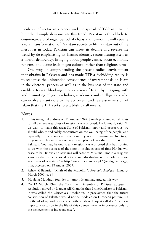incidence of sectarian violence and the spread of Taliban into the hinterland amply demonstrate this trend. Pakistan is thus likely to countenance prolonged period of chaos and turmoil. It will require a total transformation of Pakistani society to lift Pakistan out of the mess it is in today. Pakistan can arrest its decline and reverse the trend by de-emphasising its Islamic identity, reconstituting itself as a liberal democracy, bringing about people-centric socio-economic reforms, and define itself in geo-cultural rather than religious terms.

One way of comprehending the present radical environment that obtains in Pakistan and has made TTP a forbidding reality is to recognise the unintended consequence of overemphasis on Islam in the electoral process as well as in the business of the state and enable a forward-looking interpretation of Islam by engaging with and promoting religious scholars, academics and intelligentsia who can evolve an antidote to the abhorrent and regressive version of Islam that the TTP seeks to establish by all means.

#### **Notes**

- 1. In his inaugural address on 11 August 1947, Jinnah promised equal rights for all citizens regardless of religion, caste or creed. He famously said: "If we want to make this great State of Pakistan happy and prosperous, we should wholly and solely concentrate on the well-being of the people, and especially of the masses and the poor ... you are free—you are free to go to your temples mosques or any other place of worship in this state of Pakistan. You may belong to any religion, caste or creed that has nothing to do with the business of the state ... in due course of time Hindus will cease to be Hindus and Muslims will cease to Muslims—not in a religious sense for that is the personal faith of an individual—but in a political sense as citizens of one state" at http://www.pakistan.gov.pk/Quaid/governor\_g. htm, accessed on 18 August 2007.
- 2. Ashok K Behuria, "Myth of the Monolith". *Strategic Analysis*, January-March 2005, p. 64.
- 3. Maulana Maududi, founder of Jamat-i-Islami had argued this way.
- 4. On 12 March 1949, the Constituent Assembly of Pakistan adopted a resolution moved by Liaquat Ali Khan, the then Prime Minister of Pakistan. It was called the Objectives Resolution. It proclaimed that the future constitution of Pakistan would not be modeled on European pattern, but on the ideology and democratic faith of Islam. Liaquat called it "the most important occasion in the life of this country, next in importance only to the achievement of independence".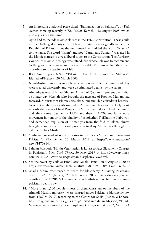- 5. An interesting analytical piece titled "Talibanization of Pakistan", by Rafi Aamer, came up recently in *The Dawn* (Karachi), 12 August 2008, which also argues out the same.
- 6. Ayub had to include Islamic clauses in the 1962 Constitution. These could not be challenged in any court of law. The state was originally named the Republic of Pakistan, but the first amendment added the word "Islamic" to the name. The word "Islam" and not "Quran and Sunnah" was used in the Islamic clauses to give a liberal touch to the Constitution. The Advisory Council of Islamic Ideology was introduced whose job was to recommend to the government ways and means to enable Muslims to live their lives according to the teachings of Islam.
- 7. ICG Asia Report N°49, "Pakistan: The Mullahs and the Military", Islamabad/Brussels, 20 March 2003.
- 8. Non-Muslim minorities in an Islamic state were called Dhimmis and they were treated differently and were discriminated against by the rulers.
- 9. Ahmadiyas regard Mirza Ghulam Ahmed of Qadian (in present day India) as a later day Messiah who brought the message of Prophet Muhammad forward. Mainstream Islamic sects like Sunni and Shia consider it heretical to accept anybody as a Messiah after Muhammad because the Holy book accords the status of final Prophet to Muhammad alone. Hardline Sunnis and Shias came together in 1950s and then in 1970s and launched a movement in honour of the 'finality of prophethood' (Khatm-e-Nabuwat) and demanded expulsion of Ahmadiyas from the fold of Islam. Bhutto brought about a constitutional provision to deny Ahmadiyas the right to call themselves Muslims.
- 10. "Bahawalpur student stabs professor to death over 'anti-Islam' remarks— Pakistan", *The Dawn*, 20 March 2019 at https://www.dawn.com/ news/1470814.
- 11. Salman Masood, "Hindu Veterinarian Is Latest to Face Blasphemy Charges in Pakistan", *New York Times*, 30 May 2019 at https://www.nytimes. com/2019/05/30/world/asia/pakistan-blasphemy-law.html.
- 12. See the tweet by Gulalai Ismail at(@Gulalai\_Ismail on 4 August 2020 at https://twitter.com/Gulalai\_Ismail/status/1290368970009313280?s=20.
- 13. Asad Hashim, "Sentenced to death for blasphemy: Surviving Pakistan's death row", Al Jazeera*,* 21 February 2020 at https://www.aljazeera. com/features/2020/2/21/sentenced-to-death-for-blasphemy-survivingpakistans-death-row.
- 14. "More than 1,500 people—most of them Christian or members of the Ahmadi Muslim minority—were charged under Pakistan's blasphemy law from 1987 to 2017, according to the Centre for Social Justice, a Lahorebased religious-minority rights group", cited in Salman Masood, "Hindu Veterinarian Is Latest to Face Blasphemy Charges in Pakistan", *New York*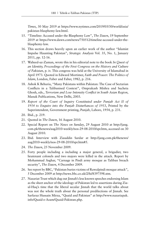*Times*, 30 May 2019 at https://www.nytimes.com/2019/05/30/world/asia/ pakistan-blasphemy-law.html.

- 15. "Timeline: Accused under the Blasphemy Law", *The Dawn*, 19 September 2019 at https://www.dawn.com/news/750512/timeline-accused-under-theblasphemy-law.
- 16. This section draws heavily upon an earlier work of the author "Islamist Impulse Haunting Pakistan", *Strategic Analysis* Vol. 35, No. 1, January 2011, pp. 12-16.
- 17. Waheed-uz-Zaman, wrote this in his editorial note to the book *In Quest of an Identity, Proceedings of the First Congress on the History and Culture of Pakistan*, p. iv. This congress was held at the University of Islamabad in April 1973. Quoted in Edward Mortimer, *Faith and Power: The Politics of Islam*, London, Faber and Faber, 1982, p. 216.
- 18. Ashok K Behuria, "Many Pakistans within Pakistan: The Case of Sectarian Conflicts in a Talibanised Context", Omprakash Mishra and Sucheta Ghosh, eds., *Terrorism and Low Intensity Conflict in South Asian Region*, Manak Publications, New Delhi, 2003.
- 19. *Report of the Court of Inquiry Constituted under Punjab Act II of 1954 to Enquire into the Punjab Disturbances of 1953*, Printed by the Superintendent, Government printing, Punjab, Lahore, 1954, p. 231.
- 20. Ibid., p. 219.
- 21. Quoted in *The Dawn*, 16 August 2010.
- 22. Special Report on *The News on Sunday*, 29 August 2010 at http://jang. com.pk/thenews/aug2010-weekly/nos-29-08-2010/spr.htm, accessed on 30 August 2010.
- 23. Ibid. Interview with Ziauddin Sardar at http://jang.com.pk/thenews/ aug2010-weekly/nos-29-08-2010/spr.htm#5.
- 24. *The Dawn*, 25 November 2009.
- 25. Forty people including a including a major general, a brigadier, two lieutenant colonels and two majors were killed in the attack. Report by Mohammad Asghar, "Carnage in Pindi army mosque as Taliban breach security", *The Dawn*, 4 December 2009.
- 26. See report by BBC, "Pakistan buries victims of Rawalpindi mosque attack", 5 December 2009 at http://news.bbc.co.uk/2/hi/8397598.stm.
- 27. Nazariat Trust which dug out Jinnah's less known speeches endorsing Islam as the sheet anchor of the ideology of Pakistan led to assertions during Ziaul-Haq's time that the liberal secular Jinnah that the world talks about was not the whole truth about the personal predilections of Jinnah. See Sarfaraz Hussain Mirza, "Quaid and Pakistan" at http://www.nazariapak. info/Quaid-e-Azam/Quaid-Pakistan.php.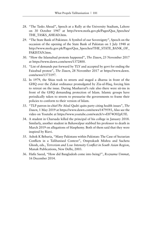- 28. "The Tasks Ahead", Speech at a Rally at the University Stadium, Lahore on 30 October 1947 at http://www.mofa.gov.pk/Pages/Qua\_Speeches/ THE TASKS AHEAD.htm.
- 29. "The State Bank of Pakistan: A Symbol of our Sovereignty", Speech on the occasion of the opening of the State Bank of Pakistan on 1 July 1948 at http://www.mofa.gov.pk/Pages/Qua\_Speeches/THE\_STATE\_BANK\_OF\_ PAKISTAN.htm.
- 30. "How the Islamabad protests happened", *The Dawn*, 25 November 2017 at https://www.dawn.com/news/1372800.
- 31. "List of demands put forward by TLY and accepted by govt for ending the Faizabad protest", *The Dawn*, 28 November 2017 at https://www.dawn. com/news/1373197.
- 32. In 1979, the Shias took to streets and staged a dharna in front of the GHQ over the Zakat ordinance promulgated by Zia-ul-Haq, forcing him to retreat on the issue. During Musharraf's rule also there were sit-ins in front of the GHQ demanding protection of Islam. Islamic groups have periodically taken to streets to pressurise the governments to frame their policies to conform to their version of Islam.
- 33. "TLP patron-in-chief Pir Afzal Qadri quits party citing health issues", *The Dawn*, 1 May 2019 at https://www.dawn.com/news/1479593, Also see the video on Youtube at https://www.youtube.com/watch?v=E874O02pU5E.
- 34. A student in Charsada killed the principal of his college in January 2018. Similarly, another student in Bahawalpur stabbed his professor to death in March 2019 on allegations of blasphemy. Both of them said that they were inspired by Rizvi.
- 35. Ashok K Behuria, "Many Pakistans within Pakistan: The Case of Sectarian Conflicts in a Talibanised Context", Omprakash Mishra and Sucheta Ghosh, eds., *Terrorism and Low Intensity Conflict in South Asian Region*, Manak Publications, New Delhi, 2003.
- 36. Hafiz Saeed, "How did Bangladesh come into being?", *Roznama Ummat*, 16 December 2014.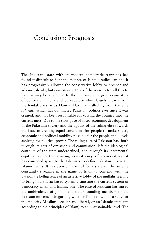## Conclusion: Prognosis

The Pakistani state with its modern democratic trappings has found it difficult to fight the menace of Islamic radicalism and it has progressively allowed the conservative lobby to prosper and advance slowly, but consistently. One of the reasons for all this to happen may be attributed to the minority elite group consisting of political, military and bureaucratic elite, largely drawn from the feudal class or as Hamza Alavi has called it, from the elite *salariat*, <sup>1</sup> which has dominated Pakistani politics ever since it was created, and has been responsible for driving the country into the current mess. Due to the slow pace of socio-economic development of the Pakistani society and the apathy of the ruling elite towards the issue of creating equal conditions for people to make social, economic and political mobility possible for the people at all levels aspiring for political power. The ruling elite of Pakistan has, both through its acts of omission and commission, left the ideological contours of the state underdefined, and through its incremental capitulation to the growing constituency of conservatives, it has conceded space to the Islamists to define Pakistan in overtly Islamic terms. It has been but natural for a state run by an elite constantly swearing in the name of Islam to contend with the passionate belligerence of an assertive lobby of the mullahs seeking to bring in a Sharia-based system dismissing the current system of democracy as an anti-Islamic one. The elite of Pakistan has raised the ambivalence of Jinnah and other founding members of the Pakistan movement (regarding whether Pakistan will be a state for the majority Muslims, secular and liberal, or an Islamic state run according to the principles of Islam) to an unsustainable level. The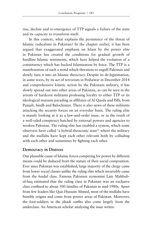rise, decline and re-emergence of TTP signals a failure of the state and its capacity to transform itself.

In this context, what explains the persistence of the threat of Islamic radicalism in Pakistan? In the chapter earlier, it has been argued that exaggerated emphasis on Islam by the power elite in Pakistan has created the conditions for gradual growth of hardline Islamic sentiments, which have helped the evolution of a constituency which has backed Islamisation by force. The TTP is a manifestation of such a trend which threatens to engulf Pakistan and slowly turn it into an Islamic theocracy. Despite its de-legitimation, in some ways, by its act of terrorism in Peshawar in December 2014 and comprehensive kinetic action by the Pakistani military, it has slowly spread out into other areas of Pakistan, as can be seen in the arrests of hardcore militants professing loyalty to either TTP or its ideological mutants parading as affiliates of Al Qaeda and ISIS, from Punjab, Sindh and Balochistan. There is also news of these militants attacking the security forces on an everyday basis. The ruling elite is mainly looking at it as a law-and-order issue, or as the result of a well-oiled conspiracy hatched by external powers and agencies to weaken Pakistan. The ruling elite has enabled a system, which some observers have called 'a hybrid-theocratic state'2 where the military and the mullahs have kept each other relevant both by colluding with each other and sometimes by fighting each other.

#### **Democracy in Distress**

One plausible cause of Islamic forces competing for power by different means could be deduced from the nature of their social composition. Ever since Pakistan was established, large majority of the clergy came from lower social classes unlike the ruling elite which invariably came from the feudal class. Famous Pakistani economist Late Mahbubul-haq estimated that the ruling class in Pakistan was an exclusive class confined to about 500 families of Pakistan in mid-1980s. Apart from few leaders like Qazi Hussain Ahmed, most of the mullahs have humble origins and come from poorer areas of Pakistan. Moreover, the foot-soldiers in the jihadi outfits also come largely from the underclass. An American scholar analysing the issue writes: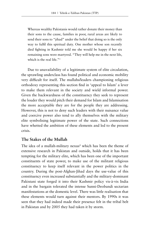Whereas wealthy Pakistanis would rather donate their money than their sons to the cause, families in poor, rural areas are likely to send their sons to "jihad" under the belief that doing so is the only way to fulfil this spiritual duty. One mother whose son recently died fighting in Kashmir told me she would be happy if her six remaining sons were martyred. "They will help me in the next life, which is the real life."<sup>3</sup>

Due to unavailability of a legitimate system of elite circulation, the sprawling underclass has found political and economic mobility very difficult for itself. The mullahs/leaders championing religious orthodoxy representing this section find in 'appeal to Islam' a lever to make them relevant in the society and wield informal power. Given the backwardness of the constituency they seek to represent the louder they would pitch their demand for Islam and Islamisation the more acceptable they are for the people they are addressing. However, this is not to deny such leaders with their nuisance value and coercive power also tend to ally themselves with the military elite symbolising legitimate power of the state. Such connections have whetted the ambition of these elements and led to the present crisis.

## **The Stakes of the Mullah**

The idea of a mullah-military nexus<sup>4</sup> which has been the theme of extensive research in Pakistan and outside, holds that it has been tempting for the military elite, which has been one of the important constituents of state power, to make use of the militant religious constituency to keep itself relevant in the power politics in the country. During the post-Afghan-Jihad days the use-value of this constituency even increased substantially and the military-dominant Pakistani state forged it into their Kashmir policy vis-à-vis India and in the bargain tolerated the intense Sunni-Deobandi sectarian manifestations at the domestic level. There was little realisation that these elements would turn against their mentors. By 1990s it was seen that they had indeed made their presence felt in the tribal belt in Pakistan and by 2005 they had taken it by storm.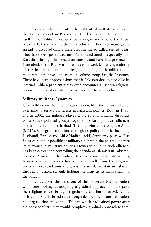There is another element to the militant Islam that has adopted the Taliban model in Pakistan in the last decade. It has nested itself in the Pashtun majority tribal areas, in and around the Tribal Areas of Pakistan and northern Balochistan. They have managed to spread to areas adjoining these areas in the so called settled areas. They have even penetrated into Punjab and Sindh—especially into Karachi—through their sectarian cousins and have had presence in Islamabad, as the Red Mosque episode showed. Moreover, majority of the leaders of orthodox religious outfits, both militant and moderate ones, have come from one ethnic group, i.e., the Pashtuns. There have been apprehensions that if Pakistan does not resolve its internal Taliban problem it may even encounter a Pashtun-religious opposition in Khyber-Pakhtunkhwa and northern Balochistan.

## **Military-militant Dynamics**

It is well-known that the military has enabled the religious forces over time to serve its interests in Pakistani politics. Both in 1988, and in 2002, the military played a big role in bringing disparate conservative political groups together to form political alliances like Islamic Jumhoori Ittehad (IJI) and Muttahida Majlis-e-Amal (MMA). Such grand coalitions of religious-political parties including Deobandi, Barelvi and Ahl-e-Hadith (AeH) Sunni groups as well as Shias were made possible at military's behest in the past to enhance its relevance in Pakistani politics. However, building such alliances has been easier than controlling the agenda of Islamists in Pakistani politics. Moreover, the radical Islamist constituency demanding Islamic rule in Pakistan has separated itself from the religious political forces and aims at establishing an Islamic state in Pakistan through an armed struggle holding the army as its main enemy in the bargain.

This has taken the wind out of the moderate Islamic leaders who were looking at adopting a gradual approach. In the past, the religious forces brought together by Musharraf as MMA had insisted on Sharia-based rule through democratic means. Its leaders had argued that unlike the "Taliban which had gained power after a bloody conflict" they would "employ a gradual approach to total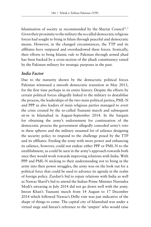Islamisation of society as recommended by the Shariat Council".5 Given their proximity to the military the so called democratic religious forces had sought to bring in Islam through peaceful and democratic means. However, in the changed circumstances, the TTP and its affiliates have outpaced and overshadowed these forces. Ironically, their efforts to bring Islamic rule to Pakistan through armed jihad has been backed by a cross-section of the jihadi constituency raised by the Pakistan military for strategic purposes in the past.

### **India Factor**

Due to the maturity shown by the democratic political forces Pakistan witnessed a smooth democratic transition in May 2013, for the first time perhaps in its entire history. Despite the efforts by certain political forces allegedly linked to the military to destabilise the process, the leaderships of the two main political parties, PML-N and PPP as also leaders of main religious parties managed to avert the crisis created by the so-called Tsunami march and subsequent sit-in in Islamabad in August-September 2014. In the bargain for obtaining the army's endorsement for continuation of the democratic process the government allegedly conceded army's veto in these spheres and the military assumed lot of salience designing the security policy to respond to the challenge posed by the TTP and its affiliates. Feeding the army with more power and enhancing its salience, however, could not endear either PPP or PML-N to the establishment, as could be seen in the army's approach towards both once they would work towards improving relations with India. With PPP and PML-N sticking to their understanding not to bring in the army into their power struggles, the army was on the look out for a political force that could be used to advance its agenda in the realm of foreign policy. Zardari's bid to repair relations with India as well as Nawaz Sharif's bid to attend the Indian Prime Minister Narendra Modi's swearing in July 2014 did not go down well with the army. Imran Khan's Tsunami march from 14 August to 17 December 2014 which followed Nawaz's Delhi visit was just indicative of the shape of things to come. The capital city of Islamabad was under a virtual siege and Imran's reference to the 'umpire' who would raise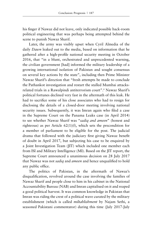his finger if Nawaz did not leave, only indicated possible back-room political engineering that was perhaps being attempted behind the scene to punish Nawaz Sharif.

Later, the army was visibly upset when Cyril Almedia of the daily *Dawn* leaked out to the media, based on information that he gathered after a high-profile national security meeting in October 2016, that "in a blunt, orchestrated and unprecedented warning, the civilian government [had] informed the military leadership of a growing international isolation of Pakistan and sought consensus on several key actions by the state", including then Prime Minister Nawaz Sharif's direction that "fresh attempts be made to conclude the Pathankot investigation and restart the stalled Mumbai attacksrelated trials in a Rawalpindi antiterrorism court".6 Nawaz Sharif's political fortunes declined very fast in the aftermath of this leak. He had to sacrifice some of his close associates who had to resign for disclosing the details of a closed-door meeting involving national security issues. Subsequently, it was Imran again who filed a case in the Supreme Court on the Panama Leaks case (in April 2014) to see whether Nawaz Sharif was "*sadiq and ameen*" (honest and righteous) as per Article 62(1)(f), which sets the precondition for a member of parliament to be eligible for the post. The judicial drama that followed with the judiciary first giving Nawaz benefit of doubt in April 2017, but subjecting his case to be enquired by a Joint Investigation Team (JIT) which included one member each from ISI and Military Intelligence (MI). Based on the JIT report, the Supreme Court announced a unanimous decision on 28 July 2017 that Nawaz was not *sadiq* and *ameen* and hence unqualified to hold any public office.

The politics of Pakistan, in the aftermath of Nawaz's disqualification, revolved around the case involving the families of Nawaz Sharif and people close to him in his cabinet in the National Accountability Bureau (NAB) and Imran capitalised on it and reaped a good political harvest. It was common knowledge in Pakistan that Imran was riding the crest of a political wave curated by the military establishment (which is called *miltablishment* by Najam Sethi, a seasoned Pakistani commentator) during this time (July 2017-July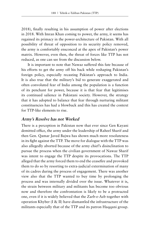2018), finally resulting in his assumption of power after elections in 2018. With Imran Khan coming to power, the army, it seems has regained its primacy in the power-architecture of Pakistan. With all possibility of threat of opposition to its security policy removed, the army is comfortably ensconced at the apex of Pakistan's power matrix. However, even then, the threat of forces like TTP has not reduced, as one can see from the discussion below.

It is important to note that Nawaz suffered this fate because of his efforts to get the army off his back while reshaping Pakistan's foreign policy, especially recasting Pakistan's approach to India. It is also true that the military's bid to generate exaggerated and often convoluted fear of India among the population is a function of its penchant for power, because it is that fear that legitimises its continued salience in Pakistani society. However, the strategy that it has adopted to balance that fear through nurturing militant constituencies has had a blowback and this has created the context for TTP-like elements to rise.

## **Army's Resolve has not Worked**

There is a perception in Pakistan now that ever since Gen Kayani demitted office, the army under the leadership of Raheel Sharif and then Gen. Qamar Javed Bajwa has shown much more resoluteness in its fight against the TTP. The move for dialogue with the TTP was also allegedly aborted because of the army chief's disinclination to pursue the process when the civilian government of Nawaz Sharif was intent to engage the TTP despite its provocations. The TTP alleged that the army forced them to end the ceasefire and provoked them to do so by resorting to extra-judicial extermination of many of its cadres during the process of engagement. There was another view also that the TTP wanted to buy time by prolonging the process and was internally divided over the issue. Whatever it is, the strain between military and militants has become too obvious now and therefore the confrontation is likely to be a protracted one, even if it is widely believed that the Zarb-e-Azb together with operation Khyber (I & II) have dismantled the infrastructure of the militants especially that of the TTP and its patron Haqqani group.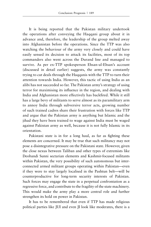It is being reported that the Pakistan military undertook the operations after conveying the Haqqani group about it in advance and, therefore, the leadership of the group melted away into Afghanistan before the operations. Since the TTP was also watching the behaviour of the army very closely and could have easily sensed its decision to attack its facilities, most of its top commanders also went across the Durand line and managed to survive. As per ex-TTP spokesperson Ehsan-ul-Ehsan's account (discussed in detail earlier) suggests, the army was constantly trying to cut deals through the Haqqanis with the TTP to turn their attention towards India. However, this tactic of using India as an alibi has not succeeded so far. The Pakistan army's strategy of using terror for maximising its influence in the region, and dealing with India and Afghanistan more effectively has backfired. While it still has a large bevy of militants to serve almost as its paramilitary arm to annoy India through subversive terror acts, growing number of such trained cadres share their frustration with forces like TTP and argue that the Pakistan army is anything but Islamic and the jihad they have been trained to wage against India must be waged against Pakistan army as well, because it is not fully Islamic in its orientation.

Pakistani state is in for a long haul, as far as fighting these elements are concerned. It may be true that such militancy may not pose a disintegrative pressure on the Pakistani state. However, given the close nexus between Taliban and other types of extremists like Deobandi Sunni sectarian elements and Kashmir-focused militants within Pakistan, the very possibility of such autonomous but interconnected armed militant groups operating within Pakistan—even if they were to stay largely localised in the Pashtun belt—will be counterproductive for long-term security interests of Pakistan. Such forces may engage the state in a perpetual confrontation as a regressive force, and contribute to the fragility of the state machinery. This would make the army play a more central role and further strengthen its hold on power in Pakistan.

It has to be remembered that even if TTP has made religious political parties like JUI and even JI look like moderates, there is a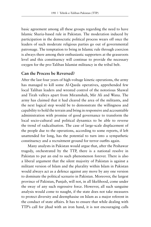basic agreement among all these groups regarding the need to have Islamic Sharia-based rule in Pakistan. The moderation induced by participation in the democratic political process wears off once the leaders of such moderate religious parties go out of governmental patronage. The temptation to bring in Islamic rule through coercion is always there among their enthusiastic supporters at the grassroots level and this constituency will continue to provide the necessary oxygen for the pro-Taliban Islamist militancy in the tribal belt.

#### **Can the Process be Reversed?**

After the last four years of high-voltage kinetic operations, the army has managed to kill some Al-Qaeda operatives, apprehended few local Taliban leaders and wrested control of the notorious Shawal and Tirah valleys apart from Miramshah, Mir Ali and Wana. The army has claimed that it had cleared the area of the militants, and the next logical step would be to demonstrate the willingness and capability to hold the terrain and bring in responsive and accountable administration with promise of good governance to transform the local socio-cultural and political dynamics to be able to reverse the trend of radicalisation. The case of large-scale displacement of the people due to the operations, according to some reports, if left unattended for long, has the potential to turn into a sympathetic constituency and a recruitment ground for terror outfits again.

Many analysts in Pakistan would argue that, after the Peshawar tragedy, orchestrated by the TTP, there is a national resolve in Pakistan to put an end to such phenomenon forever. There is also a liberal argument that the silent majority of Pakistan is against a militant version of Islam and the plurality within Islam in Pakistan would always act as a defence against any move by any one version to dominate the political scenario in Pakistan. Moreover, the largest province of Pakistan, Punjab, will not, in all likelihood, come under the sway of any such regressive force. However, all such sanguine analysis would come to naught, if the state does not take measures to protect diversity and deemphasise on Islam as a major referent in the conduct of state affairs. It has to ensure that while dealing with TTP's call for jihad with an iron hand, it is not encouraging calls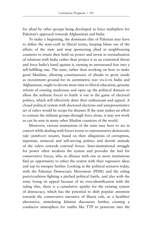for jihad by other groups being developed as force multipliers for Pakistan's approach towards Afghanistan and India.

To make a beginning, the dominant elite of Pakistan may have to define the state-craft in liberal terms, keeping Islam out of the affairs of the state and stop sponsoring jihad in neighbouring countries to retain their hold on power and invest in normalisation of relations with India rather than project it as an existential threat and force India's hand against it, turning its unreasoned fear into a self-fulfilling one. The state, rather than working on how to make good Muslims, allowing constituencies of jihadis to grow inside as recruitment ground for its asymmetric war vis-à-vis India and Afghanistan, ought to devote more time to liberal education, genuine reform of existing madrassas and open up the political domain to allow the militant forces to battle it out in the game of electoral politics, which will effectively deter their enthusiasm and appeal. A closed political system with doctored elections and unrepresentative set of rulers would be recipe for disaster. If the state makes an effort to contain the militant groups through force alone, it may not work as can be seen in many other Muslim countries of the world.

Moreover, various institutions of the state may have to act in concert while dealing with forces averse to representative democratic rule (*jumhoori nizam*), based on their allegations of corruption, nepotism, immoral and self-serving politics and slavish attitude of the rulers towards external forces. Inter-institutional struggle for power often weakens the system and provides the fuel for conservative forces, who in alliance with one or more institutions find an opportunity to infect the system with their regressive ideas and sap its energies further. Looking at the political scenario today, with the Pakistan Democratic Movement (PDM) and the ruling party/coalition fighting a pitched political battle, and also with the army losing its appeal because of its over-identification with the ruling elite, there is a cumulative apathy for the existing system of democracy, which has the potential to shift popular attention towards the conservative narrative of Sharia rule, as a healthier alternative, stimulating Islamist discourses further, creating a conducive atmosphere for outfits like TTP to penetrate into the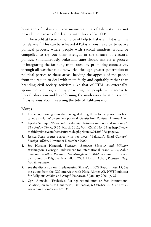heartland of Pakistan. Even mainstreaming of Islamists may not provide the panacea for dealing with threats like TTP.

The world at large can only be of help to Pakistan if it is willing to help itself. This can be achieved if Pakistan ensures a participative political process, where people with radical mindsets would be compelled to try out their strength in the theatre of electoral politics. Simultaneously, Pakistani state should initiate a process of integrating the far-flung tribal areas by promoting connectivity through all-weather road networks, through greater penetration of political parties to these areas, heeding the appeals of the people from the region to deal with them fairly and equitably rather than branding civil society activism (like that of PTM) as externallysponsored sedition, and by providing the people with access to liberal education and by reforming the madrassa education system, if it is serious about reversing the tide of Talibanisation.

#### **Notes**

- 1. The salary earning class that emerged during the colonial period has been called as 'salariat' by eminent political scientist from Pakistan, Hamza Alavi.
- 2. Ayesha Siddiqa, "Pakistan's modernity: Between military and militancy", *The Friday Times*, 9-15 March 2012, Vol. XXIV, No. 04 at http://www. thefridaytimes.com/beta2/tft/article.php?issue=20120309&page=2.
- 3. Jessica Stern argues correctly in her piece, "Pakistan's Jihad Culture", *Foreign Affairs*, November-December 2000.
- 4. See Hussain Haqqani, *Pakistan: Between Mosque and Military,*  Washington: Carnegie Endowment for International Peace, 2005, Zahid Hussain, *Frontline Pakistan: The Struggle with Militant Islam,* I.B. Tauris, distributed by Palgrave Macmillan, 2006, Hassan Abbas, *Pakistan: Drift into Extremism*.
- 5. See the discussion on 'Implementing Sharia', in ICG Report, note 15, See the quote from the ICG interview with Hafiz Akhter Ali, NWFP minister for Religious Affairs and Auqaf, Peshawar, 3 January 2003, p. 29.
- 6. Cyril Almeida, "Exclusive: Act against militants or face international isolation, civilians tell military", *The Dawn*, 6 October 2016 at https:// www.dawn.com/news/1288350.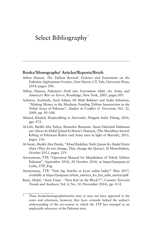# Select Bibliography<sup>\*</sup>

#### **Books/Monographs/ Articles/Reports/Briefs**

- Abbas Hassan, *The Taliban Revival: Violence and Extremism on the Pakistan-Afghanistan Frontier*, New Haven, CT, Yale, University Press, 2014, pages. 296.
- Abbas, Hassan, *Pakistan's Drift into Extremism Allah, the Army, and America's War on Terror*, Routledge, New York, 2005, pages.305.
- Acharya, Arabinda, Syed Adnan Ali Shah Bukhari and Sadia Sulaiman, "Making Money in the Mayhem: Funding Taliban Insurrection in the Tribal Areas of Pakistan", *Studies in Conflict & Terrorism*, Vol. 32, 2009, pp. 95–108.
- Ahmed, Khaled, *Sleepwalking to Surrender*, Penguin India Viking, 2016, pgs. 472.
- Al-Libi, Sheikh Abu Yahya, *Shamsher Beniyam, Yaani Pakistani Hukumat aur Afwaz ke khilaf Qitaal ki Sharia'i Haisiyat*, (The Sheathless Sword: Killing of Pakistani Rulers and Army men in light of Shariah), 2011, pages. 216.
- Al-Swati, Sheikh Abu Darda, "*Khud Badaltay Nahi Quran Ko Badal Detey Hain* (They do not change, They change the Quran), Al Muwahideen, October 2013, pages. 219.
- Anonymous, TTP, "Operation Manual for Mujahideen of Tehrik Taliban Pakistan", September 2018, 28 October 2018, at https://justpaste.it/ Laiha\_TTP\_Eng
- Anonymous, TTP, "Tum log Amrika se kyun nahin ladte?" May 2017, available at https://justpaste.it/tum\_america\_ko\_kiu\_nahi\_martay/pdf
- Basit, Abdul, "Asim Umar 'New Kid on the Block'?", *Counter Terrorist Trends and Analyses*, Vol. 6, No. 10 (November 2014), pp. 8-12

These books/monographs/articles may or may not have appeared in the notes and references, however, they have certainly helped the author's understanding of the eco-system in which the TTP has emerged as an implacable adversary of the Pakistan state.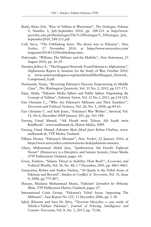- Burki, Khan Zeb, "Rise of Taliban in Waziristan", *The Dialogue*, Volume V, Number 3, July-September 2010, pp. 188-211 at http://www. qurtuba.edu.pk/thedialogue/The%20Dialogue/5\_3/Dialogue\_July\_ September2010\_188-211.pdf
- Coll, Steve, "The Unblinking Stare: The drone war in Pakistan", *New Yorker*, 17 November 2014, at https://www.newyorker.com/ magazine/2014/11/24/unblinking-stare.
- Dalrymple, "William, The Military and the Mullahs", *New Statesman*, 23 August 2010, pp. 26-29.
- Dressler, Jeffrey A., "The Haqqani Network: From Pakistan to Afghanistan", Afghanistan Report 6, Institute for the Study of War, October 2010, at www.understandingwar.org/sites/default/files/Haqqani\_Network\_ Compressed\_0.pdf
- Dormandy, Xenia, "Reversing Pakistan's Descent: Empowering its Middle Class", *The Washington Quarterly*, Vol. 35 No. 2, 2012, pp.157-173.
- Eijaz, Abida, "Pakistan Media Sphere and Public Sphere Negotiating the Concept of Taliban", *Pakistan Vision*, Vol. 12 No.1, 2011, pp.114-124.
- Fair Christine C., "Who Are Pakistan's Militants and Their Families?", *Terrorism and Political Violence*, Vol. 20, No. 1, 2008, pp.49-65.
- Fair Christine C. and Seth Jones, "Pakistan's War Within", *Survival*, Vol. 51, No 6, December 2009-January 201, pp. 161-188.
- Farooq, Ustad Ahmad, "Aik Haath mein Talwar, Aik haath mein Bandhook", www.malhamah.tk, Hattin Media, 2009.
- Farooq, Ustad Ahmad, *Pakistan Mein Jihad Jaari Rehna Chahiye*, www. malhamah.tk, TTP Media, Undated.
- Filkins, Dexter, "Pakistan's Monster", *New Yorker*, 22 January 2016, at https://www.newyorker.com/news/news-desk/pakistans-monster.
- Ghazi, Muhammad Abdul Aziz, "Jumhooriyat Aik Faraibi Taghooti Nizam" (Democracy is a Deceptive and Satanic System), Umar Media (TTP Publication) Undated, pages. 64.
- Grare, Frederic, "Islamic Threat to Stability: How Real?", *Economic and Political Weekly*, Vol. 36, No. 48, 1-7 December, 2001, pp. 4461-4463.
- Gunaratna, Rohan and Anders Nielsen, "Al Qaeda in the Tribal Areas of Pakistan and Beyond", *Studies in Conflict & Terrorism*, Vol. 31, Issue 9, 2008, pp.775–807,
- Hassan, Maulana Muhammad Masni, *'Pakistan' Jarnailon ke Shikanje Mein*, TTP Publication Hattin, Undated, pages. 67.
- International Crisis Group, "Pakistan's Tribal Areas: Appeasing The Militants", Asia Report No 125, 11 December 2006, pp. 1-38.
- Iqbal, Khuram and Sara De Silva, "Terrorist lifecycles: a case study of Tehrik-e-Taliban Pakistan", *Journal of Policing, Intelligence and Counter Terrorism*, Vol. 8, No. 1, 2013, pp. 72-86.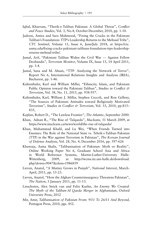- Iqbal, Khurram, "Therik-e-Taliban Pakistan: A Global Threat", *Conflict and Peace Studies*, Vol. 3, No.4, October-December, 2010, pp. 1-10.
- Jadoon, Amira and Sara Mahmood, "Fixing the Cracks in the Pakistani Taliban's Foundation: TTP's Leadership Returns to the Mehsud Tribe", *CTC Sentinel*, Volume 11, Issue 6, June/July 2018, at https://ctc. usma.edu/fixing-cracks-pakistani-talibans-foundation-ttps-leadershipreturns-mehsud-tribe/.
- Jamal, Arif, "Pakistani Taliban Widen the Civil War --- Against Fellow Deobandis", *Terrorism Monitor*, Volume IX, Issue 15, 14 April 2011, pp. 3-4.
- Jamal, Sana and M. Ahsan, "TTP- Analyzing the Network of Terror", Report No 6, International Relations Insights and Analysis (IRIA), Bucharest, pp. 1-46.
- Kaltenthaler, Karl and William Miller, "Ethnicity, Islam, and Pakistani Public Opinion toward the Pakistani Taliban", *Studies in Conflict & Terrorism*, Vol. 38, No. 11, 2015, pp. 938-957.
- Kaltenthaler, Karl, William J. Miller, Stephen Ceccoli, and Ron Gelleny, "The Sources of Pakistani Attitudes toward Religiously Motivated Terrorism", *Studies in Conflict & Terrorism*, Vol. 33, 2010, pp.815– 835,
- Kaplan, Robert D., "The Lawless Frontier", *The Atlantic*, September 2000.
- Khan, Adnan R., "The Rise of 'Talqaeda", *Macleans,* 31 March 2009, at https://www.macleans.ca/news/world/the-rise-of-talqaeda/
- Khan, Muhammad Khalil, and Lu Wei, "When Friends Turned into Enemies: The Role of the National State vs. Tehrik-i-Taliban Pakistan (TTP) in the War against Terrorism in Pakistan", *The Korean Journal of Defense Analysis*, Vol. 28, No. 4, December 2016, pp. 597-626
- Khawaja, Asma Shalir, "Talibanisation of Pakistan: Myth or Reality", Online Working Paper No 6, Graduate School Asia and Africa in World Reference Systems, Martin-Luther-University Halle-Wittenberg, 2009, at http://wcms.itz.uni-halle.de/download. php?down=9047&elem=1986859
- Lieven, Anatol, "A Mutiny Grows in Punjab", *National Interest*, March-April, 2011, pp. 15-23.
- Lieven, Anatol, "How the Afghan Counterinsurgency Threatens Pakistan", *The Nation*, 3 January 2011, pp. 11-13.
- Linschoten, Alex Strick van and Felix Kuehn, *An Enemy We Created: The Myth of the Taliban-Al Qaeda Merger in Afghanistan*, Oxford University Press, 2012
- Mir, Amir, *Talibanisation of Pakistan From: 9/11 To 26/11 And Beyond*, Pentagon Press, 2010, pgs. 452.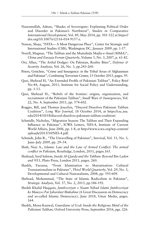- Naseemullah, Adnan, "Shades of Sovereignty: Explaining Political Order and Disorder in Pakistan's Northwest", *Studies in Comparative International Development*, Vol. 49, May 2014, pp. 501-522 at https:// doi.org/10.1007/s12116-014-9157-z.
- Nawaz, Shuja, "FATA— A Most Dangerous Place", Center for Strategic and International Studies (CSIS), Washington DC, January 2009, pp. 1-57.
- Norell, Magnus, "The Taliban and the Muttahida Majlis-e-Amal (MMA)", *China and Eurasia Forum Quarterly*, Volume 5, No. 3, 2007, p. 61-82.
- Orr, Allan, "The Artful Dodger: On Pakistan, Reality Bites", *Defense & Security Analysis*, Vol. 26, No. 3, pp.243-260.
- Peters, Gretchen, "Crime and Insurgency: in the Tribal Areas of Afghanistan and Pakistan", Combating Terrorism Center, 15 October 2015, pages. 95.
- Qazi, Shehzad H, "An Extended Profile of Pakistani Taliban", Policy Brief No-44, August, 2011, Institute for Social Policy and Understanding, pp. 1-13.
- Qazi, Shehzad H., "Rebels of the frontier: origins, organization, and recruitment of the Pakistani Taliban", *Small Wars & Insurgencies*, Vol. 22, No. 4, September 2011, pp. 574-602.
- Roggio, Bill, and Thomas Joscelyn, "Discord Dissolves Pakistani Taliban Coalition", *Long War Journal*, 18 October 2014, at https://csc.asu. edu/2014/10/18/discord-dissolves-pakistani-taliban-coalition/.
- Schmidle, Nicholas, "Migration Season: The Taliban and Their Expanding Influence in Pakistan", ICWA Letters, NES-4, Institute of Current World Affairs, June 2006, pp. 1-8, at http://www.icwa.org/wp-content/ uploads/2015/10/NES-4.pdf.
- Schmidt, John R., "The Unravelling of Pakistan", *Survival*, Vol. 51, No. 3, June–July 2009, pp. 29–54.
- Shah, Niaz A., *Islamic Law and the Law of Armed Conflict: The armed conflict in Pakistan*, Routledge, London, 2011, pages.165.
- Shahzad, Syed Saleem, *Inside Al-Qaeda and the Taliban: Beyond Bin Laden and 9/11*, Pluto Press, London 2011, pages. 260.
- Shaikh, Farzana, "From Islamisation to Shariatisation: Cultural Transnationalism in Pakistan", *Third World Quarterly*, Vol. 29, No. 3, Developmental and Cultural Nationalisms, 2008, pp. 593-609.
- Shehzad, Mohammad, "The State of Islamic Radicalism in Pakistan", *Strategic Analysis*, Vol. 37, No. 2, 2013, pp.186-192.
- Sheikh Khalid Haqqani, *Jumhooriyat o Naam Nihad Islami Jumhooriyat ke Mauzoo Par Jabardast Mukalma* (A Great Discussion on Democracy and so-called Islamic Democracy), June 2018, Umar Media, pages. 164.
- Sheikh, Mona Kanwal, *Guardians of God: Inside the Religious Mind of the Pakistani Taliban*, Oxford University Press, September 2016, pgs. 226.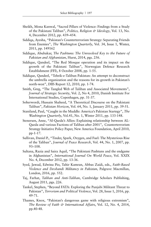- Sheikh, Mona Kanwal, "Sacred Pillars of Violence: Findings from a Study of the Pakistani Taliban", *Politics, Religion & Ideology*, Vol. 13, No. 4, December 2012, pp. 439–454.
- Siddiqa, Ayesha, "Pakistan's Counterterrorism Strategy: Separating Friends from Enemies", *The Washington Quarterly*, Vol. 34, Issue 1, Winter, 2011, pp. 149162
- Siddique, Abubakar, *The Pashtuns: The Unresolved Key to the Future of Pakistan and Afghanistan*, Hurst, 2014, pgs. 256.
- Siddique, Qandeel, "The Red Mosque operation and its impact on the growth of the Pakistani Taliban", Norwegian Defence Research Establishment (FFI), 8 October 2008, pp. 1-55.
- Siddique, Qandeel, "Tehrik-e-Taliban Pakistan: An attempt to deconstruct the umbrella organization and the reasons for its growth in Pakistan's north-west", DIIS Report 12, 2010, pp. 1-74.
- Smith, Greg, "The Tangled Web of Taliban and Associated Movements", *Journal of Strategic Security*, Vol. 2, No 4, 2010, Danish Institute For International Studies, Copenhagen, pp. 31-37.
- Soherwordi, Hussain Shaheed, "A Theoretical Discourse on the Pakistani Taliban", *Pakistan Horizon*, Vol. 64, No. 1, January 2011, pp. 39-51.
- Staniland, Paul, "Caught in the Muddle: America's Pakistan Startegy", *The Washington Quarterly*, Vol.41, No. 1, Winter 2011, pp. 133-148.
- Stenersen, Anne, "Al-Qaeda's Allies: Explaining relationship between AL-Qaeda and various Factions of Taliban after 2001", Counterterrorism Strategy Initiative Policy Paper, New America Foundation, April 2010, pp-1-17.
- Sullivan, Daniel P., "Tinder, Spark, Oxygen, and Fuel: The Mysterious Rise of the Taliban", *Journal of Peace Research*, Vol. 44, No. 1, 2007, pp. 93–108.
- Sultana, Razia and Saira Aquil, "The Pakistani Pashtuns and the endgame in Afghanistan", *International Journal On World Peace*, Vol. XXIX No. 4, December 2012, pp. 13-36.
- Syed, Jawad, Edwina Pio, Tahir Kamran, Abbas Zaidi, eds., *Faith-Based Violence and Deobandi Militancy in Pakistan*, Palgrave Macmillan, London, 2016, pp. 552.
- Taj, Farhat, *Taliban and Anti-Taliban*, Cambridge Scholars Publishing, August 2011, pgs. 226.
- Tankel, Stephen, "Beyond FATA: Exploring the Punjabi Militant Threat to Pakistan", *Terrorism and Political Violence*, Vol. 28, Issue 1, 2016, pp. 49-71.
- Thames, Knox, "Pakistan's dangerous game with religious extremism", *The Review of Faith & International Affairs*, Vol. 12, No. 4, 2014, pp.40-48.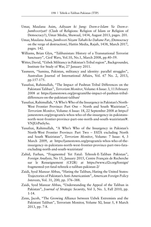- Umar, Maulana Asim, *Adiyaan ki Jung: Deen-e-Islam Ya Deen-e-Jumhooriyat?* (Clash of Religions: Religion of Islam or Religion of Democracy?), Umar Media, Shawaal, 1434, August 2013, pages. 201.
- Umar, Maulana Asim, *Jumhoori Nizam Tabahi ke Dahane Par*, (Democracy on the verge of destruction), Hattin Media, Rajab, 1438, March 2017, pages. 142.
- Williams, Brian Glyn, "Talibanistan: History of a Transnational Terrorist Sanctuary", *Civil Wars*, Vol.10, No.1, March 2008, pp.40–59.
- Witter, David, "Uzbek Militancy in Pakistan's Tribal region", Backgrounder, Institute for Study of War, 27 January 2011.
- Yasmeen, "Samina, Pakistan, militancy and identity: parallel struggles", Australian Journal of International Affairs, Vol. 67 No. 2, 2013, pp.157-175.
- Yusufzai, Rahimullah, "The Impact of Pashtun Tribal Differences on the Pakistani Taliban", *Terrorism Monitor*, Volume: 6 Issue: 3, 11 February 2008 at https://jamestown.org/program/the-impact-of-pashtun-tribaldifferences-on-the-pakistani-taliban/
- Yusufzai, Rahimullah, "A Who's Who of the Insurgency in Pakistan's North-West Frontier Province: Part One – North and South Waziristan", *Terrorism Monitor*, Volume: 6 Issue: 18, 22 September 2008 at https:// jamestown.org/program/a-whos-who-of-the-insurgency-in-pakistansnorth-west-frontier-province-part-one-north-and-south-waziristan/#. VNJUrPmSySo.
- Yusufzai, Rahimullah, "A Who's Who of the Insurgency in Pakistan's North-West Frontier Province: Part Two – FATA excluding North and South Waziristan", *Terrorism Monitor*, Volume: 7 Issue: 4, 3 March 2009, at https://jamestown.org/program/a-whos-who-of-theinsurgency-in-pakistans-north-west-frontier-province-part-two-fataexcluding-north-and-south-waziristan/
- Zahid, Farhan, "Fragmented Yet Fatal: Tehreek-E-Taliban Pakistan", *Foreign Analysis*, No 15, January 2015, Centre Français de Recherche sur le Renseignement (CF2R) at https://www.cf2r.org/foreign/ fragmented-yet-fatal-tehreek-e-taliban-pakistan-2/
- Zaidi, Syed Manzar Abbas, "Hating the Taliban, Hating the United States: Trajectories of Pakistan's Anti-Americanism", *American Foreign Policy Interests*, Vol. 31, 200, pp. 376–388.
- Zaidi, Syed Manzar Abbas, "Understanding the Appeal of the Taliban in Pakistan", *Journal of Strategic Security*, Vol 3, No. 3, Fall 2010, pp. 1-14.
- Zenn, Jacob, "The Growing Alliance between Uzbek Extremists and the Pakistani Taliban", Terrorism Monitor, Volume XI, Issue 5, 8 March 2013, pp. 7-8.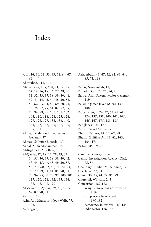## Index

9/11, 16, 30, 31, 33, 49, 51, 64, 67, 69, 110 Abottabad, 111, 141 Afghanistan, 1, 5, 6, 8, 11, 12, 13, 14, 16, 16, 18, 26, 27, 28, 30, 31, 32, 33, 37, 38, 39, 40, 41, 42, 43, 44, 45, 46, 48, 50, 51, 52, 62, 63, 64, 66, 69, 70, 71, 75, 76, 77, 79, 81, 82, 87, 89, 93, 96, 98, 99, 100, 101, 102, 103, 110, 116, 124, 125, 126, 127, 128, 129, 133, 136, 140, 141, 142, 143, 145, 147, 149, 189, 191 Ahmad, Mahmood (Lieutenant General), 37 Ahmad, SaImtiaz hibzada, 15 Ajmal, Mian Mohammad, 15 Al-Baghdadi, Abu Bakr, 99, 119 Al-Qaeda, 17, 18, 27, 28, 29, 33, 34, 35, 36, 37, 38, 39, 40, 42, 43, 44, 45, 46, 48, 49, 50, 57, 58, 59, 60, 62, 68, 71, 72, 73, 75, 77, 79, 81, 84, 85, 90, 91, 93, 94, 95, 96, 98, 99, 100, 101, 117, 120, 121, 132, 135, 136, 138, 148, 149, 190 Al-Zawahiri, Ayman, 39, 40, 49, 57, 62, 87, 90, 91 Amritsar, 120 Asim Abu Mansoor (Noor Wali), 77, 102, Aurangzeb, 1

Aziz, Abdul, 43, 47, 52, 62, 63, 64, 65, 73, 116 Babar, Naseerullah, 11, Bahadur, Gul, 70, 71, 74, 79 Bajwa, Asim Saleem (Major General), 119 Bajwa, Qamar Javed (/Gen), 137, 188 Balochistan, 9, 26, 62, 66, 67, 68, 124, 137, 138, 140, 141, 145, 146, 147, 175, 183, 185 Bangladesh, 85, 177 Barelvi, Sayid Ahmad, 5 Bhutto, Benazir, 14, 15, 69, 78 Bhutto, Zulfikar Ali, 11, 62, 163, 164, 173 Britain, 85, 89, 98 Campbell George Sir, 4 Central Investigation Agency (CIA), 75, 86 Chaudhry, Iftikhar Muhammad, 170 Chechnya, 27, 34 China, 30, 35, 44, 72, 85, 89 Churchill, Winston, 2, 3 Conclusion, 182-192 army's resolve has not worked, 188-190 can process be reversed, 190-192 democracy in distress, 183-184 india factor, 186-188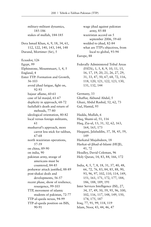military-militant dynamics, 185-186 stakes of mullah, 184-185 Dera Ismail Khan, 6, 9, 18, 34, 61, 112, 122, 140, 143, 144, 148 Durand, Mortimer (Sir), 5 Ecuador, 126 Egypt, 99 Elphinstone, Mountstuart, 1, 4, 5 England, 4 Enter TTP: Formation and Growth, 56-103 avoid jihad fatigue, fight on, 92-93 bajaur aflame, 60-61 case of lal masjid, 61-67 duplicity in approach, 68-72 fazlullah's death and return of mehsuds, 77-80 ideological orientation, 80-82 local versus foreign militants, 61 musharraf's approach, more carrot less stick for taliban, 67-68 north waziristan operations, 57-59 on china, 89-90 on india, 90 pakistan army, stooge of americans must be countered, 84-85 peshawar attack justified, 88-89 post-shakai deals and developments, 56-57 recent phase, show of resilience, resurgence, 99-103 TTP, movement of islamic students of pakistan, 72-77 TTP-al-qaeda nexus, 94-99 TTP-al-qaeda position on ISIS, 90-91

wage jihad against pakistan army, 85-88 waziristan accord on 5 september 2006, 59-60 wedded to jihad, 82-84 what are TTP's objectives, from local to global, 93-94 Europe, 88 Federally Administered Tribal Areas (FATA), 1, 5, 8, 9, 10, 11, 15, 16, 17, 19, 20, 21, 26, 27, 29, 31, 33, 47, 50, 67, 68, 72, 116, 118, 120, 121, 122, 123, 130, 131, 132, 144 Germany, 33 Ghaffur, Akhund Abdul, 5 Ghazi, Abdul Rashid, 52, 62, 73 Gul, Hamid, 95 Hadda, Mullah, 6 Haq, Shami-ul, 51, 116 Haq, Zia-ul, 13, 31, 32, 62, 163, 164, 165, 173 Haqqani, Jalaluddin, 37, 38, 45, 59, 149

Harkatul Mujahideen, 18 Harkat-ul-Jihad-al-Islami (HUJI), 41, 72 Headley, David Coleman, 96

Holy Quran, 14, 83, 84, 166, 172

India, 4, 5, 7, 8, 18, 31, 37, 40, 48, 66, 72, 76, 83, 84, 85, 88, 90, 93, 96, 97, 102, 110, 114, 149, 151, 161, 171, 172, 177, 184, 186, 188, 189, 191 Inter Services Intelligence (ISI), 27, 34, 37, 49, 50, 59, 95, 96, 100, 102, 116, 117, 148, 149, 150, 174, 175, 187 Iraq, 77, 91, 99, 118, 119 Islam, Noor, 43, 44, 46, 47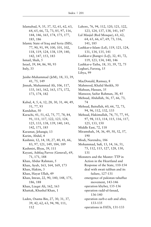Islamabad, 9, 35, 37, 52, 61, 62, 63, 64, 65, 66, 72, 73, 85, 97, 116, 144, 146, 165, 174, 175, 177, 185, 186 Islamic State of Iraq and Syria (ISIS), 77, 90, 91, 99, 100, 101, 102, 118, 119, 124, 138, 139, 140, 142, 147, 153, 183 Ismail, Shah, 5 Israel, 39, 84, 86, 90, 93 Italy, 33 Jaishe-Muhammad (JeM), 18, 33, 39, 41, 75, 149 Jinnah, Muhammad Ali, 106, 117, 133, 161, 162, 163, 171, 172, 173, 174, 182 Kabul, 4, 5, 6, 12, 28, 30, 31, 44, 49, 51, 77, 93 Kandahar, 50 Karachi, 41, 51, 62, 75, 77, 78, 84, 91, 111, 117, 122, 123, 124, 125, 133, 138, 139, 140, 141, 142, 171, 185 Karamat, Jehangir, 13 Karim, Abdul, 4 Kashmir, 12, 14, 18, 27, 40, 41, 66, 83, 97, 121, 149, 184, 189 Kashmiri, Illyas, 39, 111 Kayani, Ashfaq Parvez (General), 69, 71, 171, 188 Khan, Abdur Rahman, 5 Khan, Ayub, 163, 164, 169, 173 Khan, Hakim, 3 Khan, Hayat Ullah, 49 Khan, Imran, 22, 90, 140, 148, 175, 186, 188 Khan, Liaqat Ali, 162, 163 Khattak, Khushal Khan, 1 Laden, Osama Bin, 27, 30, 31, 37, 39, 42, 62, 63, 94, 98, 111, 112

Lahore, 76, 94, 112, 120, 121, 122, 123, 124, 137, 138, 141, 147 Lal Masjid (Red Mosque), 61, 62, 64, 65, 66, 67, 69, 73, 116, 141, 185 Lashkar-e-Islam (LeI), 119, 121, 124, 131, 134, 135, 141 Lashkar-e-Jhangvi (LeJ), 32, 41, 72, 119, 123, 134, 140, 146 Lashkar-e-Taiba, 18, 33, 39, 72, 75 Leghari, Farooq, 15 Libya, 99 MacDonald, Ramsay, 8 Mahmood, Khalid Sheikh, 50 Mahsun, Hassan, 35 Mansoor, Saifur Rahman, 38, 45 Mehsud, Abdullah, 56, 57, 66, 73, 74 Mehsud, Baitullah, 60, 66, 72, 73, 94, 96, 112, 132, 133 Mehsud, Hakimullah, 74, 75, 77, 95, 97, 98, 113, 114, 115, 116, 117, 125, 133, 150 Middle East, 72, 118 Miramshah, 34, 36, 49, 50, 52, 57, 190 Modi, Narendra, 186 Mohammad, Sufi, 13, 14, 16, 51, 75, 112, 115, 127, 128, 130, 131 Monsters and the Master: TTP in Action in the Heartland and Response of the State, 110-154 deal with swati taliban and its failure, 127-131 emergence of pakistan tahaffuz movement, 143-146 operation khyber, 135-136 operation radd-ul-fassad, 136-140 operation zarb-e-azb and after, 133-135 operations in FATA, 131-133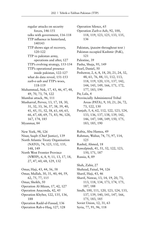Operation Silence, 65

regular attacks on security forces, 146-151 talks with government, 116-118 TTP influence in hinterland, 140143 TTP shows sign of recovery, 120-122 TTP vs pakistan army, operations and after, 127 TTP's evolving strategy, 153-154 TTP's operational presence inside pakistan, 122-127 what do data reveal, 151-153 zarb-e-azb and TTP's woes, 118-119 Muhammad, Nek, 17, 43, 46, 47, 48, 49, 70, 73, 74, 122 Mumbai attack, 96, 111 Musharraf, Pervez, 13, 17, 18, 30, 31, 32, 33, 36, 37, 38, 39, 40, 41, 45, 51, 52, 58, 61, 64, 65, 66, 67, 68, 69, 71, 83, 96, 128, 167, 174, 185 Myanmar, 84 New York, 98, 126 Nisar, Saqib (Chief Justice), 139 North Atlantic Treaty Organisation (NATO), 74, 125, 132, 135, 148, 149 North West Frontier Province (NWFP), 6, 8, 9, 11, 13, 17, 18, 27, 47, 60, 68, 129, 132 Omar, Haji, 43, 44, 56, 58 Omar, Mullah, 30, 31, 40, 44, 59, 62, 75, 77, 115 Omar, Sheikh, 50 Operation Al-Mizan, 17, 42, 127 Operation Anaconda, 42, 45 Operation Khyber, 122, 135, 136, 188 Operation Radd-ul-Fassad, 136 Operation Rah-e-Haq, 127, 128

Operation Zarb-e-Azb, 92, 100, 118, 119, 123, 125, 133, 135, 136 Pakistan, (*passim* throughout text ) Pakistan occupied Kashmir (PoK), 121 Palestine, 39 Pasha, Shuja, 95, 149 Pearl, Daniel, 50 Peshawar, 2, 6, 8, 18, 20, 21, 24, 32, 48, 61, 76, 88, 11, 112, 113, 118, 119, 120, 131, 137, 142, 144, 145, 149, 166, 171, 172, 177, 183, 190 Pir, Lala, 4 Provincially Administered Tribal Areas (PATA), 9, 10, 21, 26, 72, 73, 122, 130 Punjab, 5, 6, 62, 112, 122, 123, 124, 133, 136, 137, 138, 139, 142, 146, 147, 148, 149, 150, 175, 183, 185, 190 Rabia, Abu Hamza, 49 Rahman, Waliur, 74, 75, 97, 114, 125 Rashid, Ahmed, 18 Rawalpindi, 41, 51, 52, 122, 123, 150, 171, 187 Russia, 8, 89 Shah, Zahir, 27 Shahzad, Faisal, 94, 126 Sharif, Haji, 43, 46 Sharif, Nawaz, 13, 14, 19, 20, 73, 113, 118, 134, 173, 174, 175, 187, 188 Sindh, 100, 111, 120, 123, 124, 133, 137, 139, 140, 141, 147, 166, 175, 183, 185

Soviet Union, 12, 31, 63

Syria, 77, 91, 96, 118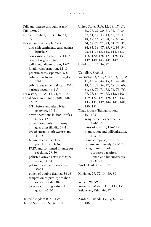Taliban, (*passim* throughout text) Tajikistan, 27 Tehrik-e-Taliban, 18, 31, 46, 51, 70, 72 Terrain and the People, 1-22 anti-sikh sentiments turn against british, 5-6 concessions to islamists, 13-16 costs of neglect, 16-18 galloping talibanisation, 18-22 jihadi transformation, 12-13 pashtun areas separated, 6-8 tribal areas treated with neglect, 10-12 tribal areas under pakistan, 8-10 various accounts, 1-5 Turkestan, 34, 35, 44, 74, 90, 100 Tribal Areas in Tumult (2001-2007), 26-52 9/11 before and after, brief overview, 30-31 army operations in 2004 ruffles tribes, 42-43 attempt on musharraf, army goes after jihadis, 39-41 eye of storm, south waziristan, 43-45 failure to convince local population, 34-36 FATA and continued impulse for rebellion, 29-30 pakistan army's entry into tribal areas, 31-34 pakistani taliban raises it head, 50-52 policy of double-dealing, 36-38 temptation to privilege taliban over al-qaeda, 38-39 tolerate taliban, go after al qaeda, 45-50

United Kingdom (UK), 139 United Nations (UN), 63, 121 United States (US), 12, 16, 17, 18, 26, 28, 29, 30, 31, 32, 33, 34, 37, 41, 42, 43, 44, 45, 46, 47, 48, 49, 56, 57, 58, 59, 60, 62, 64, 68, 70, 71, 73, 74, 77, 81, 84, 85, 86, 87, 89, 90, 93, 94, 98, 111, 112, 113, 114, 115, 116, 120, 126, 127, 128, 137, 139, 140, 143, 145, 149

Uzbekistan, 27, 34, 57

Waliullah, Shah, 5 Waziristan, 3, 4, 6, 8, 17, 33, 34, 35, 41, 42, 43, 44, 45, 46, 47, 48, 49, 50, 52, 56, 57, 58, 59, 60, 61, 66, 70, 71, 73, 74, 75, 76, 77, 78, 86, 94, 95, 112, 116, 119, 122, 124, 126, 127, 132, 133, 135, 139, 144, 145, 148, 150, 151 What Propels Talibanisation, 161-178 army's recent experiments, 174-176 crisis of identity, 176-177 islamisation and talibanisation, 163-167 islamist impulse, 167-172 malaise and remedy, 177-178 using islam for political purposes backfires, jinnah and his successors, 173-174 World Trade Centre, 28

Xinjiang, 27, 72, 84, 89, 90

Yemen, 94, 99 Yousafzai, Malala, 112, 133, 151 Yuldashev, Tahir, 46, 57

Zardari, Asif Ali, 15, 29, 69, 129, 186